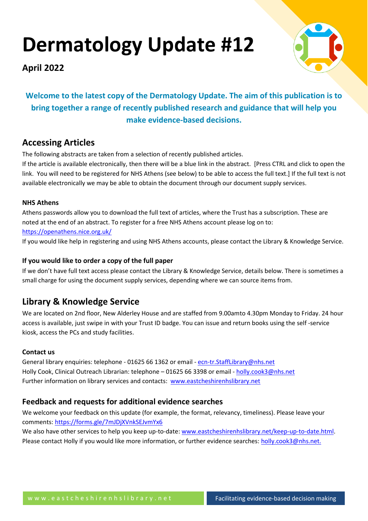# **Dermatology Update #12**

**April 2022**



# **Welcome to the latest copy of the Dermatology Update. The aim of this publication is to bring together a range of recently published research and guidance that will help you make evidence-based decisions.**

# **Accessing Articles**

The following abstracts are taken from a selection of recently published articles.

If the article is available electronically, then there will be a blue link in the abstract. [Press CTRL and click to open the link. You will need to be registered for NHS Athens (see below) to be able to access the full text.] If the full text is not available electronically we may be able to obtain the document through our document supply services.

# **NHS Athens**

Athens passwords allow you to download the full text of articles, where the Trust has a subscription. These are noted at the end of an abstract. To register for a free NHS Athens account please log on to: <https://openathens.nice.org.uk/>

If you would like help in registering and using NHS Athens accounts, please contact the Library & Knowledge Service.

# **If you would like to order a copy of the full paper**

If we don't have full text access please contact the Library & Knowledge Service, details below. There is sometimes a small charge for using the document supply services, depending where we can source items from.

# **Library & Knowledge Service**

We are located on 2nd floor, New Alderley House and are staffed from 9.00amto 4.30pm Monday to Friday. 24 hour access is available, just swipe in with your Trust ID badge. You can issue and return books using the self -service kiosk, access the PCs and study facilities.

# **Contact us**

General library enquiries: telephone - 01625 66 1362 or email - [ecn-tr.StaffLibrary@nhs.net](mailto:ecn-tr.StaffLibrary@nhs.net) Holly Cook, Clinical Outreach Librarian: telephone – 01625 66 3398 or email - [holly.cook3@nhs.net](mailto:holly.cook3@nhs.net) Further information on library services and contacts: [www.eastcheshirenhslibrary.net](http://www.eastcheshirenhslibrary.net/)

# **Feedback and requests for additional evidence searches**

We welcome your feedback on this update (for example, the format, relevancy, timeliness). Please leave your comments[: https://forms.gle/7mJDjXVnkSEJvmYx6](https://forms.gle/7mJDjXVnkSEJvmYx6)

We also have other services to help you keep up-to-date: [www.eastcheshirenhslibrary.net/keep-up-to-date.html.](http://www.eastcheshirenhslibrary.net/keep-up-to-date.html) Please contact Holly if you would like more information, or further evidence searches: [holly.cook3@nhs.net.](mailto:holly.cook3@nhs.net)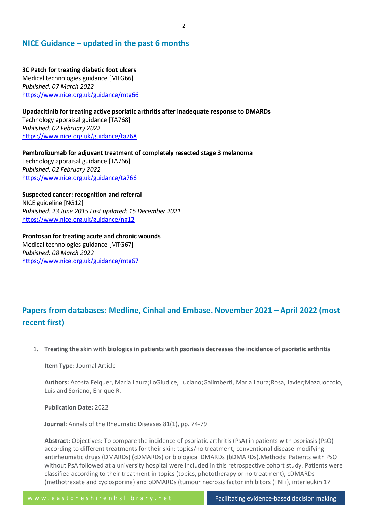# **NICE Guidance – updated in the past 6 months**

**3C Patch for treating diabetic foot ulcers** Medical technologies guidance [MTG66] *Published: 07 March 2022* <https://www.nice.org.uk/guidance/mtg66>

**Upadacitinib for treating active psoriatic arthritis after inadequate response to DMARDs** Technology appraisal guidance [TA768] *Published: 02 February 2022* <https://www.nice.org.uk/guidance/ta768>

**Pembrolizumab for adjuvant treatment of completely resected stage 3 melanoma** Technology appraisal guidance [TA766] *Published: 02 February 2022* <https://www.nice.org.uk/guidance/ta766>

**Suspected cancer: recognition and referral** NICE guideline [NG12] *Published: 23 June 2015 Last updated: 15 December 2021* <https://www.nice.org.uk/guidance/ng12>

**Prontosan for treating acute and chronic wounds** Medical technologies guidance [MTG67] *Published: 08 March 2022* <https://www.nice.org.uk/guidance/mtg67>

# **Papers from databases: Medline, Cinhal and Embase. November 2021 – April 2022 (most recent first)**

1. **Treating the skin with biologics in patients with psoriasis decreases the incidence of psoriatic arthritis**

**Item Type:** Journal Article

**Authors:** Acosta Felquer, Maria Laura;LoGiudice, Luciano;Galimberti, Maria Laura;Rosa, Javier;Mazzuoccolo, Luis and Soriano, Enrique R.

**Publication Date:** 2022

**Journal:** Annals of the Rheumatic Diseases 81(1), pp. 74-79

**Abstract:** Objectives: To compare the incidence of psoriatic arthritis (PsA) in patients with psoriasis (PsO) according to different treatments for their skin: topics/no treatment, conventional disease-modifying antirheumatic drugs (DMARDs) (cDMARDs) or biological DMARDs (bDMARDs).Methods: Patients with PsO without PsA followed at a university hospital were included in this retrospective cohort study. Patients were classified according to their treatment in topics (topics, phototherapy or no treatment), cDMARDs (methotrexate and cyclosporine) and bDMARDs (tumour necrosis factor inhibitors (TNFi), interleukin 17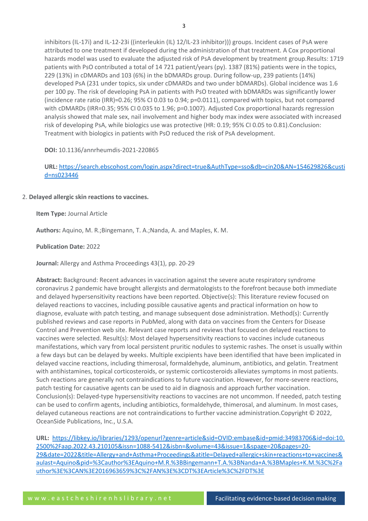inhibitors (IL-17i) and IL-12-23i ((interleukin (IL) 12/IL-23 inhibitor))) groups. Incident cases of PsA were attributed to one treatment if developed during the administration of that treatment. A Cox proportional hazards model was used to evaluate the adjusted risk of PsA development by treatment group.Results: 1719 patients with PsO contributed a total of 14 721 patient/years (py). 1387 (81%) patients were in the topics, 229 (13%) in cDMARDs and 103 (6%) in the bDMARDs group. During follow-up, 239 patients (14%) developed PsA (231 under topics, six under cDMARDs and two under bDMARDs). Global incidence was 1.6 per 100 py. The risk of developing PsA in patients with PsO treated with bDMARDs was significantly lower (incidence rate ratio (IRR)=0.26; 95% CI 0.03 to 0.94; p=0.0111), compared with topics, but not compared with cDMARDs (IRR=0.35; 95% CI 0.035 to 1.96; p=0.1007). Adjusted Cox proportional hazards regression analysis showed that male sex, nail involvement and higher body max index were associated with increased risk of developing PsA, while biologics use was protective (HR: 0.19; 95% CI 0.05 to 0.81).Conclusion: Treatment with biologics in patients with PsO reduced the risk of PsA development.

#### **DOI:** 10.1136/annrheumdis-2021-220865

# **URL:** [https://search.ebscohost.com/login.aspx?direct=true&AuthType=sso&db=cin20&AN=154629826&custi](https://search.ebscohost.com/login.aspx?direct=true&AuthType=sso&db=cin20&AN=154629826&custid=ns023446) [d=ns023446](https://search.ebscohost.com/login.aspx?direct=true&AuthType=sso&db=cin20&AN=154629826&custid=ns023446)

#### 2. **Delayed allergic skin reactions to vaccines.**

**Item Type:** Journal Article

**Authors:** Aquino, M. R.;Bingemann, T. A.;Nanda, A. and Maples, K. M.

#### **Publication Date:** 2022

**Journal:** Allergy and Asthma Proceedings 43(1), pp. 20-29

**Abstract:** Background: Recent advances in vaccination against the severe acute respiratory syndrome coronavirus 2 pandemic have brought allergists and dermatologists to the forefront because both immediate and delayed hypersensitivity reactions have been reported. Objective(s): This literature review focused on delayed reactions to vaccines, including possible causative agents and practical information on how to diagnose, evaluate with patch testing, and manage subsequent dose administration. Method(s): Currently published reviews and case reports in PubMed, along with data on vaccines from the Centers for Disease Control and Prevention web site. Relevant case reports and reviews that focused on delayed reactions to vaccines were selected. Result(s): Most delayed hypersensitivity reactions to vaccines include cutaneous manifestations, which vary from local persistent pruritic nodules to systemic rashes. The onset is usually within a few days but can be delayed by weeks. Multiple excipients have been identified that have been implicated in delayed vaccine reactions, including thimerosal, formaldehyde, aluminum, antibiotics, and gelatin. Treatment with antihistamines, topical corticosteroids, or systemic corticosteroids alleviates symptoms in most patients. Such reactions are generally not contraindications to future vaccination. However, for more-severe reactions, patch testing for causative agents can be used to aid in diagnosis and approach further vaccination. Conclusion(s): Delayed-type hypersensitivity reactions to vaccines are not uncommon. If needed, patch testing can be used to confirm agents, including antibiotics, formaldehyde, thimerosal, and aluminum. In most cases, delayed cutaneous reactions are not contraindications to further vaccine administration.Copyright © 2022, OceanSide Publications, Inc., U.S.A.

**URL:** [https://libkey.io/libraries/1293/openurl?genre=article&sid=OVID:embase&id=pmid:34983706&id=doi:10.](https://libkey.io/libraries/1293/openurl?genre=article&sid=OVID:embase&id=pmid:34983706&id=doi:10.2500%2Faap.2022.43.210105&issn=1088-5412&isbn=&volume=43&issue=1&spage=20&pages=20-29&date=2022&title=Allergy+and+Asthma+Proceedings&atitle=Delayed+allergic+skin+reactions+to+vaccines&aulast=Aquino&pid=%3Cauthor%3EAquino+M.R.%3BBingemann+T.A.%3BNanda+A.%3BMaples+K.M.%3C%2Fauthor%3E%3CAN%3E2016963659%3C%2FAN%3E%3CDT%3EArticle%3C%2FDT%3E) [2500%2Faap.2022.43.210105&issn=1088-5412&isbn=&volume=43&issue=1&spage=20&pages=20-](https://libkey.io/libraries/1293/openurl?genre=article&sid=OVID:embase&id=pmid:34983706&id=doi:10.2500%2Faap.2022.43.210105&issn=1088-5412&isbn=&volume=43&issue=1&spage=20&pages=20-29&date=2022&title=Allergy+and+Asthma+Proceedings&atitle=Delayed+allergic+skin+reactions+to+vaccines&aulast=Aquino&pid=%3Cauthor%3EAquino+M.R.%3BBingemann+T.A.%3BNanda+A.%3BMaples+K.M.%3C%2Fauthor%3E%3CAN%3E2016963659%3C%2FAN%3E%3CDT%3EArticle%3C%2FDT%3E) [29&date=2022&title=Allergy+and+Asthma+Proceedings&atitle=Delayed+allergic+skin+reactions+to+vaccines&](https://libkey.io/libraries/1293/openurl?genre=article&sid=OVID:embase&id=pmid:34983706&id=doi:10.2500%2Faap.2022.43.210105&issn=1088-5412&isbn=&volume=43&issue=1&spage=20&pages=20-29&date=2022&title=Allergy+and+Asthma+Proceedings&atitle=Delayed+allergic+skin+reactions+to+vaccines&aulast=Aquino&pid=%3Cauthor%3EAquino+M.R.%3BBingemann+T.A.%3BNanda+A.%3BMaples+K.M.%3C%2Fauthor%3E%3CAN%3E2016963659%3C%2FAN%3E%3CDT%3EArticle%3C%2FDT%3E) [aulast=Aquino&pid=%3Cauthor%3EAquino+M.R.%3BBingemann+T.A.%3BNanda+A.%3BMaples+K.M.%3C%2Fa](https://libkey.io/libraries/1293/openurl?genre=article&sid=OVID:embase&id=pmid:34983706&id=doi:10.2500%2Faap.2022.43.210105&issn=1088-5412&isbn=&volume=43&issue=1&spage=20&pages=20-29&date=2022&title=Allergy+and+Asthma+Proceedings&atitle=Delayed+allergic+skin+reactions+to+vaccines&aulast=Aquino&pid=%3Cauthor%3EAquino+M.R.%3BBingemann+T.A.%3BNanda+A.%3BMaples+K.M.%3C%2Fauthor%3E%3CAN%3E2016963659%3C%2FAN%3E%3CDT%3EArticle%3C%2FDT%3E) [uthor%3E%3CAN%3E2016963659%3C%2FAN%3E%3CDT%3EArticle%3C%2FDT%3E](https://libkey.io/libraries/1293/openurl?genre=article&sid=OVID:embase&id=pmid:34983706&id=doi:10.2500%2Faap.2022.43.210105&issn=1088-5412&isbn=&volume=43&issue=1&spage=20&pages=20-29&date=2022&title=Allergy+and+Asthma+Proceedings&atitle=Delayed+allergic+skin+reactions+to+vaccines&aulast=Aquino&pid=%3Cauthor%3EAquino+M.R.%3BBingemann+T.A.%3BNanda+A.%3BMaples+K.M.%3C%2Fauthor%3E%3CAN%3E2016963659%3C%2FAN%3E%3CDT%3EArticle%3C%2FDT%3E)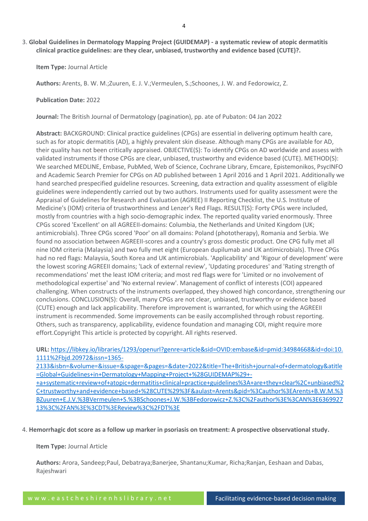# 3. **Global Guidelines in Dermatology Mapping Project (GUIDEMAP) - a systematic review of atopic dermatitis clinical practice guidelines: are they clear, unbiased, trustworthy and evidence based (CUTE)?.**

**Item Type:** Journal Article

**Authors:** Arents, B. W. M.;Zuuren, E. J. V.;Vermeulen, S.;Schoones, J. W. and Fedorowicz, Z.

**Publication Date:** 2022

**Journal:** The British Journal of Dermatology (pagination), pp. ate of Pubaton: 04 Jan 2022

**Abstract:** BACKGROUND: Clinical practice guidelines (CPGs) are essential in delivering optimum health care, such as for atopic dermatitis (AD), a highly prevalent skin disease. Although many CPGs are available for AD, their quality has not been critically appraised. OBJECTIVE(S): To identify CPGs on AD worldwide and assess with validated instruments if those CPGs are clear, unbiased, trustworthy and evidence based (CUTE). METHOD(S): We searched MEDLINE, Embase, PubMed, Web of Science, Cochrane Library, Emcare, Epistemonikos, PsycINFO and Academic Search Premier for CPGs on AD published between 1 April 2016 and 1 April 2021. Additionally we hand searched prespecified guideline resources. Screening, data extraction and quality assessment of eligible guidelines were independently carried out by two authors. Instruments used for quality assessment were the Appraisal of Guidelines for Research and Evaluation (AGREE) II Reporting Checklist, the U.S. Institute of Medicine's (IOM) criteria of trustworthiness and Lenzer's Red Flags. RESULT(S): Forty CPGs were included, mostly from countries with a high socio-demographic index. The reported quality varied enormously. Three CPGs scored 'Excellent' on all AGREEII-domains: Columbia, the Netherlands and United Kingdom (UK; antimicrobials). Three CPGs scored 'Poor' on all domains: Poland (phototherapy), Romania and Serbia. We found no association between AGREEII-scores and a country's gross domestic product. One CPG fully met all nine IOM criteria (Malaysia) and two fully met eight (European dupilumab and UK antimicrobials). Three CPGs had no red flags: Malaysia, South Korea and UK antimicrobials. 'Applicability' and 'Rigour of development' were the lowest scoring AGREEII domains; 'Lack of external review', 'Updating procedures' and 'Rating strength of recommendations' met the least IOM criteria; and most red flags were for 'Limited or no involvement of methodological expertise' and 'No external review'. Management of conflict of interests (COI) appeared challenging. When constructs of the instruments overlapped, they showed high concordance, strengthening our conclusions. CONCLUSION(S): Overall, many CPGs are not clear, unbiased, trustworthy or evidence based (CUTE) enough and lack applicability. Therefore improvement is warranted, for which using the AGREEII instrument is recommended. Some improvements can be easily accomplished through robust reporting. Others, such as transparency, applicability, evidence foundation and managing COI, might require more effort.Copyright This article is protected by copyright. All rights reserved.

**URL:** [https://libkey.io/libraries/1293/openurl?genre=article&sid=OVID:embase&id=pmid:34984668&id=doi:10.](https://libkey.io/libraries/1293/openurl?genre=article&sid=OVID:embase&id=pmid:34984668&id=doi:10.1111%2Fbjd.20972&issn=1365-2133&isbn=&volume=&issue=&spage=&pages=&date=2022&title=The+British+journal+of+dermatology&atitle=Global+Guidelines+in+Dermatology+Mapping+Project+%28GUIDEMAP%29+-+a+systematic+review+of+atopic+dermatitis+clinical+practice+guidelines%3A+are+they+clear%2C+unbiased%2C+trustworthy+and+evidence+based+%28CUTE%29%3F&aulast=Arents&pid=%3Cauthor%3EArents+B.W.M.%3BZuuren+E.J.V.%3BVermeulen+S.%3BSchoones+J.W.%3BFedorowicz+Z.%3C%2Fauthor%3E%3CAN%3E636992713%3C%2FAN%3E%3CDT%3EReview%3C%2FDT%3E) [1111%2Fbjd.20972&issn=1365-](https://libkey.io/libraries/1293/openurl?genre=article&sid=OVID:embase&id=pmid:34984668&id=doi:10.1111%2Fbjd.20972&issn=1365-2133&isbn=&volume=&issue=&spage=&pages=&date=2022&title=The+British+journal+of+dermatology&atitle=Global+Guidelines+in+Dermatology+Mapping+Project+%28GUIDEMAP%29+-+a+systematic+review+of+atopic+dermatitis+clinical+practice+guidelines%3A+are+they+clear%2C+unbiased%2C+trustworthy+and+evidence+based+%28CUTE%29%3F&aulast=Arents&pid=%3Cauthor%3EArents+B.W.M.%3BZuuren+E.J.V.%3BVermeulen+S.%3BSchoones+J.W.%3BFedorowicz+Z.%3C%2Fauthor%3E%3CAN%3E636992713%3C%2FAN%3E%3CDT%3EReview%3C%2FDT%3E)

[2133&isbn=&volume=&issue=&spage=&pages=&date=2022&title=The+British+journal+of+dermatology&atitle](https://libkey.io/libraries/1293/openurl?genre=article&sid=OVID:embase&id=pmid:34984668&id=doi:10.1111%2Fbjd.20972&issn=1365-2133&isbn=&volume=&issue=&spage=&pages=&date=2022&title=The+British+journal+of+dermatology&atitle=Global+Guidelines+in+Dermatology+Mapping+Project+%28GUIDEMAP%29+-+a+systematic+review+of+atopic+dermatitis+clinical+practice+guidelines%3A+are+they+clear%2C+unbiased%2C+trustworthy+and+evidence+based+%28CUTE%29%3F&aulast=Arents&pid=%3Cauthor%3EArents+B.W.M.%3BZuuren+E.J.V.%3BVermeulen+S.%3BSchoones+J.W.%3BFedorowicz+Z.%3C%2Fauthor%3E%3CAN%3E636992713%3C%2FAN%3E%3CDT%3EReview%3C%2FDT%3E) [=Global+Guidelines+in+Dermatology+Mapping+Project+%28GUIDEMAP%29+-](https://libkey.io/libraries/1293/openurl?genre=article&sid=OVID:embase&id=pmid:34984668&id=doi:10.1111%2Fbjd.20972&issn=1365-2133&isbn=&volume=&issue=&spage=&pages=&date=2022&title=The+British+journal+of+dermatology&atitle=Global+Guidelines+in+Dermatology+Mapping+Project+%28GUIDEMAP%29+-+a+systematic+review+of+atopic+dermatitis+clinical+practice+guidelines%3A+are+they+clear%2C+unbiased%2C+trustworthy+and+evidence+based+%28CUTE%29%3F&aulast=Arents&pid=%3Cauthor%3EArents+B.W.M.%3BZuuren+E.J.V.%3BVermeulen+S.%3BSchoones+J.W.%3BFedorowicz+Z.%3C%2Fauthor%3E%3CAN%3E636992713%3C%2FAN%3E%3CDT%3EReview%3C%2FDT%3E)

[+a+systematic+review+of+atopic+dermatitis+clinical+practice+guidelines%3A+are+they+clear%2C+unbiased%2](https://libkey.io/libraries/1293/openurl?genre=article&sid=OVID:embase&id=pmid:34984668&id=doi:10.1111%2Fbjd.20972&issn=1365-2133&isbn=&volume=&issue=&spage=&pages=&date=2022&title=The+British+journal+of+dermatology&atitle=Global+Guidelines+in+Dermatology+Mapping+Project+%28GUIDEMAP%29+-+a+systematic+review+of+atopic+dermatitis+clinical+practice+guidelines%3A+are+they+clear%2C+unbiased%2C+trustworthy+and+evidence+based+%28CUTE%29%3F&aulast=Arents&pid=%3Cauthor%3EArents+B.W.M.%3BZuuren+E.J.V.%3BVermeulen+S.%3BSchoones+J.W.%3BFedorowicz+Z.%3C%2Fauthor%3E%3CAN%3E636992713%3C%2FAN%3E%3CDT%3EReview%3C%2FDT%3E) [C+trustworthy+and+evidence+based+%28CUTE%29%3F&aulast=Arents&pid=%3Cauthor%3EArents+B.W.M.%3](https://libkey.io/libraries/1293/openurl?genre=article&sid=OVID:embase&id=pmid:34984668&id=doi:10.1111%2Fbjd.20972&issn=1365-2133&isbn=&volume=&issue=&spage=&pages=&date=2022&title=The+British+journal+of+dermatology&atitle=Global+Guidelines+in+Dermatology+Mapping+Project+%28GUIDEMAP%29+-+a+systematic+review+of+atopic+dermatitis+clinical+practice+guidelines%3A+are+they+clear%2C+unbiased%2C+trustworthy+and+evidence+based+%28CUTE%29%3F&aulast=Arents&pid=%3Cauthor%3EArents+B.W.M.%3BZuuren+E.J.V.%3BVermeulen+S.%3BSchoones+J.W.%3BFedorowicz+Z.%3C%2Fauthor%3E%3CAN%3E636992713%3C%2FAN%3E%3CDT%3EReview%3C%2FDT%3E) [BZuuren+E.J.V.%3BVermeulen+S.%3BSchoones+J.W.%3BFedorowicz+Z.%3C%2Fauthor%3E%3CAN%3E6369927](https://libkey.io/libraries/1293/openurl?genre=article&sid=OVID:embase&id=pmid:34984668&id=doi:10.1111%2Fbjd.20972&issn=1365-2133&isbn=&volume=&issue=&spage=&pages=&date=2022&title=The+British+journal+of+dermatology&atitle=Global+Guidelines+in+Dermatology+Mapping+Project+%28GUIDEMAP%29+-+a+systematic+review+of+atopic+dermatitis+clinical+practice+guidelines%3A+are+they+clear%2C+unbiased%2C+trustworthy+and+evidence+based+%28CUTE%29%3F&aulast=Arents&pid=%3Cauthor%3EArents+B.W.M.%3BZuuren+E.J.V.%3BVermeulen+S.%3BSchoones+J.W.%3BFedorowicz+Z.%3C%2Fauthor%3E%3CAN%3E636992713%3C%2FAN%3E%3CDT%3EReview%3C%2FDT%3E) [13%3C%2FAN%3E%3CDT%3EReview%3C%2FDT%3E](https://libkey.io/libraries/1293/openurl?genre=article&sid=OVID:embase&id=pmid:34984668&id=doi:10.1111%2Fbjd.20972&issn=1365-2133&isbn=&volume=&issue=&spage=&pages=&date=2022&title=The+British+journal+of+dermatology&atitle=Global+Guidelines+in+Dermatology+Mapping+Project+%28GUIDEMAP%29+-+a+systematic+review+of+atopic+dermatitis+clinical+practice+guidelines%3A+are+they+clear%2C+unbiased%2C+trustworthy+and+evidence+based+%28CUTE%29%3F&aulast=Arents&pid=%3Cauthor%3EArents+B.W.M.%3BZuuren+E.J.V.%3BVermeulen+S.%3BSchoones+J.W.%3BFedorowicz+Z.%3C%2Fauthor%3E%3CAN%3E636992713%3C%2FAN%3E%3CDT%3EReview%3C%2FDT%3E)

4. **Hemorrhagic dot score as a follow up marker in psoriasis on treatment: A prospective observational study.**

**Item Type:** Journal Article

**Authors:** Arora, Sandeep;Paul, Debatraya;Banerjee, Shantanu;Kumar, Richa;Ranjan, Eeshaan and Dabas, Rajeshwari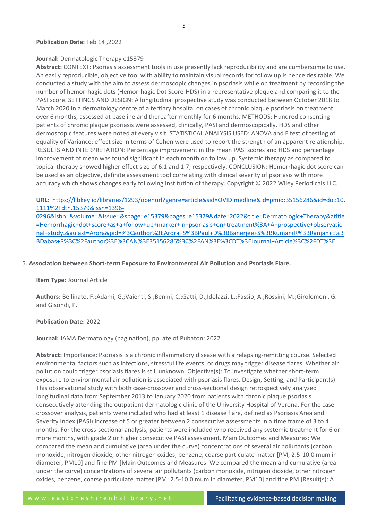#### **Publication Date:** Feb 14 ,2022

#### **Journal:** Dermatologic Therapy e15379

**Abstract:** CONTEXT: Psoriasis assessment tools in use presently lack reproducibility and are cumbersome to use. An easily reproducible, objective tool with ability to maintain visual records for follow up is hence desirable. We conducted a study with the aim to assess dermoscopic changes in psoriasis while on treatment by recording the number of hemorrhagic dots (Hemorrhagic Dot Score-HDS) in a representative plaque and comparing it to the PASI score. SETTINGS AND DESIGN: A longitudinal prospective study was conducted between October 2018 to March 2020 in a dermatology centre of a tertiary hospital on cases of chronic plaque psoriasis on treatment over 6 months, assessed at baseline and thereafter monthly for 6 months. METHODS: Hundred consenting patients of chronic plaque psoriasis were assessed, clinically, PASI and dermoscopically. HDS and other dermoscopic features were noted at every visit. STATISTICAL ANALYSIS USED: ANOVA and F test of testing of equality of Variance; effect size in terms of Cohen were used to report the strength of an apparent relationship. RESULTS AND INTERPRETATION: Percentage improvement in the mean PASI scores and HDS and percentage improvement of mean was found significant in each month on follow up. Systemic therapy as compared to topical therapy showed higher effect size of 6.1 and 1.7, respectively. CONCLUSION: Hemorrhagic dot score can be used as an objective, definite assessment tool correlating with clinical severity of psoriasis with more accuracy which shows changes early following institution of therapy. Copyright © 2022 Wiley Periodicals LLC.

**URL:** [https://libkey.io/libraries/1293/openurl?genre=article&sid=OVID:medline&id=pmid:35156286&id=doi:10.](https://libkey.io/libraries/1293/openurl?genre=article&sid=OVID:medline&id=pmid:35156286&id=doi:10.1111%2Fdth.15379&issn=1396-0296&isbn=&volume=&issue=&spage=e15379&pages=e15379&date=2022&title=Dermatologic+Therapy&atitle=Hemorrhagic+dot+score+as+a+follow+up+marker+in+psoriasis+on+treatment%3A+A+prospective+observational+study.&aulast=Arora&pid=%3Cauthor%3EArora+S%3BPaul+D%3BBanerjee+S%3BKumar+R%3BRanjan+E%3BDabas+R%3C%2Fauthor%3E%3CAN%3E35156286%3C%2FAN%3E%3CDT%3EJournal+Article%3C%2FDT%3E) [1111%2Fdth.15379&issn=1396-](https://libkey.io/libraries/1293/openurl?genre=article&sid=OVID:medline&id=pmid:35156286&id=doi:10.1111%2Fdth.15379&issn=1396-0296&isbn=&volume=&issue=&spage=e15379&pages=e15379&date=2022&title=Dermatologic+Therapy&atitle=Hemorrhagic+dot+score+as+a+follow+up+marker+in+psoriasis+on+treatment%3A+A+prospective+observational+study.&aulast=Arora&pid=%3Cauthor%3EArora+S%3BPaul+D%3BBanerjee+S%3BKumar+R%3BRanjan+E%3BDabas+R%3C%2Fauthor%3E%3CAN%3E35156286%3C%2FAN%3E%3CDT%3EJournal+Article%3C%2FDT%3E)

[0296&isbn=&volume=&issue=&spage=e15379&pages=e15379&date=2022&title=Dermatologic+Therapy&atitle](https://libkey.io/libraries/1293/openurl?genre=article&sid=OVID:medline&id=pmid:35156286&id=doi:10.1111%2Fdth.15379&issn=1396-0296&isbn=&volume=&issue=&spage=e15379&pages=e15379&date=2022&title=Dermatologic+Therapy&atitle=Hemorrhagic+dot+score+as+a+follow+up+marker+in+psoriasis+on+treatment%3A+A+prospective+observational+study.&aulast=Arora&pid=%3Cauthor%3EArora+S%3BPaul+D%3BBanerjee+S%3BKumar+R%3BRanjan+E%3BDabas+R%3C%2Fauthor%3E%3CAN%3E35156286%3C%2FAN%3E%3CDT%3EJournal+Article%3C%2FDT%3E) [=Hemorrhagic+dot+score+as+a+follow+up+marker+in+psoriasis+on+treatment%3A+A+prospective+observatio](https://libkey.io/libraries/1293/openurl?genre=article&sid=OVID:medline&id=pmid:35156286&id=doi:10.1111%2Fdth.15379&issn=1396-0296&isbn=&volume=&issue=&spage=e15379&pages=e15379&date=2022&title=Dermatologic+Therapy&atitle=Hemorrhagic+dot+score+as+a+follow+up+marker+in+psoriasis+on+treatment%3A+A+prospective+observational+study.&aulast=Arora&pid=%3Cauthor%3EArora+S%3BPaul+D%3BBanerjee+S%3BKumar+R%3BRanjan+E%3BDabas+R%3C%2Fauthor%3E%3CAN%3E35156286%3C%2FAN%3E%3CDT%3EJournal+Article%3C%2FDT%3E) [nal+study.&aulast=Arora&pid=%3Cauthor%3EArora+S%3BPaul+D%3BBanerjee+S%3BKumar+R%3BRanjan+E%3](https://libkey.io/libraries/1293/openurl?genre=article&sid=OVID:medline&id=pmid:35156286&id=doi:10.1111%2Fdth.15379&issn=1396-0296&isbn=&volume=&issue=&spage=e15379&pages=e15379&date=2022&title=Dermatologic+Therapy&atitle=Hemorrhagic+dot+score+as+a+follow+up+marker+in+psoriasis+on+treatment%3A+A+prospective+observational+study.&aulast=Arora&pid=%3Cauthor%3EArora+S%3BPaul+D%3BBanerjee+S%3BKumar+R%3BRanjan+E%3BDabas+R%3C%2Fauthor%3E%3CAN%3E35156286%3C%2FAN%3E%3CDT%3EJournal+Article%3C%2FDT%3E) [BDabas+R%3C%2Fauthor%3E%3CAN%3E35156286%3C%2FAN%3E%3CDT%3EJournal+Article%3C%2FDT%3E](https://libkey.io/libraries/1293/openurl?genre=article&sid=OVID:medline&id=pmid:35156286&id=doi:10.1111%2Fdth.15379&issn=1396-0296&isbn=&volume=&issue=&spage=e15379&pages=e15379&date=2022&title=Dermatologic+Therapy&atitle=Hemorrhagic+dot+score+as+a+follow+up+marker+in+psoriasis+on+treatment%3A+A+prospective+observational+study.&aulast=Arora&pid=%3Cauthor%3EArora+S%3BPaul+D%3BBanerjee+S%3BKumar+R%3BRanjan+E%3BDabas+R%3C%2Fauthor%3E%3CAN%3E35156286%3C%2FAN%3E%3CDT%3EJournal+Article%3C%2FDT%3E)

#### 5. **Association between Short-term Exposure to Environmental Air Pollution and Psoriasis Flare.**

#### **Item Type:** Journal Article

**Authors:** Bellinato, F.;Adami, G.;Vaienti, S.;Benini, C.;Gatti, D.;Idolazzi, L.;Fassio, A.;Rossini, M.;Girolomoni, G. and Gisondi, P.

#### **Publication Date:** 2022

**Journal:** JAMA Dermatology (pagination), pp. ate of Pubaton: 2022

**Abstract:** Importance: Psoriasis is a chronic inflammatory disease with a relapsing-remitting course. Selected environmental factors such as infections, stressful life events, or drugs may trigger disease flares. Whether air pollution could trigger psoriasis flares is still unknown. Objective(s): To investigate whether short-term exposure to environmental air pollution is associated with psoriasis flares. Design, Setting, and Participant(s): This observational study with both case-crossover and cross-sectional design retrospectively analyzed longitudinal data from September 2013 to January 2020 from patients with chronic plaque psoriasis consecutively attending the outpatient dermatologic clinic of the University Hospital of Verona. For the casecrossover analysis, patients were included who had at least 1 disease flare, defined as Psoriasis Area and Severity Index (PASI) increase of 5 or greater between 2 consecutive assessments in a time frame of 3 to 4 months. For the cross-sectional analysis, patients were included who received any systemic treatment for 6 or more months, with grade 2 or higher consecutive PASI assessment. Main Outcomes and Measures: We compared the mean and cumulative (area under the curve) concentrations of several air pollutants (carbon monoxide, nitrogen dioxide, other nitrogen oxides, benzene, coarse particulate matter [PM; 2.5-10.0 mum in diameter, PM10] and fine PM [Main Outcomes and Measures: We compared the mean and cumulative (area under the curve) concentrations of several air pollutants (carbon monoxide, nitrogen dioxide, other nitrogen oxides, benzene, coarse particulate matter [PM; 2.5-10.0 mum in diameter, PM10] and fine PM [Result(s): A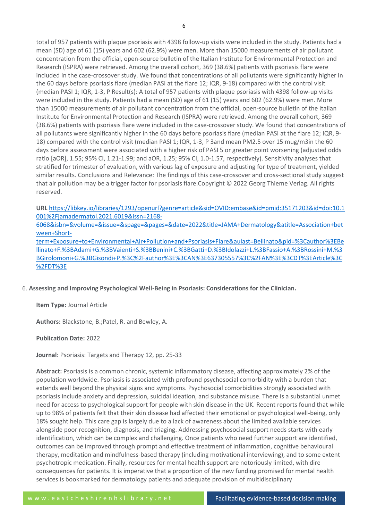total of 957 patients with plaque psoriasis with 4398 follow-up visits were included in the study. Patients had a mean (SD) age of 61 (15) years and 602 (62.9%) were men. More than 15000 measurements of air pollutant concentration from the official, open-source bulletin of the Italian Institute for Environmental Protection and Research (ISPRA) were retrieved. Among the overall cohort, 369 (38.6%) patients with psoriasis flare were included in the case-crossover study. We found that concentrations of all pollutants were significantly higher in the 60 days before psoriasis flare (median PASI at the flare 12; IQR, 9-18) compared with the control visit (median PASI 1; IQR, 1-3, P Result(s): A total of 957 patients with plaque psoriasis with 4398 follow-up visits were included in the study. Patients had a mean (SD) age of 61 (15) years and 602 (62.9%) were men. More than 15000 measurements of air pollutant concentration from the official, open-source bulletin of the Italian Institute for Environmental Protection and Research (ISPRA) were retrieved. Among the overall cohort, 369 (38.6%) patients with psoriasis flare were included in the case-crossover study. We found that concentrations of all pollutants were significantly higher in the 60 days before psoriasis flare (median PASI at the flare 12; IQR, 9- 18) compared with the control visit (median PASI 1; IQR, 1-3, P 3and mean PM2.5 over 15 mug/m3in the 60 days before assessment were associated with a higher risk of PASI 5 or greater point worsening (adjusted odds ratio [aOR], 1.55; 95% CI, 1.21-1.99; and aOR, 1.25; 95% CI, 1.0-1.57, respectively). Sensitivity analyses that stratified for trimester of evaluation, with various lag of exposure and adjusting for type of treatment, yielded similar results. Conclusions and Relevance: The findings of this case-crossover and cross-sectional study suggest that air pollution may be a trigger factor for psoriasis flare.Copyright © 2022 Georg Thieme Verlag. All rights reserved.

**URL** [https://libkey.io/libraries/1293/openurl?genre=article&sid=OVID:embase&id=pmid:35171203&id=doi:10.1](https://libkey.io/libraries/1293/openurl?genre=article&sid=OVID:embase&id=pmid:35171203&id=doi:10.1001%2Fjamadermatol.2021.6019&issn=2168-6068&isbn=&volume=&issue=&spage=&pages=&date=2022&title=JAMA+Dermatology&atitle=Association+between+Short-term+Exposure+to+Environmental+Air+Pollution+and+Psoriasis+Flare&aulast=Bellinato&pid=%3Cauthor%3EBellinato+F.%3BAdami+G.%3BVaienti+S.%3BBenini+C.%3BGatti+D.%3BIdolazzi+L.%3BFassio+A.%3BRossini+M.%3BGirolomoni+G.%3BGisondi+P.%3C%2Fauthor%3E%3CAN%3E637305557%3C%2FAN%3E%3CDT%3EArticle%3C%2FDT%3E) [001%2Fjamadermatol.2021.6019&issn=2168-](https://libkey.io/libraries/1293/openurl?genre=article&sid=OVID:embase&id=pmid:35171203&id=doi:10.1001%2Fjamadermatol.2021.6019&issn=2168-6068&isbn=&volume=&issue=&spage=&pages=&date=2022&title=JAMA+Dermatology&atitle=Association+between+Short-term+Exposure+to+Environmental+Air+Pollution+and+Psoriasis+Flare&aulast=Bellinato&pid=%3Cauthor%3EBellinato+F.%3BAdami+G.%3BVaienti+S.%3BBenini+C.%3BGatti+D.%3BIdolazzi+L.%3BFassio+A.%3BRossini+M.%3BGirolomoni+G.%3BGisondi+P.%3C%2Fauthor%3E%3CAN%3E637305557%3C%2FAN%3E%3CDT%3EArticle%3C%2FDT%3E)

[6068&isbn=&volume=&issue=&spage=&pages=&date=2022&title=JAMA+Dermatology&atitle=Association+bet](https://libkey.io/libraries/1293/openurl?genre=article&sid=OVID:embase&id=pmid:35171203&id=doi:10.1001%2Fjamadermatol.2021.6019&issn=2168-6068&isbn=&volume=&issue=&spage=&pages=&date=2022&title=JAMA+Dermatology&atitle=Association+between+Short-term+Exposure+to+Environmental+Air+Pollution+and+Psoriasis+Flare&aulast=Bellinato&pid=%3Cauthor%3EBellinato+F.%3BAdami+G.%3BVaienti+S.%3BBenini+C.%3BGatti+D.%3BIdolazzi+L.%3BFassio+A.%3BRossini+M.%3BGirolomoni+G.%3BGisondi+P.%3C%2Fauthor%3E%3CAN%3E637305557%3C%2FAN%3E%3CDT%3EArticle%3C%2FDT%3E) [ween+Short-](https://libkey.io/libraries/1293/openurl?genre=article&sid=OVID:embase&id=pmid:35171203&id=doi:10.1001%2Fjamadermatol.2021.6019&issn=2168-6068&isbn=&volume=&issue=&spage=&pages=&date=2022&title=JAMA+Dermatology&atitle=Association+between+Short-term+Exposure+to+Environmental+Air+Pollution+and+Psoriasis+Flare&aulast=Bellinato&pid=%3Cauthor%3EBellinato+F.%3BAdami+G.%3BVaienti+S.%3BBenini+C.%3BGatti+D.%3BIdolazzi+L.%3BFassio+A.%3BRossini+M.%3BGirolomoni+G.%3BGisondi+P.%3C%2Fauthor%3E%3CAN%3E637305557%3C%2FAN%3E%3CDT%3EArticle%3C%2FDT%3E)

[term+Exposure+to+Environmental+Air+Pollution+and+Psoriasis+Flare&aulast=Bellinato&pid=%3Cauthor%3EBe](https://libkey.io/libraries/1293/openurl?genre=article&sid=OVID:embase&id=pmid:35171203&id=doi:10.1001%2Fjamadermatol.2021.6019&issn=2168-6068&isbn=&volume=&issue=&spage=&pages=&date=2022&title=JAMA+Dermatology&atitle=Association+between+Short-term+Exposure+to+Environmental+Air+Pollution+and+Psoriasis+Flare&aulast=Bellinato&pid=%3Cauthor%3EBellinato+F.%3BAdami+G.%3BVaienti+S.%3BBenini+C.%3BGatti+D.%3BIdolazzi+L.%3BFassio+A.%3BRossini+M.%3BGirolomoni+G.%3BGisondi+P.%3C%2Fauthor%3E%3CAN%3E637305557%3C%2FAN%3E%3CDT%3EArticle%3C%2FDT%3E) [llinato+F.%3BAdami+G.%3BVaienti+S.%3BBenini+C.%3BGatti+D.%3BIdolazzi+L.%3BFassio+A.%3BRossini+M.%3](https://libkey.io/libraries/1293/openurl?genre=article&sid=OVID:embase&id=pmid:35171203&id=doi:10.1001%2Fjamadermatol.2021.6019&issn=2168-6068&isbn=&volume=&issue=&spage=&pages=&date=2022&title=JAMA+Dermatology&atitle=Association+between+Short-term+Exposure+to+Environmental+Air+Pollution+and+Psoriasis+Flare&aulast=Bellinato&pid=%3Cauthor%3EBellinato+F.%3BAdami+G.%3BVaienti+S.%3BBenini+C.%3BGatti+D.%3BIdolazzi+L.%3BFassio+A.%3BRossini+M.%3BGirolomoni+G.%3BGisondi+P.%3C%2Fauthor%3E%3CAN%3E637305557%3C%2FAN%3E%3CDT%3EArticle%3C%2FDT%3E) [BGirolomoni+G.%3BGisondi+P.%3C%2Fauthor%3E%3CAN%3E637305557%3C%2FAN%3E%3CDT%3EArticle%3C](https://libkey.io/libraries/1293/openurl?genre=article&sid=OVID:embase&id=pmid:35171203&id=doi:10.1001%2Fjamadermatol.2021.6019&issn=2168-6068&isbn=&volume=&issue=&spage=&pages=&date=2022&title=JAMA+Dermatology&atitle=Association+between+Short-term+Exposure+to+Environmental+Air+Pollution+and+Psoriasis+Flare&aulast=Bellinato&pid=%3Cauthor%3EBellinato+F.%3BAdami+G.%3BVaienti+S.%3BBenini+C.%3BGatti+D.%3BIdolazzi+L.%3BFassio+A.%3BRossini+M.%3BGirolomoni+G.%3BGisondi+P.%3C%2Fauthor%3E%3CAN%3E637305557%3C%2FAN%3E%3CDT%3EArticle%3C%2FDT%3E) [%2FDT%3E](https://libkey.io/libraries/1293/openurl?genre=article&sid=OVID:embase&id=pmid:35171203&id=doi:10.1001%2Fjamadermatol.2021.6019&issn=2168-6068&isbn=&volume=&issue=&spage=&pages=&date=2022&title=JAMA+Dermatology&atitle=Association+between+Short-term+Exposure+to+Environmental+Air+Pollution+and+Psoriasis+Flare&aulast=Bellinato&pid=%3Cauthor%3EBellinato+F.%3BAdami+G.%3BVaienti+S.%3BBenini+C.%3BGatti+D.%3BIdolazzi+L.%3BFassio+A.%3BRossini+M.%3BGirolomoni+G.%3BGisondi+P.%3C%2Fauthor%3E%3CAN%3E637305557%3C%2FAN%3E%3CDT%3EArticle%3C%2FDT%3E)

6. **Assessing and Improving Psychological Well-Being in Psoriasis: Considerations for the Clinician.**

**Item Type:** Journal Article

**Authors:** Blackstone, B.;Patel, R. and Bewley, A.

**Publication Date:** 2022

**Journal:** Psoriasis: Targets and Therapy 12, pp. 25-33

**Abstract:** Psoriasis is a common chronic, systemic inflammatory disease, affecting approximately 2% of the population worldwide. Psoriasis is associated with profound psychosocial comorbidity with a burden that extends well beyond the physical signs and symptoms. Psychosocial comorbidities strongly associated with psoriasis include anxiety and depression, suicidal ideation, and substance misuse. There is a substantial unmet need for access to psychological support for people with skin disease in the UK. Recent reports found that while up to 98% of patients felt that their skin disease had affected their emotional or psychological well-being, only 18% sought help. This care gap is largely due to a lack of awareness about the limited available services alongside poor recognition, diagnosis, and triaging. Addressing psychosocial support needs starts with early identification, which can be complex and challenging. Once patients who need further support are identified, outcomes can be improved through prompt and effective treatment of inflammation, cognitive behavioural therapy, meditation and mindfulness-based therapy (including motivational interviewing), and to some extent psychotropic medication. Finally, resources for mental health support are notoriously limited, with dire consequences for patients. It is imperative that a proportion of the new funding promised for mental health services is bookmarked for dermatology patients and adequate provision of multidisciplinary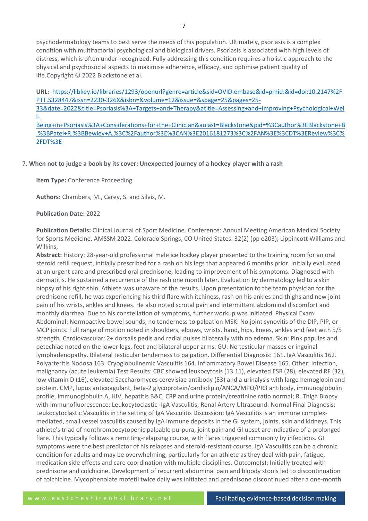psychodermatology teams to best serve the needs of this population. Ultimately, psoriasis is a complex condition with multifactorial psychological and biological drivers. Psoriasis is associated with high levels of distress, which is often under-recognized. Fully addressing this condition requires a holistic approach to the physical and psychosocial aspects to maximise adherence, efficacy, and optimise patient quality of life.Copyright © 2022 Blackstone et al.

**URL:** [https://libkey.io/libraries/1293/openurl?genre=article&sid=OVID:embase&id=pmid:&id=doi:10.2147%2F](https://libkey.io/libraries/1293/openurl?genre=article&sid=OVID:embase&id=pmid:&id=doi:10.2147%2FPTT.S328447&issn=2230-326X&isbn=&volume=12&issue=&spage=25&pages=25-33&date=2022&title=Psoriasis%3A+Targets+and+Therapy&atitle=Assessing+and+Improving+Psychological+Well-Being+in+Psoriasis%3A+Considerations+for+the+Clinician&aulast=Blackstone&pid=%3Cauthor%3EBlackstone+B.%3BPatel+R.%3BBewley+A.%3C%2Fauthor%3E%3CAN%3E2016181273%3C%2FAN%3E%3CDT%3EReview%3C%2FDT%3E) [PTT.S328447&issn=2230-326X&isbn=&volume=12&issue=&spage=25&pages=25-](https://libkey.io/libraries/1293/openurl?genre=article&sid=OVID:embase&id=pmid:&id=doi:10.2147%2FPTT.S328447&issn=2230-326X&isbn=&volume=12&issue=&spage=25&pages=25-33&date=2022&title=Psoriasis%3A+Targets+and+Therapy&atitle=Assessing+and+Improving+Psychological+Well-Being+in+Psoriasis%3A+Considerations+for+the+Clinician&aulast=Blackstone&pid=%3Cauthor%3EBlackstone+B.%3BPatel+R.%3BBewley+A.%3C%2Fauthor%3E%3CAN%3E2016181273%3C%2FAN%3E%3CDT%3EReview%3C%2FDT%3E) [33&date=2022&title=Psoriasis%3A+Targets+and+Therapy&atitle=Assessing+and+Improving+Psychological+Wel](https://libkey.io/libraries/1293/openurl?genre=article&sid=OVID:embase&id=pmid:&id=doi:10.2147%2FPTT.S328447&issn=2230-326X&isbn=&volume=12&issue=&spage=25&pages=25-33&date=2022&title=Psoriasis%3A+Targets+and+Therapy&atitle=Assessing+and+Improving+Psychological+Well-Being+in+Psoriasis%3A+Considerations+for+the+Clinician&aulast=Blackstone&pid=%3Cauthor%3EBlackstone+B.%3BPatel+R.%3BBewley+A.%3C%2Fauthor%3E%3CAN%3E2016181273%3C%2FAN%3E%3CDT%3EReview%3C%2FDT%3E) [l-](https://libkey.io/libraries/1293/openurl?genre=article&sid=OVID:embase&id=pmid:&id=doi:10.2147%2FPTT.S328447&issn=2230-326X&isbn=&volume=12&issue=&spage=25&pages=25-33&date=2022&title=Psoriasis%3A+Targets+and+Therapy&atitle=Assessing+and+Improving+Psychological+Well-Being+in+Psoriasis%3A+Considerations+for+the+Clinician&aulast=Blackstone&pid=%3Cauthor%3EBlackstone+B.%3BPatel+R.%3BBewley+A.%3C%2Fauthor%3E%3CAN%3E2016181273%3C%2FAN%3E%3CDT%3EReview%3C%2FDT%3E)[Being+in+Psoriasis%3A+Considerations+for+the+Clinician&aulast=Blackstone&pid=%3Cauthor%3EBlackstone+B](https://libkey.io/libraries/1293/openurl?genre=article&sid=OVID:embase&id=pmid:&id=doi:10.2147%2FPTT.S328447&issn=2230-326X&isbn=&volume=12&issue=&spage=25&pages=25-33&date=2022&title=Psoriasis%3A+Targets+and+Therapy&atitle=Assessing+and+Improving+Psychological+Well-Being+in+Psoriasis%3A+Considerations+for+the+Clinician&aulast=Blackstone&pid=%3Cauthor%3EBlackstone+B.%3BPatel+R.%3BBewley+A.%3C%2Fauthor%3E%3CAN%3E2016181273%3C%2FAN%3E%3CDT%3EReview%3C%2FDT%3E)

[.%3BPatel+R.%3BBewley+A.%3C%2Fauthor%3E%3CAN%3E2016181273%3C%2FAN%3E%3CDT%3EReview%3C%](https://libkey.io/libraries/1293/openurl?genre=article&sid=OVID:embase&id=pmid:&id=doi:10.2147%2FPTT.S328447&issn=2230-326X&isbn=&volume=12&issue=&spage=25&pages=25-33&date=2022&title=Psoriasis%3A+Targets+and+Therapy&atitle=Assessing+and+Improving+Psychological+Well-Being+in+Psoriasis%3A+Considerations+for+the+Clinician&aulast=Blackstone&pid=%3Cauthor%3EBlackstone+B.%3BPatel+R.%3BBewley+A.%3C%2Fauthor%3E%3CAN%3E2016181273%3C%2FAN%3E%3CDT%3EReview%3C%2FDT%3E) [2FDT%3E](https://libkey.io/libraries/1293/openurl?genre=article&sid=OVID:embase&id=pmid:&id=doi:10.2147%2FPTT.S328447&issn=2230-326X&isbn=&volume=12&issue=&spage=25&pages=25-33&date=2022&title=Psoriasis%3A+Targets+and+Therapy&atitle=Assessing+and+Improving+Psychological+Well-Being+in+Psoriasis%3A+Considerations+for+the+Clinician&aulast=Blackstone&pid=%3Cauthor%3EBlackstone+B.%3BPatel+R.%3BBewley+A.%3C%2Fauthor%3E%3CAN%3E2016181273%3C%2FAN%3E%3CDT%3EReview%3C%2FDT%3E)

# 7. **When not to judge a book by its cover: Unexpected journey of a hockey player with a rash**

**Item Type:** Conference Proceeding

**Authors:** Chambers, M., Carey, S. and Silvis, M.

#### **Publication Date:** 2022

**Publication Details:** Clinical Journal of Sport Medicine. Conference: Annual Meeting American Medical Society for Sports Medicine, AMSSM 2022. Colorado Springs, CO United States. 32(2) (pp e203); Lippincott Williams and Wilkins,

**Abstract:** History: 28-year-old professional male ice hockey player presented to the training room for an oral steroid refill request, initially prescribed for a rash on his legs that appeared 6 months prior. Initially evaluated at an urgent care and prescribed oral prednisone, leading to improvement of his symptoms. Diagnosed with dermatitis. He sustained a recurrence of the rash one month later. Evaluation by dermatology led to a skin biopsy of his right shin. Athlete was unaware of the results. Upon presentation to the team physician for the prednisone refill, he was experiencing his third flare with itchiness, rash on his ankles and thighs and new joint pain of his wrists, ankles and knees. He also noted scrotal pain and intermittent abdominal discomfort and monthly diarrhea. Due to his constellation of symptoms, further workup was initiated. Physical Exam: Abdominal: Normoactive bowel sounds, no tenderness to palpation MSK: No joint synovitis of the DIP, PIP, or MCP joints. Full range of motion noted in shoulders, elbows, wrists, hand, hips, knees, ankles and feet with 5/5 strength. Cardiovascular: 2+ dorsalis pedis and radial pulses bilaterally with no edema. Skin: Pink papules and petechiae noted on the lower legs, feet and bilateral upper arms. GU: No testicular masses or inguinal lymphadenopathy. Bilateral testicular tenderness to palpation. Differential Diagnosis: 161. IgA Vasculitis 162. Polyarteritis Nodosa 163. Cryoglobulinemic Vasculitis 164. Inflammatory Bowel Disease 165. Other: Infection, malignancy (acute leukemia) Test Results: CBC showed leukocytosis (13.11), elevated ESR (28), elevated RF (32), low vitamin D (16), elevated Saccharomyces cerevisiae antibody (53) and a urinalysis with large hemoglobin and protein. CMP, lupus anticoagulant, beta-2 glycoprotein/cardiolipin/ANCA/MPO/PR3 antibody, immunoglobulin profile, immunoglobulin A, HIV, hepatitis B&C, CRP and urine protein/creatinine ratio normal; R. Thigh Biopsy with Immunofluorescence: Leukocytoclastic -IgA Vasculitis; Renal Artery Ultrasound: Normal Final Diagnosis: Leukocytoclastic Vasculitis in the setting of IgA Vasculitis Discussion: IgA Vasculitis is an immune complexmediated, small vessel vasculitis caused by IgA immune deposits in the GI system, joints, skin and kidneys. This athlete's triad of nonthrombocytopenic palpable purpura, joint pain and GI upset are indicative of a prolonged flare. This typically follows a remitting-relapsing course, with flares triggered commonly by infections. GI symptoms were the best predictor of his relapses and steroid-resistant course. IgA Vasculitis can be a chronic condition for adults and may be overwhelming, particularly for an athlete as they deal with pain, fatigue, medication side effects and care coordination with multiple disciplines. Outcome(s): Initially treated with prednisone and colchicine. Development of recurrent abdominal pain and bloody stools led to discontinuation of colchicine. Mycophenolate mofetil twice daily was initiated and prednisone discontinued after a one-month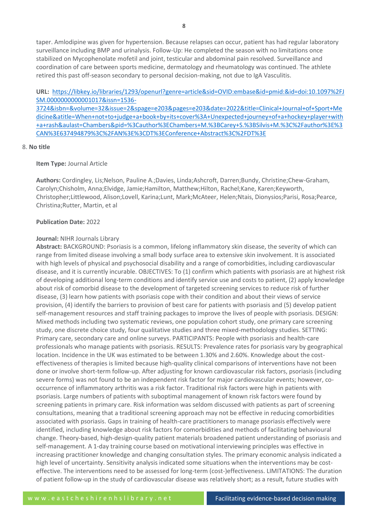taper. Amlodipine was given for hypertension. Because relapses can occur, patient has had regular laboratory surveillance including BMP and urinalysis. Follow-Up: He completed the season with no limitations once stabilized on Mycophenolate mofetil and joint, testicular and abdominal pain resolved. Surveillance and coordination of care between sports medicine, dermatology and rheumatology was continued. The athlete retired this past off-season secondary to personal decision-making, not due to IgA Vasculitis.

**URL:** [https://libkey.io/libraries/1293/openurl?genre=article&sid=OVID:embase&id=pmid:&id=doi:10.1097%2FJ](https://libkey.io/libraries/1293/openurl?genre=article&sid=OVID:embase&id=pmid:&id=doi:10.1097%2FJSM.0000000000001017&issn=1536-3724&isbn=&volume=32&issue=2&spage=e203&pages=e203&date=2022&title=Clinical+Journal+of+Sport+Medicine&atitle=When+not+to+judge+a+book+by+its+cover%3A+Unexpected+journey+of+a+hockey+player+with+a+rash&aulast=Chambers&pid=%3Cauthor%3EChambers+M.%3BCarey+S.%3BSilvis+M.%3C%2Fauthor%3E%3CAN%3E637494879%3C%2FAN%3E%3CDT%3EConference+Abstract%3C%2FDT%3E) [SM.0000000000001017&issn=1536-](https://libkey.io/libraries/1293/openurl?genre=article&sid=OVID:embase&id=pmid:&id=doi:10.1097%2FJSM.0000000000001017&issn=1536-3724&isbn=&volume=32&issue=2&spage=e203&pages=e203&date=2022&title=Clinical+Journal+of+Sport+Medicine&atitle=When+not+to+judge+a+book+by+its+cover%3A+Unexpected+journey+of+a+hockey+player+with+a+rash&aulast=Chambers&pid=%3Cauthor%3EChambers+M.%3BCarey+S.%3BSilvis+M.%3C%2Fauthor%3E%3CAN%3E637494879%3C%2FAN%3E%3CDT%3EConference+Abstract%3C%2FDT%3E)

[3724&isbn=&volume=32&issue=2&spage=e203&pages=e203&date=2022&title=Clinical+Journal+of+Sport+Me](https://libkey.io/libraries/1293/openurl?genre=article&sid=OVID:embase&id=pmid:&id=doi:10.1097%2FJSM.0000000000001017&issn=1536-3724&isbn=&volume=32&issue=2&spage=e203&pages=e203&date=2022&title=Clinical+Journal+of+Sport+Medicine&atitle=When+not+to+judge+a+book+by+its+cover%3A+Unexpected+journey+of+a+hockey+player+with+a+rash&aulast=Chambers&pid=%3Cauthor%3EChambers+M.%3BCarey+S.%3BSilvis+M.%3C%2Fauthor%3E%3CAN%3E637494879%3C%2FAN%3E%3CDT%3EConference+Abstract%3C%2FDT%3E) [dicine&atitle=When+not+to+judge+a+book+by+its+cover%3A+Unexpected+journey+of+a+hockey+player+with](https://libkey.io/libraries/1293/openurl?genre=article&sid=OVID:embase&id=pmid:&id=doi:10.1097%2FJSM.0000000000001017&issn=1536-3724&isbn=&volume=32&issue=2&spage=e203&pages=e203&date=2022&title=Clinical+Journal+of+Sport+Medicine&atitle=When+not+to+judge+a+book+by+its+cover%3A+Unexpected+journey+of+a+hockey+player+with+a+rash&aulast=Chambers&pid=%3Cauthor%3EChambers+M.%3BCarey+S.%3BSilvis+M.%3C%2Fauthor%3E%3CAN%3E637494879%3C%2FAN%3E%3CDT%3EConference+Abstract%3C%2FDT%3E) [+a+rash&aulast=Chambers&pid=%3Cauthor%3EChambers+M.%3BCarey+S.%3BSilvis+M.%3C%2Fauthor%3E%3](https://libkey.io/libraries/1293/openurl?genre=article&sid=OVID:embase&id=pmid:&id=doi:10.1097%2FJSM.0000000000001017&issn=1536-3724&isbn=&volume=32&issue=2&spage=e203&pages=e203&date=2022&title=Clinical+Journal+of+Sport+Medicine&atitle=When+not+to+judge+a+book+by+its+cover%3A+Unexpected+journey+of+a+hockey+player+with+a+rash&aulast=Chambers&pid=%3Cauthor%3EChambers+M.%3BCarey+S.%3BSilvis+M.%3C%2Fauthor%3E%3CAN%3E637494879%3C%2FAN%3E%3CDT%3EConference+Abstract%3C%2FDT%3E) [CAN%3E637494879%3C%2FAN%3E%3CDT%3EConference+Abstract%3C%2FDT%3E](https://libkey.io/libraries/1293/openurl?genre=article&sid=OVID:embase&id=pmid:&id=doi:10.1097%2FJSM.0000000000001017&issn=1536-3724&isbn=&volume=32&issue=2&spage=e203&pages=e203&date=2022&title=Clinical+Journal+of+Sport+Medicine&atitle=When+not+to+judge+a+book+by+its+cover%3A+Unexpected+journey+of+a+hockey+player+with+a+rash&aulast=Chambers&pid=%3Cauthor%3EChambers+M.%3BCarey+S.%3BSilvis+M.%3C%2Fauthor%3E%3CAN%3E637494879%3C%2FAN%3E%3CDT%3EConference+Abstract%3C%2FDT%3E)

#### 8. **No title**

#### **Item Type:** Journal Article

**Authors:** Cordingley, Lis;Nelson, Pauline A.;Davies, Linda;Ashcroft, Darren;Bundy, Christine;Chew-Graham, Carolyn;Chisholm, Anna;Elvidge, Jamie;Hamilton, Matthew;Hilton, Rachel;Kane, Karen;Keyworth, Christopher;Littlewood, Alison;Lovell, Karina;Lunt, Mark;McAteer, Helen;Ntais, Dionysios;Parisi, Rosa;Pearce, Christina;Rutter, Martin, et al

#### **Publication Date:** 2022

#### **Journal:** NIHR Journals Library

**Abstract:** BACKGROUND: Psoriasis is a common, lifelong inflammatory skin disease, the severity of which can range from limited disease involving a small body surface area to extensive skin involvement. It is associated with high levels of physical and psychosocial disability and a range of comorbidities, including cardiovascular disease, and it is currently incurable. OBJECTIVES: To (1) confirm which patients with psoriasis are at highest risk of developing additional long-term conditions and identify service use and costs to patient, (2) apply knowledge about risk of comorbid disease to the development of targeted screening services to reduce risk of further disease, (3) learn how patients with psoriasis cope with their condition and about their views of service provision, (4) identify the barriers to provision of best care for patients with psoriasis and (5) develop patient self-management resources and staff training packages to improve the lives of people with psoriasis. DESIGN: Mixed methods including two systematic reviews, one population cohort study, one primary care screening study, one discrete choice study, four qualitative studies and three mixed-methodology studies. SETTING: Primary care, secondary care and online surveys. PARTICIPANTS: People with psoriasis and health-care professionals who manage patients with psoriasis. RESULTS: Prevalence rates for psoriasis vary by geographical location. Incidence in the UK was estimated to be between 1.30% and 2.60%. Knowledge about the costeffectiveness of therapies is limited because high-quality clinical comparisons of interventions have not been done or involve short-term follow-up. After adjusting for known cardiovascular risk factors, psoriasis (including severe forms) was not found to be an independent risk factor for major cardiovascular events; however, cooccurrence of inflammatory arthritis was a risk factor. Traditional risk factors were high in patients with psoriasis. Large numbers of patients with suboptimal management of known risk factors were found by screening patients in primary care. Risk information was seldom discussed with patients as part of screening consultations, meaning that a traditional screening approach may not be effective in reducing comorbidities associated with psoriasis. Gaps in training of health-care practitioners to manage psoriasis effectively were identified, including knowledge about risk factors for comorbidities and methods of facilitating behavioural change. Theory-based, high-design-quality patient materials broadened patient understanding of psoriasis and self-management. A 1-day training course based on motivational interviewing principles was effective in increasing practitioner knowledge and changing consultation styles. The primary economic analysis indicated a high level of uncertainty. Sensitivity analysis indicated some situations when the interventions may be costeffective. The interventions need to be assessed for long-term (cost-)effectiveness. LIMITATIONS: The duration of patient follow-up in the study of cardiovascular disease was relatively short; as a result, future studies with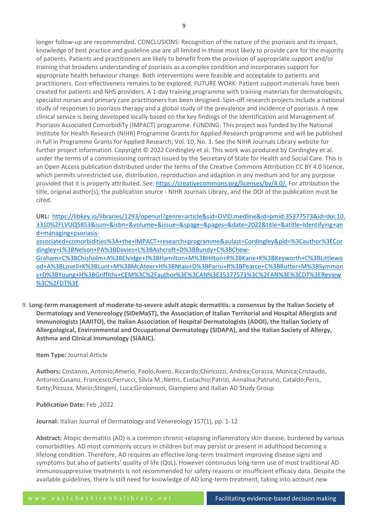longer follow-up are recommended. CONCLUSIONS: Recognition of the nature of the psoriasis and its impact, knowledge of best practice and guideline use are all limited in those most likely to provide care for the majority of patients. Patients and practitioners are likely to benefit from the provision of appropriate support and/or training that broadens understanding of psoriasis as a complex condition and incorporates support for appropriate health behaviour change. Both interventions were feasible and acceptable to patients and practitioners. Cost-effectiveness remains to be explored. FUTURE WORK: Patient support materials have been created for patients and NHS providers. A 1-day training programme with training materials for dermatologists, specialist nurses and primary care practitioners has been designed. Spin-off research projects include a national study of responses to psoriasis therapy and a global study of the prevalence and incidence of psoriasis. A new clinical service is being developed locally based on the key findings of the Identification and Management of Psoriasis Associated ComorbidiTy (IMPACT) programme. FUNDING: This project was funded by the National Institute for Health Research (NIHR) Programme Grants for Applied Research programme and will be published in full in Programme Grants for Applied Research; Vol. 10, No. 3. See the NIHR Journals Library website for further project information. Copyright © 2022 Cordingley et al. This work was produced by Cordingley et al. under the terms of a commissioning contract issued by the Secretary of State for Health and Social Care. This is an Open Access publication distributed under the terms of the Creative Commons Attribution CC BY 4.0 licence, which permits unrestricted use, distribution, reproduction and adaption in any medium and for any purpose provided that it is properly attributed. See: [https://creativecommons.org/licenses/by/4.0/.](https://creativecommons.org/licenses/by/4.0/) For attribution the title, original author(s), the publication source - NIHR Journals Library, and the DOI of the publication must be cited.

**URL:** [https://libkey.io/libraries/1293/openurl?genre=article&sid=OVID:medline&id=pmid:35377573&id=doi:10.](https://libkey.io/libraries/1293/openurl?genre=article&sid=OVID:medline&id=pmid:35377573&id=doi:10.3310%2FLVUQ5853&issn=&isbn=&volume=&issue=&spage=&pages=&date=2022&title=&atitle=Identifying+and+managing+psoriasis-associated+comorbidities%3A+the+IMPACT+research+programme&aulast=Cordingley&pid=%3Cauthor%3ECordingley+L%3BNelson+PA%3BDavies+L%3BAshcroft+D%3BBundy+C%3BChew-Graham+C%3BChisholm+A%3BElvidge+J%3BHamilton+M%3BHilton+R%3BKane+K%3BKeyworth+C%3BLittlewood+A%3BLovell+K%3BLunt+M%3BMcAteer+H%3BNtais+D%3BParisi+R%3BPearce+C%3BRutter+M%3BSymmons+D%3BYoung+H%3BGriffiths+CEM%3C%2Fauthor%3E%3CAN%3E35377573%3C%2FAN%3E%3CDT%3EReview%3C%2FDT%3E) [3310%2FLVUQ5853&issn=&isbn=&volume=&issue=&spage=&pages=&date=2022&title=&atitle=Identifying+an](https://libkey.io/libraries/1293/openurl?genre=article&sid=OVID:medline&id=pmid:35377573&id=doi:10.3310%2FLVUQ5853&issn=&isbn=&volume=&issue=&spage=&pages=&date=2022&title=&atitle=Identifying+and+managing+psoriasis-associated+comorbidities%3A+the+IMPACT+research+programme&aulast=Cordingley&pid=%3Cauthor%3ECordingley+L%3BNelson+PA%3BDavies+L%3BAshcroft+D%3BBundy+C%3BChew-Graham+C%3BChisholm+A%3BElvidge+J%3BHamilton+M%3BHilton+R%3BKane+K%3BKeyworth+C%3BLittlewood+A%3BLovell+K%3BLunt+M%3BMcAteer+H%3BNtais+D%3BParisi+R%3BPearce+C%3BRutter+M%3BSymmons+D%3BYoung+H%3BGriffiths+CEM%3C%2Fauthor%3E%3CAN%3E35377573%3C%2FAN%3E%3CDT%3EReview%3C%2FDT%3E) [d+managing+psoriasis-](https://libkey.io/libraries/1293/openurl?genre=article&sid=OVID:medline&id=pmid:35377573&id=doi:10.3310%2FLVUQ5853&issn=&isbn=&volume=&issue=&spage=&pages=&date=2022&title=&atitle=Identifying+and+managing+psoriasis-associated+comorbidities%3A+the+IMPACT+research+programme&aulast=Cordingley&pid=%3Cauthor%3ECordingley+L%3BNelson+PA%3BDavies+L%3BAshcroft+D%3BBundy+C%3BChew-Graham+C%3BChisholm+A%3BElvidge+J%3BHamilton+M%3BHilton+R%3BKane+K%3BKeyworth+C%3BLittlewood+A%3BLovell+K%3BLunt+M%3BMcAteer+H%3BNtais+D%3BParisi+R%3BPearce+C%3BRutter+M%3BSymmons+D%3BYoung+H%3BGriffiths+CEM%3C%2Fauthor%3E%3CAN%3E35377573%3C%2FAN%3E%3CDT%3EReview%3C%2FDT%3E)

[associated+comorbidities%3A+the+IMPACT+research+programme&aulast=Cordingley&pid=%3Cauthor%3ECor](https://libkey.io/libraries/1293/openurl?genre=article&sid=OVID:medline&id=pmid:35377573&id=doi:10.3310%2FLVUQ5853&issn=&isbn=&volume=&issue=&spage=&pages=&date=2022&title=&atitle=Identifying+and+managing+psoriasis-associated+comorbidities%3A+the+IMPACT+research+programme&aulast=Cordingley&pid=%3Cauthor%3ECordingley+L%3BNelson+PA%3BDavies+L%3BAshcroft+D%3BBundy+C%3BChew-Graham+C%3BChisholm+A%3BElvidge+J%3BHamilton+M%3BHilton+R%3BKane+K%3BKeyworth+C%3BLittlewood+A%3BLovell+K%3BLunt+M%3BMcAteer+H%3BNtais+D%3BParisi+R%3BPearce+C%3BRutter+M%3BSymmons+D%3BYoung+H%3BGriffiths+CEM%3C%2Fauthor%3E%3CAN%3E35377573%3C%2FAN%3E%3CDT%3EReview%3C%2FDT%3E) [dingley+L%3BNelson+PA%3BDavies+L%3BAshcroft+D%3BBundy+C%3BChew-](https://libkey.io/libraries/1293/openurl?genre=article&sid=OVID:medline&id=pmid:35377573&id=doi:10.3310%2FLVUQ5853&issn=&isbn=&volume=&issue=&spage=&pages=&date=2022&title=&atitle=Identifying+and+managing+psoriasis-associated+comorbidities%3A+the+IMPACT+research+programme&aulast=Cordingley&pid=%3Cauthor%3ECordingley+L%3BNelson+PA%3BDavies+L%3BAshcroft+D%3BBundy+C%3BChew-Graham+C%3BChisholm+A%3BElvidge+J%3BHamilton+M%3BHilton+R%3BKane+K%3BKeyworth+C%3BLittlewood+A%3BLovell+K%3BLunt+M%3BMcAteer+H%3BNtais+D%3BParisi+R%3BPearce+C%3BRutter+M%3BSymmons+D%3BYoung+H%3BGriffiths+CEM%3C%2Fauthor%3E%3CAN%3E35377573%3C%2FAN%3E%3CDT%3EReview%3C%2FDT%3E)[Graham+C%3BChisholm+A%3BElvidge+J%3BHamilton+M%3BHilton+R%3BKane+K%3BKeyworth+C%3BLittlewo](https://libkey.io/libraries/1293/openurl?genre=article&sid=OVID:medline&id=pmid:35377573&id=doi:10.3310%2FLVUQ5853&issn=&isbn=&volume=&issue=&spage=&pages=&date=2022&title=&atitle=Identifying+and+managing+psoriasis-associated+comorbidities%3A+the+IMPACT+research+programme&aulast=Cordingley&pid=%3Cauthor%3ECordingley+L%3BNelson+PA%3BDavies+L%3BAshcroft+D%3BBundy+C%3BChew-Graham+C%3BChisholm+A%3BElvidge+J%3BHamilton+M%3BHilton+R%3BKane+K%3BKeyworth+C%3BLittlewood+A%3BLovell+K%3BLunt+M%3BMcAteer+H%3BNtais+D%3BParisi+R%3BPearce+C%3BRutter+M%3BSymmons+D%3BYoung+H%3BGriffiths+CEM%3C%2Fauthor%3E%3CAN%3E35377573%3C%2FAN%3E%3CDT%3EReview%3C%2FDT%3E) [od+A%3BLovell+K%3BLunt+M%3BMcAteer+H%3BNtais+D%3BParisi+R%3BPearce+C%3BRutter+M%3BSymmon](https://libkey.io/libraries/1293/openurl?genre=article&sid=OVID:medline&id=pmid:35377573&id=doi:10.3310%2FLVUQ5853&issn=&isbn=&volume=&issue=&spage=&pages=&date=2022&title=&atitle=Identifying+and+managing+psoriasis-associated+comorbidities%3A+the+IMPACT+research+programme&aulast=Cordingley&pid=%3Cauthor%3ECordingley+L%3BNelson+PA%3BDavies+L%3BAshcroft+D%3BBundy+C%3BChew-Graham+C%3BChisholm+A%3BElvidge+J%3BHamilton+M%3BHilton+R%3BKane+K%3BKeyworth+C%3BLittlewood+A%3BLovell+K%3BLunt+M%3BMcAteer+H%3BNtais+D%3BParisi+R%3BPearce+C%3BRutter+M%3BSymmons+D%3BYoung+H%3BGriffiths+CEM%3C%2Fauthor%3E%3CAN%3E35377573%3C%2FAN%3E%3CDT%3EReview%3C%2FDT%3E) [s+D%3BYoung+H%3BGriffiths+CEM%3C%2Fauthor%3E%3CAN%3E35377573%3C%2FAN%3E%3CDT%3EReview](https://libkey.io/libraries/1293/openurl?genre=article&sid=OVID:medline&id=pmid:35377573&id=doi:10.3310%2FLVUQ5853&issn=&isbn=&volume=&issue=&spage=&pages=&date=2022&title=&atitle=Identifying+and+managing+psoriasis-associated+comorbidities%3A+the+IMPACT+research+programme&aulast=Cordingley&pid=%3Cauthor%3ECordingley+L%3BNelson+PA%3BDavies+L%3BAshcroft+D%3BBundy+C%3BChew-Graham+C%3BChisholm+A%3BElvidge+J%3BHamilton+M%3BHilton+R%3BKane+K%3BKeyworth+C%3BLittlewood+A%3BLovell+K%3BLunt+M%3BMcAteer+H%3BNtais+D%3BParisi+R%3BPearce+C%3BRutter+M%3BSymmons+D%3BYoung+H%3BGriffiths+CEM%3C%2Fauthor%3E%3CAN%3E35377573%3C%2FAN%3E%3CDT%3EReview%3C%2FDT%3E) [%3C%2FDT%3E](https://libkey.io/libraries/1293/openurl?genre=article&sid=OVID:medline&id=pmid:35377573&id=doi:10.3310%2FLVUQ5853&issn=&isbn=&volume=&issue=&spage=&pages=&date=2022&title=&atitle=Identifying+and+managing+psoriasis-associated+comorbidities%3A+the+IMPACT+research+programme&aulast=Cordingley&pid=%3Cauthor%3ECordingley+L%3BNelson+PA%3BDavies+L%3BAshcroft+D%3BBundy+C%3BChew-Graham+C%3BChisholm+A%3BElvidge+J%3BHamilton+M%3BHilton+R%3BKane+K%3BKeyworth+C%3BLittlewood+A%3BLovell+K%3BLunt+M%3BMcAteer+H%3BNtais+D%3BParisi+R%3BPearce+C%3BRutter+M%3BSymmons+D%3BYoung+H%3BGriffiths+CEM%3C%2Fauthor%3E%3CAN%3E35377573%3C%2FAN%3E%3CDT%3EReview%3C%2FDT%3E)

9. **Long-term management of moderate-to-severe adult atopic dermatitis: a consensus by the Italian Society of Dermatology and Venereology (SIDeMaST), the Association of Italian Territorial and Hospital Allergists and Immunologists (AAIITO), the Italian Association of Hospital Dermatologists (ADOI), the Italian Society of Allergological, Environmental and Occupational Dermatology (SIDAPA), and the Italian Society of Allergy, Asthma and Clinical Immunology (SIAAIC).**

# **Item Type:** Journal Article

**Authors:** Costanzo, Antonio;Amerio, Paolo;Asero, Riccardo;Chiricozzi, Andrea;Corazza, Monica;Cristaudo, Antonio;Cusano, Francesco;Ferrucci, Silvia M.;Nettis, Eustachio;Patrizi, Annalisa;Patruno, Cataldo;Peris, Ketty;Picozza, Mario;Stingeni, Luca;Girolomoni, Giampiero and Italian AD Study Group

**Publication Date:** Feb ,2022

**Journal:** Italian Journal of Dermatology and Venereology 157(1), pp. 1-12

**Abstract:** Atopic dermatitis (AD) is a common chronic-relapsing inflammatory skin disease, burdened by various comorbidities. AD most commonly occurs in children but may persist or present in adulthood becoming a lifelong condition. Therefore, AD requires an effective long-term treatment improving disease signs and symptoms but also of patients' quality of life (QoL). However continuous long-term use of most traditional AD immunosuppressive treatments is not recommended for safety reasons or insufficient efficacy data. Despite the available guidelines, there is still need for knowledge of AD long-term treatment, taking into account new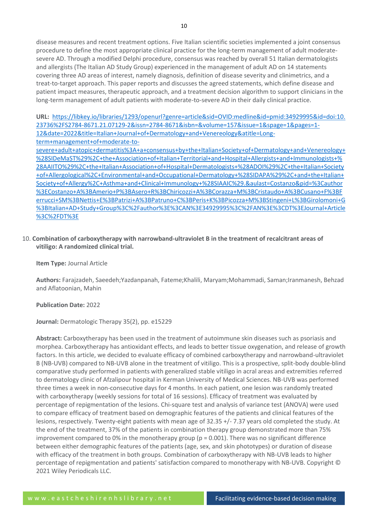disease measures and recent treatment options. Five Italian scientific societies implemented a joint consensus procedure to define the most appropriate clinical practice for the long-term management of adult moderatesevere AD. Through a modified Delphi procedure, consensus was reached by overall 51 Italian dermatologists and allergists (The Italian AD Study Group) experienced in the management of adult AD on 14 statements covering three AD areas of interest, namely diagnosis, definition of disease severity and clinimetrics, and a treat-to-target approach. This paper reports and discusses the agreed statements, which define disease and patient impact measures, therapeutic approach, and a treatment decision algorithm to support clinicians in the long-term management of adult patients with moderate-to-severe AD in their daily clinical practice.

**URL:** [https://libkey.io/libraries/1293/openurl?genre=article&sid=OVID:medline&id=pmid:34929995&id=doi:10.](https://libkey.io/libraries/1293/openurl?genre=article&sid=OVID:medline&id=pmid:34929995&id=doi:10.23736%2FS2784-8671.21.07129-2&issn=2784-8671&isbn=&volume=157&issue=1&spage=1&pages=1-12&date=2022&title=Italian+Journal+of+Dermatology+and+Venereology&atitle=Long-term+management+of+moderate-to-severe+adult+atopic+dermatitis%3A+a+consensus+by+the+Italian+Society+of+Dermatology+and+Venereology+%28SIDeMaST%29%2C+the+Association+of+Italian+Territorial+and+Hospital+Allergists+and+Immunologists+%28AAIITO%29%2C+the+Italian+Association+of+Hospital+Dermatologists+%28ADOI%29%2C+the+Italian+Society+of+Allergological%2C+Environmental+and+Occupational+Dermatology+%28SIDAPA%29%2C+and+the+Italian+Society+of+Allergy%2C+Asthma+and+Clinical+Immunology+%28SIAAIC%29.&aulast=Costanzo&pid=%3Cauthor%3ECostanzo+A%3BAmerio+P%3BAsero+R%3BChiricozzi+A%3BCorazza+M%3BCristaudo+A%3BCusano+F%3BFerrucci+SM%3BNettis+E%3BPatrizi+A%3BPatruno+C%3BPeris+K%3BPicozza+M%3BStingeni+L%3BGirolomoni+G%3BItalian+AD+Study+Group%3C%2Fauthor%3E%3CAN%3E34929995%3C%2FAN%3E%3CDT%3EJournal+Article%3C%2FDT%3E) [23736%2FS2784-8671.21.07129-2&issn=2784-8671&isbn=&volume=157&issue=1&spage=1&pages=1-](https://libkey.io/libraries/1293/openurl?genre=article&sid=OVID:medline&id=pmid:34929995&id=doi:10.23736%2FS2784-8671.21.07129-2&issn=2784-8671&isbn=&volume=157&issue=1&spage=1&pages=1-12&date=2022&title=Italian+Journal+of+Dermatology+and+Venereology&atitle=Long-term+management+of+moderate-to-severe+adult+atopic+dermatitis%3A+a+consensus+by+the+Italian+Society+of+Dermatology+and+Venereology+%28SIDeMaST%29%2C+the+Association+of+Italian+Territorial+and+Hospital+Allergists+and+Immunologists+%28AAIITO%29%2C+the+Italian+Association+of+Hospital+Dermatologists+%28ADOI%29%2C+the+Italian+Society+of+Allergological%2C+Environmental+and+Occupational+Dermatology+%28SIDAPA%29%2C+and+the+Italian+Society+of+Allergy%2C+Asthma+and+Clinical+Immunology+%28SIAAIC%29.&aulast=Costanzo&pid=%3Cauthor%3ECostanzo+A%3BAmerio+P%3BAsero+R%3BChiricozzi+A%3BCorazza+M%3BCristaudo+A%3BCusano+F%3BFerrucci+SM%3BNettis+E%3BPatrizi+A%3BPatruno+C%3BPeris+K%3BPicozza+M%3BStingeni+L%3BGirolomoni+G%3BItalian+AD+Study+Group%3C%2Fauthor%3E%3CAN%3E34929995%3C%2FAN%3E%3CDT%3EJournal+Article%3C%2FDT%3E) [12&date=2022&title=Italian+Journal+of+Dermatology+and+Venereology&atitle=Long-](https://libkey.io/libraries/1293/openurl?genre=article&sid=OVID:medline&id=pmid:34929995&id=doi:10.23736%2FS2784-8671.21.07129-2&issn=2784-8671&isbn=&volume=157&issue=1&spage=1&pages=1-12&date=2022&title=Italian+Journal+of+Dermatology+and+Venereology&atitle=Long-term+management+of+moderate-to-severe+adult+atopic+dermatitis%3A+a+consensus+by+the+Italian+Society+of+Dermatology+and+Venereology+%28SIDeMaST%29%2C+the+Association+of+Italian+Territorial+and+Hospital+Allergists+and+Immunologists+%28AAIITO%29%2C+the+Italian+Association+of+Hospital+Dermatologists+%28ADOI%29%2C+the+Italian+Society+of+Allergological%2C+Environmental+and+Occupational+Dermatology+%28SIDAPA%29%2C+and+the+Italian+Society+of+Allergy%2C+Asthma+and+Clinical+Immunology+%28SIAAIC%29.&aulast=Costanzo&pid=%3Cauthor%3ECostanzo+A%3BAmerio+P%3BAsero+R%3BChiricozzi+A%3BCorazza+M%3BCristaudo+A%3BCusano+F%3BFerrucci+SM%3BNettis+E%3BPatrizi+A%3BPatruno+C%3BPeris+K%3BPicozza+M%3BStingeni+L%3BGirolomoni+G%3BItalian+AD+Study+Group%3C%2Fauthor%3E%3CAN%3E34929995%3C%2FAN%3E%3CDT%3EJournal+Article%3C%2FDT%3E)

[term+management+of+moderate-to-](https://libkey.io/libraries/1293/openurl?genre=article&sid=OVID:medline&id=pmid:34929995&id=doi:10.23736%2FS2784-8671.21.07129-2&issn=2784-8671&isbn=&volume=157&issue=1&spage=1&pages=1-12&date=2022&title=Italian+Journal+of+Dermatology+and+Venereology&atitle=Long-term+management+of+moderate-to-severe+adult+atopic+dermatitis%3A+a+consensus+by+the+Italian+Society+of+Dermatology+and+Venereology+%28SIDeMaST%29%2C+the+Association+of+Italian+Territorial+and+Hospital+Allergists+and+Immunologists+%28AAIITO%29%2C+the+Italian+Association+of+Hospital+Dermatologists+%28ADOI%29%2C+the+Italian+Society+of+Allergological%2C+Environmental+and+Occupational+Dermatology+%28SIDAPA%29%2C+and+the+Italian+Society+of+Allergy%2C+Asthma+and+Clinical+Immunology+%28SIAAIC%29.&aulast=Costanzo&pid=%3Cauthor%3ECostanzo+A%3BAmerio+P%3BAsero+R%3BChiricozzi+A%3BCorazza+M%3BCristaudo+A%3BCusano+F%3BFerrucci+SM%3BNettis+E%3BPatrizi+A%3BPatruno+C%3BPeris+K%3BPicozza+M%3BStingeni+L%3BGirolomoni+G%3BItalian+AD+Study+Group%3C%2Fauthor%3E%3CAN%3E34929995%3C%2FAN%3E%3CDT%3EJournal+Article%3C%2FDT%3E)

[severe+adult+atopic+dermatitis%3A+a+consensus+by+the+Italian+Society+of+Dermatology+and+Venereology+](https://libkey.io/libraries/1293/openurl?genre=article&sid=OVID:medline&id=pmid:34929995&id=doi:10.23736%2FS2784-8671.21.07129-2&issn=2784-8671&isbn=&volume=157&issue=1&spage=1&pages=1-12&date=2022&title=Italian+Journal+of+Dermatology+and+Venereology&atitle=Long-term+management+of+moderate-to-severe+adult+atopic+dermatitis%3A+a+consensus+by+the+Italian+Society+of+Dermatology+and+Venereology+%28SIDeMaST%29%2C+the+Association+of+Italian+Territorial+and+Hospital+Allergists+and+Immunologists+%28AAIITO%29%2C+the+Italian+Association+of+Hospital+Dermatologists+%28ADOI%29%2C+the+Italian+Society+of+Allergological%2C+Environmental+and+Occupational+Dermatology+%28SIDAPA%29%2C+and+the+Italian+Society+of+Allergy%2C+Asthma+and+Clinical+Immunology+%28SIAAIC%29.&aulast=Costanzo&pid=%3Cauthor%3ECostanzo+A%3BAmerio+P%3BAsero+R%3BChiricozzi+A%3BCorazza+M%3BCristaudo+A%3BCusano+F%3BFerrucci+SM%3BNettis+E%3BPatrizi+A%3BPatruno+C%3BPeris+K%3BPicozza+M%3BStingeni+L%3BGirolomoni+G%3BItalian+AD+Study+Group%3C%2Fauthor%3E%3CAN%3E34929995%3C%2FAN%3E%3CDT%3EJournal+Article%3C%2FDT%3E) [%28SIDeMaST%29%2C+the+Association+of+Italian+Territorial+and+Hospital+Allergists+and+Immunologists+%](https://libkey.io/libraries/1293/openurl?genre=article&sid=OVID:medline&id=pmid:34929995&id=doi:10.23736%2FS2784-8671.21.07129-2&issn=2784-8671&isbn=&volume=157&issue=1&spage=1&pages=1-12&date=2022&title=Italian+Journal+of+Dermatology+and+Venereology&atitle=Long-term+management+of+moderate-to-severe+adult+atopic+dermatitis%3A+a+consensus+by+the+Italian+Society+of+Dermatology+and+Venereology+%28SIDeMaST%29%2C+the+Association+of+Italian+Territorial+and+Hospital+Allergists+and+Immunologists+%28AAIITO%29%2C+the+Italian+Association+of+Hospital+Dermatologists+%28ADOI%29%2C+the+Italian+Society+of+Allergological%2C+Environmental+and+Occupational+Dermatology+%28SIDAPA%29%2C+and+the+Italian+Society+of+Allergy%2C+Asthma+and+Clinical+Immunology+%28SIAAIC%29.&aulast=Costanzo&pid=%3Cauthor%3ECostanzo+A%3BAmerio+P%3BAsero+R%3BChiricozzi+A%3BCorazza+M%3BCristaudo+A%3BCusano+F%3BFerrucci+SM%3BNettis+E%3BPatrizi+A%3BPatruno+C%3BPeris+K%3BPicozza+M%3BStingeni+L%3BGirolomoni+G%3BItalian+AD+Study+Group%3C%2Fauthor%3E%3CAN%3E34929995%3C%2FAN%3E%3CDT%3EJournal+Article%3C%2FDT%3E) [28AAIITO%29%2C+the+Italian+Association+of+Hospital+Dermatologists+%28ADOI%29%2C+the+Italian+Society](https://libkey.io/libraries/1293/openurl?genre=article&sid=OVID:medline&id=pmid:34929995&id=doi:10.23736%2FS2784-8671.21.07129-2&issn=2784-8671&isbn=&volume=157&issue=1&spage=1&pages=1-12&date=2022&title=Italian+Journal+of+Dermatology+and+Venereology&atitle=Long-term+management+of+moderate-to-severe+adult+atopic+dermatitis%3A+a+consensus+by+the+Italian+Society+of+Dermatology+and+Venereology+%28SIDeMaST%29%2C+the+Association+of+Italian+Territorial+and+Hospital+Allergists+and+Immunologists+%28AAIITO%29%2C+the+Italian+Association+of+Hospital+Dermatologists+%28ADOI%29%2C+the+Italian+Society+of+Allergological%2C+Environmental+and+Occupational+Dermatology+%28SIDAPA%29%2C+and+the+Italian+Society+of+Allergy%2C+Asthma+and+Clinical+Immunology+%28SIAAIC%29.&aulast=Costanzo&pid=%3Cauthor%3ECostanzo+A%3BAmerio+P%3BAsero+R%3BChiricozzi+A%3BCorazza+M%3BCristaudo+A%3BCusano+F%3BFerrucci+SM%3BNettis+E%3BPatrizi+A%3BPatruno+C%3BPeris+K%3BPicozza+M%3BStingeni+L%3BGirolomoni+G%3BItalian+AD+Study+Group%3C%2Fauthor%3E%3CAN%3E34929995%3C%2FAN%3E%3CDT%3EJournal+Article%3C%2FDT%3E) [+of+Allergological%2C+Environmental+and+Occupational+Dermatology+%28SIDAPA%29%2C+and+the+Italian+](https://libkey.io/libraries/1293/openurl?genre=article&sid=OVID:medline&id=pmid:34929995&id=doi:10.23736%2FS2784-8671.21.07129-2&issn=2784-8671&isbn=&volume=157&issue=1&spage=1&pages=1-12&date=2022&title=Italian+Journal+of+Dermatology+and+Venereology&atitle=Long-term+management+of+moderate-to-severe+adult+atopic+dermatitis%3A+a+consensus+by+the+Italian+Society+of+Dermatology+and+Venereology+%28SIDeMaST%29%2C+the+Association+of+Italian+Territorial+and+Hospital+Allergists+and+Immunologists+%28AAIITO%29%2C+the+Italian+Association+of+Hospital+Dermatologists+%28ADOI%29%2C+the+Italian+Society+of+Allergological%2C+Environmental+and+Occupational+Dermatology+%28SIDAPA%29%2C+and+the+Italian+Society+of+Allergy%2C+Asthma+and+Clinical+Immunology+%28SIAAIC%29.&aulast=Costanzo&pid=%3Cauthor%3ECostanzo+A%3BAmerio+P%3BAsero+R%3BChiricozzi+A%3BCorazza+M%3BCristaudo+A%3BCusano+F%3BFerrucci+SM%3BNettis+E%3BPatrizi+A%3BPatruno+C%3BPeris+K%3BPicozza+M%3BStingeni+L%3BGirolomoni+G%3BItalian+AD+Study+Group%3C%2Fauthor%3E%3CAN%3E34929995%3C%2FAN%3E%3CDT%3EJournal+Article%3C%2FDT%3E) [Society+of+Allergy%2C+Asthma+and+Clinical+Immunology+%28SIAAIC%29.&aulast=Costanzo&pid=%3Cauthor](https://libkey.io/libraries/1293/openurl?genre=article&sid=OVID:medline&id=pmid:34929995&id=doi:10.23736%2FS2784-8671.21.07129-2&issn=2784-8671&isbn=&volume=157&issue=1&spage=1&pages=1-12&date=2022&title=Italian+Journal+of+Dermatology+and+Venereology&atitle=Long-term+management+of+moderate-to-severe+adult+atopic+dermatitis%3A+a+consensus+by+the+Italian+Society+of+Dermatology+and+Venereology+%28SIDeMaST%29%2C+the+Association+of+Italian+Territorial+and+Hospital+Allergists+and+Immunologists+%28AAIITO%29%2C+the+Italian+Association+of+Hospital+Dermatologists+%28ADOI%29%2C+the+Italian+Society+of+Allergological%2C+Environmental+and+Occupational+Dermatology+%28SIDAPA%29%2C+and+the+Italian+Society+of+Allergy%2C+Asthma+and+Clinical+Immunology+%28SIAAIC%29.&aulast=Costanzo&pid=%3Cauthor%3ECostanzo+A%3BAmerio+P%3BAsero+R%3BChiricozzi+A%3BCorazza+M%3BCristaudo+A%3BCusano+F%3BFerrucci+SM%3BNettis+E%3BPatrizi+A%3BPatruno+C%3BPeris+K%3BPicozza+M%3BStingeni+L%3BGirolomoni+G%3BItalian+AD+Study+Group%3C%2Fauthor%3E%3CAN%3E34929995%3C%2FAN%3E%3CDT%3EJournal+Article%3C%2FDT%3E) [%3ECostanzo+A%3BAmerio+P%3BAsero+R%3BChiricozzi+A%3BCorazza+M%3BCristaudo+A%3BCusano+F%3BF](https://libkey.io/libraries/1293/openurl?genre=article&sid=OVID:medline&id=pmid:34929995&id=doi:10.23736%2FS2784-8671.21.07129-2&issn=2784-8671&isbn=&volume=157&issue=1&spage=1&pages=1-12&date=2022&title=Italian+Journal+of+Dermatology+and+Venereology&atitle=Long-term+management+of+moderate-to-severe+adult+atopic+dermatitis%3A+a+consensus+by+the+Italian+Society+of+Dermatology+and+Venereology+%28SIDeMaST%29%2C+the+Association+of+Italian+Territorial+and+Hospital+Allergists+and+Immunologists+%28AAIITO%29%2C+the+Italian+Association+of+Hospital+Dermatologists+%28ADOI%29%2C+the+Italian+Society+of+Allergological%2C+Environmental+and+Occupational+Dermatology+%28SIDAPA%29%2C+and+the+Italian+Society+of+Allergy%2C+Asthma+and+Clinical+Immunology+%28SIAAIC%29.&aulast=Costanzo&pid=%3Cauthor%3ECostanzo+A%3BAmerio+P%3BAsero+R%3BChiricozzi+A%3BCorazza+M%3BCristaudo+A%3BCusano+F%3BFerrucci+SM%3BNettis+E%3BPatrizi+A%3BPatruno+C%3BPeris+K%3BPicozza+M%3BStingeni+L%3BGirolomoni+G%3BItalian+AD+Study+Group%3C%2Fauthor%3E%3CAN%3E34929995%3C%2FAN%3E%3CDT%3EJournal+Article%3C%2FDT%3E) [errucci+SM%3BNettis+E%3BPatrizi+A%3BPatruno+C%3BPeris+K%3BPicozza+M%3BStingeni+L%3BGirolomoni+G](https://libkey.io/libraries/1293/openurl?genre=article&sid=OVID:medline&id=pmid:34929995&id=doi:10.23736%2FS2784-8671.21.07129-2&issn=2784-8671&isbn=&volume=157&issue=1&spage=1&pages=1-12&date=2022&title=Italian+Journal+of+Dermatology+and+Venereology&atitle=Long-term+management+of+moderate-to-severe+adult+atopic+dermatitis%3A+a+consensus+by+the+Italian+Society+of+Dermatology+and+Venereology+%28SIDeMaST%29%2C+the+Association+of+Italian+Territorial+and+Hospital+Allergists+and+Immunologists+%28AAIITO%29%2C+the+Italian+Association+of+Hospital+Dermatologists+%28ADOI%29%2C+the+Italian+Society+of+Allergological%2C+Environmental+and+Occupational+Dermatology+%28SIDAPA%29%2C+and+the+Italian+Society+of+Allergy%2C+Asthma+and+Clinical+Immunology+%28SIAAIC%29.&aulast=Costanzo&pid=%3Cauthor%3ECostanzo+A%3BAmerio+P%3BAsero+R%3BChiricozzi+A%3BCorazza+M%3BCristaudo+A%3BCusano+F%3BFerrucci+SM%3BNettis+E%3BPatrizi+A%3BPatruno+C%3BPeris+K%3BPicozza+M%3BStingeni+L%3BGirolomoni+G%3BItalian+AD+Study+Group%3C%2Fauthor%3E%3CAN%3E34929995%3C%2FAN%3E%3CDT%3EJournal+Article%3C%2FDT%3E) [%3BItalian+AD+Study+Group%3C%2Fauthor%3E%3CAN%3E34929995%3C%2FAN%3E%3CDT%3EJournal+Article](https://libkey.io/libraries/1293/openurl?genre=article&sid=OVID:medline&id=pmid:34929995&id=doi:10.23736%2FS2784-8671.21.07129-2&issn=2784-8671&isbn=&volume=157&issue=1&spage=1&pages=1-12&date=2022&title=Italian+Journal+of+Dermatology+and+Venereology&atitle=Long-term+management+of+moderate-to-severe+adult+atopic+dermatitis%3A+a+consensus+by+the+Italian+Society+of+Dermatology+and+Venereology+%28SIDeMaST%29%2C+the+Association+of+Italian+Territorial+and+Hospital+Allergists+and+Immunologists+%28AAIITO%29%2C+the+Italian+Association+of+Hospital+Dermatologists+%28ADOI%29%2C+the+Italian+Society+of+Allergological%2C+Environmental+and+Occupational+Dermatology+%28SIDAPA%29%2C+and+the+Italian+Society+of+Allergy%2C+Asthma+and+Clinical+Immunology+%28SIAAIC%29.&aulast=Costanzo&pid=%3Cauthor%3ECostanzo+A%3BAmerio+P%3BAsero+R%3BChiricozzi+A%3BCorazza+M%3BCristaudo+A%3BCusano+F%3BFerrucci+SM%3BNettis+E%3BPatrizi+A%3BPatruno+C%3BPeris+K%3BPicozza+M%3BStingeni+L%3BGirolomoni+G%3BItalian+AD+Study+Group%3C%2Fauthor%3E%3CAN%3E34929995%3C%2FAN%3E%3CDT%3EJournal+Article%3C%2FDT%3E) [%3C%2FDT%3E](https://libkey.io/libraries/1293/openurl?genre=article&sid=OVID:medline&id=pmid:34929995&id=doi:10.23736%2FS2784-8671.21.07129-2&issn=2784-8671&isbn=&volume=157&issue=1&spage=1&pages=1-12&date=2022&title=Italian+Journal+of+Dermatology+and+Venereology&atitle=Long-term+management+of+moderate-to-severe+adult+atopic+dermatitis%3A+a+consensus+by+the+Italian+Society+of+Dermatology+and+Venereology+%28SIDeMaST%29%2C+the+Association+of+Italian+Territorial+and+Hospital+Allergists+and+Immunologists+%28AAIITO%29%2C+the+Italian+Association+of+Hospital+Dermatologists+%28ADOI%29%2C+the+Italian+Society+of+Allergological%2C+Environmental+and+Occupational+Dermatology+%28SIDAPA%29%2C+and+the+Italian+Society+of+Allergy%2C+Asthma+and+Clinical+Immunology+%28SIAAIC%29.&aulast=Costanzo&pid=%3Cauthor%3ECostanzo+A%3BAmerio+P%3BAsero+R%3BChiricozzi+A%3BCorazza+M%3BCristaudo+A%3BCusano+F%3BFerrucci+SM%3BNettis+E%3BPatrizi+A%3BPatruno+C%3BPeris+K%3BPicozza+M%3BStingeni+L%3BGirolomoni+G%3BItalian+AD+Study+Group%3C%2Fauthor%3E%3CAN%3E34929995%3C%2FAN%3E%3CDT%3EJournal+Article%3C%2FDT%3E)

10. **Combination of carboxytherapy with narrowband-ultraviolet B in the treatment of recalcitrant areas of vitiligo: A randomized clinical trial.**

**Item Type:** Journal Article

**Authors:** Farajzadeh, Saeedeh;Yazdanpanah, Fateme;Khalili, Maryam;Mohammadi, Saman;Iranmanesh, Behzad and Aflatoonian, Mahin

# **Publication Date:** 2022

**Journal:** Dermatologic Therapy 35(2), pp. e15229

**Abstract:** Carboxytherapy has been used in the treatment of autoimmune skin diseases such as psoriasis and morphea. Carboxytherapy has antioxidant effects, and leads to better tissue oxygenation, and release of growth factors. In this article, we decided to evaluate efficacy of combined carboxytherapy and narrowband-ultraviolet B (NB-UVB) compared to NB-UVB alone in the treatment of vitiligo. This is a prospective, split-body double-blind comparative study performed in patients with generalized stable vitiligo in acral areas and extremities referred to dermatology clinic of Afzalipour hospital in Kerman University of Medical Sciences. NB-UVB was performed three times a week in non-consecutive days for 4 months. In each patient, one lesion was randomly treated with carboxytherapy (weekly sessions for total of 16 sessions). Efficacy of treatment was evaluated by percentage of repigmentation of the lesions. Chi-square test and analysis of variance test (ANOVA) were used to compare efficacy of treatment based on demographic features of the patients and clinical features of the lesions, respectively. Twenty-eight patients with mean age of 32.35 +/- 7.37 years old completed the study. At the end of the treatment, 37% of the patients in combination therapy group demonstrated more than 75% improvement compared to 0% in the monotherapy group (p = 0.001). There was no significant difference between either demographic features of the patients (age, sex, and skin phototypes) or duration of disease with efficacy of the treatment in both groups. Combination of carboxytherapy with NB-UVB leads to higher percentage of repigmentation and patients' satisfaction compared to monotherapy with NB-UVB. Copyright © 2021 Wiley Periodicals LLC.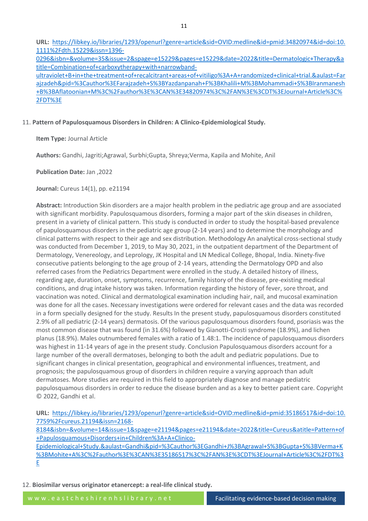**URL:** [https://libkey.io/libraries/1293/openurl?genre=article&sid=OVID:medline&id=pmid:34820974&id=doi:10.](https://libkey.io/libraries/1293/openurl?genre=article&sid=OVID:medline&id=pmid:34820974&id=doi:10.1111%2Fdth.15229&issn=1396-0296&isbn=&volume=35&issue=2&spage=e15229&pages=e15229&date=2022&title=Dermatologic+Therapy&atitle=Combination+of+carboxytherapy+with+narrowband-ultraviolet+B+in+the+treatment+of+recalcitrant+areas+of+vitiligo%3A+A+randomized+clinical+trial.&aulast=Farajzadeh&pid=%3Cauthor%3EFarajzadeh+S%3BYazdanpanah+F%3BKhalili+M%3BMohammadi+S%3BIranmanesh+B%3BAflatoonian+M%3C%2Fauthor%3E%3CAN%3E34820974%3C%2FAN%3E%3CDT%3EJournal+Article%3C%2FDT%3E) [1111%2Fdth.15229&issn=1396-](https://libkey.io/libraries/1293/openurl?genre=article&sid=OVID:medline&id=pmid:34820974&id=doi:10.1111%2Fdth.15229&issn=1396-0296&isbn=&volume=35&issue=2&spage=e15229&pages=e15229&date=2022&title=Dermatologic+Therapy&atitle=Combination+of+carboxytherapy+with+narrowband-ultraviolet+B+in+the+treatment+of+recalcitrant+areas+of+vitiligo%3A+A+randomized+clinical+trial.&aulast=Farajzadeh&pid=%3Cauthor%3EFarajzadeh+S%3BYazdanpanah+F%3BKhalili+M%3BMohammadi+S%3BIranmanesh+B%3BAflatoonian+M%3C%2Fauthor%3E%3CAN%3E34820974%3C%2FAN%3E%3CDT%3EJournal+Article%3C%2FDT%3E)

[0296&isbn=&volume=35&issue=2&spage=e15229&pages=e15229&date=2022&title=Dermatologic+Therapy&a](https://libkey.io/libraries/1293/openurl?genre=article&sid=OVID:medline&id=pmid:34820974&id=doi:10.1111%2Fdth.15229&issn=1396-0296&isbn=&volume=35&issue=2&spage=e15229&pages=e15229&date=2022&title=Dermatologic+Therapy&atitle=Combination+of+carboxytherapy+with+narrowband-ultraviolet+B+in+the+treatment+of+recalcitrant+areas+of+vitiligo%3A+A+randomized+clinical+trial.&aulast=Farajzadeh&pid=%3Cauthor%3EFarajzadeh+S%3BYazdanpanah+F%3BKhalili+M%3BMohammadi+S%3BIranmanesh+B%3BAflatoonian+M%3C%2Fauthor%3E%3CAN%3E34820974%3C%2FAN%3E%3CDT%3EJournal+Article%3C%2FDT%3E) [title=Combination+of+carboxytherapy+with+narrowband-](https://libkey.io/libraries/1293/openurl?genre=article&sid=OVID:medline&id=pmid:34820974&id=doi:10.1111%2Fdth.15229&issn=1396-0296&isbn=&volume=35&issue=2&spage=e15229&pages=e15229&date=2022&title=Dermatologic+Therapy&atitle=Combination+of+carboxytherapy+with+narrowband-ultraviolet+B+in+the+treatment+of+recalcitrant+areas+of+vitiligo%3A+A+randomized+clinical+trial.&aulast=Farajzadeh&pid=%3Cauthor%3EFarajzadeh+S%3BYazdanpanah+F%3BKhalili+M%3BMohammadi+S%3BIranmanesh+B%3BAflatoonian+M%3C%2Fauthor%3E%3CAN%3E34820974%3C%2FAN%3E%3CDT%3EJournal+Article%3C%2FDT%3E)

[ultraviolet+B+in+the+treatment+of+recalcitrant+areas+of+vitiligo%3A+A+randomized+clinical+trial.&aulast=Far](https://libkey.io/libraries/1293/openurl?genre=article&sid=OVID:medline&id=pmid:34820974&id=doi:10.1111%2Fdth.15229&issn=1396-0296&isbn=&volume=35&issue=2&spage=e15229&pages=e15229&date=2022&title=Dermatologic+Therapy&atitle=Combination+of+carboxytherapy+with+narrowband-ultraviolet+B+in+the+treatment+of+recalcitrant+areas+of+vitiligo%3A+A+randomized+clinical+trial.&aulast=Farajzadeh&pid=%3Cauthor%3EFarajzadeh+S%3BYazdanpanah+F%3BKhalili+M%3BMohammadi+S%3BIranmanesh+B%3BAflatoonian+M%3C%2Fauthor%3E%3CAN%3E34820974%3C%2FAN%3E%3CDT%3EJournal+Article%3C%2FDT%3E) [ajzadeh&pid=%3Cauthor%3EFarajzadeh+S%3BYazdanpanah+F%3BKhalili+M%3BMohammadi+S%3BIranmanesh](https://libkey.io/libraries/1293/openurl?genre=article&sid=OVID:medline&id=pmid:34820974&id=doi:10.1111%2Fdth.15229&issn=1396-0296&isbn=&volume=35&issue=2&spage=e15229&pages=e15229&date=2022&title=Dermatologic+Therapy&atitle=Combination+of+carboxytherapy+with+narrowband-ultraviolet+B+in+the+treatment+of+recalcitrant+areas+of+vitiligo%3A+A+randomized+clinical+trial.&aulast=Farajzadeh&pid=%3Cauthor%3EFarajzadeh+S%3BYazdanpanah+F%3BKhalili+M%3BMohammadi+S%3BIranmanesh+B%3BAflatoonian+M%3C%2Fauthor%3E%3CAN%3E34820974%3C%2FAN%3E%3CDT%3EJournal+Article%3C%2FDT%3E) [+B%3BAflatoonian+M%3C%2Fauthor%3E%3CAN%3E34820974%3C%2FAN%3E%3CDT%3EJournal+Article%3C%](https://libkey.io/libraries/1293/openurl?genre=article&sid=OVID:medline&id=pmid:34820974&id=doi:10.1111%2Fdth.15229&issn=1396-0296&isbn=&volume=35&issue=2&spage=e15229&pages=e15229&date=2022&title=Dermatologic+Therapy&atitle=Combination+of+carboxytherapy+with+narrowband-ultraviolet+B+in+the+treatment+of+recalcitrant+areas+of+vitiligo%3A+A+randomized+clinical+trial.&aulast=Farajzadeh&pid=%3Cauthor%3EFarajzadeh+S%3BYazdanpanah+F%3BKhalili+M%3BMohammadi+S%3BIranmanesh+B%3BAflatoonian+M%3C%2Fauthor%3E%3CAN%3E34820974%3C%2FAN%3E%3CDT%3EJournal+Article%3C%2FDT%3E) [2FDT%3E](https://libkey.io/libraries/1293/openurl?genre=article&sid=OVID:medline&id=pmid:34820974&id=doi:10.1111%2Fdth.15229&issn=1396-0296&isbn=&volume=35&issue=2&spage=e15229&pages=e15229&date=2022&title=Dermatologic+Therapy&atitle=Combination+of+carboxytherapy+with+narrowband-ultraviolet+B+in+the+treatment+of+recalcitrant+areas+of+vitiligo%3A+A+randomized+clinical+trial.&aulast=Farajzadeh&pid=%3Cauthor%3EFarajzadeh+S%3BYazdanpanah+F%3BKhalili+M%3BMohammadi+S%3BIranmanesh+B%3BAflatoonian+M%3C%2Fauthor%3E%3CAN%3E34820974%3C%2FAN%3E%3CDT%3EJournal+Article%3C%2FDT%3E)

# 11. **Pattern of Papulosquamous Disorders in Children: A Clinico-Epidemiological Study.**

**Item Type:** Journal Article

**Authors:** Gandhi, Jagriti;Agrawal, Surbhi;Gupta, Shreya;Verma, Kapila and Mohite, Anil

**Publication Date:** Jan ,2022

**Journal:** Cureus 14(1), pp. e21194

**Abstract:** Introduction Skin disorders are a major health problem in the pediatric age group and are associated with significant morbidity. Papulosquamous disorders, forming a major part of the skin diseases in children, present in a variety of clinical pattern. This study is conducted in order to study the hospital-based prevalence of papulosquamous disorders in the pediatric age group (2-14 years) and to determine the morphology and clinical patterns with respect to their age and sex distribution. Methodology An analytical cross-sectional study was conducted from December 1, 2019, to May 30, 2021, in the outpatient department of the Department of Dermatology, Venereology, and Leprology, JK Hospital and LN Medical College, Bhopal, India. Ninety-five consecutive patients belonging to the age group of 2-14 years, attending the Dermatology OPD and also referred cases from the Pediatrics Department were enrolled in the study. A detailed history of illness, regarding age, duration, onset, symptoms, recurrence, family history of the disease, pre-existing medical conditions, and drug intake history was taken. Information regarding the history of fever, sore throat, and vaccination was noted. Clinical and dermatological examination including hair, nail, and mucosal examination was done for all the cases. Necessary investigations were ordered for relevant cases and the data was recorded in a form specially designed for the study. Results In the present study, papulosquamous disorders constituted 2.9% of all pediatric (2-14 years) dermatosis. Of the various papulosquamous disorders found, psoriasis was the most common disease that was found (in 31.6%) followed by Gianotti-Crosti syndrome (18.9%), and lichen planus (18.9%). Males outnumbered females with a ratio of 1.48:1. The incidence of papulosquamous disorders was highest in 11-14 years of age in the present study. Conclusion Papulosquamous disorders account for a large number of the overall dermatoses, belonging to both the adult and pediatric populations. Due to significant changes in clinical presentation, geographical and environmental influences, treatment, and prognosis; the papulosquamous group of disorders in children require a varying approach than adult dermatoses. More studies are required in this field to appropriately diagnose and manage pediatric papulosquamous disorders in order to reduce the disease burden and as a key to better patient care. Copyright © 2022, Gandhi et al.

**URL:** [https://libkey.io/libraries/1293/openurl?genre=article&sid=OVID:medline&id=pmid:35186517&id=doi:10.](https://libkey.io/libraries/1293/openurl?genre=article&sid=OVID:medline&id=pmid:35186517&id=doi:10.7759%2Fcureus.21194&issn=2168-8184&isbn=&volume=14&issue=1&spage=e21194&pages=e21194&date=2022&title=Cureus&atitle=Pattern+of+Papulosquamous+Disorders+in+Children%3A+A+Clinico-Epidemiological+Study.&aulast=Gandhi&pid=%3Cauthor%3EGandhi+J%3BAgrawal+S%3BGupta+S%3BVerma+K%3BMohite+A%3C%2Fauthor%3E%3CAN%3E35186517%3C%2FAN%3E%3CDT%3EJournal+Article%3C%2FDT%3E) [7759%2Fcureus.21194&issn=2168-](https://libkey.io/libraries/1293/openurl?genre=article&sid=OVID:medline&id=pmid:35186517&id=doi:10.7759%2Fcureus.21194&issn=2168-8184&isbn=&volume=14&issue=1&spage=e21194&pages=e21194&date=2022&title=Cureus&atitle=Pattern+of+Papulosquamous+Disorders+in+Children%3A+A+Clinico-Epidemiological+Study.&aulast=Gandhi&pid=%3Cauthor%3EGandhi+J%3BAgrawal+S%3BGupta+S%3BVerma+K%3BMohite+A%3C%2Fauthor%3E%3CAN%3E35186517%3C%2FAN%3E%3CDT%3EJournal+Article%3C%2FDT%3E)

[8184&isbn=&volume=14&issue=1&spage=e21194&pages=e21194&date=2022&title=Cureus&atitle=Pattern+of](https://libkey.io/libraries/1293/openurl?genre=article&sid=OVID:medline&id=pmid:35186517&id=doi:10.7759%2Fcureus.21194&issn=2168-8184&isbn=&volume=14&issue=1&spage=e21194&pages=e21194&date=2022&title=Cureus&atitle=Pattern+of+Papulosquamous+Disorders+in+Children%3A+A+Clinico-Epidemiological+Study.&aulast=Gandhi&pid=%3Cauthor%3EGandhi+J%3BAgrawal+S%3BGupta+S%3BVerma+K%3BMohite+A%3C%2Fauthor%3E%3CAN%3E35186517%3C%2FAN%3E%3CDT%3EJournal+Article%3C%2FDT%3E) [+Papulosquamous+Disorders+in+Children%3A+A+Clinico-](https://libkey.io/libraries/1293/openurl?genre=article&sid=OVID:medline&id=pmid:35186517&id=doi:10.7759%2Fcureus.21194&issn=2168-8184&isbn=&volume=14&issue=1&spage=e21194&pages=e21194&date=2022&title=Cureus&atitle=Pattern+of+Papulosquamous+Disorders+in+Children%3A+A+Clinico-Epidemiological+Study.&aulast=Gandhi&pid=%3Cauthor%3EGandhi+J%3BAgrawal+S%3BGupta+S%3BVerma+K%3BMohite+A%3C%2Fauthor%3E%3CAN%3E35186517%3C%2FAN%3E%3CDT%3EJournal+Article%3C%2FDT%3E)

[Epidemiological+Study.&aulast=Gandhi&pid=%3Cauthor%3EGandhi+J%3BAgrawal+S%3BGupta+S%3BVerma+K](https://libkey.io/libraries/1293/openurl?genre=article&sid=OVID:medline&id=pmid:35186517&id=doi:10.7759%2Fcureus.21194&issn=2168-8184&isbn=&volume=14&issue=1&spage=e21194&pages=e21194&date=2022&title=Cureus&atitle=Pattern+of+Papulosquamous+Disorders+in+Children%3A+A+Clinico-Epidemiological+Study.&aulast=Gandhi&pid=%3Cauthor%3EGandhi+J%3BAgrawal+S%3BGupta+S%3BVerma+K%3BMohite+A%3C%2Fauthor%3E%3CAN%3E35186517%3C%2FAN%3E%3CDT%3EJournal+Article%3C%2FDT%3E) [%3BMohite+A%3C%2Fauthor%3E%3CAN%3E35186517%3C%2FAN%3E%3CDT%3EJournal+Article%3C%2FDT%3](https://libkey.io/libraries/1293/openurl?genre=article&sid=OVID:medline&id=pmid:35186517&id=doi:10.7759%2Fcureus.21194&issn=2168-8184&isbn=&volume=14&issue=1&spage=e21194&pages=e21194&date=2022&title=Cureus&atitle=Pattern+of+Papulosquamous+Disorders+in+Children%3A+A+Clinico-Epidemiological+Study.&aulast=Gandhi&pid=%3Cauthor%3EGandhi+J%3BAgrawal+S%3BGupta+S%3BVerma+K%3BMohite+A%3C%2Fauthor%3E%3CAN%3E35186517%3C%2FAN%3E%3CDT%3EJournal+Article%3C%2FDT%3E) [E](https://libkey.io/libraries/1293/openurl?genre=article&sid=OVID:medline&id=pmid:35186517&id=doi:10.7759%2Fcureus.21194&issn=2168-8184&isbn=&volume=14&issue=1&spage=e21194&pages=e21194&date=2022&title=Cureus&atitle=Pattern+of+Papulosquamous+Disorders+in+Children%3A+A+Clinico-Epidemiological+Study.&aulast=Gandhi&pid=%3Cauthor%3EGandhi+J%3BAgrawal+S%3BGupta+S%3BVerma+K%3BMohite+A%3C%2Fauthor%3E%3CAN%3E35186517%3C%2FAN%3E%3CDT%3EJournal+Article%3C%2FDT%3E)

12. **Biosimilar versus originator etanercept: a real-life clinical study.**

w w w . e a s t c h e s h i r e n h s l i b r a r y . n e t Facilitating evidence-based decision making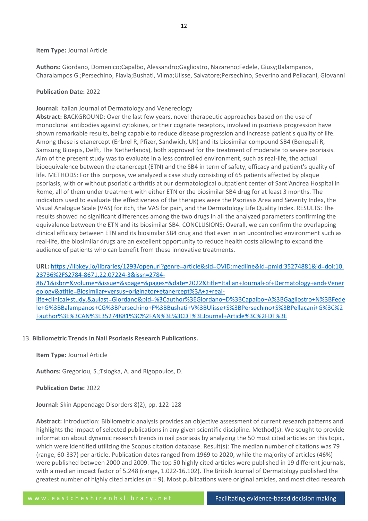# **Item Type:** Journal Article

**Authors:** Giordano, Domenico;Capalbo, Alessandro;Gagliostro, Nazareno;Fedele, Giusy;Balampanos, Charalampos G.;Persechino, Flavia;Bushati, Vilma;Ulisse, Salvatore;Persechino, Severino and Pellacani, Giovanni

# **Publication Date:** 2022

# **Journal:** Italian Journal of Dermatology and Venereology

**Abstract:** BACKGROUND: Over the last few years, novel therapeutic approaches based on the use of monoclonal antibodies against cytokines, or their cognate receptors, involved in psoriasis progression have shown remarkable results, being capable to reduce disease progression and increase patient's quality of life. Among these is etanercept (Enbrel R, Pfizer, Sandwich, UK) and its biosimilar compound SB4 (Benepali R, Samsung Bioepis, Delft, The Netherlands), both approved for the treatment of moderate to severe psoriasis. Aim of the present study was to evaluate in a less controlled environment, such as real-life, the actual bioequivalence between the etanercept (ETN) and the SB4 in term of safety, efficacy and patient's quality of life. METHODS: For this purpose, we analyzed a case study consisting of 65 patients affected by plaque psoriasis, with or without psoriatic arthritis at our dermatological outpatient center of Sant'Andrea Hospital in Rome, all of them under treatment with either ETN or the biosimilar SB4 drug for at least 3 months. The indicators used to evaluate the effectiveness of the therapies were the Psoriasis Area and Severity Index, the Visual Analogue Scale (VAS) for itch, the VAS for pain, and the Dermatology Life Quality Index. RESULTS: The results showed no significant differences among the two drugs in all the analyzed parameters confirming the equivalence between the ETN and its biosimilar SB4. CONCLUSIONS: Overall, we can confirm the overlapping clinical efficacy between ETN and its biosimilar SB4 drug and that even in an uncontrolled environment such as real-life, the biosimilar drugs are an excellent opportunity to reduce health costs allowing to expand the audience of patients who can benefit from these innovative treatments.

**URL:** [https://libkey.io/libraries/1293/openurl?genre=article&sid=OVID:medline&id=pmid:35274881&id=doi:10.](https://libkey.io/libraries/1293/openurl?genre=article&sid=OVID:medline&id=pmid:35274881&id=doi:10.23736%2FS2784-8671.22.07224-3&issn=2784-8671&isbn=&volume=&issue=&spage=&pages=&date=2022&title=Italian+Journal+of+Dermatology+and+Venereology&atitle=Biosimilar+versus+originator+etanercept%3A+a+real-life+clinical+study.&aulast=Giordano&pid=%3Cauthor%3EGiordano+D%3BCapalbo+A%3BGagliostro+N%3BFedele+G%3BBalampanos+CG%3BPersechino+F%3BBushati+V%3BUlisse+S%3BPersechino+S%3BPellacani+G%3C%2Fauthor%3E%3CAN%3E35274881%3C%2FAN%3E%3CDT%3EJournal+Article%3C%2FDT%3E) [23736%2FS2784-8671.22.07224-3&issn=2784-](https://libkey.io/libraries/1293/openurl?genre=article&sid=OVID:medline&id=pmid:35274881&id=doi:10.23736%2FS2784-8671.22.07224-3&issn=2784-8671&isbn=&volume=&issue=&spage=&pages=&date=2022&title=Italian+Journal+of+Dermatology+and+Venereology&atitle=Biosimilar+versus+originator+etanercept%3A+a+real-life+clinical+study.&aulast=Giordano&pid=%3Cauthor%3EGiordano+D%3BCapalbo+A%3BGagliostro+N%3BFedele+G%3BBalampanos+CG%3BPersechino+F%3BBushati+V%3BUlisse+S%3BPersechino+S%3BPellacani+G%3C%2Fauthor%3E%3CAN%3E35274881%3C%2FAN%3E%3CDT%3EJournal+Article%3C%2FDT%3E) [8671&isbn=&volume=&issue=&spage=&pages=&date=2022&title=Italian+Journal+of+Dermatology+and+Vener](https://libkey.io/libraries/1293/openurl?genre=article&sid=OVID:medline&id=pmid:35274881&id=doi:10.23736%2FS2784-8671.22.07224-3&issn=2784-8671&isbn=&volume=&issue=&spage=&pages=&date=2022&title=Italian+Journal+of+Dermatology+and+Venereology&atitle=Biosimilar+versus+originator+etanercept%3A+a+real-life+clinical+study.&aulast=Giordano&pid=%3Cauthor%3EGiordano+D%3BCapalbo+A%3BGagliostro+N%3BFedele+G%3BBalampanos+CG%3BPersechino+F%3BBushati+V%3BUlisse+S%3BPersechino+S%3BPellacani+G%3C%2Fauthor%3E%3CAN%3E35274881%3C%2FAN%3E%3CDT%3EJournal+Article%3C%2FDT%3E) [eology&atitle=Biosimilar+versus+originator+etanercept%3A+a+real](https://libkey.io/libraries/1293/openurl?genre=article&sid=OVID:medline&id=pmid:35274881&id=doi:10.23736%2FS2784-8671.22.07224-3&issn=2784-8671&isbn=&volume=&issue=&spage=&pages=&date=2022&title=Italian+Journal+of+Dermatology+and+Venereology&atitle=Biosimilar+versus+originator+etanercept%3A+a+real-life+clinical+study.&aulast=Giordano&pid=%3Cauthor%3EGiordano+D%3BCapalbo+A%3BGagliostro+N%3BFedele+G%3BBalampanos+CG%3BPersechino+F%3BBushati+V%3BUlisse+S%3BPersechino+S%3BPellacani+G%3C%2Fauthor%3E%3CAN%3E35274881%3C%2FAN%3E%3CDT%3EJournal+Article%3C%2FDT%3E)[life+clinical+study.&aulast=Giordano&pid=%3Cauthor%3EGiordano+D%3BCapalbo+A%3BGagliostro+N%3BFede](https://libkey.io/libraries/1293/openurl?genre=article&sid=OVID:medline&id=pmid:35274881&id=doi:10.23736%2FS2784-8671.22.07224-3&issn=2784-8671&isbn=&volume=&issue=&spage=&pages=&date=2022&title=Italian+Journal+of+Dermatology+and+Venereology&atitle=Biosimilar+versus+originator+etanercept%3A+a+real-life+clinical+study.&aulast=Giordano&pid=%3Cauthor%3EGiordano+D%3BCapalbo+A%3BGagliostro+N%3BFedele+G%3BBalampanos+CG%3BPersechino+F%3BBushati+V%3BUlisse+S%3BPersechino+S%3BPellacani+G%3C%2Fauthor%3E%3CAN%3E35274881%3C%2FAN%3E%3CDT%3EJournal+Article%3C%2FDT%3E) [le+G%3BBalampanos+CG%3BPersechino+F%3BBushati+V%3BUlisse+S%3BPersechino+S%3BPellacani+G%3C%2](https://libkey.io/libraries/1293/openurl?genre=article&sid=OVID:medline&id=pmid:35274881&id=doi:10.23736%2FS2784-8671.22.07224-3&issn=2784-8671&isbn=&volume=&issue=&spage=&pages=&date=2022&title=Italian+Journal+of+Dermatology+and+Venereology&atitle=Biosimilar+versus+originator+etanercept%3A+a+real-life+clinical+study.&aulast=Giordano&pid=%3Cauthor%3EGiordano+D%3BCapalbo+A%3BGagliostro+N%3BFedele+G%3BBalampanos+CG%3BPersechino+F%3BBushati+V%3BUlisse+S%3BPersechino+S%3BPellacani+G%3C%2Fauthor%3E%3CAN%3E35274881%3C%2FAN%3E%3CDT%3EJournal+Article%3C%2FDT%3E) [Fauthor%3E%3CAN%3E35274881%3C%2FAN%3E%3CDT%3EJournal+Article%3C%2FDT%3E](https://libkey.io/libraries/1293/openurl?genre=article&sid=OVID:medline&id=pmid:35274881&id=doi:10.23736%2FS2784-8671.22.07224-3&issn=2784-8671&isbn=&volume=&issue=&spage=&pages=&date=2022&title=Italian+Journal+of+Dermatology+and+Venereology&atitle=Biosimilar+versus+originator+etanercept%3A+a+real-life+clinical+study.&aulast=Giordano&pid=%3Cauthor%3EGiordano+D%3BCapalbo+A%3BGagliostro+N%3BFedele+G%3BBalampanos+CG%3BPersechino+F%3BBushati+V%3BUlisse+S%3BPersechino+S%3BPellacani+G%3C%2Fauthor%3E%3CAN%3E35274881%3C%2FAN%3E%3CDT%3EJournal+Article%3C%2FDT%3E)

# 13. **Bibliometric Trends in Nail Psoriasis Research Publications.**

**Item Type:** Journal Article

**Authors:** Gregoriou, S.;Tsiogka, A. and Rigopoulos, D.

**Publication Date:** 2022

**Journal:** Skin Appendage Disorders 8(2), pp. 122-128

**Abstract:** Introduction: Bibliometric analysis provides an objective assessment of current research patterns and highlights the impact of selected publications in any given scientific discipline. Method(s): We sought to provide information about dynamic research trends in nail psoriasis by analyzing the 50 most cited articles on this topic, which were identified utilizing the Scopus citation database. Result(s): The median number of citations was 79 (range, 60-337) per article. Publication dates ranged from 1969 to 2020, while the majority of articles (46%) were published between 2000 and 2009. The top 50 highly cited articles were published in 19 different journals, with a median impact factor of 5.248 (range, 1.022-16.102). The British Journal of Dermatology published the greatest number of highly cited articles (n = 9). Most publications were original articles, and most cited research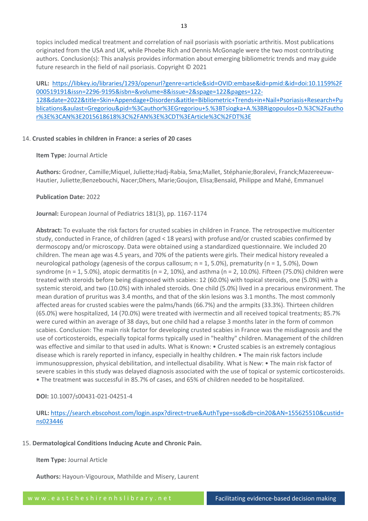topics included medical treatment and correlation of nail psoriasis with psoriatic arthritis. Most publications originated from the USA and UK, while Phoebe Rich and Dennis McGonagle were the two most contributing authors. Conclusion(s): This analysis provides information about emerging bibliometric trends and may guide future research in the field of nail psoriasis. Copyright © 2021

**URL:** [https://libkey.io/libraries/1293/openurl?genre=article&sid=OVID:embase&id=pmid:&id=doi:10.1159%2F](https://libkey.io/libraries/1293/openurl?genre=article&sid=OVID:embase&id=pmid:&id=doi:10.1159%2F000519191&issn=2296-9195&isbn=&volume=8&issue=2&spage=122&pages=122-128&date=2022&title=Skin+Appendage+Disorders&atitle=Bibliometric+Trends+in+Nail+Psoriasis+Research+Publications&aulast=Gregoriou&pid=%3Cauthor%3EGregoriou+S.%3BTsiogka+A.%3BRigopoulos+D.%3C%2Fauthor%3E%3CAN%3E2015618618%3C%2FAN%3E%3CDT%3EArticle%3C%2FDT%3E) [000519191&issn=2296-9195&isbn=&volume=8&issue=2&spage=122&pages=122-](https://libkey.io/libraries/1293/openurl?genre=article&sid=OVID:embase&id=pmid:&id=doi:10.1159%2F000519191&issn=2296-9195&isbn=&volume=8&issue=2&spage=122&pages=122-128&date=2022&title=Skin+Appendage+Disorders&atitle=Bibliometric+Trends+in+Nail+Psoriasis+Research+Publications&aulast=Gregoriou&pid=%3Cauthor%3EGregoriou+S.%3BTsiogka+A.%3BRigopoulos+D.%3C%2Fauthor%3E%3CAN%3E2015618618%3C%2FAN%3E%3CDT%3EArticle%3C%2FDT%3E) [128&date=2022&title=Skin+Appendage+Disorders&atitle=Bibliometric+Trends+in+Nail+Psoriasis+Research+Pu](https://libkey.io/libraries/1293/openurl?genre=article&sid=OVID:embase&id=pmid:&id=doi:10.1159%2F000519191&issn=2296-9195&isbn=&volume=8&issue=2&spage=122&pages=122-128&date=2022&title=Skin+Appendage+Disorders&atitle=Bibliometric+Trends+in+Nail+Psoriasis+Research+Publications&aulast=Gregoriou&pid=%3Cauthor%3EGregoriou+S.%3BTsiogka+A.%3BRigopoulos+D.%3C%2Fauthor%3E%3CAN%3E2015618618%3C%2FAN%3E%3CDT%3EArticle%3C%2FDT%3E) [blications&aulast=Gregoriou&pid=%3Cauthor%3EGregoriou+S.%3BTsiogka+A.%3BRigopoulos+D.%3C%2Fautho](https://libkey.io/libraries/1293/openurl?genre=article&sid=OVID:embase&id=pmid:&id=doi:10.1159%2F000519191&issn=2296-9195&isbn=&volume=8&issue=2&spage=122&pages=122-128&date=2022&title=Skin+Appendage+Disorders&atitle=Bibliometric+Trends+in+Nail+Psoriasis+Research+Publications&aulast=Gregoriou&pid=%3Cauthor%3EGregoriou+S.%3BTsiogka+A.%3BRigopoulos+D.%3C%2Fauthor%3E%3CAN%3E2015618618%3C%2FAN%3E%3CDT%3EArticle%3C%2FDT%3E) [r%3E%3CAN%3E2015618618%3C%2FAN%3E%3CDT%3EArticle%3C%2FDT%3E](https://libkey.io/libraries/1293/openurl?genre=article&sid=OVID:embase&id=pmid:&id=doi:10.1159%2F000519191&issn=2296-9195&isbn=&volume=8&issue=2&spage=122&pages=122-128&date=2022&title=Skin+Appendage+Disorders&atitle=Bibliometric+Trends+in+Nail+Psoriasis+Research+Publications&aulast=Gregoriou&pid=%3Cauthor%3EGregoriou+S.%3BTsiogka+A.%3BRigopoulos+D.%3C%2Fauthor%3E%3CAN%3E2015618618%3C%2FAN%3E%3CDT%3EArticle%3C%2FDT%3E)

#### 14. **Crusted scabies in children in France: a series of 20 cases**

**Item Type:** Journal Article

**Authors:** Grodner, Camille;Miquel, Juliette;Hadj-Rabia, Sma;Mallet, Stéphanie;Boralevi, Franck;Mazereeuw-Hautier, Juliette;Benzebouchi, Nacer;Dhers, Marie;Goujon, Elisa;Bensaïd, Philippe and Mahé, Emmanuel

**Publication Date:** 2022

**Journal:** European Journal of Pediatrics 181(3), pp. 1167-1174

**Abstract:** To evaluate the risk factors for crusted scabies in children in France. The retrospective multicenter study, conducted in France, of children (aged < 18 years) with profuse and/or crusted scabies confirmed by dermoscopy and/or microscopy. Data were obtained using a standardized questionnaire. We included 20 children. The mean age was 4.5 years, and 70% of the patients were girls. Their medical history revealed a neurological pathology (agenesis of the corpus callosum; n = 1, 5.0%), prematurity (n = 1, 5.0%), Down syndrome (n = 1, 5.0%), atopic dermatitis (n = 2, 10%), and asthma (n = 2, 10.0%). Fifteen (75.0%) children were treated with steroids before being diagnosed with scabies: 12 (60.0%) with topical steroids, one (5.0%) with a systemic steroid, and two (10.0%) with inhaled steroids. One child (5.0%) lived in a precarious environment. The mean duration of pruritus was 3.4 months, and that of the skin lesions was 3.1 months. The most commonly affected areas for crusted scabies were the palms/hands (66.7%) and the armpits (33.3%). Thirteen children (65.0%) were hospitalized, 14 (70.0%) were treated with ivermectin and all received topical treatments; 85.7% were cured within an average of 38 days, but one child had a relapse 3 months later in the form of common scabies. Conclusion: The main risk factor for developing crusted scabies in France was the misdiagnosis and the use of corticosteroids, especially topical forms typically used in "healthy" children. Management of the children was effective and similar to that used in adults. What is Known: • Crusted scabies is an extremely contagious disease which is rarely reported in infancy, especially in healthy children. • The main risk factors include immunosuppression, physical debilitation, and intellectual disability. What is New: • The main risk factor of severe scabies in this study was delayed diagnosis associated with the use of topical or systemic corticosteroids. • The treatment was successful in 85.7% of cases, and 65% of children needed to be hospitalized.

**DOI:** 10.1007/s00431-021-04251-4

**URL:** [https://search.ebscohost.com/login.aspx?direct=true&AuthType=sso&db=cin20&AN=155625510&custid=](https://search.ebscohost.com/login.aspx?direct=true&AuthType=sso&db=cin20&AN=155625510&custid=ns023446) [ns023446](https://search.ebscohost.com/login.aspx?direct=true&AuthType=sso&db=cin20&AN=155625510&custid=ns023446)

#### 15. **Dermatological Conditions Inducing Acute and Chronic Pain.**

**Item Type:** Journal Article

**Authors:** Hayoun-Vigouroux, Mathilde and Misery, Laurent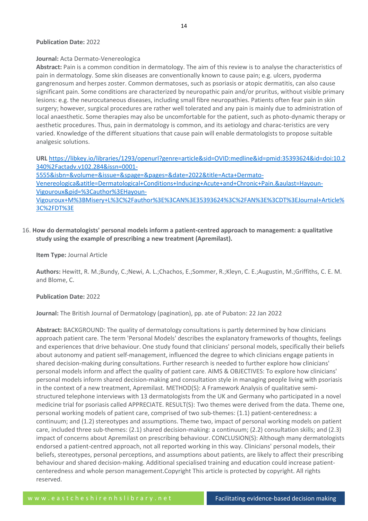#### **Publication Date:** 2022

#### **Journal:** Acta Dermato-Venereologica

**Abstract:** Pain is a common condition in dermatology. The aim of this review is to analyse the characteristics of pain in dermatology. Some skin diseases are conventionally known to cause pain; e.g. ulcers, pyoderma gangrenosum and herpes zoster. Common dermatoses, such as psoriasis or atopic dermatitis, can also cause significant pain. Some conditions are characterized by neuropathic pain and/or pruritus, without visible primary lesions: e.g. the neurocutaneous diseases, including small fibre neuropathies. Patients often fear pain in skin surgery; however, surgical procedures are rather well tolerated and any pain is mainly due to administration of local anaesthetic. Some therapies may also be uncomfortable for the patient, such as photo-dynamic therapy or aesthetic procedures. Thus, pain in dermatology is common, and its aetiology and charac-teristics are very varied. Knowledge of the different situations that cause pain will enable dermatologists to propose suitable analgesic solutions.

**URL** [https://libkey.io/libraries/1293/openurl?genre=article&sid=OVID:medline&id=pmid:35393624&id=doi:10.2](https://libkey.io/libraries/1293/openurl?genre=article&sid=OVID:medline&id=pmid:35393624&id=doi:10.2340%2Factadv.v102.284&issn=0001-5555&isbn=&volume=&issue=&spage=&pages=&date=2022&title=Acta+Dermato-Venereologica&atitle=Dermatological+Conditions+Inducing+Acute+and+Chronic+Pain.&aulast=Hayoun-Vigouroux&pid=%3Cauthor%3EHayoun-Vigouroux+M%3BMisery+L%3C%2Fauthor%3E%3CAN%3E35393624%3C%2FAN%3E%3CDT%3EJournal+Article%3C%2FDT%3E) [340%2Factadv.v102.284&issn=0001-](https://libkey.io/libraries/1293/openurl?genre=article&sid=OVID:medline&id=pmid:35393624&id=doi:10.2340%2Factadv.v102.284&issn=0001-5555&isbn=&volume=&issue=&spage=&pages=&date=2022&title=Acta+Dermato-Venereologica&atitle=Dermatological+Conditions+Inducing+Acute+and+Chronic+Pain.&aulast=Hayoun-Vigouroux&pid=%3Cauthor%3EHayoun-Vigouroux+M%3BMisery+L%3C%2Fauthor%3E%3CAN%3E35393624%3C%2FAN%3E%3CDT%3EJournal+Article%3C%2FDT%3E) [5555&isbn=&volume=&issue=&spage=&pages=&date=2022&title=Acta+Dermato-](https://libkey.io/libraries/1293/openurl?genre=article&sid=OVID:medline&id=pmid:35393624&id=doi:10.2340%2Factadv.v102.284&issn=0001-5555&isbn=&volume=&issue=&spage=&pages=&date=2022&title=Acta+Dermato-Venereologica&atitle=Dermatological+Conditions+Inducing+Acute+and+Chronic+Pain.&aulast=Hayoun-Vigouroux&pid=%3Cauthor%3EHayoun-Vigouroux+M%3BMisery+L%3C%2Fauthor%3E%3CAN%3E35393624%3C%2FAN%3E%3CDT%3EJournal+Article%3C%2FDT%3E)

[Venereologica&atitle=Dermatological+Conditions+Inducing+Acute+and+Chronic+Pain.&aulast=Hayoun-](https://libkey.io/libraries/1293/openurl?genre=article&sid=OVID:medline&id=pmid:35393624&id=doi:10.2340%2Factadv.v102.284&issn=0001-5555&isbn=&volume=&issue=&spage=&pages=&date=2022&title=Acta+Dermato-Venereologica&atitle=Dermatological+Conditions+Inducing+Acute+and+Chronic+Pain.&aulast=Hayoun-Vigouroux&pid=%3Cauthor%3EHayoun-Vigouroux+M%3BMisery+L%3C%2Fauthor%3E%3CAN%3E35393624%3C%2FAN%3E%3CDT%3EJournal+Article%3C%2FDT%3E)[Vigouroux&pid=%3Cauthor%3EHayoun-](https://libkey.io/libraries/1293/openurl?genre=article&sid=OVID:medline&id=pmid:35393624&id=doi:10.2340%2Factadv.v102.284&issn=0001-5555&isbn=&volume=&issue=&spage=&pages=&date=2022&title=Acta+Dermato-Venereologica&atitle=Dermatological+Conditions+Inducing+Acute+and+Chronic+Pain.&aulast=Hayoun-Vigouroux&pid=%3Cauthor%3EHayoun-Vigouroux+M%3BMisery+L%3C%2Fauthor%3E%3CAN%3E35393624%3C%2FAN%3E%3CDT%3EJournal+Article%3C%2FDT%3E)[Vigouroux+M%3BMisery+L%3C%2Fauthor%3E%3CAN%3E35393624%3C%2FAN%3E%3CDT%3EJournal+Article%](https://libkey.io/libraries/1293/openurl?genre=article&sid=OVID:medline&id=pmid:35393624&id=doi:10.2340%2Factadv.v102.284&issn=0001-5555&isbn=&volume=&issue=&spage=&pages=&date=2022&title=Acta+Dermato-Venereologica&atitle=Dermatological+Conditions+Inducing+Acute+and+Chronic+Pain.&aulast=Hayoun-Vigouroux&pid=%3Cauthor%3EHayoun-Vigouroux+M%3BMisery+L%3C%2Fauthor%3E%3CAN%3E35393624%3C%2FAN%3E%3CDT%3EJournal+Article%3C%2FDT%3E) [3C%2FDT%3E](https://libkey.io/libraries/1293/openurl?genre=article&sid=OVID:medline&id=pmid:35393624&id=doi:10.2340%2Factadv.v102.284&issn=0001-5555&isbn=&volume=&issue=&spage=&pages=&date=2022&title=Acta+Dermato-Venereologica&atitle=Dermatological+Conditions+Inducing+Acute+and+Chronic+Pain.&aulast=Hayoun-Vigouroux&pid=%3Cauthor%3EHayoun-Vigouroux+M%3BMisery+L%3C%2Fauthor%3E%3CAN%3E35393624%3C%2FAN%3E%3CDT%3EJournal+Article%3C%2FDT%3E)

# 16. **How do dermatologists' personal models inform a patient-centred approach to management: a qualitative study using the example of prescribing a new treatment (Apremilast).**

**Item Type:** Journal Article

**Authors:** Hewitt, R. M.;Bundy, C.;Newi, A. L.;Chachos, E.;Sommer, R.;Kleyn, C. E.;Augustin, M.;Griffiths, C. E. M. and Blome, C.

**Publication Date:** 2022

**Journal:** The British Journal of Dermatology (pagination), pp. ate of Pubaton: 22 Jan 2022

**Abstract:** BACKGROUND: The quality of dermatology consultations is partly determined by how clinicians approach patient care. The term 'Personal Models' describes the explanatory frameworks of thoughts, feelings and experiences that drive behaviour. One study found that clinicians' personal models, specifically their beliefs about autonomy and patient self-management, influenced the degree to which clinicians engage patients in shared decision-making during consultations. Further research is needed to further explore how clinicians' personal models inform and affect the quality of patient care. AIMS & OBJECTIVES: To explore how clinicians' personal models inform shared decision-making and consultation style in managing people living with psoriasis in the context of a new treatment, Apremilast. METHOD(S): A Framework Analysis of qualitative semistructured telephone interviews with 13 dermatologists from the UK and Germany who participated in a novel medicine trial for psoriasis called APPRECIATE. RESULT(S): Two themes were derived from the data. Theme one, personal working models of patient care, comprised of two sub-themes: (1.1) patient-centeredness: a continuum; and (1.2) stereotypes and assumptions. Theme two, impact of personal working models on patient care, included three sub-themes: (2.1) shared decision-making: a continuum; (2.2) consultation skills; and (2.3) impact of concerns about Apremilast on prescribing behaviour. CONCLUSION(S): Although many dermatologists endorsed a patient-centred approach, not all reported working in this way. Clinicians' personal models, their beliefs, stereotypes, personal perceptions, and assumptions about patients, are likely to affect their prescribing behaviour and shared decision-making. Additional specialised training and education could increase patientcenteredness and whole person management.Copyright This article is protected by copyright. All rights reserved.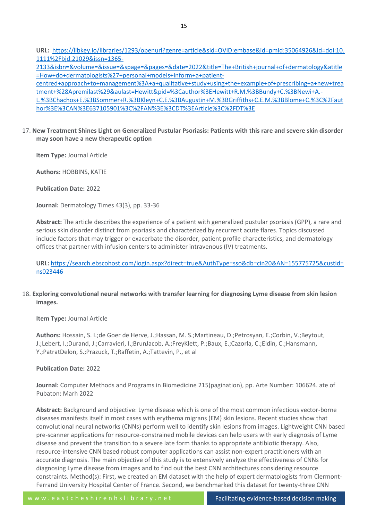**URL:** [https://libkey.io/libraries/1293/openurl?genre=article&sid=OVID:embase&id=pmid:35064926&id=doi:10.](https://libkey.io/libraries/1293/openurl?genre=article&sid=OVID:embase&id=pmid:35064926&id=doi:10.1111%2Fbjd.21029&issn=1365-2133&isbn=&volume=&issue=&spage=&pages=&date=2022&title=The+British+journal+of+dermatology&atitle=How+do+dermatologists%27+personal+models+inform+a+patient-centred+approach+to+management%3A+a+qualitative+study+using+the+example+of+prescribing+a+new+treatment+%28Apremilast%29&aulast=Hewitt&pid=%3Cauthor%3EHewitt+R.M.%3BBundy+C.%3BNewi+A.-L.%3BChachos+E.%3BSommer+R.%3BKleyn+C.E.%3BAugustin+M.%3BGriffiths+C.E.M.%3BBlome+C.%3C%2Fauthor%3E%3CAN%3E637105901%3C%2FAN%3E%3CDT%3EArticle%3C%2FDT%3E) [1111%2Fbjd.21029&issn=1365-](https://libkey.io/libraries/1293/openurl?genre=article&sid=OVID:embase&id=pmid:35064926&id=doi:10.1111%2Fbjd.21029&issn=1365-2133&isbn=&volume=&issue=&spage=&pages=&date=2022&title=The+British+journal+of+dermatology&atitle=How+do+dermatologists%27+personal+models+inform+a+patient-centred+approach+to+management%3A+a+qualitative+study+using+the+example+of+prescribing+a+new+treatment+%28Apremilast%29&aulast=Hewitt&pid=%3Cauthor%3EHewitt+R.M.%3BBundy+C.%3BNewi+A.-L.%3BChachos+E.%3BSommer+R.%3BKleyn+C.E.%3BAugustin+M.%3BGriffiths+C.E.M.%3BBlome+C.%3C%2Fauthor%3E%3CAN%3E637105901%3C%2FAN%3E%3CDT%3EArticle%3C%2FDT%3E)

[2133&isbn=&volume=&issue=&spage=&pages=&date=2022&title=The+British+journal+of+dermatology&atitle](https://libkey.io/libraries/1293/openurl?genre=article&sid=OVID:embase&id=pmid:35064926&id=doi:10.1111%2Fbjd.21029&issn=1365-2133&isbn=&volume=&issue=&spage=&pages=&date=2022&title=The+British+journal+of+dermatology&atitle=How+do+dermatologists%27+personal+models+inform+a+patient-centred+approach+to+management%3A+a+qualitative+study+using+the+example+of+prescribing+a+new+treatment+%28Apremilast%29&aulast=Hewitt&pid=%3Cauthor%3EHewitt+R.M.%3BBundy+C.%3BNewi+A.-L.%3BChachos+E.%3BSommer+R.%3BKleyn+C.E.%3BAugustin+M.%3BGriffiths+C.E.M.%3BBlome+C.%3C%2Fauthor%3E%3CAN%3E637105901%3C%2FAN%3E%3CDT%3EArticle%3C%2FDT%3E) [=How+do+dermatologists%27+personal+models+inform+a+patient](https://libkey.io/libraries/1293/openurl?genre=article&sid=OVID:embase&id=pmid:35064926&id=doi:10.1111%2Fbjd.21029&issn=1365-2133&isbn=&volume=&issue=&spage=&pages=&date=2022&title=The+British+journal+of+dermatology&atitle=How+do+dermatologists%27+personal+models+inform+a+patient-centred+approach+to+management%3A+a+qualitative+study+using+the+example+of+prescribing+a+new+treatment+%28Apremilast%29&aulast=Hewitt&pid=%3Cauthor%3EHewitt+R.M.%3BBundy+C.%3BNewi+A.-L.%3BChachos+E.%3BSommer+R.%3BKleyn+C.E.%3BAugustin+M.%3BGriffiths+C.E.M.%3BBlome+C.%3C%2Fauthor%3E%3CAN%3E637105901%3C%2FAN%3E%3CDT%3EArticle%3C%2FDT%3E)[centred+approach+to+management%3A+a+qualitative+study+using+the+example+of+prescribing+a+new+trea](https://libkey.io/libraries/1293/openurl?genre=article&sid=OVID:embase&id=pmid:35064926&id=doi:10.1111%2Fbjd.21029&issn=1365-2133&isbn=&volume=&issue=&spage=&pages=&date=2022&title=The+British+journal+of+dermatology&atitle=How+do+dermatologists%27+personal+models+inform+a+patient-centred+approach+to+management%3A+a+qualitative+study+using+the+example+of+prescribing+a+new+treatment+%28Apremilast%29&aulast=Hewitt&pid=%3Cauthor%3EHewitt+R.M.%3BBundy+C.%3BNewi+A.-L.%3BChachos+E.%3BSommer+R.%3BKleyn+C.E.%3BAugustin+M.%3BGriffiths+C.E.M.%3BBlome+C.%3C%2Fauthor%3E%3CAN%3E637105901%3C%2FAN%3E%3CDT%3EArticle%3C%2FDT%3E) [tment+%28Apremilast%29&aulast=Hewitt&pid=%3Cauthor%3EHewitt+R.M.%3BBundy+C.%3BNewi+A.-](https://libkey.io/libraries/1293/openurl?genre=article&sid=OVID:embase&id=pmid:35064926&id=doi:10.1111%2Fbjd.21029&issn=1365-2133&isbn=&volume=&issue=&spage=&pages=&date=2022&title=The+British+journal+of+dermatology&atitle=How+do+dermatologists%27+personal+models+inform+a+patient-centred+approach+to+management%3A+a+qualitative+study+using+the+example+of+prescribing+a+new+treatment+%28Apremilast%29&aulast=Hewitt&pid=%3Cauthor%3EHewitt+R.M.%3BBundy+C.%3BNewi+A.-L.%3BChachos+E.%3BSommer+R.%3BKleyn+C.E.%3BAugustin+M.%3BGriffiths+C.E.M.%3BBlome+C.%3C%2Fauthor%3E%3CAN%3E637105901%3C%2FAN%3E%3CDT%3EArticle%3C%2FDT%3E) [L.%3BChachos+E.%3BSommer+R.%3BKleyn+C.E.%3BAugustin+M.%3BGriffiths+C.E.M.%3BBlome+C.%3C%2Faut](https://libkey.io/libraries/1293/openurl?genre=article&sid=OVID:embase&id=pmid:35064926&id=doi:10.1111%2Fbjd.21029&issn=1365-2133&isbn=&volume=&issue=&spage=&pages=&date=2022&title=The+British+journal+of+dermatology&atitle=How+do+dermatologists%27+personal+models+inform+a+patient-centred+approach+to+management%3A+a+qualitative+study+using+the+example+of+prescribing+a+new+treatment+%28Apremilast%29&aulast=Hewitt&pid=%3Cauthor%3EHewitt+R.M.%3BBundy+C.%3BNewi+A.-L.%3BChachos+E.%3BSommer+R.%3BKleyn+C.E.%3BAugustin+M.%3BGriffiths+C.E.M.%3BBlome+C.%3C%2Fauthor%3E%3CAN%3E637105901%3C%2FAN%3E%3CDT%3EArticle%3C%2FDT%3E) [hor%3E%3CAN%3E637105901%3C%2FAN%3E%3CDT%3EArticle%3C%2FDT%3E](https://libkey.io/libraries/1293/openurl?genre=article&sid=OVID:embase&id=pmid:35064926&id=doi:10.1111%2Fbjd.21029&issn=1365-2133&isbn=&volume=&issue=&spage=&pages=&date=2022&title=The+British+journal+of+dermatology&atitle=How+do+dermatologists%27+personal+models+inform+a+patient-centred+approach+to+management%3A+a+qualitative+study+using+the+example+of+prescribing+a+new+treatment+%28Apremilast%29&aulast=Hewitt&pid=%3Cauthor%3EHewitt+R.M.%3BBundy+C.%3BNewi+A.-L.%3BChachos+E.%3BSommer+R.%3BKleyn+C.E.%3BAugustin+M.%3BGriffiths+C.E.M.%3BBlome+C.%3C%2Fauthor%3E%3CAN%3E637105901%3C%2FAN%3E%3CDT%3EArticle%3C%2FDT%3E)

17. **New Treatment Shines Light on Generalized Pustular Psoriasis: Patients with this rare and severe skin disorder may soon have a new therapeutic option**

**Item Type:** Journal Article

**Authors:** HOBBINS, KATIE

**Publication Date:** 2022

**Journal:** Dermatology Times 43(3), pp. 33-36

**Abstract:** The article describes the experience of a patient with generalized pustular psoriasis (GPP), a rare and serious skin disorder distinct from psoriasis and characterized by recurrent acute flares. Topics discussed include factors that may trigger or exacerbate the disorder, patient profile characteristics, and dermatology offices that partner with infusion centers to administer intravenous (IV) treatments.

**URL:** [https://search.ebscohost.com/login.aspx?direct=true&AuthType=sso&db=cin20&AN=155775725&custid=](https://search.ebscohost.com/login.aspx?direct=true&AuthType=sso&db=cin20&AN=155775725&custid=ns023446) [ns023446](https://search.ebscohost.com/login.aspx?direct=true&AuthType=sso&db=cin20&AN=155775725&custid=ns023446)

# 18. **Exploring convolutional neural networks with transfer learning for diagnosing Lyme disease from skin lesion images.**

**Item Type:** Journal Article

**Authors:** Hossain, S. I.;de Goer de Herve, J.;Hassan, M. S.;Martineau, D.;Petrosyan, E.;Corbin, V.;Beytout, J.;Lebert, I.;Durand, J.;Carravieri, I.;BrunJacob, A.;FreyKlett, P.;Baux, E.;Cazorla, C.;Eldin, C.;Hansmann, Y.;PatratDelon, S.;Prazuck, T.;Raffetin, A.;Tattevin, P., et al

**Publication Date:** 2022

**Journal:** Computer Methods and Programs in Biomedicine 215(pagination), pp. Arte Number: 106624. ate of Pubaton: Marh 2022

**Abstract:** Background and objective: Lyme disease which is one of the most common infectious vector-borne diseases manifests itself in most cases with erythema migrans (EM) skin lesions. Recent studies show that convolutional neural networks (CNNs) perform well to identify skin lesions from images. Lightweight CNN based pre-scanner applications for resource-constrained mobile devices can help users with early diagnosis of Lyme disease and prevent the transition to a severe late form thanks to appropriate antibiotic therapy. Also, resource-intensive CNN based robust computer applications can assist non-expert practitioners with an accurate diagnosis. The main objective of this study is to extensively analyze the effectiveness of CNNs for diagnosing Lyme disease from images and to find out the best CNN architectures considering resource constraints. Method(s): First, we created an EM dataset with the help of expert dermatologists from Clermont-Ferrand University Hospital Center of France. Second, we benchmarked this dataset for twenty-three CNN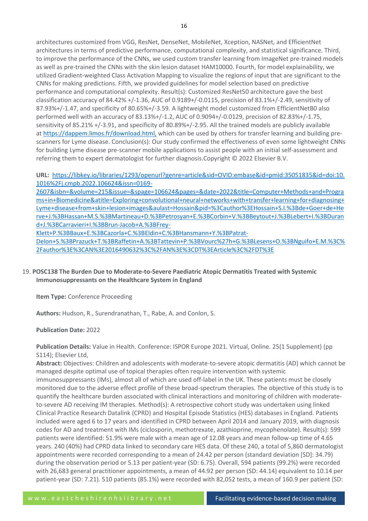architectures customized from VGG, ResNet, DenseNet, MobileNet, Xception, NASNet, and EfficientNet architectures in terms of predictive performance, computational complexity, and statistical significance. Third, to improve the performance of the CNNs, we used custom transfer learning from ImageNet pre-trained models as well as pre-trained the CNNs with the skin lesion dataset HAM10000. Fourth, for model explainability, we utilized Gradient-weighted Class Activation Mapping to visualize the regions of input that are significant to the CNNs for making predictions. Fifth, we provided guidelines for model selection based on predictive performance and computational complexity. Result(s): Customized ResNet50 architecture gave the best classification accuracy of 84.42% +/-1.36, AUC of 0.9189+/-0.0115, precision of 83.1%+/-2.49, sensitivity of 87.93%+/-1.47, and specificity of 80.65%+/-3.59. A lightweight model customized from EfficientNetB0 also performed well with an accuracy of 83.13%+/-1.2, AUC of 0.9094+/-0.0129, precision of 82.83%+/-1.75, sensitivity of 85.21% +/-3.91, and specificity of 80.89%+/-2.95. All the trained models are publicly available at <https://dappem.limos.fr/download.html,> which can be used by others for transfer learning and building prescanners for Lyme disease. Conclusion(s): Our study confirmed the effectiveness of even some lightweight CNNs for building Lyme disease pre-scanner mobile applications to assist people with an initial self-assessment and referring them to expert dermatologist for further diagnosis.Copyright © 2022 Elsevier B.V.

**URL:** [https://libkey.io/libraries/1293/openurl?genre=article&sid=OVID:embase&id=pmid:35051835&id=doi:10.](https://libkey.io/libraries/1293/openurl?genre=article&sid=OVID:embase&id=pmid:35051835&id=doi:10.1016%2Fj.cmpb.2022.106624&issn=0169-2607&isbn=&volume=215&issue=&spage=106624&pages=&date=2022&title=Computer+Methods+and+Programs+in+Biomedicine&atitle=Exploring+convolutional+neural+networks+with+transfer+learning+for+diagnosing+Lyme+disease+from+skin+lesion+images&aulast=Hossain&pid=%3Cauthor%3EHossain+S.I.%3Bde+Goer+de+Herve+J.%3BHassan+M.S.%3BMartineau+D.%3BPetrosyan+E.%3BCorbin+V.%3BBeytout+J.%3BLebert+I.%3BDurand+J.%3BCarravieri+I.%3BBrun-Jacob+A.%3BFrey-Klett+P.%3BBaux+E.%3BCazorla+C.%3BEldin+C.%3BHansmann+Y.%3BPatrat-Delon+S.%3BPrazuck+T.%3BRaffetin+A.%3BTattevin+P.%3BVourc%27h+G.%3BLesens+O.%3BNguifo+E.M.%3C%2Fauthor%3E%3CAN%3E2016490632%3C%2FAN%3E%3CDT%3EArticle%3C%2FDT%3E) [1016%2Fj.cmpb.2022.106624&issn=0169-](https://libkey.io/libraries/1293/openurl?genre=article&sid=OVID:embase&id=pmid:35051835&id=doi:10.1016%2Fj.cmpb.2022.106624&issn=0169-2607&isbn=&volume=215&issue=&spage=106624&pages=&date=2022&title=Computer+Methods+and+Programs+in+Biomedicine&atitle=Exploring+convolutional+neural+networks+with+transfer+learning+for+diagnosing+Lyme+disease+from+skin+lesion+images&aulast=Hossain&pid=%3Cauthor%3EHossain+S.I.%3Bde+Goer+de+Herve+J.%3BHassan+M.S.%3BMartineau+D.%3BPetrosyan+E.%3BCorbin+V.%3BBeytout+J.%3BLebert+I.%3BDurand+J.%3BCarravieri+I.%3BBrun-Jacob+A.%3BFrey-Klett+P.%3BBaux+E.%3BCazorla+C.%3BEldin+C.%3BHansmann+Y.%3BPatrat-Delon+S.%3BPrazuck+T.%3BRaffetin+A.%3BTattevin+P.%3BVourc%27h+G.%3BLesens+O.%3BNguifo+E.M.%3C%2Fauthor%3E%3CAN%3E2016490632%3C%2FAN%3E%3CDT%3EArticle%3C%2FDT%3E)

[2607&isbn=&volume=215&issue=&spage=106624&pages=&date=2022&title=Computer+Methods+and+Progra](https://libkey.io/libraries/1293/openurl?genre=article&sid=OVID:embase&id=pmid:35051835&id=doi:10.1016%2Fj.cmpb.2022.106624&issn=0169-2607&isbn=&volume=215&issue=&spage=106624&pages=&date=2022&title=Computer+Methods+and+Programs+in+Biomedicine&atitle=Exploring+convolutional+neural+networks+with+transfer+learning+for+diagnosing+Lyme+disease+from+skin+lesion+images&aulast=Hossain&pid=%3Cauthor%3EHossain+S.I.%3Bde+Goer+de+Herve+J.%3BHassan+M.S.%3BMartineau+D.%3BPetrosyan+E.%3BCorbin+V.%3BBeytout+J.%3BLebert+I.%3BDurand+J.%3BCarravieri+I.%3BBrun-Jacob+A.%3BFrey-Klett+P.%3BBaux+E.%3BCazorla+C.%3BEldin+C.%3BHansmann+Y.%3BPatrat-Delon+S.%3BPrazuck+T.%3BRaffetin+A.%3BTattevin+P.%3BVourc%27h+G.%3BLesens+O.%3BNguifo+E.M.%3C%2Fauthor%3E%3CAN%3E2016490632%3C%2FAN%3E%3CDT%3EArticle%3C%2FDT%3E) [ms+in+Biomedicine&atitle=Exploring+convolutional+neural+networks+with+transfer+learning+for+diagnosing+](https://libkey.io/libraries/1293/openurl?genre=article&sid=OVID:embase&id=pmid:35051835&id=doi:10.1016%2Fj.cmpb.2022.106624&issn=0169-2607&isbn=&volume=215&issue=&spage=106624&pages=&date=2022&title=Computer+Methods+and+Programs+in+Biomedicine&atitle=Exploring+convolutional+neural+networks+with+transfer+learning+for+diagnosing+Lyme+disease+from+skin+lesion+images&aulast=Hossain&pid=%3Cauthor%3EHossain+S.I.%3Bde+Goer+de+Herve+J.%3BHassan+M.S.%3BMartineau+D.%3BPetrosyan+E.%3BCorbin+V.%3BBeytout+J.%3BLebert+I.%3BDurand+J.%3BCarravieri+I.%3BBrun-Jacob+A.%3BFrey-Klett+P.%3BBaux+E.%3BCazorla+C.%3BEldin+C.%3BHansmann+Y.%3BPatrat-Delon+S.%3BPrazuck+T.%3BRaffetin+A.%3BTattevin+P.%3BVourc%27h+G.%3BLesens+O.%3BNguifo+E.M.%3C%2Fauthor%3E%3CAN%3E2016490632%3C%2FAN%3E%3CDT%3EArticle%3C%2FDT%3E) [Lyme+disease+from+skin+lesion+images&aulast=Hossain&pid=%3Cauthor%3EHossain+S.I.%3Bde+Goer+de+He](https://libkey.io/libraries/1293/openurl?genre=article&sid=OVID:embase&id=pmid:35051835&id=doi:10.1016%2Fj.cmpb.2022.106624&issn=0169-2607&isbn=&volume=215&issue=&spage=106624&pages=&date=2022&title=Computer+Methods+and+Programs+in+Biomedicine&atitle=Exploring+convolutional+neural+networks+with+transfer+learning+for+diagnosing+Lyme+disease+from+skin+lesion+images&aulast=Hossain&pid=%3Cauthor%3EHossain+S.I.%3Bde+Goer+de+Herve+J.%3BHassan+M.S.%3BMartineau+D.%3BPetrosyan+E.%3BCorbin+V.%3BBeytout+J.%3BLebert+I.%3BDurand+J.%3BCarravieri+I.%3BBrun-Jacob+A.%3BFrey-Klett+P.%3BBaux+E.%3BCazorla+C.%3BEldin+C.%3BHansmann+Y.%3BPatrat-Delon+S.%3BPrazuck+T.%3BRaffetin+A.%3BTattevin+P.%3BVourc%27h+G.%3BLesens+O.%3BNguifo+E.M.%3C%2Fauthor%3E%3CAN%3E2016490632%3C%2FAN%3E%3CDT%3EArticle%3C%2FDT%3E) [rve+J.%3BHassan+M.S.%3BMartineau+D.%3BPetrosyan+E.%3BCorbin+V.%3BBeytout+J.%3BLebert+I.%3BDuran](https://libkey.io/libraries/1293/openurl?genre=article&sid=OVID:embase&id=pmid:35051835&id=doi:10.1016%2Fj.cmpb.2022.106624&issn=0169-2607&isbn=&volume=215&issue=&spage=106624&pages=&date=2022&title=Computer+Methods+and+Programs+in+Biomedicine&atitle=Exploring+convolutional+neural+networks+with+transfer+learning+for+diagnosing+Lyme+disease+from+skin+lesion+images&aulast=Hossain&pid=%3Cauthor%3EHossain+S.I.%3Bde+Goer+de+Herve+J.%3BHassan+M.S.%3BMartineau+D.%3BPetrosyan+E.%3BCorbin+V.%3BBeytout+J.%3BLebert+I.%3BDurand+J.%3BCarravieri+I.%3BBrun-Jacob+A.%3BFrey-Klett+P.%3BBaux+E.%3BCazorla+C.%3BEldin+C.%3BHansmann+Y.%3BPatrat-Delon+S.%3BPrazuck+T.%3BRaffetin+A.%3BTattevin+P.%3BVourc%27h+G.%3BLesens+O.%3BNguifo+E.M.%3C%2Fauthor%3E%3CAN%3E2016490632%3C%2FAN%3E%3CDT%3EArticle%3C%2FDT%3E) [d+J.%3BCarravieri+I.%3BBrun-Jacob+A.%3BFrey-](https://libkey.io/libraries/1293/openurl?genre=article&sid=OVID:embase&id=pmid:35051835&id=doi:10.1016%2Fj.cmpb.2022.106624&issn=0169-2607&isbn=&volume=215&issue=&spage=106624&pages=&date=2022&title=Computer+Methods+and+Programs+in+Biomedicine&atitle=Exploring+convolutional+neural+networks+with+transfer+learning+for+diagnosing+Lyme+disease+from+skin+lesion+images&aulast=Hossain&pid=%3Cauthor%3EHossain+S.I.%3Bde+Goer+de+Herve+J.%3BHassan+M.S.%3BMartineau+D.%3BPetrosyan+E.%3BCorbin+V.%3BBeytout+J.%3BLebert+I.%3BDurand+J.%3BCarravieri+I.%3BBrun-Jacob+A.%3BFrey-Klett+P.%3BBaux+E.%3BCazorla+C.%3BEldin+C.%3BHansmann+Y.%3BPatrat-Delon+S.%3BPrazuck+T.%3BRaffetin+A.%3BTattevin+P.%3BVourc%27h+G.%3BLesens+O.%3BNguifo+E.M.%3C%2Fauthor%3E%3CAN%3E2016490632%3C%2FAN%3E%3CDT%3EArticle%3C%2FDT%3E)

[Klett+P.%3BBaux+E.%3BCazorla+C.%3BEldin+C.%3BHansmann+Y.%3BPatrat-](https://libkey.io/libraries/1293/openurl?genre=article&sid=OVID:embase&id=pmid:35051835&id=doi:10.1016%2Fj.cmpb.2022.106624&issn=0169-2607&isbn=&volume=215&issue=&spage=106624&pages=&date=2022&title=Computer+Methods+and+Programs+in+Biomedicine&atitle=Exploring+convolutional+neural+networks+with+transfer+learning+for+diagnosing+Lyme+disease+from+skin+lesion+images&aulast=Hossain&pid=%3Cauthor%3EHossain+S.I.%3Bde+Goer+de+Herve+J.%3BHassan+M.S.%3BMartineau+D.%3BPetrosyan+E.%3BCorbin+V.%3BBeytout+J.%3BLebert+I.%3BDurand+J.%3BCarravieri+I.%3BBrun-Jacob+A.%3BFrey-Klett+P.%3BBaux+E.%3BCazorla+C.%3BEldin+C.%3BHansmann+Y.%3BPatrat-Delon+S.%3BPrazuck+T.%3BRaffetin+A.%3BTattevin+P.%3BVourc%27h+G.%3BLesens+O.%3BNguifo+E.M.%3C%2Fauthor%3E%3CAN%3E2016490632%3C%2FAN%3E%3CDT%3EArticle%3C%2FDT%3E)

[Delon+S.%3BPrazuck+T.%3BRaffetin+A.%3BTattevin+P.%3BVourc%27h+G.%3BLesens+O.%3BNguifo+E.M.%3C%](https://libkey.io/libraries/1293/openurl?genre=article&sid=OVID:embase&id=pmid:35051835&id=doi:10.1016%2Fj.cmpb.2022.106624&issn=0169-2607&isbn=&volume=215&issue=&spage=106624&pages=&date=2022&title=Computer+Methods+and+Programs+in+Biomedicine&atitle=Exploring+convolutional+neural+networks+with+transfer+learning+for+diagnosing+Lyme+disease+from+skin+lesion+images&aulast=Hossain&pid=%3Cauthor%3EHossain+S.I.%3Bde+Goer+de+Herve+J.%3BHassan+M.S.%3BMartineau+D.%3BPetrosyan+E.%3BCorbin+V.%3BBeytout+J.%3BLebert+I.%3BDurand+J.%3BCarravieri+I.%3BBrun-Jacob+A.%3BFrey-Klett+P.%3BBaux+E.%3BCazorla+C.%3BEldin+C.%3BHansmann+Y.%3BPatrat-Delon+S.%3BPrazuck+T.%3BRaffetin+A.%3BTattevin+P.%3BVourc%27h+G.%3BLesens+O.%3BNguifo+E.M.%3C%2Fauthor%3E%3CAN%3E2016490632%3C%2FAN%3E%3CDT%3EArticle%3C%2FDT%3E) [2Fauthor%3E%3CAN%3E2016490632%3C%2FAN%3E%3CDT%3EArticle%3C%2FDT%3E](https://libkey.io/libraries/1293/openurl?genre=article&sid=OVID:embase&id=pmid:35051835&id=doi:10.1016%2Fj.cmpb.2022.106624&issn=0169-2607&isbn=&volume=215&issue=&spage=106624&pages=&date=2022&title=Computer+Methods+and+Programs+in+Biomedicine&atitle=Exploring+convolutional+neural+networks+with+transfer+learning+for+diagnosing+Lyme+disease+from+skin+lesion+images&aulast=Hossain&pid=%3Cauthor%3EHossain+S.I.%3Bde+Goer+de+Herve+J.%3BHassan+M.S.%3BMartineau+D.%3BPetrosyan+E.%3BCorbin+V.%3BBeytout+J.%3BLebert+I.%3BDurand+J.%3BCarravieri+I.%3BBrun-Jacob+A.%3BFrey-Klett+P.%3BBaux+E.%3BCazorla+C.%3BEldin+C.%3BHansmann+Y.%3BPatrat-Delon+S.%3BPrazuck+T.%3BRaffetin+A.%3BTattevin+P.%3BVourc%27h+G.%3BLesens+O.%3BNguifo+E.M.%3C%2Fauthor%3E%3CAN%3E2016490632%3C%2FAN%3E%3CDT%3EArticle%3C%2FDT%3E)

# 19. **POSC138 The Burden Due to Moderate-to-Severe Paediatric Atopic Dermatitis Treated with Systemic Immunosuppressants on the Healthcare System in England**

**Item Type:** Conference Proceeding

**Authors:** Hudson, R., Surendranathan, T., Rabe, A. and Conlon, S.

# **Publication Date:** 2022

**Publication Details:** Value in Health. Conference: ISPOR Europe 2021. Virtual, Online. 25(1 Supplement) (pp S114); Elsevier Ltd,

**Abstract:** Objectives: Children and adolescents with moderate-to-severe atopic dermatitis (AD) which cannot be managed despite optimal use of topical therapies often require intervention with systemic immunosuppressants (IMs), almost all of which are used off-label in the UK. These patients must be closely monitored due to the adverse effect profile of these broad-spectrum therapies. The objective of this study is to quantify the healthcare burden associated with clinical interactions and monitoring of children with moderateto-severe AD receiving IM therapies. Method(s): A retrospective cohort study was undertaken using linked Clinical Practice Research Datalink (CPRD) and Hospital Episode Statistics (HES) databases in England. Patients included were aged 6 to 17 years and identified in CPRD between April 2014 and January 2019, with diagnosis codes for AD and treatment with IMs (ciclosporin, methotrexate, azathioprine, mycophenolate). Result(s): 599 patients were identified: 51.9% were male with a mean age of 12.08 years and mean follow-up time of 4.65 years. 240 (40%) had CPRD data linked to secondary care HES data. Of these 240, a total of 5,860 dermatologist appointments were recorded corresponding to a mean of 24.42 per person (standard deviation [SD]: 34.79) during the observation period or 5.13 per patient-year (SD: 6.75). Overall, 594 patients (99.2%) were recorded with 26,683 general practitioner appointments, a mean of 44.92 per person (SD: 44.14) equivalent to 10.14 per patient-year (SD: 7.21). 510 patients (85.1%) were recorded with 82,052 tests, a mean of 160.9 per patient (SD: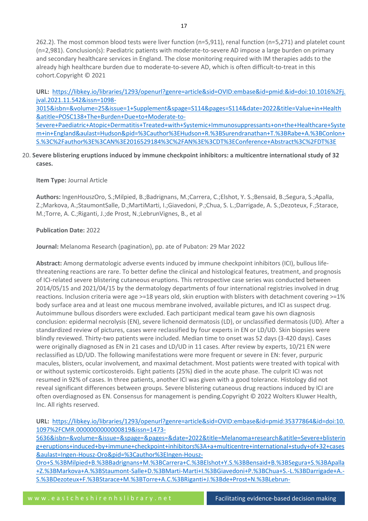262.2). The most common blood tests were liver function (n=5,911), renal function (n=5,271) and platelet count (n=2,981). Conclusion(s): Paediatric patients with moderate-to-severe AD impose a large burden on primary and secondary healthcare services in England. The close monitoring required with IM therapies adds to the already high healthcare burden due to moderate-to-severe AD, which is often difficult-to-treat in this cohort.Copyright © 2021

**URL:** [https://libkey.io/libraries/1293/openurl?genre=article&sid=OVID:embase&id=pmid:&id=doi:10.1016%2Fj.](https://libkey.io/libraries/1293/openurl?genre=article&sid=OVID:embase&id=pmid:&id=doi:10.1016%2Fj.jval.2021.11.542&issn=1098-3015&isbn=&volume=25&issue=1+Supplement&spage=S114&pages=S114&date=2022&title=Value+in+Health&atitle=POSC138+The+Burden+Due+to+Moderate-to-Severe+Paediatric+Atopic+Dermatitis+Treated+with+Systemic+Immunosuppressants+on+the+Healthcare+System+in+England&aulast=Hudson&pid=%3Cauthor%3EHudson+R.%3BSurendranathan+T.%3BRabe+A.%3BConlon+S.%3C%2Fauthor%3E%3CAN%3E2016529184%3C%2FAN%3E%3CDT%3EConference+Abstract%3C%2FDT%3E) [jval.2021.11.542&issn=1098-](https://libkey.io/libraries/1293/openurl?genre=article&sid=OVID:embase&id=pmid:&id=doi:10.1016%2Fj.jval.2021.11.542&issn=1098-3015&isbn=&volume=25&issue=1+Supplement&spage=S114&pages=S114&date=2022&title=Value+in+Health&atitle=POSC138+The+Burden+Due+to+Moderate-to-Severe+Paediatric+Atopic+Dermatitis+Treated+with+Systemic+Immunosuppressants+on+the+Healthcare+System+in+England&aulast=Hudson&pid=%3Cauthor%3EHudson+R.%3BSurendranathan+T.%3BRabe+A.%3BConlon+S.%3C%2Fauthor%3E%3CAN%3E2016529184%3C%2FAN%3E%3CDT%3EConference+Abstract%3C%2FDT%3E)

[3015&isbn=&volume=25&issue=1+Supplement&spage=S114&pages=S114&date=2022&title=Value+in+Health](https://libkey.io/libraries/1293/openurl?genre=article&sid=OVID:embase&id=pmid:&id=doi:10.1016%2Fj.jval.2021.11.542&issn=1098-3015&isbn=&volume=25&issue=1+Supplement&spage=S114&pages=S114&date=2022&title=Value+in+Health&atitle=POSC138+The+Burden+Due+to+Moderate-to-Severe+Paediatric+Atopic+Dermatitis+Treated+with+Systemic+Immunosuppressants+on+the+Healthcare+System+in+England&aulast=Hudson&pid=%3Cauthor%3EHudson+R.%3BSurendranathan+T.%3BRabe+A.%3BConlon+S.%3C%2Fauthor%3E%3CAN%3E2016529184%3C%2FAN%3E%3CDT%3EConference+Abstract%3C%2FDT%3E) [&atitle=POSC138+The+Burden+Due+to+Moderate-to-](https://libkey.io/libraries/1293/openurl?genre=article&sid=OVID:embase&id=pmid:&id=doi:10.1016%2Fj.jval.2021.11.542&issn=1098-3015&isbn=&volume=25&issue=1+Supplement&spage=S114&pages=S114&date=2022&title=Value+in+Health&atitle=POSC138+The+Burden+Due+to+Moderate-to-Severe+Paediatric+Atopic+Dermatitis+Treated+with+Systemic+Immunosuppressants+on+the+Healthcare+System+in+England&aulast=Hudson&pid=%3Cauthor%3EHudson+R.%3BSurendranathan+T.%3BRabe+A.%3BConlon+S.%3C%2Fauthor%3E%3CAN%3E2016529184%3C%2FAN%3E%3CDT%3EConference+Abstract%3C%2FDT%3E)

[Severe+Paediatric+Atopic+Dermatitis+Treated+with+Systemic+Immunosuppressants+on+the+Healthcare+Syste](https://libkey.io/libraries/1293/openurl?genre=article&sid=OVID:embase&id=pmid:&id=doi:10.1016%2Fj.jval.2021.11.542&issn=1098-3015&isbn=&volume=25&issue=1+Supplement&spage=S114&pages=S114&date=2022&title=Value+in+Health&atitle=POSC138+The+Burden+Due+to+Moderate-to-Severe+Paediatric+Atopic+Dermatitis+Treated+with+Systemic+Immunosuppressants+on+the+Healthcare+System+in+England&aulast=Hudson&pid=%3Cauthor%3EHudson+R.%3BSurendranathan+T.%3BRabe+A.%3BConlon+S.%3C%2Fauthor%3E%3CAN%3E2016529184%3C%2FAN%3E%3CDT%3EConference+Abstract%3C%2FDT%3E) [m+in+England&aulast=Hudson&pid=%3Cauthor%3EHudson+R.%3BSurendranathan+T.%3BRabe+A.%3BConlon+](https://libkey.io/libraries/1293/openurl?genre=article&sid=OVID:embase&id=pmid:&id=doi:10.1016%2Fj.jval.2021.11.542&issn=1098-3015&isbn=&volume=25&issue=1+Supplement&spage=S114&pages=S114&date=2022&title=Value+in+Health&atitle=POSC138+The+Burden+Due+to+Moderate-to-Severe+Paediatric+Atopic+Dermatitis+Treated+with+Systemic+Immunosuppressants+on+the+Healthcare+System+in+England&aulast=Hudson&pid=%3Cauthor%3EHudson+R.%3BSurendranathan+T.%3BRabe+A.%3BConlon+S.%3C%2Fauthor%3E%3CAN%3E2016529184%3C%2FAN%3E%3CDT%3EConference+Abstract%3C%2FDT%3E) [S.%3C%2Fauthor%3E%3CAN%3E2016529184%3C%2FAN%3E%3CDT%3EConference+Abstract%3C%2FDT%3E](https://libkey.io/libraries/1293/openurl?genre=article&sid=OVID:embase&id=pmid:&id=doi:10.1016%2Fj.jval.2021.11.542&issn=1098-3015&isbn=&volume=25&issue=1+Supplement&spage=S114&pages=S114&date=2022&title=Value+in+Health&atitle=POSC138+The+Burden+Due+to+Moderate-to-Severe+Paediatric+Atopic+Dermatitis+Treated+with+Systemic+Immunosuppressants+on+the+Healthcare+System+in+England&aulast=Hudson&pid=%3Cauthor%3EHudson+R.%3BSurendranathan+T.%3BRabe+A.%3BConlon+S.%3C%2Fauthor%3E%3CAN%3E2016529184%3C%2FAN%3E%3CDT%3EConference+Abstract%3C%2FDT%3E)

20. **Severe blistering eruptions induced by immune checkpoint inhibitors: a multicentre international study of 32 cases.**

**Item Type:** Journal Article

**Authors:** IngenHouszOro, S.;Milpied, B.;Badrignans, M.;Carrera, C.;Elshot, Y. S.;Bensaid, B.;Segura, S.;Apalla, Z.;Markova, A.;StaumontSalle, D.;MartiMarti, I.;Giavedoni, P.;Chua, S. L.;Darrigade, A. S.;Dezoteux, F.;Starace, M.;Torre, A. C.;Riganti, J.;de Prost, N.;LebrunVignes, B., et al

#### **Publication Date:** 2022

**Journal:** Melanoma Research (pagination), pp. ate of Pubaton: 29 Mar 2022

**Abstract:** Among dermatologic adverse events induced by immune checkpoint inhibitors (ICI), bullous lifethreatening reactions are rare. To better define the clinical and histological features, treatment, and prognosis of ICI-related severe blistering cutaneous eruptions. This retrospective case series was conducted between 2014/05/15 and 2021/04/15 by the dermatology departments of four international registries involved in drug reactions. Inclusion criteria were age >=18 years old, skin eruption with blisters with detachment covering >=1% body surface area and at least one mucous membrane involved, available pictures, and ICI as suspect drug. Autoimmune bullous disorders were excluded. Each participant medical team gave his own diagnosis conclusion: epidermal necrolysis (EN), severe lichenoid dermatosis (LD), or unclassified dermatosis (UD). After a standardized review of pictures, cases were reclassified by four experts in EN or LD/UD. Skin biopsies were blindly reviewed. Thirty-two patients were included. Median time to onset was 52 days (3-420 days). Cases were originally diagnosed as EN in 21 cases and LD/UD in 11 cases. After review by experts, 10/21 EN were reclassified as LD/UD. The following manifestations were more frequent or severe in EN: fever, purpuric macules, blisters, ocular involvement, and maximal detachment. Most patients were treated with topical with or without systemic corticosteroids. Eight patients (25%) died in the acute phase. The culprit ICI was not resumed in 92% of cases. In three patients, another ICI was given with a good tolerance. Histology did not reveal significant differences between groups. Severe blistering cutaneous drug reactions induced by ICI are often overdiagnosed as EN. Consensus for management is pending.Copyright © 2022 Wolters Kluwer Health, Inc. All rights reserved.

**URL:** [https://libkey.io/libraries/1293/openurl?genre=article&sid=OVID:embase&id=pmid:35377864&id=doi:10.](https://libkey.io/libraries/1293/openurl?genre=article&sid=OVID:embase&id=pmid:35377864&id=doi:10.1097%2FCMR.0000000000000819&issn=1473-5636&isbn=&volume=&issue=&spage=&pages=&date=2022&title=Melanoma+research&atitle=Severe+blistering+eruptions+induced+by+immune+checkpoint+inhibitors%3A+a+multicentre+international+study+of+32+cases&aulast=Ingen-Housz-Oro&pid=%3Cauthor%3EIngen-Housz-Oro+S.%3BMilpied+B.%3BBadrignans+M.%3BCarrera+C.%3BElshot+Y.S.%3BBensaid+B.%3BSegura+S.%3BApalla+Z.%3BMarkova+A.%3BStaumont-Salle+D.%3BMarti-Marti+I.%3BGiavedoni+P.%3BChua+S.-L.%3BDarrigade+A.-S.%3BDezoteux+F.%3BStarace+M.%3BTorre+A.C.%3BRiganti+J.%3Bde+Prost+N.%3BLebrun-Vignes+B.%3BBauvin+O.%3BWalsh+S.%3BOrtonne+N.%3BFrench+L.E.%3BSibaud+V.%3C%2Fauthor%3E%3CAN%3E637683836%3C%2FAN%3E%3CDT%3EArticle%3C%2FDT%3E) [1097%2FCMR.0000000000000819&issn=1473-](https://libkey.io/libraries/1293/openurl?genre=article&sid=OVID:embase&id=pmid:35377864&id=doi:10.1097%2FCMR.0000000000000819&issn=1473-5636&isbn=&volume=&issue=&spage=&pages=&date=2022&title=Melanoma+research&atitle=Severe+blistering+eruptions+induced+by+immune+checkpoint+inhibitors%3A+a+multicentre+international+study+of+32+cases&aulast=Ingen-Housz-Oro&pid=%3Cauthor%3EIngen-Housz-Oro+S.%3BMilpied+B.%3BBadrignans+M.%3BCarrera+C.%3BElshot+Y.S.%3BBensaid+B.%3BSegura+S.%3BApalla+Z.%3BMarkova+A.%3BStaumont-Salle+D.%3BMarti-Marti+I.%3BGiavedoni+P.%3BChua+S.-L.%3BDarrigade+A.-S.%3BDezoteux+F.%3BStarace+M.%3BTorre+A.C.%3BRiganti+J.%3Bde+Prost+N.%3BLebrun-Vignes+B.%3BBauvin+O.%3BWalsh+S.%3BOrtonne+N.%3BFrench+L.E.%3BSibaud+V.%3C%2Fauthor%3E%3CAN%3E637683836%3C%2FAN%3E%3CDT%3EArticle%3C%2FDT%3E)

[5636&isbn=&volume=&issue=&spage=&pages=&date=2022&title=Melanoma+research&atitle=Severe+blisterin](https://libkey.io/libraries/1293/openurl?genre=article&sid=OVID:embase&id=pmid:35377864&id=doi:10.1097%2FCMR.0000000000000819&issn=1473-5636&isbn=&volume=&issue=&spage=&pages=&date=2022&title=Melanoma+research&atitle=Severe+blistering+eruptions+induced+by+immune+checkpoint+inhibitors%3A+a+multicentre+international+study+of+32+cases&aulast=Ingen-Housz-Oro&pid=%3Cauthor%3EIngen-Housz-Oro+S.%3BMilpied+B.%3BBadrignans+M.%3BCarrera+C.%3BElshot+Y.S.%3BBensaid+B.%3BSegura+S.%3BApalla+Z.%3BMarkova+A.%3BStaumont-Salle+D.%3BMarti-Marti+I.%3BGiavedoni+P.%3BChua+S.-L.%3BDarrigade+A.-S.%3BDezoteux+F.%3BStarace+M.%3BTorre+A.C.%3BRiganti+J.%3Bde+Prost+N.%3BLebrun-Vignes+B.%3BBauvin+O.%3BWalsh+S.%3BOrtonne+N.%3BFrench+L.E.%3BSibaud+V.%3C%2Fauthor%3E%3CAN%3E637683836%3C%2FAN%3E%3CDT%3EArticle%3C%2FDT%3E) [g+eruptions+induced+by+immune+checkpoint+inhibitors%3A+a+multicentre+international+study+of+32+cases](https://libkey.io/libraries/1293/openurl?genre=article&sid=OVID:embase&id=pmid:35377864&id=doi:10.1097%2FCMR.0000000000000819&issn=1473-5636&isbn=&volume=&issue=&spage=&pages=&date=2022&title=Melanoma+research&atitle=Severe+blistering+eruptions+induced+by+immune+checkpoint+inhibitors%3A+a+multicentre+international+study+of+32+cases&aulast=Ingen-Housz-Oro&pid=%3Cauthor%3EIngen-Housz-Oro+S.%3BMilpied+B.%3BBadrignans+M.%3BCarrera+C.%3BElshot+Y.S.%3BBensaid+B.%3BSegura+S.%3BApalla+Z.%3BMarkova+A.%3BStaumont-Salle+D.%3BMarti-Marti+I.%3BGiavedoni+P.%3BChua+S.-L.%3BDarrigade+A.-S.%3BDezoteux+F.%3BStarace+M.%3BTorre+A.C.%3BRiganti+J.%3Bde+Prost+N.%3BLebrun-Vignes+B.%3BBauvin+O.%3BWalsh+S.%3BOrtonne+N.%3BFrench+L.E.%3BSibaud+V.%3C%2Fauthor%3E%3CAN%3E637683836%3C%2FAN%3E%3CDT%3EArticle%3C%2FDT%3E) [&aulast=Ingen-Housz-Oro&pid=%3Cauthor%3EIngen-Housz-](https://libkey.io/libraries/1293/openurl?genre=article&sid=OVID:embase&id=pmid:35377864&id=doi:10.1097%2FCMR.0000000000000819&issn=1473-5636&isbn=&volume=&issue=&spage=&pages=&date=2022&title=Melanoma+research&atitle=Severe+blistering+eruptions+induced+by+immune+checkpoint+inhibitors%3A+a+multicentre+international+study+of+32+cases&aulast=Ingen-Housz-Oro&pid=%3Cauthor%3EIngen-Housz-Oro+S.%3BMilpied+B.%3BBadrignans+M.%3BCarrera+C.%3BElshot+Y.S.%3BBensaid+B.%3BSegura+S.%3BApalla+Z.%3BMarkova+A.%3BStaumont-Salle+D.%3BMarti-Marti+I.%3BGiavedoni+P.%3BChua+S.-L.%3BDarrigade+A.-S.%3BDezoteux+F.%3BStarace+M.%3BTorre+A.C.%3BRiganti+J.%3Bde+Prost+N.%3BLebrun-Vignes+B.%3BBauvin+O.%3BWalsh+S.%3BOrtonne+N.%3BFrench+L.E.%3BSibaud+V.%3C%2Fauthor%3E%3CAN%3E637683836%3C%2FAN%3E%3CDT%3EArticle%3C%2FDT%3E)

[Oro+S.%3BMilpied+B.%3BBadrignans+M.%3BCarrera+C.%3BElshot+Y.S.%3BBensaid+B.%3BSegura+S.%3BApalla](https://libkey.io/libraries/1293/openurl?genre=article&sid=OVID:embase&id=pmid:35377864&id=doi:10.1097%2FCMR.0000000000000819&issn=1473-5636&isbn=&volume=&issue=&spage=&pages=&date=2022&title=Melanoma+research&atitle=Severe+blistering+eruptions+induced+by+immune+checkpoint+inhibitors%3A+a+multicentre+international+study+of+32+cases&aulast=Ingen-Housz-Oro&pid=%3Cauthor%3EIngen-Housz-Oro+S.%3BMilpied+B.%3BBadrignans+M.%3BCarrera+C.%3BElshot+Y.S.%3BBensaid+B.%3BSegura+S.%3BApalla+Z.%3BMarkova+A.%3BStaumont-Salle+D.%3BMarti-Marti+I.%3BGiavedoni+P.%3BChua+S.-L.%3BDarrigade+A.-S.%3BDezoteux+F.%3BStarace+M.%3BTorre+A.C.%3BRiganti+J.%3Bde+Prost+N.%3BLebrun-Vignes+B.%3BBauvin+O.%3BWalsh+S.%3BOrtonne+N.%3BFrench+L.E.%3BSibaud+V.%3C%2Fauthor%3E%3CAN%3E637683836%3C%2FAN%3E%3CDT%3EArticle%3C%2FDT%3E) [+Z.%3BMarkova+A.%3BStaumont-Salle+D.%3BMarti-Marti+I.%3BGiavedoni+P.%3BChua+S.-L.%3BDarrigade+A.-](https://libkey.io/libraries/1293/openurl?genre=article&sid=OVID:embase&id=pmid:35377864&id=doi:10.1097%2FCMR.0000000000000819&issn=1473-5636&isbn=&volume=&issue=&spage=&pages=&date=2022&title=Melanoma+research&atitle=Severe+blistering+eruptions+induced+by+immune+checkpoint+inhibitors%3A+a+multicentre+international+study+of+32+cases&aulast=Ingen-Housz-Oro&pid=%3Cauthor%3EIngen-Housz-Oro+S.%3BMilpied+B.%3BBadrignans+M.%3BCarrera+C.%3BElshot+Y.S.%3BBensaid+B.%3BSegura+S.%3BApalla+Z.%3BMarkova+A.%3BStaumont-Salle+D.%3BMarti-Marti+I.%3BGiavedoni+P.%3BChua+S.-L.%3BDarrigade+A.-S.%3BDezoteux+F.%3BStarace+M.%3BTorre+A.C.%3BRiganti+J.%3Bde+Prost+N.%3BLebrun-Vignes+B.%3BBauvin+O.%3BWalsh+S.%3BOrtonne+N.%3BFrench+L.E.%3BSibaud+V.%3C%2Fauthor%3E%3CAN%3E637683836%3C%2FAN%3E%3CDT%3EArticle%3C%2FDT%3E) [S.%3BDezoteux+F.%3BStarace+M.%3BTorre+A.C.%3BRiganti+J.%3Bde+Prost+N.%3BLebrun-](https://libkey.io/libraries/1293/openurl?genre=article&sid=OVID:embase&id=pmid:35377864&id=doi:10.1097%2FCMR.0000000000000819&issn=1473-5636&isbn=&volume=&issue=&spage=&pages=&date=2022&title=Melanoma+research&atitle=Severe+blistering+eruptions+induced+by+immune+checkpoint+inhibitors%3A+a+multicentre+international+study+of+32+cases&aulast=Ingen-Housz-Oro&pid=%3Cauthor%3EIngen-Housz-Oro+S.%3BMilpied+B.%3BBadrignans+M.%3BCarrera+C.%3BElshot+Y.S.%3BBensaid+B.%3BSegura+S.%3BApalla+Z.%3BMarkova+A.%3BStaumont-Salle+D.%3BMarti-Marti+I.%3BGiavedoni+P.%3BChua+S.-L.%3BDarrigade+A.-S.%3BDezoteux+F.%3BStarace+M.%3BTorre+A.C.%3BRiganti+J.%3Bde+Prost+N.%3BLebrun-Vignes+B.%3BBauvin+O.%3BWalsh+S.%3BOrtonne+N.%3BFrench+L.E.%3BSibaud+V.%3C%2Fauthor%3E%3CAN%3E637683836%3C%2FAN%3E%3CDT%3EArticle%3C%2FDT%3E)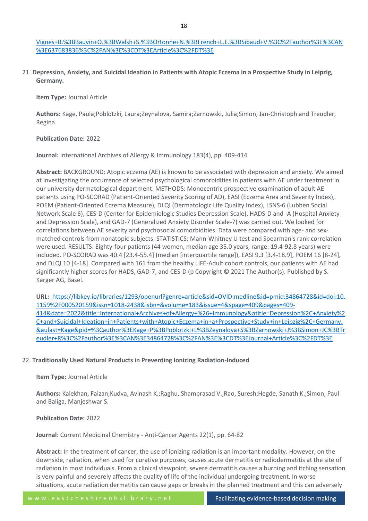# [Vignes+B.%3BBauvin+O.%3BWalsh+S.%3BOrtonne+N.%3BFrench+L.E.%3BSibaud+V.%3C%2Fauthor%3E%3CAN](https://libkey.io/libraries/1293/openurl?genre=article&sid=OVID:embase&id=pmid:35377864&id=doi:10.1097%2FCMR.0000000000000819&issn=1473-5636&isbn=&volume=&issue=&spage=&pages=&date=2022&title=Melanoma+research&atitle=Severe+blistering+eruptions+induced+by+immune+checkpoint+inhibitors%3A+a+multicentre+international+study+of+32+cases&aulast=Ingen-Housz-Oro&pid=%3Cauthor%3EIngen-Housz-Oro+S.%3BMilpied+B.%3BBadrignans+M.%3BCarrera+C.%3BElshot+Y.S.%3BBensaid+B.%3BSegura+S.%3BApalla+Z.%3BMarkova+A.%3BStaumont-Salle+D.%3BMarti-Marti+I.%3BGiavedoni+P.%3BChua+S.-L.%3BDarrigade+A.-S.%3BDezoteux+F.%3BStarace+M.%3BTorre+A.C.%3BRiganti+J.%3Bde+Prost+N.%3BLebrun-Vignes+B.%3BBauvin+O.%3BWalsh+S.%3BOrtonne+N.%3BFrench+L.E.%3BSibaud+V.%3C%2Fauthor%3E%3CAN%3E637683836%3C%2FAN%3E%3CDT%3EArticle%3C%2FDT%3E) [%3E637683836%3C%2FAN%3E%3CDT%3EArticle%3C%2FDT%3E](https://libkey.io/libraries/1293/openurl?genre=article&sid=OVID:embase&id=pmid:35377864&id=doi:10.1097%2FCMR.0000000000000819&issn=1473-5636&isbn=&volume=&issue=&spage=&pages=&date=2022&title=Melanoma+research&atitle=Severe+blistering+eruptions+induced+by+immune+checkpoint+inhibitors%3A+a+multicentre+international+study+of+32+cases&aulast=Ingen-Housz-Oro&pid=%3Cauthor%3EIngen-Housz-Oro+S.%3BMilpied+B.%3BBadrignans+M.%3BCarrera+C.%3BElshot+Y.S.%3BBensaid+B.%3BSegura+S.%3BApalla+Z.%3BMarkova+A.%3BStaumont-Salle+D.%3BMarti-Marti+I.%3BGiavedoni+P.%3BChua+S.-L.%3BDarrigade+A.-S.%3BDezoteux+F.%3BStarace+M.%3BTorre+A.C.%3BRiganti+J.%3Bde+Prost+N.%3BLebrun-Vignes+B.%3BBauvin+O.%3BWalsh+S.%3BOrtonne+N.%3BFrench+L.E.%3BSibaud+V.%3C%2Fauthor%3E%3CAN%3E637683836%3C%2FAN%3E%3CDT%3EArticle%3C%2FDT%3E)

21. **Depression, Anxiety, and Suicidal Ideation in Patients with Atopic Eczema in a Prospective Study in Leipzig, Germany.**

**Item Type:** Journal Article

**Authors:** Kage, Paula;Poblotzki, Laura;Zeynalova, Samira;Zarnowski, Julia;Simon, Jan-Christoph and Treudler, Regina

#### **Publication Date:** 2022

**Journal:** International Archives of Allergy & Immunology 183(4), pp. 409-414

**Abstract:** BACKGROUND: Atopic eczema (AE) is known to be associated with depression and anxiety. We aimed at investigating the occurrence of selected psychological comorbidities in patients with AE under treatment in our university dermatological department. METHODS: Monocentric prospective examination of adult AE patients using PO-SCORAD (Patient-Oriented Severity Scoring of AD), EASI (Eczema Area and Severity Index), POEM (Patient-Oriented Eczema Measure), DLQI (Dermatologic Life Quality Index), LSNS-6 (Lubben Social Network Scale 6), CES-D (Center for Epidemiologic Studies Depression Scale), HADS-D and -A (Hospital Anxiety and Depression Scale), and GAD-7 (Generalized Anxiety Disorder Scale-7) was carried out. We looked for correlations between AE severity and psychosocial comorbidities. Data were compared with age- and sexmatched controls from nonatopic subjects. STATISTICS: Mann-Whitney U test and Spearman's rank correlation were used. RESULTS: Eighty-four patients (44 women, median age 35.0 years, range: 19.4-92.8 years) were included. PO-SCORAD was 40.4 [23.4-55.4] (median [interquartile range]), EASI 9.3 [3.4-18.9], POEM 16 [8-24], and DLQI 10 [4-18]. Compared with 161 from the healthy LIFE-Adult cohort controls, our patients with AE had significantly higher scores for HADS, GAD-7, and CES-D (p Copyright © 2021 The Author(s). Published by S. Karger AG, Basel.

**URL:** [https://libkey.io/libraries/1293/openurl?genre=article&sid=OVID:medline&id=pmid:34864728&id=doi:10.](https://libkey.io/libraries/1293/openurl?genre=article&sid=OVID:medline&id=pmid:34864728&id=doi:10.1159%2F000520159&issn=1018-2438&isbn=&volume=183&issue=4&spage=409&pages=409-414&date=2022&title=International+Archives+of+Allergy+%26+Immunology&atitle=Depression%2C+Anxiety%2C+and+Suicidal+Ideation+in+Patients+with+Atopic+Eczema+in+a+Prospective+Study+in+Leipzig%2C+Germany.&aulast=Kage&pid=%3Cauthor%3EKage+P%3BPoblotzki+L%3BZeynalova+S%3BZarnowski+J%3BSimon+JC%3BTreudler+R%3C%2Fauthor%3E%3CAN%3E34864728%3C%2FAN%3E%3CDT%3EJournal+Article%3C%2FDT%3E) [1159%2F000520159&issn=1018-2438&isbn=&volume=183&issue=4&spage=409&pages=409-](https://libkey.io/libraries/1293/openurl?genre=article&sid=OVID:medline&id=pmid:34864728&id=doi:10.1159%2F000520159&issn=1018-2438&isbn=&volume=183&issue=4&spage=409&pages=409-414&date=2022&title=International+Archives+of+Allergy+%26+Immunology&atitle=Depression%2C+Anxiety%2C+and+Suicidal+Ideation+in+Patients+with+Atopic+Eczema+in+a+Prospective+Study+in+Leipzig%2C+Germany.&aulast=Kage&pid=%3Cauthor%3EKage+P%3BPoblotzki+L%3BZeynalova+S%3BZarnowski+J%3BSimon+JC%3BTreudler+R%3C%2Fauthor%3E%3CAN%3E34864728%3C%2FAN%3E%3CDT%3EJournal+Article%3C%2FDT%3E) [414&date=2022&title=International+Archives+of+Allergy+%26+Immunology&atitle=Depression%2C+Anxiety%2](https://libkey.io/libraries/1293/openurl?genre=article&sid=OVID:medline&id=pmid:34864728&id=doi:10.1159%2F000520159&issn=1018-2438&isbn=&volume=183&issue=4&spage=409&pages=409-414&date=2022&title=International+Archives+of+Allergy+%26+Immunology&atitle=Depression%2C+Anxiety%2C+and+Suicidal+Ideation+in+Patients+with+Atopic+Eczema+in+a+Prospective+Study+in+Leipzig%2C+Germany.&aulast=Kage&pid=%3Cauthor%3EKage+P%3BPoblotzki+L%3BZeynalova+S%3BZarnowski+J%3BSimon+JC%3BTreudler+R%3C%2Fauthor%3E%3CAN%3E34864728%3C%2FAN%3E%3CDT%3EJournal+Article%3C%2FDT%3E) [C+and+Suicidal+Ideation+in+Patients+with+Atopic+Eczema+in+a+Prospective+Study+in+Leipzig%2C+Germany.](https://libkey.io/libraries/1293/openurl?genre=article&sid=OVID:medline&id=pmid:34864728&id=doi:10.1159%2F000520159&issn=1018-2438&isbn=&volume=183&issue=4&spage=409&pages=409-414&date=2022&title=International+Archives+of+Allergy+%26+Immunology&atitle=Depression%2C+Anxiety%2C+and+Suicidal+Ideation+in+Patients+with+Atopic+Eczema+in+a+Prospective+Study+in+Leipzig%2C+Germany.&aulast=Kage&pid=%3Cauthor%3EKage+P%3BPoblotzki+L%3BZeynalova+S%3BZarnowski+J%3BSimon+JC%3BTreudler+R%3C%2Fauthor%3E%3CAN%3E34864728%3C%2FAN%3E%3CDT%3EJournal+Article%3C%2FDT%3E) [&aulast=Kage&pid=%3Cauthor%3EKage+P%3BPoblotzki+L%3BZeynalova+S%3BZarnowski+J%3BSimon+JC%3BTr](https://libkey.io/libraries/1293/openurl?genre=article&sid=OVID:medline&id=pmid:34864728&id=doi:10.1159%2F000520159&issn=1018-2438&isbn=&volume=183&issue=4&spage=409&pages=409-414&date=2022&title=International+Archives+of+Allergy+%26+Immunology&atitle=Depression%2C+Anxiety%2C+and+Suicidal+Ideation+in+Patients+with+Atopic+Eczema+in+a+Prospective+Study+in+Leipzig%2C+Germany.&aulast=Kage&pid=%3Cauthor%3EKage+P%3BPoblotzki+L%3BZeynalova+S%3BZarnowski+J%3BSimon+JC%3BTreudler+R%3C%2Fauthor%3E%3CAN%3E34864728%3C%2FAN%3E%3CDT%3EJournal+Article%3C%2FDT%3E) [eudler+R%3C%2Fauthor%3E%3CAN%3E34864728%3C%2FAN%3E%3CDT%3EJournal+Article%3C%2FDT%3E](https://libkey.io/libraries/1293/openurl?genre=article&sid=OVID:medline&id=pmid:34864728&id=doi:10.1159%2F000520159&issn=1018-2438&isbn=&volume=183&issue=4&spage=409&pages=409-414&date=2022&title=International+Archives+of+Allergy+%26+Immunology&atitle=Depression%2C+Anxiety%2C+and+Suicidal+Ideation+in+Patients+with+Atopic+Eczema+in+a+Prospective+Study+in+Leipzig%2C+Germany.&aulast=Kage&pid=%3Cauthor%3EKage+P%3BPoblotzki+L%3BZeynalova+S%3BZarnowski+J%3BSimon+JC%3BTreudler+R%3C%2Fauthor%3E%3CAN%3E34864728%3C%2FAN%3E%3CDT%3EJournal+Article%3C%2FDT%3E)

# 22. **Traditionally Used Natural Products in Preventing Ionizing Radiation-Induced**

# **Item Type:** Journal Article

**Authors:** Kalekhan, Faizan;Kudva, Avinash K.;Raghu, Shamprasad V.;Rao, Suresh;Hegde, Sanath K.;Simon, Paul and Baliga, Manjeshwar S.

# **Publication Date:** 2022

**Journal:** Current Medicinal Chemistry - Anti-Cancer Agents 22(1), pp. 64-82

**Abstract:** In the treatment of cancer, the use of ionizing radiation is an important modality. However, on the downside, radiation, when used for curative purposes, causes acute dermatitis or radiodermatitis at the site of radiation in most individuals. From a clinical viewpoint, severe dermatitis causes a burning and itching sensation is very painful and severely affects the quality of life of the individual undergoing treatment. In worse situations, acute radiation dermatitis can cause gaps or breaks in the planned treatment and this can adversely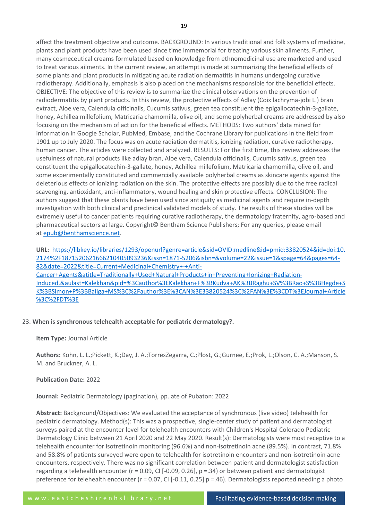affect the treatment objective and outcome. BACKGROUND: In various traditional and folk systems of medicine, plants and plant products have been used since time immemorial for treating various skin ailments. Further, many cosmeceutical creams formulated based on knowledge from ethnomedicinal use are marketed and used to treat various ailments. In the current review, an attempt is made at summarizing the beneficial effects of some plants and plant products in mitigating acute radiation dermatitis in humans undergoing curative radiotherapy. Additionally, emphasis is also placed on the mechanisms responsible for the beneficial effects. OBJECTIVE: The objective of this review is to summarize the clinical observations on the prevention of radiodermatitis by plant products. In this review, the protective effects of Adlay (Coix lachryma-jobi L.) bran extract, Aloe vera, Calendula officinalis, Cucumis sativus, green tea constituent the epigallocatechin-3-gallate, honey, Achillea millefolium, Matricaria chamomilla, olive oil, and some polyherbal creams are addressed by also focusing on the mechanism of action for the beneficial effects. METHODS: Two authors' data mined for information in Google Scholar, PubMed, Embase, and the Cochrane Library for publications in the field from 1901 up to July 2020. The focus was on acute radiation dermatitis, ionizing radiation, curative radiotherapy, human cancer. The articles were collected and analyzed. RESULTS: For the first time, this review addresses the usefulness of natural products like adlay bran, Aloe vera, Calendula officinalis, Cucumis sativus, green tea constituent the epigallocatechin-3-gallate, honey, Achillea millefolium, Matricaria chamomilla, olive oil, and some experimentally constituted and commercially available polyherbal creams as skincare agents against the deleterious effects of ionizing radiation on the skin. The protective effects are possibly due to the free radical scavenging, antioxidant, anti-inflammatory, wound healing and skin protective effects. CONCLUSION: The authors suggest that these plants have been used since antiquity as medicinal agents and require in-depth investigation with both clinical and preclinical validated models of study. The results of these studies will be extremely useful to cancer patients requiring curative radiotherapy, the dermatology fraternity, agro-based and pharmaceutical sectors at large. Copyright© Bentham Science Publishers; For any queries, please email at [epub@benthamscience.net.](http://epub@benthamscience.net/)

**URL:** [https://libkey.io/libraries/1293/openurl?genre=article&sid=OVID:medline&id=pmid:33820524&id=doi:10.](https://libkey.io/libraries/1293/openurl?genre=article&sid=OVID:medline&id=pmid:33820524&id=doi:10.2174%2F1871520621666210405093236&issn=1871-5206&isbn=&volume=22&issue=1&spage=64&pages=64-82&date=2022&title=Current+Medicinal+Chemistry+-+Anti-Cancer+Agents&atitle=Traditionally+Used+Natural+Products+in+Preventing+Ionizing+Radiation-Induced.&aulast=Kalekhan&pid=%3Cauthor%3EKalekhan+F%3BKudva+AK%3BRaghu+SV%3BRao+S%3BHegde+SK%3BSimon+P%3BBaliga+MS%3C%2Fauthor%3E%3CAN%3E33820524%3C%2FAN%3E%3CDT%3EJournal+Article%3C%2FDT%3E) [2174%2F1871520621666210405093236&issn=1871-5206&isbn=&volume=22&issue=1&spage=64&pages=64-](https://libkey.io/libraries/1293/openurl?genre=article&sid=OVID:medline&id=pmid:33820524&id=doi:10.2174%2F1871520621666210405093236&issn=1871-5206&isbn=&volume=22&issue=1&spage=64&pages=64-82&date=2022&title=Current+Medicinal+Chemistry+-+Anti-Cancer+Agents&atitle=Traditionally+Used+Natural+Products+in+Preventing+Ionizing+Radiation-Induced.&aulast=Kalekhan&pid=%3Cauthor%3EKalekhan+F%3BKudva+AK%3BRaghu+SV%3BRao+S%3BHegde+SK%3BSimon+P%3BBaliga+MS%3C%2Fauthor%3E%3CAN%3E33820524%3C%2FAN%3E%3CDT%3EJournal+Article%3C%2FDT%3E) [82&date=2022&title=Current+Medicinal+Chemistry+-+Anti-](https://libkey.io/libraries/1293/openurl?genre=article&sid=OVID:medline&id=pmid:33820524&id=doi:10.2174%2F1871520621666210405093236&issn=1871-5206&isbn=&volume=22&issue=1&spage=64&pages=64-82&date=2022&title=Current+Medicinal+Chemistry+-+Anti-Cancer+Agents&atitle=Traditionally+Used+Natural+Products+in+Preventing+Ionizing+Radiation-Induced.&aulast=Kalekhan&pid=%3Cauthor%3EKalekhan+F%3BKudva+AK%3BRaghu+SV%3BRao+S%3BHegde+SK%3BSimon+P%3BBaliga+MS%3C%2Fauthor%3E%3CAN%3E33820524%3C%2FAN%3E%3CDT%3EJournal+Article%3C%2FDT%3E)[Cancer+Agents&atitle=Traditionally+Used+Natural+Products+in+Preventing+Ionizing+Radiation-](https://libkey.io/libraries/1293/openurl?genre=article&sid=OVID:medline&id=pmid:33820524&id=doi:10.2174%2F1871520621666210405093236&issn=1871-5206&isbn=&volume=22&issue=1&spage=64&pages=64-82&date=2022&title=Current+Medicinal+Chemistry+-+Anti-Cancer+Agents&atitle=Traditionally+Used+Natural+Products+in+Preventing+Ionizing+Radiation-Induced.&aulast=Kalekhan&pid=%3Cauthor%3EKalekhan+F%3BKudva+AK%3BRaghu+SV%3BRao+S%3BHegde+SK%3BSimon+P%3BBaliga+MS%3C%2Fauthor%3E%3CAN%3E33820524%3C%2FAN%3E%3CDT%3EJournal+Article%3C%2FDT%3E)[Induced.&aulast=Kalekhan&pid=%3Cauthor%3EKalekhan+F%3BKudva+AK%3BRaghu+SV%3BRao+S%3BHegde+S](https://libkey.io/libraries/1293/openurl?genre=article&sid=OVID:medline&id=pmid:33820524&id=doi:10.2174%2F1871520621666210405093236&issn=1871-5206&isbn=&volume=22&issue=1&spage=64&pages=64-82&date=2022&title=Current+Medicinal+Chemistry+-+Anti-Cancer+Agents&atitle=Traditionally+Used+Natural+Products+in+Preventing+Ionizing+Radiation-Induced.&aulast=Kalekhan&pid=%3Cauthor%3EKalekhan+F%3BKudva+AK%3BRaghu+SV%3BRao+S%3BHegde+SK%3BSimon+P%3BBaliga+MS%3C%2Fauthor%3E%3CAN%3E33820524%3C%2FAN%3E%3CDT%3EJournal+Article%3C%2FDT%3E) [K%3BSimon+P%3BBaliga+MS%3C%2Fauthor%3E%3CAN%3E33820524%3C%2FAN%3E%3CDT%3EJournal+Article](https://libkey.io/libraries/1293/openurl?genre=article&sid=OVID:medline&id=pmid:33820524&id=doi:10.2174%2F1871520621666210405093236&issn=1871-5206&isbn=&volume=22&issue=1&spage=64&pages=64-82&date=2022&title=Current+Medicinal+Chemistry+-+Anti-Cancer+Agents&atitle=Traditionally+Used+Natural+Products+in+Preventing+Ionizing+Radiation-Induced.&aulast=Kalekhan&pid=%3Cauthor%3EKalekhan+F%3BKudva+AK%3BRaghu+SV%3BRao+S%3BHegde+SK%3BSimon+P%3BBaliga+MS%3C%2Fauthor%3E%3CAN%3E33820524%3C%2FAN%3E%3CDT%3EJournal+Article%3C%2FDT%3E) [%3C%2FDT%3E](https://libkey.io/libraries/1293/openurl?genre=article&sid=OVID:medline&id=pmid:33820524&id=doi:10.2174%2F1871520621666210405093236&issn=1871-5206&isbn=&volume=22&issue=1&spage=64&pages=64-82&date=2022&title=Current+Medicinal+Chemistry+-+Anti-Cancer+Agents&atitle=Traditionally+Used+Natural+Products+in+Preventing+Ionizing+Radiation-Induced.&aulast=Kalekhan&pid=%3Cauthor%3EKalekhan+F%3BKudva+AK%3BRaghu+SV%3BRao+S%3BHegde+SK%3BSimon+P%3BBaliga+MS%3C%2Fauthor%3E%3CAN%3E33820524%3C%2FAN%3E%3CDT%3EJournal+Article%3C%2FDT%3E)

#### 23. **When is synchronous telehealth acceptable for pediatric dermatology?.**

**Item Type:** Journal Article

**Authors:** Kohn, L. L.;Pickett, K.;Day, J. A.;TorresZegarra, C.;Plost, G.;Gurnee, E.;Prok, L.;Olson, C. A.;Manson, S. M. and Bruckner, A. L.

**Publication Date:** 2022

**Journal:** Pediatric Dermatology (pagination), pp. ate of Pubaton: 2022

**Abstract:** Background/Objectives: We evaluated the acceptance of synchronous (live video) telehealth for pediatric dermatology. Method(s): This was a prospective, single-center study of patient and dermatologist surveys paired at the encounter level for telehealth encounters with Children's Hospital Colorado Pediatric Dermatology Clinic between 21 April 2020 and 22 May 2020. Result(s): Dermatologists were most receptive to a telehealth encounter for isotretinoin monitoring (96.6%) and non-isotretinoin acne (89.5%). In contrast, 71.8% and 58.8% of patients surveyed were open to telehealth for isotretinoin encounters and non-isotretinoin acne encounters, respectively. There was no significant correlation between patient and dermatologist satisfaction regarding a telehealth encounter (r = 0.09, CI [-0.09, 0.26], p =.34) or between patient and dermatologist preference for telehealth encounter (r = 0.07, CI [-0.11, 0.25] p =.46). Dermatologists reported needing a photo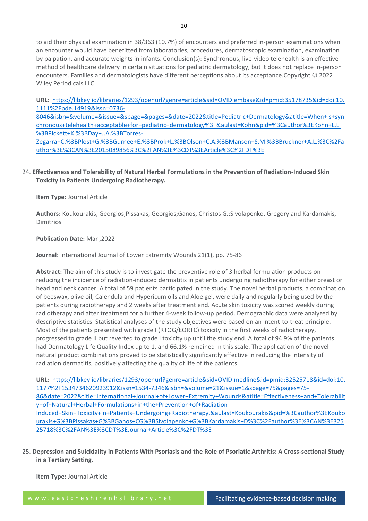to aid their physical examination in 38/363 (10.7%) of encounters and preferred in-person examinations when an encounter would have benefitted from laboratories, procedures, dermatoscopic examination, examination by palpation, and accurate weights in infants. Conclusion(s): Synchronous, live-video telehealth is an effective method of healthcare delivery in certain situations for pediatric dermatology, but it does not replace in-person encounters. Families and dermatologists have different perceptions about its acceptance.Copyright © 2022 Wiley Periodicals LLC.

**URL:** [https://libkey.io/libraries/1293/openurl?genre=article&sid=OVID:embase&id=pmid:35178735&id=doi:10.](https://libkey.io/libraries/1293/openurl?genre=article&sid=OVID:embase&id=pmid:35178735&id=doi:10.1111%2Fpde.14919&issn=0736-8046&isbn=&volume=&issue=&spage=&pages=&date=2022&title=Pediatric+Dermatology&atitle=When+is+synchronous+telehealth+acceptable+for+pediatric+dermatology%3F&aulast=Kohn&pid=%3Cauthor%3EKohn+L.L.%3BPickett+K.%3BDay+J.A.%3BTorres-Zegarra+C.%3BPlost+G.%3BGurnee+E.%3BProk+L.%3BOlson+C.A.%3BManson+S.M.%3BBruckner+A.L.%3C%2Fauthor%3E%3CAN%3E2015089856%3C%2FAN%3E%3CDT%3EArticle%3C%2FDT%3E) [1111%2Fpde.14919&issn=0736-](https://libkey.io/libraries/1293/openurl?genre=article&sid=OVID:embase&id=pmid:35178735&id=doi:10.1111%2Fpde.14919&issn=0736-8046&isbn=&volume=&issue=&spage=&pages=&date=2022&title=Pediatric+Dermatology&atitle=When+is+synchronous+telehealth+acceptable+for+pediatric+dermatology%3F&aulast=Kohn&pid=%3Cauthor%3EKohn+L.L.%3BPickett+K.%3BDay+J.A.%3BTorres-Zegarra+C.%3BPlost+G.%3BGurnee+E.%3BProk+L.%3BOlson+C.A.%3BManson+S.M.%3BBruckner+A.L.%3C%2Fauthor%3E%3CAN%3E2015089856%3C%2FAN%3E%3CDT%3EArticle%3C%2FDT%3E)

[8046&isbn=&volume=&issue=&spage=&pages=&date=2022&title=Pediatric+Dermatology&atitle=When+is+syn](https://libkey.io/libraries/1293/openurl?genre=article&sid=OVID:embase&id=pmid:35178735&id=doi:10.1111%2Fpde.14919&issn=0736-8046&isbn=&volume=&issue=&spage=&pages=&date=2022&title=Pediatric+Dermatology&atitle=When+is+synchronous+telehealth+acceptable+for+pediatric+dermatology%3F&aulast=Kohn&pid=%3Cauthor%3EKohn+L.L.%3BPickett+K.%3BDay+J.A.%3BTorres-Zegarra+C.%3BPlost+G.%3BGurnee+E.%3BProk+L.%3BOlson+C.A.%3BManson+S.M.%3BBruckner+A.L.%3C%2Fauthor%3E%3CAN%3E2015089856%3C%2FAN%3E%3CDT%3EArticle%3C%2FDT%3E) [chronous+telehealth+acceptable+for+pediatric+dermatology%3F&aulast=Kohn&pid=%3Cauthor%3EKohn+L.L.](https://libkey.io/libraries/1293/openurl?genre=article&sid=OVID:embase&id=pmid:35178735&id=doi:10.1111%2Fpde.14919&issn=0736-8046&isbn=&volume=&issue=&spage=&pages=&date=2022&title=Pediatric+Dermatology&atitle=When+is+synchronous+telehealth+acceptable+for+pediatric+dermatology%3F&aulast=Kohn&pid=%3Cauthor%3EKohn+L.L.%3BPickett+K.%3BDay+J.A.%3BTorres-Zegarra+C.%3BPlost+G.%3BGurnee+E.%3BProk+L.%3BOlson+C.A.%3BManson+S.M.%3BBruckner+A.L.%3C%2Fauthor%3E%3CAN%3E2015089856%3C%2FAN%3E%3CDT%3EArticle%3C%2FDT%3E) [%3BPickett+K.%3BDay+J.A.%3BTorres-](https://libkey.io/libraries/1293/openurl?genre=article&sid=OVID:embase&id=pmid:35178735&id=doi:10.1111%2Fpde.14919&issn=0736-8046&isbn=&volume=&issue=&spage=&pages=&date=2022&title=Pediatric+Dermatology&atitle=When+is+synchronous+telehealth+acceptable+for+pediatric+dermatology%3F&aulast=Kohn&pid=%3Cauthor%3EKohn+L.L.%3BPickett+K.%3BDay+J.A.%3BTorres-Zegarra+C.%3BPlost+G.%3BGurnee+E.%3BProk+L.%3BOlson+C.A.%3BManson+S.M.%3BBruckner+A.L.%3C%2Fauthor%3E%3CAN%3E2015089856%3C%2FAN%3E%3CDT%3EArticle%3C%2FDT%3E)

[Zegarra+C.%3BPlost+G.%3BGurnee+E.%3BProk+L.%3BOlson+C.A.%3BManson+S.M.%3BBruckner+A.L.%3C%2Fa](https://libkey.io/libraries/1293/openurl?genre=article&sid=OVID:embase&id=pmid:35178735&id=doi:10.1111%2Fpde.14919&issn=0736-8046&isbn=&volume=&issue=&spage=&pages=&date=2022&title=Pediatric+Dermatology&atitle=When+is+synchronous+telehealth+acceptable+for+pediatric+dermatology%3F&aulast=Kohn&pid=%3Cauthor%3EKohn+L.L.%3BPickett+K.%3BDay+J.A.%3BTorres-Zegarra+C.%3BPlost+G.%3BGurnee+E.%3BProk+L.%3BOlson+C.A.%3BManson+S.M.%3BBruckner+A.L.%3C%2Fauthor%3E%3CAN%3E2015089856%3C%2FAN%3E%3CDT%3EArticle%3C%2FDT%3E) [uthor%3E%3CAN%3E2015089856%3C%2FAN%3E%3CDT%3EArticle%3C%2FDT%3E](https://libkey.io/libraries/1293/openurl?genre=article&sid=OVID:embase&id=pmid:35178735&id=doi:10.1111%2Fpde.14919&issn=0736-8046&isbn=&volume=&issue=&spage=&pages=&date=2022&title=Pediatric+Dermatology&atitle=When+is+synchronous+telehealth+acceptable+for+pediatric+dermatology%3F&aulast=Kohn&pid=%3Cauthor%3EKohn+L.L.%3BPickett+K.%3BDay+J.A.%3BTorres-Zegarra+C.%3BPlost+G.%3BGurnee+E.%3BProk+L.%3BOlson+C.A.%3BManson+S.M.%3BBruckner+A.L.%3C%2Fauthor%3E%3CAN%3E2015089856%3C%2FAN%3E%3CDT%3EArticle%3C%2FDT%3E)

24. **Effectiveness and Tolerability of Natural Herbal Formulations in the Prevention of Radiation-Induced Skin Toxicity in Patients Undergoing Radiotherapy.**

# **Item Type:** Journal Article

**Authors:** Koukourakis, Georgios;Pissakas, Georgios;Ganos, Christos G.;Sivolapenko, Gregory and Kardamakis, Dimitrios

# **Publication Date:** Mar ,2022

**Journal:** International Journal of Lower Extremity Wounds 21(1), pp. 75-86

**Abstract:** The aim of this study is to investigate the preventive role of 3 herbal formulation products on reducing the incidence of radiation-induced dermatitis in patients undergoing radiotherapy for either breast or head and neck cancer. A total of 59 patients participated in the study. The novel herbal products, a combination of beeswax, olive oil, Calendula and Hypericum oils and Aloe gel, were daily and regularly being used by the patients during radiotherapy and 2 weeks after treatment end. Acute skin toxicity was scored weekly during radiotherapy and after treatment for a further 4-week follow-up period. Demographic data were analyzed by descriptive statistics. Statistical analyses of the study objectives were based on an intent-to-treat principle. Most of the patients presented with grade I (RTOG/EORTC) toxicity in the first weeks of radiotherapy, progressed to grade II but reverted to grade I toxicity up until the study end. A total of 94.9% of the patients had Dermatology Life Quality Index up to 1, and 66.1% remained in this scale. The application of the novel natural product combinations proved to be statistically significantly effective in reducing the intensity of radiation dermatitis, positively affecting the quality of life of the patients.

**URL:** [https://libkey.io/libraries/1293/openurl?genre=article&sid=OVID:medline&id=pmid:32525718&id=doi:10.](https://libkey.io/libraries/1293/openurl?genre=article&sid=OVID:medline&id=pmid:32525718&id=doi:10.1177%2F1534734620923912&issn=1534-7346&isbn=&volume=21&issue=1&spage=75&pages=75-86&date=2022&title=International+Journal+of+Lower+Extremity+Wounds&atitle=Effectiveness+and+Tolerability+of+Natural+Herbal+Formulations+in+the+Prevention+of+Radiation-Induced+Skin+Toxicity+in+Patients+Undergoing+Radiotherapy.&aulast=Koukourakis&pid=%3Cauthor%3EKoukourakis+G%3BPissakas+G%3BGanos+CG%3BSivolapenko+G%3BKardamakis+D%3C%2Fauthor%3E%3CAN%3E32525718%3C%2FAN%3E%3CDT%3EJournal+Article%3C%2FDT%3E) [1177%2F1534734620923912&issn=1534-7346&isbn=&volume=21&issue=1&spage=75&pages=75-](https://libkey.io/libraries/1293/openurl?genre=article&sid=OVID:medline&id=pmid:32525718&id=doi:10.1177%2F1534734620923912&issn=1534-7346&isbn=&volume=21&issue=1&spage=75&pages=75-86&date=2022&title=International+Journal+of+Lower+Extremity+Wounds&atitle=Effectiveness+and+Tolerability+of+Natural+Herbal+Formulations+in+the+Prevention+of+Radiation-Induced+Skin+Toxicity+in+Patients+Undergoing+Radiotherapy.&aulast=Koukourakis&pid=%3Cauthor%3EKoukourakis+G%3BPissakas+G%3BGanos+CG%3BSivolapenko+G%3BKardamakis+D%3C%2Fauthor%3E%3CAN%3E32525718%3C%2FAN%3E%3CDT%3EJournal+Article%3C%2FDT%3E) [86&date=2022&title=International+Journal+of+Lower+Extremity+Wounds&atitle=Effectiveness+and+Tolerabilit](https://libkey.io/libraries/1293/openurl?genre=article&sid=OVID:medline&id=pmid:32525718&id=doi:10.1177%2F1534734620923912&issn=1534-7346&isbn=&volume=21&issue=1&spage=75&pages=75-86&date=2022&title=International+Journal+of+Lower+Extremity+Wounds&atitle=Effectiveness+and+Tolerability+of+Natural+Herbal+Formulations+in+the+Prevention+of+Radiation-Induced+Skin+Toxicity+in+Patients+Undergoing+Radiotherapy.&aulast=Koukourakis&pid=%3Cauthor%3EKoukourakis+G%3BPissakas+G%3BGanos+CG%3BSivolapenko+G%3BKardamakis+D%3C%2Fauthor%3E%3CAN%3E32525718%3C%2FAN%3E%3CDT%3EJournal+Article%3C%2FDT%3E) [y+of+Natural+Herbal+Formulations+in+the+Prevention+of+Radiation-](https://libkey.io/libraries/1293/openurl?genre=article&sid=OVID:medline&id=pmid:32525718&id=doi:10.1177%2F1534734620923912&issn=1534-7346&isbn=&volume=21&issue=1&spage=75&pages=75-86&date=2022&title=International+Journal+of+Lower+Extremity+Wounds&atitle=Effectiveness+and+Tolerability+of+Natural+Herbal+Formulations+in+the+Prevention+of+Radiation-Induced+Skin+Toxicity+in+Patients+Undergoing+Radiotherapy.&aulast=Koukourakis&pid=%3Cauthor%3EKoukourakis+G%3BPissakas+G%3BGanos+CG%3BSivolapenko+G%3BKardamakis+D%3C%2Fauthor%3E%3CAN%3E32525718%3C%2FAN%3E%3CDT%3EJournal+Article%3C%2FDT%3E)

[Induced+Skin+Toxicity+in+Patients+Undergoing+Radiotherapy.&aulast=Koukourakis&pid=%3Cauthor%3EKouko](https://libkey.io/libraries/1293/openurl?genre=article&sid=OVID:medline&id=pmid:32525718&id=doi:10.1177%2F1534734620923912&issn=1534-7346&isbn=&volume=21&issue=1&spage=75&pages=75-86&date=2022&title=International+Journal+of+Lower+Extremity+Wounds&atitle=Effectiveness+and+Tolerability+of+Natural+Herbal+Formulations+in+the+Prevention+of+Radiation-Induced+Skin+Toxicity+in+Patients+Undergoing+Radiotherapy.&aulast=Koukourakis&pid=%3Cauthor%3EKoukourakis+G%3BPissakas+G%3BGanos+CG%3BSivolapenko+G%3BKardamakis+D%3C%2Fauthor%3E%3CAN%3E32525718%3C%2FAN%3E%3CDT%3EJournal+Article%3C%2FDT%3E) [urakis+G%3BPissakas+G%3BGanos+CG%3BSivolapenko+G%3BKardamakis+D%3C%2Fauthor%3E%3CAN%3E325](https://libkey.io/libraries/1293/openurl?genre=article&sid=OVID:medline&id=pmid:32525718&id=doi:10.1177%2F1534734620923912&issn=1534-7346&isbn=&volume=21&issue=1&spage=75&pages=75-86&date=2022&title=International+Journal+of+Lower+Extremity+Wounds&atitle=Effectiveness+and+Tolerability+of+Natural+Herbal+Formulations+in+the+Prevention+of+Radiation-Induced+Skin+Toxicity+in+Patients+Undergoing+Radiotherapy.&aulast=Koukourakis&pid=%3Cauthor%3EKoukourakis+G%3BPissakas+G%3BGanos+CG%3BSivolapenko+G%3BKardamakis+D%3C%2Fauthor%3E%3CAN%3E32525718%3C%2FAN%3E%3CDT%3EJournal+Article%3C%2FDT%3E) [25718%3C%2FAN%3E%3CDT%3EJournal+Article%3C%2FDT%3E](https://libkey.io/libraries/1293/openurl?genre=article&sid=OVID:medline&id=pmid:32525718&id=doi:10.1177%2F1534734620923912&issn=1534-7346&isbn=&volume=21&issue=1&spage=75&pages=75-86&date=2022&title=International+Journal+of+Lower+Extremity+Wounds&atitle=Effectiveness+and+Tolerability+of+Natural+Herbal+Formulations+in+the+Prevention+of+Radiation-Induced+Skin+Toxicity+in+Patients+Undergoing+Radiotherapy.&aulast=Koukourakis&pid=%3Cauthor%3EKoukourakis+G%3BPissakas+G%3BGanos+CG%3BSivolapenko+G%3BKardamakis+D%3C%2Fauthor%3E%3CAN%3E32525718%3C%2FAN%3E%3CDT%3EJournal+Article%3C%2FDT%3E)

25. **Depression and Suicidality in Patients With Psoriasis and the Role of Psoriatic Arthritis: A Cross-sectional Study in a Tertiary Setting.**

**Item Type:** Journal Article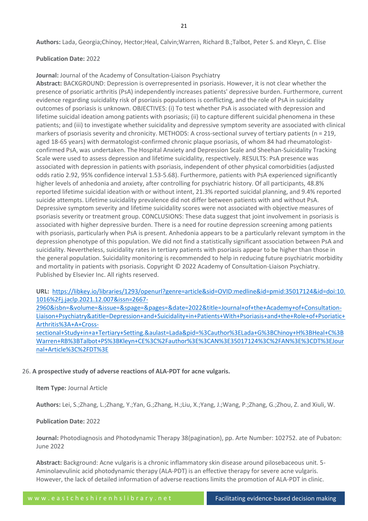**Authors:** Lada, Georgia;Chinoy, Hector;Heal, Calvin;Warren, Richard B.;Talbot, Peter S. and Kleyn, C. Elise

#### **Publication Date:** 2022

**Journal:** Journal of the Academy of Consultation-Liaison Psychiatry

**Abstract:** BACKGROUND: Depression is overrepresented in psoriasis. However, it is not clear whether the presence of psoriatic arthritis (PsA) independently increases patients' depressive burden. Furthermore, current evidence regarding suicidality risk of psoriasis populations is conflicting, and the role of PsA in suicidality outcomes of psoriasis is unknown. OBJECTIVES: (i) To test whether PsA is associated with depression and lifetime suicidal ideation among patients with psoriasis; (ii) to capture different suicidal phenomena in these patients; and (iii) to investigate whether suicidality and depressive symptom severity are associated with clinical markers of psoriasis severity and chronicity. METHODS: A cross-sectional survey of tertiary patients (n = 219, aged 18-65 years) with dermatologist-confirmed chronic plaque psoriasis, of whom 84 had rheumatologistconfirmed PsA, was undertaken. The Hospital Anxiety and Depression Scale and Sheehan-Suicidality Tracking Scale were used to assess depression and lifetime suicidality, respectively. RESULTS: PsA presence was associated with depression in patients with psoriasis, independent of other physical comorbidities (adjusted odds ratio 2.92, 95% confidence interval 1.53-5.68). Furthermore, patients with PsA experienced significantly higher levels of anhedonia and anxiety, after controlling for psychiatric history. Of all participants, 48.8% reported lifetime suicidal ideation with or without intent, 21.3% reported suicidal planning, and 9.4% reported suicide attempts. Lifetime suicidality prevalence did not differ between patients with and without PsA. Depressive symptom severity and lifetime suicidality scores were not associated with objective measures of psoriasis severity or treatment group. CONCLUSIONS: These data suggest that joint involvement in psoriasis is associated with higher depressive burden. There is a need for routine depression screening among patients with psoriasis, particularly when PsA is present. Anhedonia appears to be a particularly relevant symptom in the depression phenotype of this population. We did not find a statistically significant association between PsA and suicidality. Nevertheless, suicidality rates in tertiary patients with psoriasis appear to be higher than those in the general population. Suicidality monitoring is recommended to help in reducing future psychiatric morbidity and mortality in patients with psoriasis. Copyright © 2022 Academy of Consultation-Liaison Psychiatry. Published by Elsevier Inc. All rights reserved.

**URL:** [https://libkey.io/libraries/1293/openurl?genre=article&sid=OVID:medline&id=pmid:35017124&id=doi:10.](https://libkey.io/libraries/1293/openurl?genre=article&sid=OVID:medline&id=pmid:35017124&id=doi:10.1016%2Fj.jaclp.2021.12.007&issn=2667-2960&isbn=&volume=&issue=&spage=&pages=&date=2022&title=Journal+of+the+Academy+of+Consultation-Liaison+Psychiatry&atitle=Depression+and+Suicidality+in+Patients+With+Psoriasis+and+the+Role+of+Psoriatic+Arthritis%3A+A+Cross-sectional+Study+in+a+Tertiary+Setting.&aulast=Lada&pid=%3Cauthor%3ELada+G%3BChinoy+H%3BHeal+C%3BWarren+RB%3BTalbot+PS%3BKleyn+CE%3C%2Fauthor%3E%3CAN%3E35017124%3C%2FAN%3E%3CDT%3EJournal+Article%3C%2FDT%3E) [1016%2Fj.jaclp.2021.12.007&issn=2667-](https://libkey.io/libraries/1293/openurl?genre=article&sid=OVID:medline&id=pmid:35017124&id=doi:10.1016%2Fj.jaclp.2021.12.007&issn=2667-2960&isbn=&volume=&issue=&spage=&pages=&date=2022&title=Journal+of+the+Academy+of+Consultation-Liaison+Psychiatry&atitle=Depression+and+Suicidality+in+Patients+With+Psoriasis+and+the+Role+of+Psoriatic+Arthritis%3A+A+Cross-sectional+Study+in+a+Tertiary+Setting.&aulast=Lada&pid=%3Cauthor%3ELada+G%3BChinoy+H%3BHeal+C%3BWarren+RB%3BTalbot+PS%3BKleyn+CE%3C%2Fauthor%3E%3CAN%3E35017124%3C%2FAN%3E%3CDT%3EJournal+Article%3C%2FDT%3E)

[2960&isbn=&volume=&issue=&spage=&pages=&date=2022&title=Journal+of+the+Academy+of+Consultation-](https://libkey.io/libraries/1293/openurl?genre=article&sid=OVID:medline&id=pmid:35017124&id=doi:10.1016%2Fj.jaclp.2021.12.007&issn=2667-2960&isbn=&volume=&issue=&spage=&pages=&date=2022&title=Journal+of+the+Academy+of+Consultation-Liaison+Psychiatry&atitle=Depression+and+Suicidality+in+Patients+With+Psoriasis+and+the+Role+of+Psoriatic+Arthritis%3A+A+Cross-sectional+Study+in+a+Tertiary+Setting.&aulast=Lada&pid=%3Cauthor%3ELada+G%3BChinoy+H%3BHeal+C%3BWarren+RB%3BTalbot+PS%3BKleyn+CE%3C%2Fauthor%3E%3CAN%3E35017124%3C%2FAN%3E%3CDT%3EJournal+Article%3C%2FDT%3E)[Liaison+Psychiatry&atitle=Depression+and+Suicidality+in+Patients+With+Psoriasis+and+the+Role+of+Psoriatic+](https://libkey.io/libraries/1293/openurl?genre=article&sid=OVID:medline&id=pmid:35017124&id=doi:10.1016%2Fj.jaclp.2021.12.007&issn=2667-2960&isbn=&volume=&issue=&spage=&pages=&date=2022&title=Journal+of+the+Academy+of+Consultation-Liaison+Psychiatry&atitle=Depression+and+Suicidality+in+Patients+With+Psoriasis+and+the+Role+of+Psoriatic+Arthritis%3A+A+Cross-sectional+Study+in+a+Tertiary+Setting.&aulast=Lada&pid=%3Cauthor%3ELada+G%3BChinoy+H%3BHeal+C%3BWarren+RB%3BTalbot+PS%3BKleyn+CE%3C%2Fauthor%3E%3CAN%3E35017124%3C%2FAN%3E%3CDT%3EJournal+Article%3C%2FDT%3E) [Arthritis%3A+A+Cross-](https://libkey.io/libraries/1293/openurl?genre=article&sid=OVID:medline&id=pmid:35017124&id=doi:10.1016%2Fj.jaclp.2021.12.007&issn=2667-2960&isbn=&volume=&issue=&spage=&pages=&date=2022&title=Journal+of+the+Academy+of+Consultation-Liaison+Psychiatry&atitle=Depression+and+Suicidality+in+Patients+With+Psoriasis+and+the+Role+of+Psoriatic+Arthritis%3A+A+Cross-sectional+Study+in+a+Tertiary+Setting.&aulast=Lada&pid=%3Cauthor%3ELada+G%3BChinoy+H%3BHeal+C%3BWarren+RB%3BTalbot+PS%3BKleyn+CE%3C%2Fauthor%3E%3CAN%3E35017124%3C%2FAN%3E%3CDT%3EJournal+Article%3C%2FDT%3E)

[sectional+Study+in+a+Tertiary+Setting.&aulast=Lada&pid=%3Cauthor%3ELada+G%3BChinoy+H%3BHeal+C%3B](https://libkey.io/libraries/1293/openurl?genre=article&sid=OVID:medline&id=pmid:35017124&id=doi:10.1016%2Fj.jaclp.2021.12.007&issn=2667-2960&isbn=&volume=&issue=&spage=&pages=&date=2022&title=Journal+of+the+Academy+of+Consultation-Liaison+Psychiatry&atitle=Depression+and+Suicidality+in+Patients+With+Psoriasis+and+the+Role+of+Psoriatic+Arthritis%3A+A+Cross-sectional+Study+in+a+Tertiary+Setting.&aulast=Lada&pid=%3Cauthor%3ELada+G%3BChinoy+H%3BHeal+C%3BWarren+RB%3BTalbot+PS%3BKleyn+CE%3C%2Fauthor%3E%3CAN%3E35017124%3C%2FAN%3E%3CDT%3EJournal+Article%3C%2FDT%3E) [Warren+RB%3BTalbot+PS%3BKleyn+CE%3C%2Fauthor%3E%3CAN%3E35017124%3C%2FAN%3E%3CDT%3EJour](https://libkey.io/libraries/1293/openurl?genre=article&sid=OVID:medline&id=pmid:35017124&id=doi:10.1016%2Fj.jaclp.2021.12.007&issn=2667-2960&isbn=&volume=&issue=&spage=&pages=&date=2022&title=Journal+of+the+Academy+of+Consultation-Liaison+Psychiatry&atitle=Depression+and+Suicidality+in+Patients+With+Psoriasis+and+the+Role+of+Psoriatic+Arthritis%3A+A+Cross-sectional+Study+in+a+Tertiary+Setting.&aulast=Lada&pid=%3Cauthor%3ELada+G%3BChinoy+H%3BHeal+C%3BWarren+RB%3BTalbot+PS%3BKleyn+CE%3C%2Fauthor%3E%3CAN%3E35017124%3C%2FAN%3E%3CDT%3EJournal+Article%3C%2FDT%3E) [nal+Article%3C%2FDT%3E](https://libkey.io/libraries/1293/openurl?genre=article&sid=OVID:medline&id=pmid:35017124&id=doi:10.1016%2Fj.jaclp.2021.12.007&issn=2667-2960&isbn=&volume=&issue=&spage=&pages=&date=2022&title=Journal+of+the+Academy+of+Consultation-Liaison+Psychiatry&atitle=Depression+and+Suicidality+in+Patients+With+Psoriasis+and+the+Role+of+Psoriatic+Arthritis%3A+A+Cross-sectional+Study+in+a+Tertiary+Setting.&aulast=Lada&pid=%3Cauthor%3ELada+G%3BChinoy+H%3BHeal+C%3BWarren+RB%3BTalbot+PS%3BKleyn+CE%3C%2Fauthor%3E%3CAN%3E35017124%3C%2FAN%3E%3CDT%3EJournal+Article%3C%2FDT%3E)

#### 26. **A prospective study of adverse reactions of ALA-PDT for acne vulgaris.**

#### **Item Type:** Journal Article

**Authors:** Lei, S.;Zhang, L.;Zhang, Y.;Yan, G.;Zhang, H.;Liu, X.;Yang, J.;Wang, P.;Zhang, G.;Zhou, Z. and Xiuli, W.

#### **Publication Date:** 2022

**Journal:** Photodiagnosis and Photodynamic Therapy 38(pagination), pp. Arte Number: 102752. ate of Pubaton: June 2022

**Abstract:** Background: Acne vulgaris is a chronic inflammatory skin disease around pilosebaceous unit. 5- Aminolaevulinic acid photodynamic therapy (ALA-PDT) is an effective therapy for severe acne vulgaris. However, the lack of detailed information of adverse reactions limits the promotion of ALA-PDT in clinic.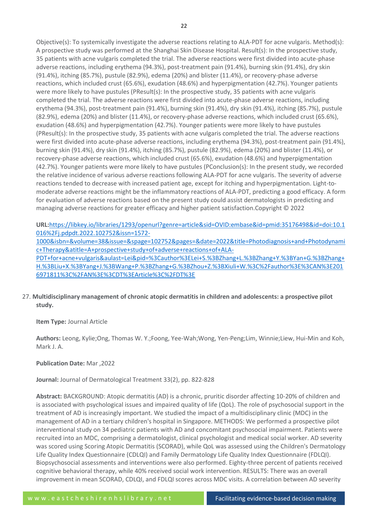Objective(s): To systemically investigate the adverse reactions relating to ALA-PDT for acne vulgaris. Method(s): A prospective study was performed at the Shanghai Skin Disease Hospital. Result(s): In the prospective study, 35 patients with acne vulgaris completed the trial. The adverse reactions were first divided into acute-phase adverse reactions, including erythema (94.3%), post-treatment pain (91.4%), burning skin (91.4%), dry skin (91.4%), itching (85.7%), pustule (82.9%), edema (20%) and blister (11.4%), or recovery-phase adverse reactions, which included crust (65.6%), exudation (48.6%) and hyperpigmentation (42.7%). Younger patients were more likely to have pustules (PResult(s): In the prospective study, 35 patients with acne vulgaris completed the trial. The adverse reactions were first divided into acute-phase adverse reactions, including erythema (94.3%), post-treatment pain (91.4%), burning skin (91.4%), dry skin (91.4%), itching (85.7%), pustule (82.9%), edema (20%) and blister (11.4%), or recovery-phase adverse reactions, which included crust (65.6%), exudation (48.6%) and hyperpigmentation (42.7%). Younger patients were more likely to have pustules (PResult(s): In the prospective study, 35 patients with acne vulgaris completed the trial. The adverse reactions were first divided into acute-phase adverse reactions, including erythema (94.3%), post-treatment pain (91.4%), burning skin (91.4%), dry skin (91.4%), itching (85.7%), pustule (82.9%), edema (20%) and blister (11.4%), or recovery-phase adverse reactions, which included crust (65.6%), exudation (48.6%) and hyperpigmentation (42.7%). Younger patients were more likely to have pustules (PConclusion(s): In the present study, we recorded the relative incidence of various adverse reactions following ALA-PDT for acne vulgaris. The severity of adverse reactions tended to decrease with increased patient age, except for itching and hyperpigmentation. Light-tomoderate adverse reactions might be the inflammatory reactions of ALA-PDT, predicting a good efficacy. A form for evaluation of adverse reactions based on the present study could assist dermatologists in predicting and managing adverse reactions for greater efficacy and higher patient satisfaction.Copyright © 2022

**URL:**[https://libkey.io/libraries/1293/openurl?genre=article&sid=OVID:embase&id=pmid:35176498&id=doi:10.1](https://libkey.io/libraries/1293/openurl?genre=article&sid=OVID:embase&id=pmid:35176498&id=doi:10.1016%2Fj.pdpdt.2022.102752&issn=1572-1000&isbn=&volume=38&issue=&spage=102752&pages=&date=2022&title=Photodiagnosis+and+Photodynamic+Therapy&atitle=A+prospective+study+of+adverse+reactions+of+ALA-PDT+for+acne+vulgaris&aulast=Lei&pid=%3Cauthor%3ELei+S.%3BZhang+L.%3BZhang+Y.%3BYan+G.%3BZhang+H.%3BLiu+X.%3BYang+J.%3BWang+P.%3BZhang+G.%3BZhou+Z.%3BXiuli+W.%3C%2Fauthor%3E%3CAN%3E2016971811%3C%2FAN%3E%3CDT%3EArticle%3C%2FDT%3E) [016%2Fj.pdpdt.2022.102752&issn=1572-](https://libkey.io/libraries/1293/openurl?genre=article&sid=OVID:embase&id=pmid:35176498&id=doi:10.1016%2Fj.pdpdt.2022.102752&issn=1572-1000&isbn=&volume=38&issue=&spage=102752&pages=&date=2022&title=Photodiagnosis+and+Photodynamic+Therapy&atitle=A+prospective+study+of+adverse+reactions+of+ALA-PDT+for+acne+vulgaris&aulast=Lei&pid=%3Cauthor%3ELei+S.%3BZhang+L.%3BZhang+Y.%3BYan+G.%3BZhang+H.%3BLiu+X.%3BYang+J.%3BWang+P.%3BZhang+G.%3BZhou+Z.%3BXiuli+W.%3C%2Fauthor%3E%3CAN%3E2016971811%3C%2FAN%3E%3CDT%3EArticle%3C%2FDT%3E)

[1000&isbn=&volume=38&issue=&spage=102752&pages=&date=2022&title=Photodiagnosis+and+Photodynami](https://libkey.io/libraries/1293/openurl?genre=article&sid=OVID:embase&id=pmid:35176498&id=doi:10.1016%2Fj.pdpdt.2022.102752&issn=1572-1000&isbn=&volume=38&issue=&spage=102752&pages=&date=2022&title=Photodiagnosis+and+Photodynamic+Therapy&atitle=A+prospective+study+of+adverse+reactions+of+ALA-PDT+for+acne+vulgaris&aulast=Lei&pid=%3Cauthor%3ELei+S.%3BZhang+L.%3BZhang+Y.%3BYan+G.%3BZhang+H.%3BLiu+X.%3BYang+J.%3BWang+P.%3BZhang+G.%3BZhou+Z.%3BXiuli+W.%3C%2Fauthor%3E%3CAN%3E2016971811%3C%2FAN%3E%3CDT%3EArticle%3C%2FDT%3E) [c+Therapy&atitle=A+prospective+study+of+adverse+reactions+of+ALA-](https://libkey.io/libraries/1293/openurl?genre=article&sid=OVID:embase&id=pmid:35176498&id=doi:10.1016%2Fj.pdpdt.2022.102752&issn=1572-1000&isbn=&volume=38&issue=&spage=102752&pages=&date=2022&title=Photodiagnosis+and+Photodynamic+Therapy&atitle=A+prospective+study+of+adverse+reactions+of+ALA-PDT+for+acne+vulgaris&aulast=Lei&pid=%3Cauthor%3ELei+S.%3BZhang+L.%3BZhang+Y.%3BYan+G.%3BZhang+H.%3BLiu+X.%3BYang+J.%3BWang+P.%3BZhang+G.%3BZhou+Z.%3BXiuli+W.%3C%2Fauthor%3E%3CAN%3E2016971811%3C%2FAN%3E%3CDT%3EArticle%3C%2FDT%3E)

[PDT+for+acne+vulgaris&aulast=Lei&pid=%3Cauthor%3ELei+S.%3BZhang+L.%3BZhang+Y.%3BYan+G.%3BZhang+](https://libkey.io/libraries/1293/openurl?genre=article&sid=OVID:embase&id=pmid:35176498&id=doi:10.1016%2Fj.pdpdt.2022.102752&issn=1572-1000&isbn=&volume=38&issue=&spage=102752&pages=&date=2022&title=Photodiagnosis+and+Photodynamic+Therapy&atitle=A+prospective+study+of+adverse+reactions+of+ALA-PDT+for+acne+vulgaris&aulast=Lei&pid=%3Cauthor%3ELei+S.%3BZhang+L.%3BZhang+Y.%3BYan+G.%3BZhang+H.%3BLiu+X.%3BYang+J.%3BWang+P.%3BZhang+G.%3BZhou+Z.%3BXiuli+W.%3C%2Fauthor%3E%3CAN%3E2016971811%3C%2FAN%3E%3CDT%3EArticle%3C%2FDT%3E) [H.%3BLiu+X.%3BYang+J.%3BWang+P.%3BZhang+G.%3BZhou+Z.%3BXiuli+W.%3C%2Fauthor%3E%3CAN%3E201](https://libkey.io/libraries/1293/openurl?genre=article&sid=OVID:embase&id=pmid:35176498&id=doi:10.1016%2Fj.pdpdt.2022.102752&issn=1572-1000&isbn=&volume=38&issue=&spage=102752&pages=&date=2022&title=Photodiagnosis+and+Photodynamic+Therapy&atitle=A+prospective+study+of+adverse+reactions+of+ALA-PDT+for+acne+vulgaris&aulast=Lei&pid=%3Cauthor%3ELei+S.%3BZhang+L.%3BZhang+Y.%3BYan+G.%3BZhang+H.%3BLiu+X.%3BYang+J.%3BWang+P.%3BZhang+G.%3BZhou+Z.%3BXiuli+W.%3C%2Fauthor%3E%3CAN%3E2016971811%3C%2FAN%3E%3CDT%3EArticle%3C%2FDT%3E) [6971811%3C%2FAN%3E%3CDT%3EArticle%3C%2FDT%3E](https://libkey.io/libraries/1293/openurl?genre=article&sid=OVID:embase&id=pmid:35176498&id=doi:10.1016%2Fj.pdpdt.2022.102752&issn=1572-1000&isbn=&volume=38&issue=&spage=102752&pages=&date=2022&title=Photodiagnosis+and+Photodynamic+Therapy&atitle=A+prospective+study+of+adverse+reactions+of+ALA-PDT+for+acne+vulgaris&aulast=Lei&pid=%3Cauthor%3ELei+S.%3BZhang+L.%3BZhang+Y.%3BYan+G.%3BZhang+H.%3BLiu+X.%3BYang+J.%3BWang+P.%3BZhang+G.%3BZhou+Z.%3BXiuli+W.%3C%2Fauthor%3E%3CAN%3E2016971811%3C%2FAN%3E%3CDT%3EArticle%3C%2FDT%3E)

# 27. **Multidisciplinary management of chronic atopic dermatitis in children and adolescents: a prospective pilot study.**

**Item Type:** Journal Article

**Authors:** Leong, Kylie;Ong, Thomas W. Y.;Foong, Yee-Wah;Wong, Yen-Peng;Lim, Winnie;Liew, Hui-Min and Koh, Mark J. A.

# **Publication Date:** Mar ,2022

# **Journal:** Journal of Dermatological Treatment 33(2), pp. 822-828

**Abstract:** BACKGROUND: Atopic dermatitis (AD) is a chronic, pruritic disorder affecting 10-20% of children and is associated with psychological issues and impaired quality of life (QoL). The role of psychosocial support in the treatment of AD is increasingly important. We studied the impact of a multidisciplinary clinic (MDC) in the management of AD in a tertiary children's hospital in Singapore. METHODS: We performed a prospective pilot interventional study on 34 pediatric patients with AD and concomitant psychosocial impairment. Patients were recruited into an MDC, comprising a dermatologist, clinical psychologist and medical social worker. AD severity was scored using Scoring Atopic Dermatitis (SCORAD), while QoL was assessed using the Children's Dermatology Life Quality Index Questionnaire (CDLQI) and Family Dermatology Life Quality Index Questionnaire (FDLQI). Biopsychosocial assessments and interventions were also performed. Eighty-three percent of patients received cognitive behavioral therapy, while 40% received social work intervention. RESULTS: There was an overall improvement in mean SCORAD, CDLQI, and FDLQI scores across MDC visits. A correlation between AD severity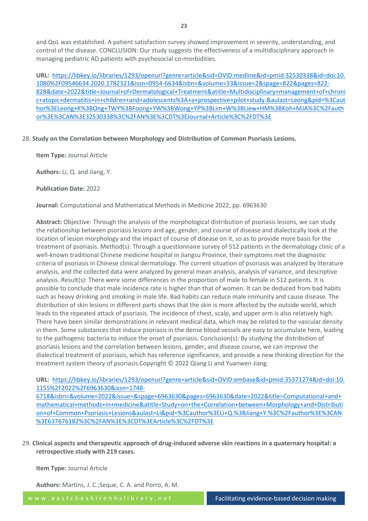**URL:** [https://libkey.io/libraries/1293/openurl?genre=article&sid=OVID:medline&id=pmid:32530338&id=doi:10.](https://libkey.io/libraries/1293/openurl?genre=article&sid=OVID:medline&id=pmid:32530338&id=doi:10.1080%2F09546634.2020.1782321&issn=0954-6634&isbn=&volume=33&issue=2&spage=822&pages=822-828&date=2022&title=Journal+of+Dermatological+Treatment&atitle=Multidisciplinary+management+of+chronic+atopic+dermatitis+in+children+and+adolescents%3A+a+prospective+pilot+study.&aulast=Leong&pid=%3Cauthor%3ELeong+K%3BOng+TWY%3BFoong+YW%3BWong+YP%3BLim+W%3BLiew+HM%3BKoh+MJA%3C%2Fauthor%3E%3CAN%3E32530338%3C%2FAN%3E%3CDT%3EJournal+Article%3C%2FDT%3E) [1080%2F09546634.2020.1782321&issn=0954-6634&isbn=&volume=33&issue=2&spage=822&pages=822-](https://libkey.io/libraries/1293/openurl?genre=article&sid=OVID:medline&id=pmid:32530338&id=doi:10.1080%2F09546634.2020.1782321&issn=0954-6634&isbn=&volume=33&issue=2&spage=822&pages=822-828&date=2022&title=Journal+of+Dermatological+Treatment&atitle=Multidisciplinary+management+of+chronic+atopic+dermatitis+in+children+and+adolescents%3A+a+prospective+pilot+study.&aulast=Leong&pid=%3Cauthor%3ELeong+K%3BOng+TWY%3BFoong+YW%3BWong+YP%3BLim+W%3BLiew+HM%3BKoh+MJA%3C%2Fauthor%3E%3CAN%3E32530338%3C%2FAN%3E%3CDT%3EJournal+Article%3C%2FDT%3E) [828&date=2022&title=Journal+of+Dermatological+Treatment&atitle=Multidisciplinary+management+of+chroni](https://libkey.io/libraries/1293/openurl?genre=article&sid=OVID:medline&id=pmid:32530338&id=doi:10.1080%2F09546634.2020.1782321&issn=0954-6634&isbn=&volume=33&issue=2&spage=822&pages=822-828&date=2022&title=Journal+of+Dermatological+Treatment&atitle=Multidisciplinary+management+of+chronic+atopic+dermatitis+in+children+and+adolescents%3A+a+prospective+pilot+study.&aulast=Leong&pid=%3Cauthor%3ELeong+K%3BOng+TWY%3BFoong+YW%3BWong+YP%3BLim+W%3BLiew+HM%3BKoh+MJA%3C%2Fauthor%3E%3CAN%3E32530338%3C%2FAN%3E%3CDT%3EJournal+Article%3C%2FDT%3E) [c+atopic+dermatitis+in+children+and+adolescents%3A+a+prospective+pilot+study.&aulast=Leong&pid=%3Caut](https://libkey.io/libraries/1293/openurl?genre=article&sid=OVID:medline&id=pmid:32530338&id=doi:10.1080%2F09546634.2020.1782321&issn=0954-6634&isbn=&volume=33&issue=2&spage=822&pages=822-828&date=2022&title=Journal+of+Dermatological+Treatment&atitle=Multidisciplinary+management+of+chronic+atopic+dermatitis+in+children+and+adolescents%3A+a+prospective+pilot+study.&aulast=Leong&pid=%3Cauthor%3ELeong+K%3BOng+TWY%3BFoong+YW%3BWong+YP%3BLim+W%3BLiew+HM%3BKoh+MJA%3C%2Fauthor%3E%3CAN%3E32530338%3C%2FAN%3E%3CDT%3EJournal+Article%3C%2FDT%3E) [hor%3ELeong+K%3BOng+TWY%3BFoong+YW%3BWong+YP%3BLim+W%3BLiew+HM%3BKoh+MJA%3C%2Fauth](https://libkey.io/libraries/1293/openurl?genre=article&sid=OVID:medline&id=pmid:32530338&id=doi:10.1080%2F09546634.2020.1782321&issn=0954-6634&isbn=&volume=33&issue=2&spage=822&pages=822-828&date=2022&title=Journal+of+Dermatological+Treatment&atitle=Multidisciplinary+management+of+chronic+atopic+dermatitis+in+children+and+adolescents%3A+a+prospective+pilot+study.&aulast=Leong&pid=%3Cauthor%3ELeong+K%3BOng+TWY%3BFoong+YW%3BWong+YP%3BLim+W%3BLiew+HM%3BKoh+MJA%3C%2Fauthor%3E%3CAN%3E32530338%3C%2FAN%3E%3CDT%3EJournal+Article%3C%2FDT%3E) [or%3E%3CAN%3E32530338%3C%2FAN%3E%3CDT%3EJournal+Article%3C%2FDT%3E](https://libkey.io/libraries/1293/openurl?genre=article&sid=OVID:medline&id=pmid:32530338&id=doi:10.1080%2F09546634.2020.1782321&issn=0954-6634&isbn=&volume=33&issue=2&spage=822&pages=822-828&date=2022&title=Journal+of+Dermatological+Treatment&atitle=Multidisciplinary+management+of+chronic+atopic+dermatitis+in+children+and+adolescents%3A+a+prospective+pilot+study.&aulast=Leong&pid=%3Cauthor%3ELeong+K%3BOng+TWY%3BFoong+YW%3BWong+YP%3BLim+W%3BLiew+HM%3BKoh+MJA%3C%2Fauthor%3E%3CAN%3E32530338%3C%2FAN%3E%3CDT%3EJournal+Article%3C%2FDT%3E)

# 28. **Study on the Correlation between Morphology and Distribution of Common Psoriasis Lesions.**

**Item Type:** Journal Article

**Authors:** Li, Q. and Jiang, Y.

**Publication Date:** 2022

**Journal:** Computational and Mathematical Methods in Medicine 2022, pp. 6963630

**Abstract:** Objective: Through the analysis of the morphological distribution of psoriasis lesions, we can study the relationship between psoriasis lesions and age, gender, and course of disease and dialectically look at the location of lesion morphology and the impact of course of disease on it, so as to provide more basis for the treatment of psoriasis. Method(s): Through a questionnaire survey of 512 patients in the dermatology clinic of a well-known traditional Chinese medicine hospital in Jiangsu Province, their symptoms met the diagnostic criteria of psoriasis in Chinese clinical dermatology. The current situation of psoriasis was analyzed by literature analysis, and the collected data were analyzed by general mean analysis, analysis of variance, and descriptive analysis. Result(s): There were some differences in the proportion of male to female in 512 patients. It is possible to conclude that male incidence rate is higher than that of women. It can be deduced from bad habits such as heavy drinking and smoking in male life. Bad habits can reduce male immunity and cause disease. The distribution of skin lesions in different parts shows that the skin is more affected by the outside world, which leads to the repeated attack of psoriasis. The incidence of chest, scalp, and upper arm is also relatively high. There have been similar demonstrations in relevant medical data, which may be related to the vascular density in them. Some substances that induce psoriasis in the dense blood vessels are easy to accumulate here, leading to the pathogenic bacteria to induce the onset of psoriasis. Conclusion(s): By studying the distribution of psoriasis lesions and the correlation between lesions, gender, and disease course, we can improve the dialectical treatment of psoriasis, which has reference significance, and provide a new thinking direction for the treatment system theory of psoriasis.Copyright © 2022 Qiang Li and Yuanwen Jiang.

# **URL:** [https://libkey.io/libraries/1293/openurl?genre=article&sid=OVID:embase&id=pmid:35371274&id=doi:10.](https://libkey.io/libraries/1293/openurl?genre=article&sid=OVID:embase&id=pmid:35371274&id=doi:10.1155%2F2022%2F6963630&issn=1748-6718&isbn=&volume=2022&issue=&spage=6963630&pages=6963630&date=2022&title=Computational+and+mathematical+methods+in+medicine&atitle=Study+on+the+Correlation+between+Morphology+and+Distribution+of+Common+Psoriasis+Lesions&aulast=Li&pid=%3Cauthor%3ELi+Q.%3BJiang+Y.%3C%2Fauthor%3E%3CAN%3E637676182%3C%2FAN%3E%3CDT%3EArticle%3C%2FDT%3E) [1155%2F2022%2F6963630&issn=1748-](https://libkey.io/libraries/1293/openurl?genre=article&sid=OVID:embase&id=pmid:35371274&id=doi:10.1155%2F2022%2F6963630&issn=1748-6718&isbn=&volume=2022&issue=&spage=6963630&pages=6963630&date=2022&title=Computational+and+mathematical+methods+in+medicine&atitle=Study+on+the+Correlation+between+Morphology+and+Distribution+of+Common+Psoriasis+Lesions&aulast=Li&pid=%3Cauthor%3ELi+Q.%3BJiang+Y.%3C%2Fauthor%3E%3CAN%3E637676182%3C%2FAN%3E%3CDT%3EArticle%3C%2FDT%3E)

[6718&isbn=&volume=2022&issue=&spage=6963630&pages=6963630&date=2022&title=Computational+and+](https://libkey.io/libraries/1293/openurl?genre=article&sid=OVID:embase&id=pmid:35371274&id=doi:10.1155%2F2022%2F6963630&issn=1748-6718&isbn=&volume=2022&issue=&spage=6963630&pages=6963630&date=2022&title=Computational+and+mathematical+methods+in+medicine&atitle=Study+on+the+Correlation+between+Morphology+and+Distribution+of+Common+Psoriasis+Lesions&aulast=Li&pid=%3Cauthor%3ELi+Q.%3BJiang+Y.%3C%2Fauthor%3E%3CAN%3E637676182%3C%2FAN%3E%3CDT%3EArticle%3C%2FDT%3E) [mathematical+methods+in+medicine&atitle=Study+on+the+Correlation+between+Morphology+and+Distributi](https://libkey.io/libraries/1293/openurl?genre=article&sid=OVID:embase&id=pmid:35371274&id=doi:10.1155%2F2022%2F6963630&issn=1748-6718&isbn=&volume=2022&issue=&spage=6963630&pages=6963630&date=2022&title=Computational+and+mathematical+methods+in+medicine&atitle=Study+on+the+Correlation+between+Morphology+and+Distribution+of+Common+Psoriasis+Lesions&aulast=Li&pid=%3Cauthor%3ELi+Q.%3BJiang+Y.%3C%2Fauthor%3E%3CAN%3E637676182%3C%2FAN%3E%3CDT%3EArticle%3C%2FDT%3E) [on+of+Common+Psoriasis+Lesions&aulast=Li&pid=%3Cauthor%3ELi+Q.%3BJiang+Y.%3C%2Fauthor%3E%3CAN](https://libkey.io/libraries/1293/openurl?genre=article&sid=OVID:embase&id=pmid:35371274&id=doi:10.1155%2F2022%2F6963630&issn=1748-6718&isbn=&volume=2022&issue=&spage=6963630&pages=6963630&date=2022&title=Computational+and+mathematical+methods+in+medicine&atitle=Study+on+the+Correlation+between+Morphology+and+Distribution+of+Common+Psoriasis+Lesions&aulast=Li&pid=%3Cauthor%3ELi+Q.%3BJiang+Y.%3C%2Fauthor%3E%3CAN%3E637676182%3C%2FAN%3E%3CDT%3EArticle%3C%2FDT%3E) [%3E637676182%3C%2FAN%3E%3CDT%3EArticle%3C%2FDT%3E](https://libkey.io/libraries/1293/openurl?genre=article&sid=OVID:embase&id=pmid:35371274&id=doi:10.1155%2F2022%2F6963630&issn=1748-6718&isbn=&volume=2022&issue=&spage=6963630&pages=6963630&date=2022&title=Computational+and+mathematical+methods+in+medicine&atitle=Study+on+the+Correlation+between+Morphology+and+Distribution+of+Common+Psoriasis+Lesions&aulast=Li&pid=%3Cauthor%3ELi+Q.%3BJiang+Y.%3C%2Fauthor%3E%3CAN%3E637676182%3C%2FAN%3E%3CDT%3EArticle%3C%2FDT%3E)

29. **Clinical aspects and therapeutic approach of drug-induced adverse skin reactions in a quaternary hospital: a retrospective study with 219 cases.**

**Item Type:** Journal Article

**Authors:** Martins, J. C.;Seque, C. A. and Porro, A. M.

w w w . e a s t c h e s h i r e n h s l i b r a r y . n e t Facilitating evidence-based decision making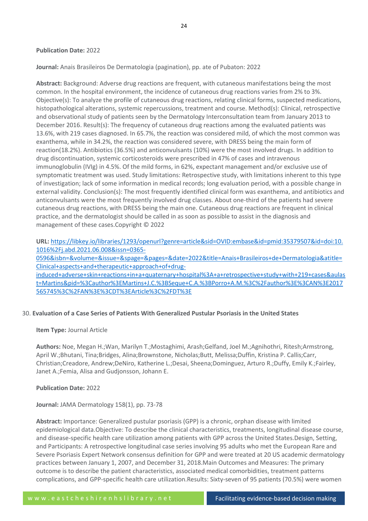#### **Publication Date:** 2022

**Journal:** Anais Brasileiros De Dermatologia (pagination), pp. ate of Pubaton: 2022

**Abstract:** Background: Adverse drug reactions are frequent, with cutaneous manifestations being the most common. In the hospital environment, the incidence of cutaneous drug reactions varies from 2% to 3%. Objective(s): To analyze the profile of cutaneous drug reactions, relating clinical forms, suspected medications, histopathological alterations, systemic repercussions, treatment and course. Method(s): Clinical, retrospective and observational study of patients seen by the Dermatology Interconsultation team from January 2013 to December 2016. Result(s): The frequency of cutaneous drug reactions among the evaluated patients was 13.6%, with 219 cases diagnosed. In 65.7%, the reaction was considered mild, of which the most common was exanthema, while in 34.2%, the reaction was considered severe, with DRESS being the main form of reaction(18.2%). Antibiotics (36.5%) and anticonvulsants (10%) were the most involved drugs. In addition to drug discontinuation, systemic corticosteroids were prescribed in 47% of cases and intravenous immunoglobulin (IVIg) in 4.5%. Of the mild forms, in 62%, expectant management and/or exclusive use of symptomatic treatment was used. Study limitations: Retrospective study, with limitations inherent to this type of investigation; lack of some information in medical records; long evaluation period, with a possible change in external validity. Conclusion(s): The most frequently identified clinical form was exanthema, and antibiotics and anticonvulsants were the most frequently involved drug classes. About one-third of the patients had severe cutaneous drug reactions, with DRESS being the main one. Cutaneous drug reactions are frequent in clinical practice, and the dermatologist should be called in as soon as possible to assist in the diagnosis and management of these cases.Copyright © 2022

**URL:** [https://libkey.io/libraries/1293/openurl?genre=article&sid=OVID:embase&id=pmid:35379507&id=doi:10.](https://libkey.io/libraries/1293/openurl?genre=article&sid=OVID:embase&id=pmid:35379507&id=doi:10.1016%2Fj.abd.2021.06.008&issn=0365-0596&isbn=&volume=&issue=&spage=&pages=&date=2022&title=Anais+Brasileiros+de+Dermatologia&atitle=Clinical+aspects+and+therapeutic+approach+of+drug-induced+adverse+skin+reactions+in+a+quaternary+hospital%3A+a+retrospective+study+with+219+cases&aulast=Martins&pid=%3Cauthor%3EMartins+J.C.%3BSeque+C.A.%3BPorro+A.M.%3C%2Fauthor%3E%3CAN%3E2017565745%3C%2FAN%3E%3CDT%3EArticle%3C%2FDT%3E) [1016%2Fj.abd.2021.06.008&issn=0365-](https://libkey.io/libraries/1293/openurl?genre=article&sid=OVID:embase&id=pmid:35379507&id=doi:10.1016%2Fj.abd.2021.06.008&issn=0365-0596&isbn=&volume=&issue=&spage=&pages=&date=2022&title=Anais+Brasileiros+de+Dermatologia&atitle=Clinical+aspects+and+therapeutic+approach+of+drug-induced+adverse+skin+reactions+in+a+quaternary+hospital%3A+a+retrospective+study+with+219+cases&aulast=Martins&pid=%3Cauthor%3EMartins+J.C.%3BSeque+C.A.%3BPorro+A.M.%3C%2Fauthor%3E%3CAN%3E2017565745%3C%2FAN%3E%3CDT%3EArticle%3C%2FDT%3E)

[0596&isbn=&volume=&issue=&spage=&pages=&date=2022&title=Anais+Brasileiros+de+Dermatologia&atitle=](https://libkey.io/libraries/1293/openurl?genre=article&sid=OVID:embase&id=pmid:35379507&id=doi:10.1016%2Fj.abd.2021.06.008&issn=0365-0596&isbn=&volume=&issue=&spage=&pages=&date=2022&title=Anais+Brasileiros+de+Dermatologia&atitle=Clinical+aspects+and+therapeutic+approach+of+drug-induced+adverse+skin+reactions+in+a+quaternary+hospital%3A+a+retrospective+study+with+219+cases&aulast=Martins&pid=%3Cauthor%3EMartins+J.C.%3BSeque+C.A.%3BPorro+A.M.%3C%2Fauthor%3E%3CAN%3E2017565745%3C%2FAN%3E%3CDT%3EArticle%3C%2FDT%3E) [Clinical+aspects+and+therapeutic+approach+of+drug-](https://libkey.io/libraries/1293/openurl?genre=article&sid=OVID:embase&id=pmid:35379507&id=doi:10.1016%2Fj.abd.2021.06.008&issn=0365-0596&isbn=&volume=&issue=&spage=&pages=&date=2022&title=Anais+Brasileiros+de+Dermatologia&atitle=Clinical+aspects+and+therapeutic+approach+of+drug-induced+adverse+skin+reactions+in+a+quaternary+hospital%3A+a+retrospective+study+with+219+cases&aulast=Martins&pid=%3Cauthor%3EMartins+J.C.%3BSeque+C.A.%3BPorro+A.M.%3C%2Fauthor%3E%3CAN%3E2017565745%3C%2FAN%3E%3CDT%3EArticle%3C%2FDT%3E)

[induced+adverse+skin+reactions+in+a+quaternary+hospital%3A+a+retrospective+study+with+219+cases&aulas](https://libkey.io/libraries/1293/openurl?genre=article&sid=OVID:embase&id=pmid:35379507&id=doi:10.1016%2Fj.abd.2021.06.008&issn=0365-0596&isbn=&volume=&issue=&spage=&pages=&date=2022&title=Anais+Brasileiros+de+Dermatologia&atitle=Clinical+aspects+and+therapeutic+approach+of+drug-induced+adverse+skin+reactions+in+a+quaternary+hospital%3A+a+retrospective+study+with+219+cases&aulast=Martins&pid=%3Cauthor%3EMartins+J.C.%3BSeque+C.A.%3BPorro+A.M.%3C%2Fauthor%3E%3CAN%3E2017565745%3C%2FAN%3E%3CDT%3EArticle%3C%2FDT%3E) [t=Martins&pid=%3Cauthor%3EMartins+J.C.%3BSeque+C.A.%3BPorro+A.M.%3C%2Fauthor%3E%3CAN%3E2017](https://libkey.io/libraries/1293/openurl?genre=article&sid=OVID:embase&id=pmid:35379507&id=doi:10.1016%2Fj.abd.2021.06.008&issn=0365-0596&isbn=&volume=&issue=&spage=&pages=&date=2022&title=Anais+Brasileiros+de+Dermatologia&atitle=Clinical+aspects+and+therapeutic+approach+of+drug-induced+adverse+skin+reactions+in+a+quaternary+hospital%3A+a+retrospective+study+with+219+cases&aulast=Martins&pid=%3Cauthor%3EMartins+J.C.%3BSeque+C.A.%3BPorro+A.M.%3C%2Fauthor%3E%3CAN%3E2017565745%3C%2FAN%3E%3CDT%3EArticle%3C%2FDT%3E) [565745%3C%2FAN%3E%3CDT%3EArticle%3C%2FDT%3E](https://libkey.io/libraries/1293/openurl?genre=article&sid=OVID:embase&id=pmid:35379507&id=doi:10.1016%2Fj.abd.2021.06.008&issn=0365-0596&isbn=&volume=&issue=&spage=&pages=&date=2022&title=Anais+Brasileiros+de+Dermatologia&atitle=Clinical+aspects+and+therapeutic+approach+of+drug-induced+adverse+skin+reactions+in+a+quaternary+hospital%3A+a+retrospective+study+with+219+cases&aulast=Martins&pid=%3Cauthor%3EMartins+J.C.%3BSeque+C.A.%3BPorro+A.M.%3C%2Fauthor%3E%3CAN%3E2017565745%3C%2FAN%3E%3CDT%3EArticle%3C%2FDT%3E)

#### 30. **Evaluation of a Case Series of Patients With Generalized Pustular Psoriasis in the United States**

#### **Item Type:** Journal Article

**Authors:** Noe, Megan H.;Wan, Marilyn T.;Mostaghimi, Arash;Gelfand, Joel M.;Agnihothri, Ritesh;Armstrong, April W.;Bhutani, Tina;Bridges, Alina;Brownstone, Nicholas;Butt, Melissa;Duffin, Kristina P. Callis;Carr, Christian;Creadore, Andrew;DeNiro, Katherine L.;Desai, Sheena;Dominguez, Arturo R.;Duffy, Emily K.;Fairley, Janet A.;Femia, Alisa and Gudjonsson, Johann E.

#### **Publication Date:** 2022

#### **Journal:** JAMA Dermatology 158(1), pp. 73-78

**Abstract:** Importance: Generalized pustular psoriasis (GPP) is a chronic, orphan disease with limited epidemiological data.Objective: To describe the clinical characteristics, treatments, longitudinal disease course, and disease-specific health care utilization among patients with GPP across the United States.Design, Setting, and Participants: A retrospective longitudinal case series involving 95 adults who met the European Rare and Severe Psoriasis Expert Network consensus definition for GPP and were treated at 20 US academic dermatology practices between January 1, 2007, and December 31, 2018.Main Outcomes and Measures: The primary outcome is to describe the patient characteristics, associated medical comorbidities, treatment patterns complications, and GPP-specific health care utilization.Results: Sixty-seven of 95 patients (70.5%) were women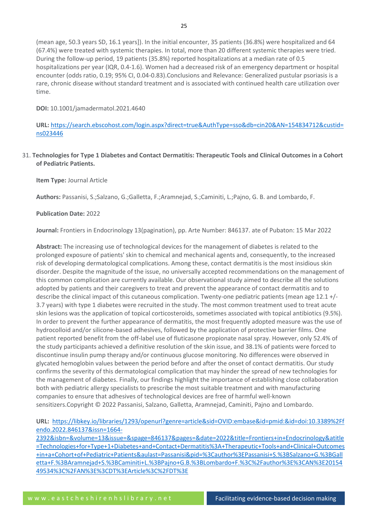(mean age, 50.3 years SD, 16.1 years]). In the initial encounter, 35 patients (36.8%) were hospitalized and 64 (67.4%) were treated with systemic therapies. In total, more than 20 different systemic therapies were tried. During the follow-up period, 19 patients (35.8%) reported hospitalizations at a median rate of 0.5 hospitalizations per year (IQR, 0.4-1.6). Women had a decreased risk of an emergency department or hospital encounter (odds ratio, 0.19; 95% CI, 0.04-0.83).Conclusions and Relevance: Generalized pustular psoriasis is a rare, chronic disease without standard treatment and is associated with continued health care utilization over time.

**DOI:** 10.1001/jamadermatol.2021.4640

**URL:** [https://search.ebscohost.com/login.aspx?direct=true&AuthType=sso&db=cin20&AN=154834712&custid=](https://search.ebscohost.com/login.aspx?direct=true&AuthType=sso&db=cin20&AN=154834712&custid=ns023446) [ns023446](https://search.ebscohost.com/login.aspx?direct=true&AuthType=sso&db=cin20&AN=154834712&custid=ns023446)

31. **Technologies for Type 1 Diabetes and Contact Dermatitis: Therapeutic Tools and Clinical Outcomes in a Cohort of Pediatric Patients.**

**Item Type:** Journal Article

**Authors:** Passanisi, S.;Salzano, G.;Galletta, F.;Aramnejad, S.;Caminiti, L.;Pajno, G. B. and Lombardo, F.

#### **Publication Date:** 2022

**Journal:** Frontiers in Endocrinology 13(pagination), pp. Arte Number: 846137. ate of Pubaton: 15 Mar 2022

**Abstract:** The increasing use of technological devices for the management of diabetes is related to the prolonged exposure of patients' skin to chemical and mechanical agents and, consequently, to the increased risk of developing dermatological complications. Among these, contact dermatitis is the most insidious skin disorder. Despite the magnitude of the issue, no universally accepted recommendations on the management of this common complication are currently available. Our observational study aimed to describe all the solutions adopted by patients and their caregivers to treat and prevent the appearance of contact dermatitis and to describe the clinical impact of this cutaneous complication. Twenty-one pediatric patients (mean age 12.1 +/- 3.7 years) with type 1 diabetes were recruited in the study. The most common treatment used to treat acute skin lesions was the application of topical corticosteroids, sometimes associated with topical antibiotics (9.5%). In order to prevent the further appearance of dermatitis, the most frequently adopted measure was the use of hydrocolloid and/or silicone-based adhesives, followed by the application of protective barrier films. One patient reported benefit from the off-label use of fluticasone propionate nasal spray. However, only 52.4% of the study participants achieved a definitive resolution of the skin issue, and 38.1% of patients were forced to discontinue insulin pump therapy and/or continuous glucose monitoring. No differences were observed in glycated hemoglobin values between the period before and after the onset of contact dermatitis. Our study confirms the severity of this dermatological complication that may hinder the spread of new technologies for the management of diabetes. Finally, our findings highlight the importance of establishing close collaboration both with pediatric allergy specialists to prescribe the most suitable treatment and with manufacturing companies to ensure that adhesives of technological devices are free of harmful well-known sensitizers.Copyright © 2022 Passanisi, Salzano, Galletta, Aramnejad, Caminiti, Pajno and Lombardo.

**URL:** [https://libkey.io/libraries/1293/openurl?genre=article&sid=OVID:embase&id=pmid:&id=doi:10.3389%2Ff](https://libkey.io/libraries/1293/openurl?genre=article&sid=OVID:embase&id=pmid:&id=doi:10.3389%2Ffendo.2022.846137&issn=1664-2392&isbn=&volume=13&issue=&spage=846137&pages=&date=2022&title=Frontiers+in+Endocrinology&atitle=Technologies+for+Type+1+Diabetes+and+Contact+Dermatitis%3A+Therapeutic+Tools+and+Clinical+Outcomes+in+a+Cohort+of+Pediatric+Patients&aulast=Passanisi&pid=%3Cauthor%3EPassanisi+S.%3BSalzano+G.%3BGalletta+F.%3BAramnejad+S.%3BCaminiti+L.%3BPajno+G.B.%3BLombardo+F.%3C%2Fauthor%3E%3CAN%3E2015449534%3C%2FAN%3E%3CDT%3EArticle%3C%2FDT%3E) [endo.2022.846137&issn=1664-](https://libkey.io/libraries/1293/openurl?genre=article&sid=OVID:embase&id=pmid:&id=doi:10.3389%2Ffendo.2022.846137&issn=1664-2392&isbn=&volume=13&issue=&spage=846137&pages=&date=2022&title=Frontiers+in+Endocrinology&atitle=Technologies+for+Type+1+Diabetes+and+Contact+Dermatitis%3A+Therapeutic+Tools+and+Clinical+Outcomes+in+a+Cohort+of+Pediatric+Patients&aulast=Passanisi&pid=%3Cauthor%3EPassanisi+S.%3BSalzano+G.%3BGalletta+F.%3BAramnejad+S.%3BCaminiti+L.%3BPajno+G.B.%3BLombardo+F.%3C%2Fauthor%3E%3CAN%3E2015449534%3C%2FAN%3E%3CDT%3EArticle%3C%2FDT%3E)

[2392&isbn=&volume=13&issue=&spage=846137&pages=&date=2022&title=Frontiers+in+Endocrinology&atitle](https://libkey.io/libraries/1293/openurl?genre=article&sid=OVID:embase&id=pmid:&id=doi:10.3389%2Ffendo.2022.846137&issn=1664-2392&isbn=&volume=13&issue=&spage=846137&pages=&date=2022&title=Frontiers+in+Endocrinology&atitle=Technologies+for+Type+1+Diabetes+and+Contact+Dermatitis%3A+Therapeutic+Tools+and+Clinical+Outcomes+in+a+Cohort+of+Pediatric+Patients&aulast=Passanisi&pid=%3Cauthor%3EPassanisi+S.%3BSalzano+G.%3BGalletta+F.%3BAramnejad+S.%3BCaminiti+L.%3BPajno+G.B.%3BLombardo+F.%3C%2Fauthor%3E%3CAN%3E2015449534%3C%2FAN%3E%3CDT%3EArticle%3C%2FDT%3E) [=Technologies+for+Type+1+Diabetes+and+Contact+Dermatitis%3A+Therapeutic+Tools+and+Clinical+Outcomes](https://libkey.io/libraries/1293/openurl?genre=article&sid=OVID:embase&id=pmid:&id=doi:10.3389%2Ffendo.2022.846137&issn=1664-2392&isbn=&volume=13&issue=&spage=846137&pages=&date=2022&title=Frontiers+in+Endocrinology&atitle=Technologies+for+Type+1+Diabetes+and+Contact+Dermatitis%3A+Therapeutic+Tools+and+Clinical+Outcomes+in+a+Cohort+of+Pediatric+Patients&aulast=Passanisi&pid=%3Cauthor%3EPassanisi+S.%3BSalzano+G.%3BGalletta+F.%3BAramnejad+S.%3BCaminiti+L.%3BPajno+G.B.%3BLombardo+F.%3C%2Fauthor%3E%3CAN%3E2015449534%3C%2FAN%3E%3CDT%3EArticle%3C%2FDT%3E) [+in+a+Cohort+of+Pediatric+Patients&aulast=Passanisi&pid=%3Cauthor%3EPassanisi+S.%3BSalzano+G.%3BGall](https://libkey.io/libraries/1293/openurl?genre=article&sid=OVID:embase&id=pmid:&id=doi:10.3389%2Ffendo.2022.846137&issn=1664-2392&isbn=&volume=13&issue=&spage=846137&pages=&date=2022&title=Frontiers+in+Endocrinology&atitle=Technologies+for+Type+1+Diabetes+and+Contact+Dermatitis%3A+Therapeutic+Tools+and+Clinical+Outcomes+in+a+Cohort+of+Pediatric+Patients&aulast=Passanisi&pid=%3Cauthor%3EPassanisi+S.%3BSalzano+G.%3BGalletta+F.%3BAramnejad+S.%3BCaminiti+L.%3BPajno+G.B.%3BLombardo+F.%3C%2Fauthor%3E%3CAN%3E2015449534%3C%2FAN%3E%3CDT%3EArticle%3C%2FDT%3E) [etta+F.%3BAramnejad+S.%3BCaminiti+L.%3BPajno+G.B.%3BLombardo+F.%3C%2Fauthor%3E%3CAN%3E20154](https://libkey.io/libraries/1293/openurl?genre=article&sid=OVID:embase&id=pmid:&id=doi:10.3389%2Ffendo.2022.846137&issn=1664-2392&isbn=&volume=13&issue=&spage=846137&pages=&date=2022&title=Frontiers+in+Endocrinology&atitle=Technologies+for+Type+1+Diabetes+and+Contact+Dermatitis%3A+Therapeutic+Tools+and+Clinical+Outcomes+in+a+Cohort+of+Pediatric+Patients&aulast=Passanisi&pid=%3Cauthor%3EPassanisi+S.%3BSalzano+G.%3BGalletta+F.%3BAramnejad+S.%3BCaminiti+L.%3BPajno+G.B.%3BLombardo+F.%3C%2Fauthor%3E%3CAN%3E2015449534%3C%2FAN%3E%3CDT%3EArticle%3C%2FDT%3E) [49534%3C%2FAN%3E%3CDT%3EArticle%3C%2FDT%3E](https://libkey.io/libraries/1293/openurl?genre=article&sid=OVID:embase&id=pmid:&id=doi:10.3389%2Ffendo.2022.846137&issn=1664-2392&isbn=&volume=13&issue=&spage=846137&pages=&date=2022&title=Frontiers+in+Endocrinology&atitle=Technologies+for+Type+1+Diabetes+and+Contact+Dermatitis%3A+Therapeutic+Tools+and+Clinical+Outcomes+in+a+Cohort+of+Pediatric+Patients&aulast=Passanisi&pid=%3Cauthor%3EPassanisi+S.%3BSalzano+G.%3BGalletta+F.%3BAramnejad+S.%3BCaminiti+L.%3BPajno+G.B.%3BLombardo+F.%3C%2Fauthor%3E%3CAN%3E2015449534%3C%2FAN%3E%3CDT%3EArticle%3C%2FDT%3E)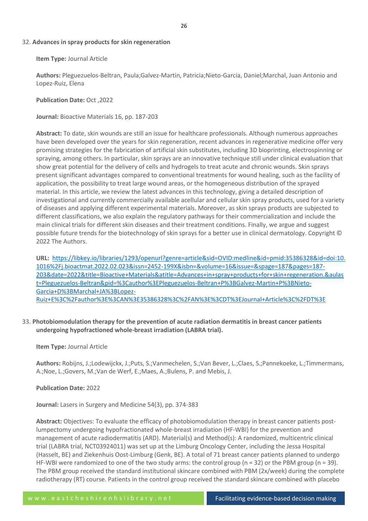#### 32. **Advances in spray products for skin regeneration**

**Item Type:** Journal Article

**Authors:** Pleguezuelos-Beltran, Paula;Galvez-Martin, Patricia;Nieto-Garcia, Daniel;Marchal, Juan Antonio and Lopez-Ruiz, Elena

**Publication Date:** Oct ,2022

**Journal:** Bioactive Materials 16, pp. 187-203

**Abstract:** To date, skin wounds are still an issue for healthcare professionals. Although numerous approaches have been developed over the years for skin regeneration, recent advances in regenerative medicine offer very promising strategies for the fabrication of artificial skin substitutes, including 3D bioprinting, electrospinning or spraying, among others. In particular, skin sprays are an innovative technique still under clinical evaluation that show great potential for the delivery of cells and hydrogels to treat acute and chronic wounds. Skin sprays present significant advantages compared to conventional treatments for wound healing, such as the facility of application, the possibility to treat large wound areas, or the homogeneous distribution of the sprayed material. In this article, we review the latest advances in this technology, giving a detailed description of investigational and currently commercially available acellular and cellular skin spray products, used for a variety of diseases and applying different experimental materials. Moreover, as skin sprays products are subjected to different classifications, we also explain the regulatory pathways for their commercialization and include the main clinical trials for different skin diseases and their treatment conditions. Finally, we argue and suggest possible future trends for the biotechnology of skin sprays for a better use in clinical dermatology. Copyright © 2022 The Authors.

**URL:** [https://libkey.io/libraries/1293/openurl?genre=article&sid=OVID:medline&id=pmid:35386328&id=doi:10.](https://libkey.io/libraries/1293/openurl?genre=article&sid=OVID:medline&id=pmid:35386328&id=doi:10.1016%2Fj.bioactmat.2022.02.023&issn=2452-199X&isbn=&volume=16&issue=&spage=187&pages=187-203&date=2022&title=Bioactive+Materials&atitle=Advances+in+spray+products+for+skin+regeneration.&aulast=Pleguezuelos-Beltran&pid=%3Cauthor%3EPleguezuelos-Beltran+P%3BGalvez-Martin+P%3BNieto-Garcia+D%3BMarchal+JA%3BLopez-Ruiz+E%3C%2Fauthor%3E%3CAN%3E35386328%3C%2FAN%3E%3CDT%3EJournal+Article%3C%2FDT%3E) [1016%2Fj.bioactmat.2022.02.023&issn=2452-199X&isbn=&volume=16&issue=&spage=187&pages=187-](https://libkey.io/libraries/1293/openurl?genre=article&sid=OVID:medline&id=pmid:35386328&id=doi:10.1016%2Fj.bioactmat.2022.02.023&issn=2452-199X&isbn=&volume=16&issue=&spage=187&pages=187-203&date=2022&title=Bioactive+Materials&atitle=Advances+in+spray+products+for+skin+regeneration.&aulast=Pleguezuelos-Beltran&pid=%3Cauthor%3EPleguezuelos-Beltran+P%3BGalvez-Martin+P%3BNieto-Garcia+D%3BMarchal+JA%3BLopez-Ruiz+E%3C%2Fauthor%3E%3CAN%3E35386328%3C%2FAN%3E%3CDT%3EJournal+Article%3C%2FDT%3E) [203&date=2022&title=Bioactive+Materials&atitle=Advances+in+spray+products+for+skin+regeneration.&aulas](https://libkey.io/libraries/1293/openurl?genre=article&sid=OVID:medline&id=pmid:35386328&id=doi:10.1016%2Fj.bioactmat.2022.02.023&issn=2452-199X&isbn=&volume=16&issue=&spage=187&pages=187-203&date=2022&title=Bioactive+Materials&atitle=Advances+in+spray+products+for+skin+regeneration.&aulast=Pleguezuelos-Beltran&pid=%3Cauthor%3EPleguezuelos-Beltran+P%3BGalvez-Martin+P%3BNieto-Garcia+D%3BMarchal+JA%3BLopez-Ruiz+E%3C%2Fauthor%3E%3CAN%3E35386328%3C%2FAN%3E%3CDT%3EJournal+Article%3C%2FDT%3E) [t=Pleguezuelos-Beltran&pid=%3Cauthor%3EPleguezuelos-Beltran+P%3BGalvez-Martin+P%3BNieto-](https://libkey.io/libraries/1293/openurl?genre=article&sid=OVID:medline&id=pmid:35386328&id=doi:10.1016%2Fj.bioactmat.2022.02.023&issn=2452-199X&isbn=&volume=16&issue=&spage=187&pages=187-203&date=2022&title=Bioactive+Materials&atitle=Advances+in+spray+products+for+skin+regeneration.&aulast=Pleguezuelos-Beltran&pid=%3Cauthor%3EPleguezuelos-Beltran+P%3BGalvez-Martin+P%3BNieto-Garcia+D%3BMarchal+JA%3BLopez-Ruiz+E%3C%2Fauthor%3E%3CAN%3E35386328%3C%2FAN%3E%3CDT%3EJournal+Article%3C%2FDT%3E)[Garcia+D%3BMarchal+JA%3BLopez-](https://libkey.io/libraries/1293/openurl?genre=article&sid=OVID:medline&id=pmid:35386328&id=doi:10.1016%2Fj.bioactmat.2022.02.023&issn=2452-199X&isbn=&volume=16&issue=&spage=187&pages=187-203&date=2022&title=Bioactive+Materials&atitle=Advances+in+spray+products+for+skin+regeneration.&aulast=Pleguezuelos-Beltran&pid=%3Cauthor%3EPleguezuelos-Beltran+P%3BGalvez-Martin+P%3BNieto-Garcia+D%3BMarchal+JA%3BLopez-Ruiz+E%3C%2Fauthor%3E%3CAN%3E35386328%3C%2FAN%3E%3CDT%3EJournal+Article%3C%2FDT%3E)[Ruiz+E%3C%2Fauthor%3E%3CAN%3E35386328%3C%2FAN%3E%3CDT%3EJournal+Article%3C%2FDT%3E](https://libkey.io/libraries/1293/openurl?genre=article&sid=OVID:medline&id=pmid:35386328&id=doi:10.1016%2Fj.bioactmat.2022.02.023&issn=2452-199X&isbn=&volume=16&issue=&spage=187&pages=187-203&date=2022&title=Bioactive+Materials&atitle=Advances+in+spray+products+for+skin+regeneration.&aulast=Pleguezuelos-Beltran&pid=%3Cauthor%3EPleguezuelos-Beltran+P%3BGalvez-Martin+P%3BNieto-Garcia+D%3BMarchal+JA%3BLopez-Ruiz+E%3C%2Fauthor%3E%3CAN%3E35386328%3C%2FAN%3E%3CDT%3EJournal+Article%3C%2FDT%3E)

33. **Photobiomodulation therapy for the prevention of acute radiation dermatitis in breast cancer patients undergoing hypofractioned whole-breast irradiation (LABRA trial).**

#### **Item Type:** Journal Article

**Authors:** Robijns, J.;Lodewijckx, J.;Puts, S.;Vanmechelen, S.;Van Bever, L.;Claes, S.;Pannekoeke, L.;Timmermans, A.;Noe, L.;Govers, M.;Van de Werf, E.;Maes, A.;Bulens, P. and Mebis, J.

#### **Publication Date:** 2022

**Journal:** Lasers in Surgery and Medicine 54(3), pp. 374-383

**Abstract:** Objectives: To evaluate the efficacy of photobiomodulation therapy in breast cancer patients postlumpectomy undergoing hypofractionated whole-breast irradiation (HF-WBI) for the prevention and management of acute radiodermatitis (ARD). Material(s) and Method(s): A randomized, multicentric clinical trial (LABRA trial, NCT03924011) was set up at the Limburg Oncology Center, including the Jessa Hospital (Hasselt, BE) and Ziekenhuis Oost-Limburg (Genk, BE). A total of 71 breast cancer patients planned to undergo HF-WBI were randomized to one of the two study arms: the control group ( $n = 32$ ) or the PBM group ( $n = 39$ ). The PBM group received the standard institutional skincare combined with PBM (2x/week) during the complete radiotherapy (RT) course. Patients in the control group received the standard skincare combined with placebo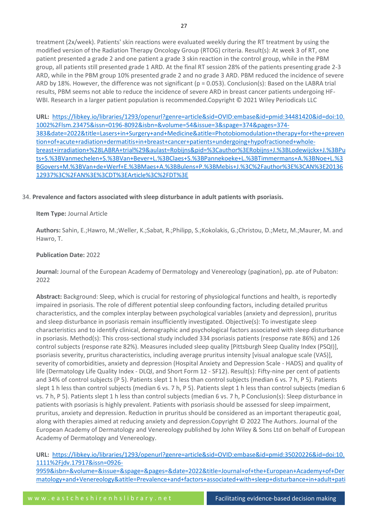treatment (2x/week). Patients' skin reactions were evaluated weekly during the RT treatment by using the modified version of the Radiation Therapy Oncology Group (RTOG) criteria. Result(s): At week 3 of RT, one patient presented a grade 2 and one patient a grade 3 skin reaction in the control group, while in the PBM group, all patients still presented grade 1 ARD. At the final RT session 28% of the patients presenting grade 2-3 ARD, while in the PBM group 10% presented grade 2 and no grade 3 ARD. PBM reduced the incidence of severe ARD by 18%. However, the difference was not significant ( $p = 0.053$ ). Conclusion(s): Based on the LABRA trial results, PBM seems not able to reduce the incidence of severe ARD in breast cancer patients undergoing HF-WBI. Research in a larger patient population is recommended.Copyright © 2021 Wiley Periodicals LLC

**URL:** [https://libkey.io/libraries/1293/openurl?genre=article&sid=OVID:embase&id=pmid:34481420&id=doi:10.](https://libkey.io/libraries/1293/openurl?genre=article&sid=OVID:embase&id=pmid:34481420&id=doi:10.1002%2Flsm.23475&issn=0196-8092&isbn=&volume=54&issue=3&spage=374&pages=374-383&date=2022&title=Lasers+in+Surgery+and+Medicine&atitle=Photobiomodulation+therapy+for+the+prevention+of+acute+radiation+dermatitis+in+breast+cancer+patients+undergoing+hypofractioned+whole-breast+irradiation+%28LABRA+trial%29&aulast=Robijns&pid=%3Cauthor%3ERobijns+J.%3BLodewijckx+J.%3BPuts+S.%3BVanmechelen+S.%3BVan+Bever+L.%3BClaes+S.%3BPannekoeke+L.%3BTimmermans+A.%3BNoe+L.%3BGovers+M.%3BVan+de+Werf+E.%3BMaes+A.%3BBulens+P.%3BMebis+J.%3C%2Fauthor%3E%3CAN%3E2013612937%3C%2FAN%3E%3CDT%3EArticle%3C%2FDT%3E) [1002%2Flsm.23475&issn=0196-8092&isbn=&volume=54&issue=3&spage=374&pages=374-](https://libkey.io/libraries/1293/openurl?genre=article&sid=OVID:embase&id=pmid:34481420&id=doi:10.1002%2Flsm.23475&issn=0196-8092&isbn=&volume=54&issue=3&spage=374&pages=374-383&date=2022&title=Lasers+in+Surgery+and+Medicine&atitle=Photobiomodulation+therapy+for+the+prevention+of+acute+radiation+dermatitis+in+breast+cancer+patients+undergoing+hypofractioned+whole-breast+irradiation+%28LABRA+trial%29&aulast=Robijns&pid=%3Cauthor%3ERobijns+J.%3BLodewijckx+J.%3BPuts+S.%3BVanmechelen+S.%3BVan+Bever+L.%3BClaes+S.%3BPannekoeke+L.%3BTimmermans+A.%3BNoe+L.%3BGovers+M.%3BVan+de+Werf+E.%3BMaes+A.%3BBulens+P.%3BMebis+J.%3C%2Fauthor%3E%3CAN%3E2013612937%3C%2FAN%3E%3CDT%3EArticle%3C%2FDT%3E) [383&date=2022&title=Lasers+in+Surgery+and+Medicine&atitle=Photobiomodulation+therapy+for+the+preven](https://libkey.io/libraries/1293/openurl?genre=article&sid=OVID:embase&id=pmid:34481420&id=doi:10.1002%2Flsm.23475&issn=0196-8092&isbn=&volume=54&issue=3&spage=374&pages=374-383&date=2022&title=Lasers+in+Surgery+and+Medicine&atitle=Photobiomodulation+therapy+for+the+prevention+of+acute+radiation+dermatitis+in+breast+cancer+patients+undergoing+hypofractioned+whole-breast+irradiation+%28LABRA+trial%29&aulast=Robijns&pid=%3Cauthor%3ERobijns+J.%3BLodewijckx+J.%3BPuts+S.%3BVanmechelen+S.%3BVan+Bever+L.%3BClaes+S.%3BPannekoeke+L.%3BTimmermans+A.%3BNoe+L.%3BGovers+M.%3BVan+de+Werf+E.%3BMaes+A.%3BBulens+P.%3BMebis+J.%3C%2Fauthor%3E%3CAN%3E2013612937%3C%2FAN%3E%3CDT%3EArticle%3C%2FDT%3E) [tion+of+acute+radiation+dermatitis+in+breast+cancer+patients+undergoing+hypofractioned+whole](https://libkey.io/libraries/1293/openurl?genre=article&sid=OVID:embase&id=pmid:34481420&id=doi:10.1002%2Flsm.23475&issn=0196-8092&isbn=&volume=54&issue=3&spage=374&pages=374-383&date=2022&title=Lasers+in+Surgery+and+Medicine&atitle=Photobiomodulation+therapy+for+the+prevention+of+acute+radiation+dermatitis+in+breast+cancer+patients+undergoing+hypofractioned+whole-breast+irradiation+%28LABRA+trial%29&aulast=Robijns&pid=%3Cauthor%3ERobijns+J.%3BLodewijckx+J.%3BPuts+S.%3BVanmechelen+S.%3BVan+Bever+L.%3BClaes+S.%3BPannekoeke+L.%3BTimmermans+A.%3BNoe+L.%3BGovers+M.%3BVan+de+Werf+E.%3BMaes+A.%3BBulens+P.%3BMebis+J.%3C%2Fauthor%3E%3CAN%3E2013612937%3C%2FAN%3E%3CDT%3EArticle%3C%2FDT%3E)[breast+irradiation+%28LABRA+trial%29&aulast=Robijns&pid=%3Cauthor%3ERobijns+J.%3BLodewijckx+J.%3BPu](https://libkey.io/libraries/1293/openurl?genre=article&sid=OVID:embase&id=pmid:34481420&id=doi:10.1002%2Flsm.23475&issn=0196-8092&isbn=&volume=54&issue=3&spage=374&pages=374-383&date=2022&title=Lasers+in+Surgery+and+Medicine&atitle=Photobiomodulation+therapy+for+the+prevention+of+acute+radiation+dermatitis+in+breast+cancer+patients+undergoing+hypofractioned+whole-breast+irradiation+%28LABRA+trial%29&aulast=Robijns&pid=%3Cauthor%3ERobijns+J.%3BLodewijckx+J.%3BPuts+S.%3BVanmechelen+S.%3BVan+Bever+L.%3BClaes+S.%3BPannekoeke+L.%3BTimmermans+A.%3BNoe+L.%3BGovers+M.%3BVan+de+Werf+E.%3BMaes+A.%3BBulens+P.%3BMebis+J.%3C%2Fauthor%3E%3CAN%3E2013612937%3C%2FAN%3E%3CDT%3EArticle%3C%2FDT%3E) [ts+S.%3BVanmechelen+S.%3BVan+Bever+L.%3BClaes+S.%3BPannekoeke+L.%3BTimmermans+A.%3BNoe+L.%3](https://libkey.io/libraries/1293/openurl?genre=article&sid=OVID:embase&id=pmid:34481420&id=doi:10.1002%2Flsm.23475&issn=0196-8092&isbn=&volume=54&issue=3&spage=374&pages=374-383&date=2022&title=Lasers+in+Surgery+and+Medicine&atitle=Photobiomodulation+therapy+for+the+prevention+of+acute+radiation+dermatitis+in+breast+cancer+patients+undergoing+hypofractioned+whole-breast+irradiation+%28LABRA+trial%29&aulast=Robijns&pid=%3Cauthor%3ERobijns+J.%3BLodewijckx+J.%3BPuts+S.%3BVanmechelen+S.%3BVan+Bever+L.%3BClaes+S.%3BPannekoeke+L.%3BTimmermans+A.%3BNoe+L.%3BGovers+M.%3BVan+de+Werf+E.%3BMaes+A.%3BBulens+P.%3BMebis+J.%3C%2Fauthor%3E%3CAN%3E2013612937%3C%2FAN%3E%3CDT%3EArticle%3C%2FDT%3E) [BGovers+M.%3BVan+de+Werf+E.%3BMaes+A.%3BBulens+P.%3BMebis+J.%3C%2Fauthor%3E%3CAN%3E20136](https://libkey.io/libraries/1293/openurl?genre=article&sid=OVID:embase&id=pmid:34481420&id=doi:10.1002%2Flsm.23475&issn=0196-8092&isbn=&volume=54&issue=3&spage=374&pages=374-383&date=2022&title=Lasers+in+Surgery+and+Medicine&atitle=Photobiomodulation+therapy+for+the+prevention+of+acute+radiation+dermatitis+in+breast+cancer+patients+undergoing+hypofractioned+whole-breast+irradiation+%28LABRA+trial%29&aulast=Robijns&pid=%3Cauthor%3ERobijns+J.%3BLodewijckx+J.%3BPuts+S.%3BVanmechelen+S.%3BVan+Bever+L.%3BClaes+S.%3BPannekoeke+L.%3BTimmermans+A.%3BNoe+L.%3BGovers+M.%3BVan+de+Werf+E.%3BMaes+A.%3BBulens+P.%3BMebis+J.%3C%2Fauthor%3E%3CAN%3E2013612937%3C%2FAN%3E%3CDT%3EArticle%3C%2FDT%3E) [12937%3C%2FAN%3E%3CDT%3EArticle%3C%2FDT%3E](https://libkey.io/libraries/1293/openurl?genre=article&sid=OVID:embase&id=pmid:34481420&id=doi:10.1002%2Flsm.23475&issn=0196-8092&isbn=&volume=54&issue=3&spage=374&pages=374-383&date=2022&title=Lasers+in+Surgery+and+Medicine&atitle=Photobiomodulation+therapy+for+the+prevention+of+acute+radiation+dermatitis+in+breast+cancer+patients+undergoing+hypofractioned+whole-breast+irradiation+%28LABRA+trial%29&aulast=Robijns&pid=%3Cauthor%3ERobijns+J.%3BLodewijckx+J.%3BPuts+S.%3BVanmechelen+S.%3BVan+Bever+L.%3BClaes+S.%3BPannekoeke+L.%3BTimmermans+A.%3BNoe+L.%3BGovers+M.%3BVan+de+Werf+E.%3BMaes+A.%3BBulens+P.%3BMebis+J.%3C%2Fauthor%3E%3CAN%3E2013612937%3C%2FAN%3E%3CDT%3EArticle%3C%2FDT%3E)

# 34. **Prevalence and factors associated with sleep disturbance in adult patients with psoriasis.**

# **Item Type:** Journal Article

**Authors:** Sahin, E.;Hawro, M.;Weller, K.;Sabat, R.;Philipp, S.;Kokolakis, G.;Christou, D.;Metz, M.;Maurer, M. and Hawro, T.

#### **Publication Date:** 2022

**Journal:** Journal of the European Academy of Dermatology and Venereology (pagination), pp. ate of Pubaton: 2022

**Abstract:** Background: Sleep, which is crucial for restoring of physiological functions and health, is reportedly impaired in psoriasis. The role of different potential sleep confounding factors, including detailed pruritus characteristics, and the complex interplay between psychological variables (anxiety and depression), pruritus and sleep disturbance in psoriasis remain insufficiently investigated. Objective(s): To investigate sleep characteristics and to identify clinical, demographic and psychological factors associated with sleep disturbance in psoriasis. Method(s): This cross-sectional study included 334 psoriasis patients (response rate 86%) and 126 control subjects (response rate 82%). Measures included sleep quality [Pittsburgh Sleep Quality Index (PSQI)], psoriasis severity, pruritus characteristics, including average pruritus intensity [visual analogue scale (VAS)], severity of comorbidities, anxiety and depression (Hospital Anxiety and Depression Scale - HADS) and quality of life (Dermatology Life Quality Index - DLQI, and Short Form 12 - SF12). Result(s): Fifty-nine per cent of patients and 34% of control subjects (P 5). Patients slept 1 h less than control subjects (median 6 vs. 7 h, P 5). Patients slept 1 h less than control subjects (median 6 vs. 7 h, P 5). Patients slept 1 h less than control subjects (median 6 vs. 7 h, P 5). Patients slept 1 h less than control subjects (median 6 vs. 7 h, P Conclusion(s): Sleep disturbance in patients with psoriasis is highly prevalent. Patients with psoriasis should be assessed for sleep impairment, pruritus, anxiety and depression. Reduction in pruritus should be considered as an important therapeutic goal, along with therapies aimed at reducing anxiety and depression.Copyright © 2022 The Authors. Journal of the European Academy of Dermatology and Venereology published by John Wiley & Sons Ltd on behalf of European Academy of Dermatology and Venereology.

**URL:** [https://libkey.io/libraries/1293/openurl?genre=article&sid=OVID:embase&id=pmid:35020226&id=doi:10.](https://libkey.io/libraries/1293/openurl?genre=article&sid=OVID:embase&id=pmid:35020226&id=doi:10.1111%2Fjdv.17917&issn=0926-9959&isbn=&volume=&issue=&spage=&pages=&date=2022&title=Journal+of+the+European+Academy+of+Dermatology+and+Venereology&atitle=Prevalence+and+factors+associated+with+sleep+disturbance+in+adult+patients+with+psoriasis&aulast=Sahin&pid=%3Cauthor%3ESahin+E.%3BHawro+M.%3BWeller+K.%3BSabat+R.%3BPhilipp+S.%3BKokolakis+G.%3BChristou+D.%3BMetz+M.%3BMaurer+M.%3BHawro+T.%3C%2Fauthor%3E%3CAN%3E2015255204%3C%2FAN%3E%3CDT%3EArticle%3C%2FDT%3E) [1111%2Fjdv.17917&issn=0926-](https://libkey.io/libraries/1293/openurl?genre=article&sid=OVID:embase&id=pmid:35020226&id=doi:10.1111%2Fjdv.17917&issn=0926-9959&isbn=&volume=&issue=&spage=&pages=&date=2022&title=Journal+of+the+European+Academy+of+Dermatology+and+Venereology&atitle=Prevalence+and+factors+associated+with+sleep+disturbance+in+adult+patients+with+psoriasis&aulast=Sahin&pid=%3Cauthor%3ESahin+E.%3BHawro+M.%3BWeller+K.%3BSabat+R.%3BPhilipp+S.%3BKokolakis+G.%3BChristou+D.%3BMetz+M.%3BMaurer+M.%3BHawro+T.%3C%2Fauthor%3E%3CAN%3E2015255204%3C%2FAN%3E%3CDT%3EArticle%3C%2FDT%3E)

[9959&isbn=&volume=&issue=&spage=&pages=&date=2022&title=Journal+of+the+European+Academy+of+Der](https://libkey.io/libraries/1293/openurl?genre=article&sid=OVID:embase&id=pmid:35020226&id=doi:10.1111%2Fjdv.17917&issn=0926-9959&isbn=&volume=&issue=&spage=&pages=&date=2022&title=Journal+of+the+European+Academy+of+Dermatology+and+Venereology&atitle=Prevalence+and+factors+associated+with+sleep+disturbance+in+adult+patients+with+psoriasis&aulast=Sahin&pid=%3Cauthor%3ESahin+E.%3BHawro+M.%3BWeller+K.%3BSabat+R.%3BPhilipp+S.%3BKokolakis+G.%3BChristou+D.%3BMetz+M.%3BMaurer+M.%3BHawro+T.%3C%2Fauthor%3E%3CAN%3E2015255204%3C%2FAN%3E%3CDT%3EArticle%3C%2FDT%3E) [matology+and+Venereology&atitle=Prevalence+and+factors+associated+with+sleep+disturbance+in+adult+pati](https://libkey.io/libraries/1293/openurl?genre=article&sid=OVID:embase&id=pmid:35020226&id=doi:10.1111%2Fjdv.17917&issn=0926-9959&isbn=&volume=&issue=&spage=&pages=&date=2022&title=Journal+of+the+European+Academy+of+Dermatology+and+Venereology&atitle=Prevalence+and+factors+associated+with+sleep+disturbance+in+adult+patients+with+psoriasis&aulast=Sahin&pid=%3Cauthor%3ESahin+E.%3BHawro+M.%3BWeller+K.%3BSabat+R.%3BPhilipp+S.%3BKokolakis+G.%3BChristou+D.%3BMetz+M.%3BMaurer+M.%3BHawro+T.%3C%2Fauthor%3E%3CAN%3E2015255204%3C%2FAN%3E%3CDT%3EArticle%3C%2FDT%3E)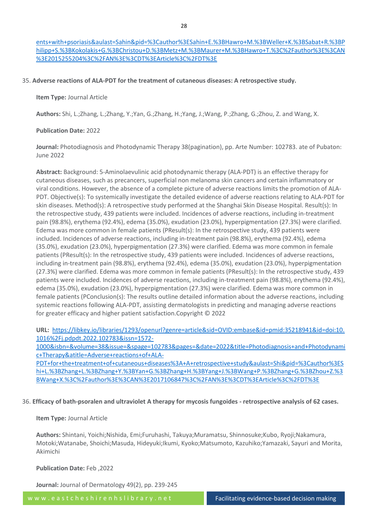#### 35. **Adverse reactions of ALA-PDT for the treatment of cutaneous diseases: A retrospective study.**

#### **Item Type:** Journal Article

**Authors:** Shi, L.;Zhang, L.;Zhang, Y.;Yan, G.;Zhang, H.;Yang, J.;Wang, P.;Zhang, G.;Zhou, Z. and Wang, X.

#### **Publication Date:** 2022

**Journal:** Photodiagnosis and Photodynamic Therapy 38(pagination), pp. Arte Number: 102783. ate of Pubaton: June 2022

**Abstract:** Background: 5-Aminolaevulinic acid photodynamic therapy (ALA-PDT) is an effective therapy for cutaneous diseases, such as precancers, superficial non melanoma skin cancers and certain inflammatory or viral conditions. However, the absence of a complete picture of adverse reactions limits the promotion of ALA-PDT. Objective(s): To systemically investigate the detailed evidence of adverse reactions relating to ALA-PDT for skin diseases. Method(s): A retrospective study performed at the Shanghai Skin Disease Hospital. Result(s): In the retrospective study, 439 patients were included. Incidences of adverse reactions, including in-treatment pain (98.8%), erythema (92.4%), edema (35.0%), exudation (23.0%), hyperpigmentation (27.3%) were clarified. Edema was more common in female patients (PResult(s): In the retrospective study, 439 patients were included. Incidences of adverse reactions, including in-treatment pain (98.8%), erythema (92.4%), edema (35.0%), exudation (23.0%), hyperpigmentation (27.3%) were clarified. Edema was more common in female patients (PResult(s): In the retrospective study, 439 patients were included. Incidences of adverse reactions, including in-treatment pain (98.8%), erythema (92.4%), edema (35.0%), exudation (23.0%), hyperpigmentation (27.3%) were clarified. Edema was more common in female patients (PResult(s): In the retrospective study, 439 patients were included. Incidences of adverse reactions, including in-treatment pain (98.8%), erythema (92.4%), edema (35.0%), exudation (23.0%), hyperpigmentation (27.3%) were clarified. Edema was more common in female patients (PConclusion(s): The results outline detailed information about the adverse reactions, including systemic reactions following ALA-PDT, assisting dermatologists in predicting and managing adverse reactions for greater efficacy and higher patient satisfaction.Copyright © 2022

**URL:** [https://libkey.io/libraries/1293/openurl?genre=article&sid=OVID:embase&id=pmid:35218941&id=doi:10.](https://libkey.io/libraries/1293/openurl?genre=article&sid=OVID:embase&id=pmid:35218941&id=doi:10.1016%2Fj.pdpdt.2022.102783&issn=1572-1000&isbn=&volume=38&issue=&spage=102783&pages=&date=2022&title=Photodiagnosis+and+Photodynamic+Therapy&atitle=Adverse+reactions+of+ALA-PDT+for+the+treatment+of+cutaneous+diseases%3A+A+retrospective+study&aulast=Shi&pid=%3Cauthor%3EShi+L.%3BZhang+L.%3BZhang+Y.%3BYan+G.%3BZhang+H.%3BYang+J.%3BWang+P.%3BZhang+G.%3BZhou+Z.%3BWang+X.%3C%2Fauthor%3E%3CAN%3E2017106847%3C%2FAN%3E%3CDT%3EArticle%3C%2FDT%3E) [1016%2Fj.pdpdt.2022.102783&issn=1572-](https://libkey.io/libraries/1293/openurl?genre=article&sid=OVID:embase&id=pmid:35218941&id=doi:10.1016%2Fj.pdpdt.2022.102783&issn=1572-1000&isbn=&volume=38&issue=&spage=102783&pages=&date=2022&title=Photodiagnosis+and+Photodynamic+Therapy&atitle=Adverse+reactions+of+ALA-PDT+for+the+treatment+of+cutaneous+diseases%3A+A+retrospective+study&aulast=Shi&pid=%3Cauthor%3EShi+L.%3BZhang+L.%3BZhang+Y.%3BYan+G.%3BZhang+H.%3BYang+J.%3BWang+P.%3BZhang+G.%3BZhou+Z.%3BWang+X.%3C%2Fauthor%3E%3CAN%3E2017106847%3C%2FAN%3E%3CDT%3EArticle%3C%2FDT%3E)

[1000&isbn=&volume=38&issue=&spage=102783&pages=&date=2022&title=Photodiagnosis+and+Photodynami](https://libkey.io/libraries/1293/openurl?genre=article&sid=OVID:embase&id=pmid:35218941&id=doi:10.1016%2Fj.pdpdt.2022.102783&issn=1572-1000&isbn=&volume=38&issue=&spage=102783&pages=&date=2022&title=Photodiagnosis+and+Photodynamic+Therapy&atitle=Adverse+reactions+of+ALA-PDT+for+the+treatment+of+cutaneous+diseases%3A+A+retrospective+study&aulast=Shi&pid=%3Cauthor%3EShi+L.%3BZhang+L.%3BZhang+Y.%3BYan+G.%3BZhang+H.%3BYang+J.%3BWang+P.%3BZhang+G.%3BZhou+Z.%3BWang+X.%3C%2Fauthor%3E%3CAN%3E2017106847%3C%2FAN%3E%3CDT%3EArticle%3C%2FDT%3E) [c+Therapy&atitle=Adverse+reactions+of+ALA-](https://libkey.io/libraries/1293/openurl?genre=article&sid=OVID:embase&id=pmid:35218941&id=doi:10.1016%2Fj.pdpdt.2022.102783&issn=1572-1000&isbn=&volume=38&issue=&spage=102783&pages=&date=2022&title=Photodiagnosis+and+Photodynamic+Therapy&atitle=Adverse+reactions+of+ALA-PDT+for+the+treatment+of+cutaneous+diseases%3A+A+retrospective+study&aulast=Shi&pid=%3Cauthor%3EShi+L.%3BZhang+L.%3BZhang+Y.%3BYan+G.%3BZhang+H.%3BYang+J.%3BWang+P.%3BZhang+G.%3BZhou+Z.%3BWang+X.%3C%2Fauthor%3E%3CAN%3E2017106847%3C%2FAN%3E%3CDT%3EArticle%3C%2FDT%3E)

[PDT+for+the+treatment+of+cutaneous+diseases%3A+A+retrospective+study&aulast=Shi&pid=%3Cauthor%3ES](https://libkey.io/libraries/1293/openurl?genre=article&sid=OVID:embase&id=pmid:35218941&id=doi:10.1016%2Fj.pdpdt.2022.102783&issn=1572-1000&isbn=&volume=38&issue=&spage=102783&pages=&date=2022&title=Photodiagnosis+and+Photodynamic+Therapy&atitle=Adverse+reactions+of+ALA-PDT+for+the+treatment+of+cutaneous+diseases%3A+A+retrospective+study&aulast=Shi&pid=%3Cauthor%3EShi+L.%3BZhang+L.%3BZhang+Y.%3BYan+G.%3BZhang+H.%3BYang+J.%3BWang+P.%3BZhang+G.%3BZhou+Z.%3BWang+X.%3C%2Fauthor%3E%3CAN%3E2017106847%3C%2FAN%3E%3CDT%3EArticle%3C%2FDT%3E) [hi+L.%3BZhang+L.%3BZhang+Y.%3BYan+G.%3BZhang+H.%3BYang+J.%3BWang+P.%3BZhang+G.%3BZhou+Z.%3](https://libkey.io/libraries/1293/openurl?genre=article&sid=OVID:embase&id=pmid:35218941&id=doi:10.1016%2Fj.pdpdt.2022.102783&issn=1572-1000&isbn=&volume=38&issue=&spage=102783&pages=&date=2022&title=Photodiagnosis+and+Photodynamic+Therapy&atitle=Adverse+reactions+of+ALA-PDT+for+the+treatment+of+cutaneous+diseases%3A+A+retrospective+study&aulast=Shi&pid=%3Cauthor%3EShi+L.%3BZhang+L.%3BZhang+Y.%3BYan+G.%3BZhang+H.%3BYang+J.%3BWang+P.%3BZhang+G.%3BZhou+Z.%3BWang+X.%3C%2Fauthor%3E%3CAN%3E2017106847%3C%2FAN%3E%3CDT%3EArticle%3C%2FDT%3E) [BWang+X.%3C%2Fauthor%3E%3CAN%3E2017106847%3C%2FAN%3E%3CDT%3EArticle%3C%2FDT%3E](https://libkey.io/libraries/1293/openurl?genre=article&sid=OVID:embase&id=pmid:35218941&id=doi:10.1016%2Fj.pdpdt.2022.102783&issn=1572-1000&isbn=&volume=38&issue=&spage=102783&pages=&date=2022&title=Photodiagnosis+and+Photodynamic+Therapy&atitle=Adverse+reactions+of+ALA-PDT+for+the+treatment+of+cutaneous+diseases%3A+A+retrospective+study&aulast=Shi&pid=%3Cauthor%3EShi+L.%3BZhang+L.%3BZhang+Y.%3BYan+G.%3BZhang+H.%3BYang+J.%3BWang+P.%3BZhang+G.%3BZhou+Z.%3BWang+X.%3C%2Fauthor%3E%3CAN%3E2017106847%3C%2FAN%3E%3CDT%3EArticle%3C%2FDT%3E)

# 36. **Efficacy of bath-psoralen and ultraviolet A therapy for mycosis fungoides - retrospective analysis of 62 cases.**

#### **Item Type:** Journal Article

**Authors:** Shintani, Yoichi;Nishida, Emi;Furuhashi, Takuya;Muramatsu, Shinnosuke;Kubo, Ryoji;Nakamura, Motoki;Watanabe, Shoichi;Masuda, Hideyuki;Ikumi, Kyoko;Matsumoto, Kazuhiko;Yamazaki, Sayuri and Morita, Akimichi

# **Publication Date:** Feb ,2022

**Journal:** Journal of Dermatology 49(2), pp. 239-245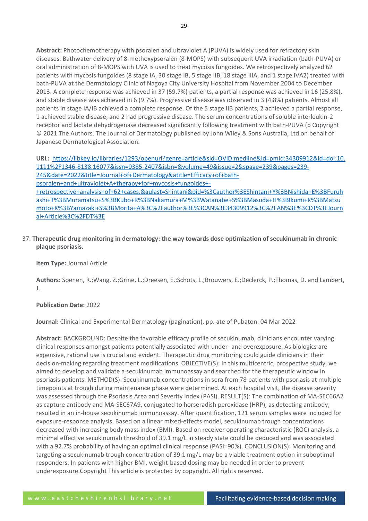**Abstract:** Photochemotherapy with psoralen and ultraviolet A (PUVA) is widely used for refractory skin diseases. Bathwater delivery of 8-methoxypsoralen (8-MOPS) with subsequent UVA irradiation (bath-PUVA) or oral administration of 8-MOPS with UVA is used to treat mycosis fungoides. We retrospectively analyzed 62 patients with mycosis fungoides (8 stage IA, 30 stage IB, 5 stage IIB, 18 stage IIIA, and 1 stage IVA2) treated with bath-PUVA at the Dermatology Clinic of Nagoya City University Hospital from November 2004 to December 2013. A complete response was achieved in 37 (59.7%) patients, a partial response was achieved in 16 (25.8%), and stable disease was achieved in 6 (9.7%). Progressive disease was observed in 3 (4.8%) patients. Almost all patients in stage IA/IB achieved a complete response. Of the 5 stage IIB patients, 2 achieved a partial response, 1 achieved stable disease, and 2 had progressive disease. The serum concentrations of soluble interleukin-2 receptor and lactate dehydrogenase decreased significantly following treatment with bath-PUVA (p Copyright © 2021 The Authors. The Journal of Dermatology published by John Wiley & Sons Australia, Ltd on behalf of Japanese Dermatological Association.

**URL:** [https://libkey.io/libraries/1293/openurl?genre=article&sid=OVID:medline&id=pmid:34309912&id=doi:10.](https://libkey.io/libraries/1293/openurl?genre=article&sid=OVID:medline&id=pmid:34309912&id=doi:10.1111%2F1346-8138.16077&issn=0385-2407&isbn=&volume=49&issue=2&spage=239&pages=239-245&date=2022&title=Journal+of+Dermatology&atitle=Efficacy+of+bath-psoralen+and+ultraviolet+A+therapy+for+mycosis+fungoides+-+retrospective+analysis+of+62+cases.&aulast=Shintani&pid=%3Cauthor%3EShintani+Y%3BNishida+E%3BFuruhashi+T%3BMuramatsu+S%3BKubo+R%3BNakamura+M%3BWatanabe+S%3BMasuda+H%3BIkumi+K%3BMatsumoto+K%3BYamazaki+S%3BMorita+A%3C%2Fauthor%3E%3CAN%3E34309912%3C%2FAN%3E%3CDT%3EJournal+Article%3C%2FDT%3E) [1111%2F1346-8138.16077&issn=0385-2407&isbn=&volume=49&issue=2&spage=239&pages=239-](https://libkey.io/libraries/1293/openurl?genre=article&sid=OVID:medline&id=pmid:34309912&id=doi:10.1111%2F1346-8138.16077&issn=0385-2407&isbn=&volume=49&issue=2&spage=239&pages=239-245&date=2022&title=Journal+of+Dermatology&atitle=Efficacy+of+bath-psoralen+and+ultraviolet+A+therapy+for+mycosis+fungoides+-+retrospective+analysis+of+62+cases.&aulast=Shintani&pid=%3Cauthor%3EShintani+Y%3BNishida+E%3BFuruhashi+T%3BMuramatsu+S%3BKubo+R%3BNakamura+M%3BWatanabe+S%3BMasuda+H%3BIkumi+K%3BMatsumoto+K%3BYamazaki+S%3BMorita+A%3C%2Fauthor%3E%3CAN%3E34309912%3C%2FAN%3E%3CDT%3EJournal+Article%3C%2FDT%3E) [245&date=2022&title=Journal+of+Dermatology&atitle=Efficacy+of+bath](https://libkey.io/libraries/1293/openurl?genre=article&sid=OVID:medline&id=pmid:34309912&id=doi:10.1111%2F1346-8138.16077&issn=0385-2407&isbn=&volume=49&issue=2&spage=239&pages=239-245&date=2022&title=Journal+of+Dermatology&atitle=Efficacy+of+bath-psoralen+and+ultraviolet+A+therapy+for+mycosis+fungoides+-+retrospective+analysis+of+62+cases.&aulast=Shintani&pid=%3Cauthor%3EShintani+Y%3BNishida+E%3BFuruhashi+T%3BMuramatsu+S%3BKubo+R%3BNakamura+M%3BWatanabe+S%3BMasuda+H%3BIkumi+K%3BMatsumoto+K%3BYamazaki+S%3BMorita+A%3C%2Fauthor%3E%3CAN%3E34309912%3C%2FAN%3E%3CDT%3EJournal+Article%3C%2FDT%3E)[psoralen+and+ultraviolet+A+therapy+for+mycosis+fungoides+-](https://libkey.io/libraries/1293/openurl?genre=article&sid=OVID:medline&id=pmid:34309912&id=doi:10.1111%2F1346-8138.16077&issn=0385-2407&isbn=&volume=49&issue=2&spage=239&pages=239-245&date=2022&title=Journal+of+Dermatology&atitle=Efficacy+of+bath-psoralen+and+ultraviolet+A+therapy+for+mycosis+fungoides+-+retrospective+analysis+of+62+cases.&aulast=Shintani&pid=%3Cauthor%3EShintani+Y%3BNishida+E%3BFuruhashi+T%3BMuramatsu+S%3BKubo+R%3BNakamura+M%3BWatanabe+S%3BMasuda+H%3BIkumi+K%3BMatsumoto+K%3BYamazaki+S%3BMorita+A%3C%2Fauthor%3E%3CAN%3E34309912%3C%2FAN%3E%3CDT%3EJournal+Article%3C%2FDT%3E) [+retrospective+analysis+of+62+cases.&aulast=Shintani&pid=%3Cauthor%3EShintani+Y%3BNishida+E%3BFuruh](https://libkey.io/libraries/1293/openurl?genre=article&sid=OVID:medline&id=pmid:34309912&id=doi:10.1111%2F1346-8138.16077&issn=0385-2407&isbn=&volume=49&issue=2&spage=239&pages=239-245&date=2022&title=Journal+of+Dermatology&atitle=Efficacy+of+bath-psoralen+and+ultraviolet+A+therapy+for+mycosis+fungoides+-+retrospective+analysis+of+62+cases.&aulast=Shintani&pid=%3Cauthor%3EShintani+Y%3BNishida+E%3BFuruhashi+T%3BMuramatsu+S%3BKubo+R%3BNakamura+M%3BWatanabe+S%3BMasuda+H%3BIkumi+K%3BMatsumoto+K%3BYamazaki+S%3BMorita+A%3C%2Fauthor%3E%3CAN%3E34309912%3C%2FAN%3E%3CDT%3EJournal+Article%3C%2FDT%3E) [ashi+T%3BMuramatsu+S%3BKubo+R%3BNakamura+M%3BWatanabe+S%3BMasuda+H%3BIkumi+K%3BMatsu](https://libkey.io/libraries/1293/openurl?genre=article&sid=OVID:medline&id=pmid:34309912&id=doi:10.1111%2F1346-8138.16077&issn=0385-2407&isbn=&volume=49&issue=2&spage=239&pages=239-245&date=2022&title=Journal+of+Dermatology&atitle=Efficacy+of+bath-psoralen+and+ultraviolet+A+therapy+for+mycosis+fungoides+-+retrospective+analysis+of+62+cases.&aulast=Shintani&pid=%3Cauthor%3EShintani+Y%3BNishida+E%3BFuruhashi+T%3BMuramatsu+S%3BKubo+R%3BNakamura+M%3BWatanabe+S%3BMasuda+H%3BIkumi+K%3BMatsumoto+K%3BYamazaki+S%3BMorita+A%3C%2Fauthor%3E%3CAN%3E34309912%3C%2FAN%3E%3CDT%3EJournal+Article%3C%2FDT%3E) [moto+K%3BYamazaki+S%3BMorita+A%3C%2Fauthor%3E%3CAN%3E34309912%3C%2FAN%3E%3CDT%3EJourn](https://libkey.io/libraries/1293/openurl?genre=article&sid=OVID:medline&id=pmid:34309912&id=doi:10.1111%2F1346-8138.16077&issn=0385-2407&isbn=&volume=49&issue=2&spage=239&pages=239-245&date=2022&title=Journal+of+Dermatology&atitle=Efficacy+of+bath-psoralen+and+ultraviolet+A+therapy+for+mycosis+fungoides+-+retrospective+analysis+of+62+cases.&aulast=Shintani&pid=%3Cauthor%3EShintani+Y%3BNishida+E%3BFuruhashi+T%3BMuramatsu+S%3BKubo+R%3BNakamura+M%3BWatanabe+S%3BMasuda+H%3BIkumi+K%3BMatsumoto+K%3BYamazaki+S%3BMorita+A%3C%2Fauthor%3E%3CAN%3E34309912%3C%2FAN%3E%3CDT%3EJournal+Article%3C%2FDT%3E) [al+Article%3C%2FDT%3E](https://libkey.io/libraries/1293/openurl?genre=article&sid=OVID:medline&id=pmid:34309912&id=doi:10.1111%2F1346-8138.16077&issn=0385-2407&isbn=&volume=49&issue=2&spage=239&pages=239-245&date=2022&title=Journal+of+Dermatology&atitle=Efficacy+of+bath-psoralen+and+ultraviolet+A+therapy+for+mycosis+fungoides+-+retrospective+analysis+of+62+cases.&aulast=Shintani&pid=%3Cauthor%3EShintani+Y%3BNishida+E%3BFuruhashi+T%3BMuramatsu+S%3BKubo+R%3BNakamura+M%3BWatanabe+S%3BMasuda+H%3BIkumi+K%3BMatsumoto+K%3BYamazaki+S%3BMorita+A%3C%2Fauthor%3E%3CAN%3E34309912%3C%2FAN%3E%3CDT%3EJournal+Article%3C%2FDT%3E)

37. **Therapeutic drug monitoring in dermatology: the way towards dose optimization of secukinumab in chronic plaque psoriasis.**

**Item Type:** Journal Article

**Authors:** Soenen, R.;Wang, Z.;Grine, L.;Dreesen, E.;Schots, L.;Brouwers, E.;Declerck, P.;Thomas, D. and Lambert, J.

# **Publication Date:** 2022

**Journal:** Clinical and Experimental Dermatology (pagination), pp. ate of Pubaton: 04 Mar 2022

**Abstract:** BACKGROUND: Despite the favorable efficacy profile of secukinumab, clinicians encounter varying clinical responses amongst patients potentially associated with under- and overexposure. As biologics are expensive, rational use is crucial and evident. Therapeutic drug monitoring could guide clinicians in their decision-making regarding treatment modifications. OBJECTIVE(S): In this multicentric, prospective study, we aimed to develop and validate a secukinumab immunoassay and searched for the therapeutic window in psoriasis patients. METHOD(S): Secukinumab concentrations in sera from 78 patients with psoriasis at multiple timepoints at trough during maintenance phase were determined. At each hospital visit, the disease severity was assessed through the Psoriasis Area and Severity Index (PASI). RESULT(S): The combination of MA-SEC66A2 as capture antibody and MA-SEC67A9, conjugated to horseradish peroxidase (HRP), as detecting antibody, resulted in an in-house secukinumab immunoassay. After quantification, 121 serum samples were included for exposure-response analysis. Based on a linear mixed-effects model, secukinumab trough concentrations decreased with increasing body mass index (BMI). Based on receiver operating characteristic (ROC) analysis, a minimal effective secukinumab threshold of 39.1 mg/L in steady state could be deduced and was associated with a 92.7% probability of having an optimal clinical response (PASI=90%). CONCLUSION(S): Monitoring and targeting a secukinumab trough concentration of 39.1 mg/L may be a viable treatment option in suboptimal responders. In patients with higher BMI, weight-based dosing may be needed in order to prevent underexposure.Copyright This article is protected by copyright. All rights reserved.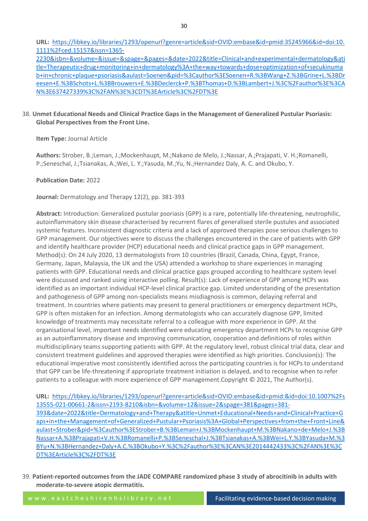**URL:** [https://libkey.io/libraries/1293/openurl?genre=article&sid=OVID:embase&id=pmid:35245966&id=doi:10.](https://libkey.io/libraries/1293/openurl?genre=article&sid=OVID:embase&id=pmid:35245966&id=doi:10.1111%2Fced.15157&issn=1365-2230&isbn=&volume=&issue=&spage=&pages=&date=2022&title=Clinical+and+experimental+dermatology&atitle=Therapeutic+drug+monitoring+in+dermatology%3A+the+way+towards+dose+optimization+of+secukinumab+in+chronic+plaque+psoriasis&aulast=Soenen&pid=%3Cauthor%3ESoenen+R.%3BWang+Z.%3BGrine+L.%3BDreesen+E.%3BSchots+L.%3BBrouwers+E.%3BDeclerck+P.%3BThomas+D.%3BLambert+J.%3C%2Fauthor%3E%3CAN%3E637427339%3C%2FAN%3E%3CDT%3EArticle%3C%2FDT%3E) [1111%2Fced.15157&issn=1365-](https://libkey.io/libraries/1293/openurl?genre=article&sid=OVID:embase&id=pmid:35245966&id=doi:10.1111%2Fced.15157&issn=1365-2230&isbn=&volume=&issue=&spage=&pages=&date=2022&title=Clinical+and+experimental+dermatology&atitle=Therapeutic+drug+monitoring+in+dermatology%3A+the+way+towards+dose+optimization+of+secukinumab+in+chronic+plaque+psoriasis&aulast=Soenen&pid=%3Cauthor%3ESoenen+R.%3BWang+Z.%3BGrine+L.%3BDreesen+E.%3BSchots+L.%3BBrouwers+E.%3BDeclerck+P.%3BThomas+D.%3BLambert+J.%3C%2Fauthor%3E%3CAN%3E637427339%3C%2FAN%3E%3CDT%3EArticle%3C%2FDT%3E)

[2230&isbn=&volume=&issue=&spage=&pages=&date=2022&title=Clinical+and+experimental+dermatology&ati](https://libkey.io/libraries/1293/openurl?genre=article&sid=OVID:embase&id=pmid:35245966&id=doi:10.1111%2Fced.15157&issn=1365-2230&isbn=&volume=&issue=&spage=&pages=&date=2022&title=Clinical+and+experimental+dermatology&atitle=Therapeutic+drug+monitoring+in+dermatology%3A+the+way+towards+dose+optimization+of+secukinumab+in+chronic+plaque+psoriasis&aulast=Soenen&pid=%3Cauthor%3ESoenen+R.%3BWang+Z.%3BGrine+L.%3BDreesen+E.%3BSchots+L.%3BBrouwers+E.%3BDeclerck+P.%3BThomas+D.%3BLambert+J.%3C%2Fauthor%3E%3CAN%3E637427339%3C%2FAN%3E%3CDT%3EArticle%3C%2FDT%3E) [tle=Therapeutic+drug+monitoring+in+dermatology%3A+the+way+towards+dose+optimization+of+secukinuma](https://libkey.io/libraries/1293/openurl?genre=article&sid=OVID:embase&id=pmid:35245966&id=doi:10.1111%2Fced.15157&issn=1365-2230&isbn=&volume=&issue=&spage=&pages=&date=2022&title=Clinical+and+experimental+dermatology&atitle=Therapeutic+drug+monitoring+in+dermatology%3A+the+way+towards+dose+optimization+of+secukinumab+in+chronic+plaque+psoriasis&aulast=Soenen&pid=%3Cauthor%3ESoenen+R.%3BWang+Z.%3BGrine+L.%3BDreesen+E.%3BSchots+L.%3BBrouwers+E.%3BDeclerck+P.%3BThomas+D.%3BLambert+J.%3C%2Fauthor%3E%3CAN%3E637427339%3C%2FAN%3E%3CDT%3EArticle%3C%2FDT%3E) [b+in+chronic+plaque+psoriasis&aulast=Soenen&pid=%3Cauthor%3ESoenen+R.%3BWang+Z.%3BGrine+L.%3BDr](https://libkey.io/libraries/1293/openurl?genre=article&sid=OVID:embase&id=pmid:35245966&id=doi:10.1111%2Fced.15157&issn=1365-2230&isbn=&volume=&issue=&spage=&pages=&date=2022&title=Clinical+and+experimental+dermatology&atitle=Therapeutic+drug+monitoring+in+dermatology%3A+the+way+towards+dose+optimization+of+secukinumab+in+chronic+plaque+psoriasis&aulast=Soenen&pid=%3Cauthor%3ESoenen+R.%3BWang+Z.%3BGrine+L.%3BDreesen+E.%3BSchots+L.%3BBrouwers+E.%3BDeclerck+P.%3BThomas+D.%3BLambert+J.%3C%2Fauthor%3E%3CAN%3E637427339%3C%2FAN%3E%3CDT%3EArticle%3C%2FDT%3E) [eesen+E.%3BSchots+L.%3BBrouwers+E.%3BDeclerck+P.%3BThomas+D.%3BLambert+J.%3C%2Fauthor%3E%3CA](https://libkey.io/libraries/1293/openurl?genre=article&sid=OVID:embase&id=pmid:35245966&id=doi:10.1111%2Fced.15157&issn=1365-2230&isbn=&volume=&issue=&spage=&pages=&date=2022&title=Clinical+and+experimental+dermatology&atitle=Therapeutic+drug+monitoring+in+dermatology%3A+the+way+towards+dose+optimization+of+secukinumab+in+chronic+plaque+psoriasis&aulast=Soenen&pid=%3Cauthor%3ESoenen+R.%3BWang+Z.%3BGrine+L.%3BDreesen+E.%3BSchots+L.%3BBrouwers+E.%3BDeclerck+P.%3BThomas+D.%3BLambert+J.%3C%2Fauthor%3E%3CAN%3E637427339%3C%2FAN%3E%3CDT%3EArticle%3C%2FDT%3E) [N%3E637427339%3C%2FAN%3E%3CDT%3EArticle%3C%2FDT%3E](https://libkey.io/libraries/1293/openurl?genre=article&sid=OVID:embase&id=pmid:35245966&id=doi:10.1111%2Fced.15157&issn=1365-2230&isbn=&volume=&issue=&spage=&pages=&date=2022&title=Clinical+and+experimental+dermatology&atitle=Therapeutic+drug+monitoring+in+dermatology%3A+the+way+towards+dose+optimization+of+secukinumab+in+chronic+plaque+psoriasis&aulast=Soenen&pid=%3Cauthor%3ESoenen+R.%3BWang+Z.%3BGrine+L.%3BDreesen+E.%3BSchots+L.%3BBrouwers+E.%3BDeclerck+P.%3BThomas+D.%3BLambert+J.%3C%2Fauthor%3E%3CAN%3E637427339%3C%2FAN%3E%3CDT%3EArticle%3C%2FDT%3E)

# 38. **Unmet Educational Needs and Clinical Practice Gaps in the Management of Generalized Pustular Psoriasis: Global Perspectives from the Front Line.**

**Item Type:** Journal Article

**Authors:** Strober, B.;Leman, J.;Mockenhaupt, M.;Nakano de Melo, J.;Nassar, A.;Prajapati, V. H.;Romanelli, P.;Seneschal, J.;Tsianakas, A.;Wei, L. Y.;Yasuda, M.;Yu, N.;Hernandez Daly, A. C. and Okubo, Y.

**Publication Date:** 2022

**Journal:** Dermatology and Therapy 12(2), pp. 381-393

**Abstract:** Introduction: Generalized pustular psoriasis (GPP) is a rare, potentially life-threatening, neutrophilic, autoinflammatory skin disease characterised by recurrent flares of generalised sterile pustules and associated systemic features. Inconsistent diagnostic criteria and a lack of approved therapies pose serious challenges to GPP management. Our objectives were to discuss the challenges encountered in the care of patients with GPP and identify healthcare provider (HCP) educational needs and clinical practice gaps in GPP management. Method(s): On 24 July 2020, 13 dermatologists from 10 countries (Brazil, Canada, China, Egypt, France, Germany, Japan, Malaysia, the UK and the USA) attended a workshop to share experiences in managing patients with GPP. Educational needs and clinical practice gaps grouped according to healthcare system level were discussed and ranked using interactive polling. Result(s): Lack of experience of GPP among HCPs was identified as an important individual HCP-level clinical practice gap. Limited understanding of the presentation and pathogenesis of GPP among non-specialists means misdiagnosis is common, delaying referral and treatment. In countries where patients may present to general practitioners or emergency department HCPs, GPP is often mistaken for an infection. Among dermatologists who can accurately diagnose GPP, limited knowledge of treatments may necessitate referral to a colleague with more experience in GPP. At the organisational level, important needs identified were educating emergency department HCPs to recognise GPP as an autoinflammatory disease and improving communication, cooperation and definitions of roles within multidisciplinary teams supporting patients with GPP. At the regulatory level, robust clinical trial data, clear and consistent treatment guidelines and approved therapies were identified as high priorities. Conclusion(s): The educational imperative most consistently identified across the participating countries is for HCPs to understand that GPP can be life-threatening if appropriate treatment initiation is delayed, and to recognise when to refer patients to a colleague with more experience of GPP management.Copyright © 2021, The Author(s).

**URL:** [https://libkey.io/libraries/1293/openurl?genre=article&sid=OVID:embase&id=pmid:&id=doi:10.1007%2Fs](https://libkey.io/libraries/1293/openurl?genre=article&sid=OVID:embase&id=pmid:&id=doi:10.1007%2Fs13555-021-00661-2&issn=2193-8210&isbn=&volume=12&issue=2&spage=381&pages=381-393&date=2022&title=Dermatology+and+Therapy&atitle=Unmet+Educational+Needs+and+Clinical+Practice+Gaps+in+the+Management+of+Generalized+Pustular+Psoriasis%3A+Global+Perspectives+from+the+Front+Line&aulast=Strober&pid=%3Cauthor%3EStrober+B.%3BLeman+J.%3BMockenhaupt+M.%3BNakano+de+Melo+J.%3BNassar+A.%3BPrajapati+V.H.%3BRomanelli+P.%3BSeneschal+J.%3BTsianakas+A.%3BWei+L.Y.%3BYasuda+M.%3BYu+N.%3BHernandez+Daly+A.C.%3BOkubo+Y.%3C%2Fauthor%3E%3CAN%3E2014442433%3C%2FAN%3E%3CDT%3EArticle%3C%2FDT%3E) [13555-021-00661-2&issn=2193-8210&isbn=&volume=12&issue=2&spage=381&pages=381-](https://libkey.io/libraries/1293/openurl?genre=article&sid=OVID:embase&id=pmid:&id=doi:10.1007%2Fs13555-021-00661-2&issn=2193-8210&isbn=&volume=12&issue=2&spage=381&pages=381-393&date=2022&title=Dermatology+and+Therapy&atitle=Unmet+Educational+Needs+and+Clinical+Practice+Gaps+in+the+Management+of+Generalized+Pustular+Psoriasis%3A+Global+Perspectives+from+the+Front+Line&aulast=Strober&pid=%3Cauthor%3EStrober+B.%3BLeman+J.%3BMockenhaupt+M.%3BNakano+de+Melo+J.%3BNassar+A.%3BPrajapati+V.H.%3BRomanelli+P.%3BSeneschal+J.%3BTsianakas+A.%3BWei+L.Y.%3BYasuda+M.%3BYu+N.%3BHernandez+Daly+A.C.%3BOkubo+Y.%3C%2Fauthor%3E%3CAN%3E2014442433%3C%2FAN%3E%3CDT%3EArticle%3C%2FDT%3E) [393&date=2022&title=Dermatology+and+Therapy&atitle=Unmet+Educational+Needs+and+Clinical+Practice+G](https://libkey.io/libraries/1293/openurl?genre=article&sid=OVID:embase&id=pmid:&id=doi:10.1007%2Fs13555-021-00661-2&issn=2193-8210&isbn=&volume=12&issue=2&spage=381&pages=381-393&date=2022&title=Dermatology+and+Therapy&atitle=Unmet+Educational+Needs+and+Clinical+Practice+Gaps+in+the+Management+of+Generalized+Pustular+Psoriasis%3A+Global+Perspectives+from+the+Front+Line&aulast=Strober&pid=%3Cauthor%3EStrober+B.%3BLeman+J.%3BMockenhaupt+M.%3BNakano+de+Melo+J.%3BNassar+A.%3BPrajapati+V.H.%3BRomanelli+P.%3BSeneschal+J.%3BTsianakas+A.%3BWei+L.Y.%3BYasuda+M.%3BYu+N.%3BHernandez+Daly+A.C.%3BOkubo+Y.%3C%2Fauthor%3E%3CAN%3E2014442433%3C%2FAN%3E%3CDT%3EArticle%3C%2FDT%3E) [aps+in+the+Management+of+Generalized+Pustular+Psoriasis%3A+Global+Perspectives+from+the+Front+Line&](https://libkey.io/libraries/1293/openurl?genre=article&sid=OVID:embase&id=pmid:&id=doi:10.1007%2Fs13555-021-00661-2&issn=2193-8210&isbn=&volume=12&issue=2&spage=381&pages=381-393&date=2022&title=Dermatology+and+Therapy&atitle=Unmet+Educational+Needs+and+Clinical+Practice+Gaps+in+the+Management+of+Generalized+Pustular+Psoriasis%3A+Global+Perspectives+from+the+Front+Line&aulast=Strober&pid=%3Cauthor%3EStrober+B.%3BLeman+J.%3BMockenhaupt+M.%3BNakano+de+Melo+J.%3BNassar+A.%3BPrajapati+V.H.%3BRomanelli+P.%3BSeneschal+J.%3BTsianakas+A.%3BWei+L.Y.%3BYasuda+M.%3BYu+N.%3BHernandez+Daly+A.C.%3BOkubo+Y.%3C%2Fauthor%3E%3CAN%3E2014442433%3C%2FAN%3E%3CDT%3EArticle%3C%2FDT%3E) [aulast=Strober&pid=%3Cauthor%3EStrober+B.%3BLeman+J.%3BMockenhaupt+M.%3BNakano+de+Melo+J.%3B](https://libkey.io/libraries/1293/openurl?genre=article&sid=OVID:embase&id=pmid:&id=doi:10.1007%2Fs13555-021-00661-2&issn=2193-8210&isbn=&volume=12&issue=2&spage=381&pages=381-393&date=2022&title=Dermatology+and+Therapy&atitle=Unmet+Educational+Needs+and+Clinical+Practice+Gaps+in+the+Management+of+Generalized+Pustular+Psoriasis%3A+Global+Perspectives+from+the+Front+Line&aulast=Strober&pid=%3Cauthor%3EStrober+B.%3BLeman+J.%3BMockenhaupt+M.%3BNakano+de+Melo+J.%3BNassar+A.%3BPrajapati+V.H.%3BRomanelli+P.%3BSeneschal+J.%3BTsianakas+A.%3BWei+L.Y.%3BYasuda+M.%3BYu+N.%3BHernandez+Daly+A.C.%3BOkubo+Y.%3C%2Fauthor%3E%3CAN%3E2014442433%3C%2FAN%3E%3CDT%3EArticle%3C%2FDT%3E) [Nassar+A.%3BPrajapati+V.H.%3BRomanelli+P.%3BSeneschal+J.%3BTsianakas+A.%3BWei+L.Y.%3BYasuda+M.%3](https://libkey.io/libraries/1293/openurl?genre=article&sid=OVID:embase&id=pmid:&id=doi:10.1007%2Fs13555-021-00661-2&issn=2193-8210&isbn=&volume=12&issue=2&spage=381&pages=381-393&date=2022&title=Dermatology+and+Therapy&atitle=Unmet+Educational+Needs+and+Clinical+Practice+Gaps+in+the+Management+of+Generalized+Pustular+Psoriasis%3A+Global+Perspectives+from+the+Front+Line&aulast=Strober&pid=%3Cauthor%3EStrober+B.%3BLeman+J.%3BMockenhaupt+M.%3BNakano+de+Melo+J.%3BNassar+A.%3BPrajapati+V.H.%3BRomanelli+P.%3BSeneschal+J.%3BTsianakas+A.%3BWei+L.Y.%3BYasuda+M.%3BYu+N.%3BHernandez+Daly+A.C.%3BOkubo+Y.%3C%2Fauthor%3E%3CAN%3E2014442433%3C%2FAN%3E%3CDT%3EArticle%3C%2FDT%3E) [BYu+N.%3BHernandez+Daly+A.C.%3BOkubo+Y.%3C%2Fauthor%3E%3CAN%3E2014442433%3C%2FAN%3E%3C](https://libkey.io/libraries/1293/openurl?genre=article&sid=OVID:embase&id=pmid:&id=doi:10.1007%2Fs13555-021-00661-2&issn=2193-8210&isbn=&volume=12&issue=2&spage=381&pages=381-393&date=2022&title=Dermatology+and+Therapy&atitle=Unmet+Educational+Needs+and+Clinical+Practice+Gaps+in+the+Management+of+Generalized+Pustular+Psoriasis%3A+Global+Perspectives+from+the+Front+Line&aulast=Strober&pid=%3Cauthor%3EStrober+B.%3BLeman+J.%3BMockenhaupt+M.%3BNakano+de+Melo+J.%3BNassar+A.%3BPrajapati+V.H.%3BRomanelli+P.%3BSeneschal+J.%3BTsianakas+A.%3BWei+L.Y.%3BYasuda+M.%3BYu+N.%3BHernandez+Daly+A.C.%3BOkubo+Y.%3C%2Fauthor%3E%3CAN%3E2014442433%3C%2FAN%3E%3CDT%3EArticle%3C%2FDT%3E) [DT%3EArticle%3C%2FDT%3E](https://libkey.io/libraries/1293/openurl?genre=article&sid=OVID:embase&id=pmid:&id=doi:10.1007%2Fs13555-021-00661-2&issn=2193-8210&isbn=&volume=12&issue=2&spage=381&pages=381-393&date=2022&title=Dermatology+and+Therapy&atitle=Unmet+Educational+Needs+and+Clinical+Practice+Gaps+in+the+Management+of+Generalized+Pustular+Psoriasis%3A+Global+Perspectives+from+the+Front+Line&aulast=Strober&pid=%3Cauthor%3EStrober+B.%3BLeman+J.%3BMockenhaupt+M.%3BNakano+de+Melo+J.%3BNassar+A.%3BPrajapati+V.H.%3BRomanelli+P.%3BSeneschal+J.%3BTsianakas+A.%3BWei+L.Y.%3BYasuda+M.%3BYu+N.%3BHernandez+Daly+A.C.%3BOkubo+Y.%3C%2Fauthor%3E%3CAN%3E2014442433%3C%2FAN%3E%3CDT%3EArticle%3C%2FDT%3E)

39. **Patient-reported outcomes from the JADE COMPARE randomized phase 3 study of abrocitinib in adults with moderate-to-severe atopic dermatitis.**

w w w . e a s t c h e s h i r e n h s l i b r a r y . n e t Facilitating evidence-based decision making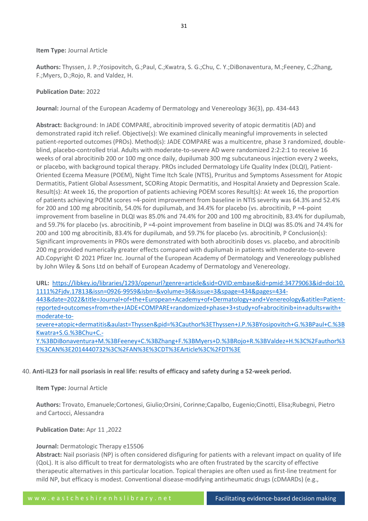#### **Item Type:** Journal Article

**Authors:** Thyssen, J. P.;Yosipovitch, G.;Paul, C.;Kwatra, S. G.;Chu, C. Y.;DiBonaventura, M.;Feeney, C.;Zhang, F.;Myers, D.;Rojo, R. and Valdez, H.

#### **Publication Date:** 2022

**Journal:** Journal of the European Academy of Dermatology and Venereology 36(3), pp. 434-443

**Abstract:** Background: In JADE COMPARE, abrocitinib improved severity of atopic dermatitis (AD) and demonstrated rapid itch relief. Objective(s): We examined clinically meaningful improvements in selected patient-reported outcomes (PROs). Method(s): JADE COMPARE was a multicentre, phase 3 randomized, doubleblind, placebo-controlled trial. Adults with moderate-to-severe AD were randomized 2:2:2:1 to receive 16 weeks of oral abrocitinib 200 or 100 mg once daily, dupilumab 300 mg subcutaneous injection every 2 weeks, or placebo, with background topical therapy. PROs included Dermatology Life Quality Index (DLQI), Patient-Oriented Eczema Measure (POEM), Night Time Itch Scale (NTIS), Pruritus and Symptoms Assessment for Atopic Dermatitis, Patient Global Assessment, SCORing Atopic Dermatitis, and Hospital Anxiety and Depression Scale. Result(s): At week 16, the proportion of patients achieving POEM scores Result(s): At week 16, the proportion of patients achieving POEM scores =4-point improvement from baseline in NTIS severity was 64.3% and 52.4% for 200 and 100 mg abrocitinib, 54.0% for dupilumab, and 34.4% for placebo (vs. abrocitinib, P =4-point improvement from baseline in DLQI was 85.0% and 74.4% for 200 and 100 mg abrocitinib, 83.4% for dupilumab, and 59.7% for placebo (vs. abrocitinib, P =4-point improvement from baseline in DLQI was 85.0% and 74.4% for 200 and 100 mg abrocitinib, 83.4% for dupilumab, and 59.7% for placebo (vs. abrocitinib, P Conclusion(s): Significant improvements in PROs were demonstrated with both abrocitinib doses vs. placebo, and abrocitinib 200 mg provided numerically greater effects compared with dupilumab in patients with moderate-to-severe AD.Copyright © 2021 Pfizer Inc. Journal of the European Academy of Dermatology and Venereology published by John Wiley & Sons Ltd on behalf of European Academy of Dermatology and Venereology.

**URL:** [https://libkey.io/libraries/1293/openurl?genre=article&sid=OVID:embase&id=pmid:34779063&id=doi:10.](https://libkey.io/libraries/1293/openurl?genre=article&sid=OVID:embase&id=pmid:34779063&id=doi:10.1111%2Fjdv.17813&issn=0926-9959&isbn=&volume=36&issue=3&spage=434&pages=434-443&date=2022&title=Journal+of+the+European+Academy+of+Dermatology+and+Venereology&atitle=Patient-reported+outcomes+from+the+JADE+COMPARE+randomized+phase+3+study+of+abrocitinib+in+adults+with+moderate-to-severe+atopic+dermatitis&aulast=Thyssen&pid=%3Cauthor%3EThyssen+J.P.%3BYosipovitch+G.%3BPaul+C.%3BKwatra+S.G.%3BChu+C.-Y.%3BDiBonaventura+M.%3BFeeney+C.%3BZhang+F.%3BMyers+D.%3BRojo+R.%3BValdez+H.%3C%2Fauthor%3E%3CAN%3E2014440732%3C%2FAN%3E%3CDT%3EArticle%3C%2FDT%3E) [1111%2Fjdv.17813&issn=0926-9959&isbn=&volume=36&issue=3&spage=434&pages=434-](https://libkey.io/libraries/1293/openurl?genre=article&sid=OVID:embase&id=pmid:34779063&id=doi:10.1111%2Fjdv.17813&issn=0926-9959&isbn=&volume=36&issue=3&spage=434&pages=434-443&date=2022&title=Journal+of+the+European+Academy+of+Dermatology+and+Venereology&atitle=Patient-reported+outcomes+from+the+JADE+COMPARE+randomized+phase+3+study+of+abrocitinib+in+adults+with+moderate-to-severe+atopic+dermatitis&aulast=Thyssen&pid=%3Cauthor%3EThyssen+J.P.%3BYosipovitch+G.%3BPaul+C.%3BKwatra+S.G.%3BChu+C.-Y.%3BDiBonaventura+M.%3BFeeney+C.%3BZhang+F.%3BMyers+D.%3BRojo+R.%3BValdez+H.%3C%2Fauthor%3E%3CAN%3E2014440732%3C%2FAN%3E%3CDT%3EArticle%3C%2FDT%3E) [443&date=2022&title=Journal+of+the+European+Academy+of+Dermatology+and+Venereology&atitle=Patient](https://libkey.io/libraries/1293/openurl?genre=article&sid=OVID:embase&id=pmid:34779063&id=doi:10.1111%2Fjdv.17813&issn=0926-9959&isbn=&volume=36&issue=3&spage=434&pages=434-443&date=2022&title=Journal+of+the+European+Academy+of+Dermatology+and+Venereology&atitle=Patient-reported+outcomes+from+the+JADE+COMPARE+randomized+phase+3+study+of+abrocitinib+in+adults+with+moderate-to-severe+atopic+dermatitis&aulast=Thyssen&pid=%3Cauthor%3EThyssen+J.P.%3BYosipovitch+G.%3BPaul+C.%3BKwatra+S.G.%3BChu+C.-Y.%3BDiBonaventura+M.%3BFeeney+C.%3BZhang+F.%3BMyers+D.%3BRojo+R.%3BValdez+H.%3C%2Fauthor%3E%3CAN%3E2014440732%3C%2FAN%3E%3CDT%3EArticle%3C%2FDT%3E)[reported+outcomes+from+the+JADE+COMPARE+randomized+phase+3+study+of+abrocitinib+in+adults+with+](https://libkey.io/libraries/1293/openurl?genre=article&sid=OVID:embase&id=pmid:34779063&id=doi:10.1111%2Fjdv.17813&issn=0926-9959&isbn=&volume=36&issue=3&spage=434&pages=434-443&date=2022&title=Journal+of+the+European+Academy+of+Dermatology+and+Venereology&atitle=Patient-reported+outcomes+from+the+JADE+COMPARE+randomized+phase+3+study+of+abrocitinib+in+adults+with+moderate-to-severe+atopic+dermatitis&aulast=Thyssen&pid=%3Cauthor%3EThyssen+J.P.%3BYosipovitch+G.%3BPaul+C.%3BKwatra+S.G.%3BChu+C.-Y.%3BDiBonaventura+M.%3BFeeney+C.%3BZhang+F.%3BMyers+D.%3BRojo+R.%3BValdez+H.%3C%2Fauthor%3E%3CAN%3E2014440732%3C%2FAN%3E%3CDT%3EArticle%3C%2FDT%3E) [moderate-to](https://libkey.io/libraries/1293/openurl?genre=article&sid=OVID:embase&id=pmid:34779063&id=doi:10.1111%2Fjdv.17813&issn=0926-9959&isbn=&volume=36&issue=3&spage=434&pages=434-443&date=2022&title=Journal+of+the+European+Academy+of+Dermatology+and+Venereology&atitle=Patient-reported+outcomes+from+the+JADE+COMPARE+randomized+phase+3+study+of+abrocitinib+in+adults+with+moderate-to-severe+atopic+dermatitis&aulast=Thyssen&pid=%3Cauthor%3EThyssen+J.P.%3BYosipovitch+G.%3BPaul+C.%3BKwatra+S.G.%3BChu+C.-Y.%3BDiBonaventura+M.%3BFeeney+C.%3BZhang+F.%3BMyers+D.%3BRojo+R.%3BValdez+H.%3C%2Fauthor%3E%3CAN%3E2014440732%3C%2FAN%3E%3CDT%3EArticle%3C%2FDT%3E)[severe+atopic+dermatitis&aulast=Thyssen&pid=%3Cauthor%3EThyssen+J.P.%3BYosipovitch+G.%3BPaul+C.%3B](https://libkey.io/libraries/1293/openurl?genre=article&sid=OVID:embase&id=pmid:34779063&id=doi:10.1111%2Fjdv.17813&issn=0926-9959&isbn=&volume=36&issue=3&spage=434&pages=434-443&date=2022&title=Journal+of+the+European+Academy+of+Dermatology+and+Venereology&atitle=Patient-reported+outcomes+from+the+JADE+COMPARE+randomized+phase+3+study+of+abrocitinib+in+adults+with+moderate-to-severe+atopic+dermatitis&aulast=Thyssen&pid=%3Cauthor%3EThyssen+J.P.%3BYosipovitch+G.%3BPaul+C.%3BKwatra+S.G.%3BChu+C.-Y.%3BDiBonaventura+M.%3BFeeney+C.%3BZhang+F.%3BMyers+D.%3BRojo+R.%3BValdez+H.%3C%2Fauthor%3E%3CAN%3E2014440732%3C%2FAN%3E%3CDT%3EArticle%3C%2FDT%3E) [Kwatra+S.G.%3BChu+C.-](https://libkey.io/libraries/1293/openurl?genre=article&sid=OVID:embase&id=pmid:34779063&id=doi:10.1111%2Fjdv.17813&issn=0926-9959&isbn=&volume=36&issue=3&spage=434&pages=434-443&date=2022&title=Journal+of+the+European+Academy+of+Dermatology+and+Venereology&atitle=Patient-reported+outcomes+from+the+JADE+COMPARE+randomized+phase+3+study+of+abrocitinib+in+adults+with+moderate-to-severe+atopic+dermatitis&aulast=Thyssen&pid=%3Cauthor%3EThyssen+J.P.%3BYosipovitch+G.%3BPaul+C.%3BKwatra+S.G.%3BChu+C.-Y.%3BDiBonaventura+M.%3BFeeney+C.%3BZhang+F.%3BMyers+D.%3BRojo+R.%3BValdez+H.%3C%2Fauthor%3E%3CAN%3E2014440732%3C%2FAN%3E%3CDT%3EArticle%3C%2FDT%3E) [Y.%3BDiBonaventura+M.%3BFeeney+C.%3BZhang+F.%3BMyers+D.%3BRojo+R.%3BValdez+H.%3C%2Fauthor%3](https://libkey.io/libraries/1293/openurl?genre=article&sid=OVID:embase&id=pmid:34779063&id=doi:10.1111%2Fjdv.17813&issn=0926-9959&isbn=&volume=36&issue=3&spage=434&pages=434-443&date=2022&title=Journal+of+the+European+Academy+of+Dermatology+and+Venereology&atitle=Patient-reported+outcomes+from+the+JADE+COMPARE+randomized+phase+3+study+of+abrocitinib+in+adults+with+moderate-to-severe+atopic+dermatitis&aulast=Thyssen&pid=%3Cauthor%3EThyssen+J.P.%3BYosipovitch+G.%3BPaul+C.%3BKwatra+S.G.%3BChu+C.-Y.%3BDiBonaventura+M.%3BFeeney+C.%3BZhang+F.%3BMyers+D.%3BRojo+R.%3BValdez+H.%3C%2Fauthor%3E%3CAN%3E2014440732%3C%2FAN%3E%3CDT%3EArticle%3C%2FDT%3E)

40. **Anti-IL23 for nail psoriasis in real life: results of efficacy and safety during a 52-week period.**

[E%3CAN%3E2014440732%3C%2FAN%3E%3CDT%3EArticle%3C%2FDT%3E](https://libkey.io/libraries/1293/openurl?genre=article&sid=OVID:embase&id=pmid:34779063&id=doi:10.1111%2Fjdv.17813&issn=0926-9959&isbn=&volume=36&issue=3&spage=434&pages=434-443&date=2022&title=Journal+of+the+European+Academy+of+Dermatology+and+Venereology&atitle=Patient-reported+outcomes+from+the+JADE+COMPARE+randomized+phase+3+study+of+abrocitinib+in+adults+with+moderate-to-severe+atopic+dermatitis&aulast=Thyssen&pid=%3Cauthor%3EThyssen+J.P.%3BYosipovitch+G.%3BPaul+C.%3BKwatra+S.G.%3BChu+C.-Y.%3BDiBonaventura+M.%3BFeeney+C.%3BZhang+F.%3BMyers+D.%3BRojo+R.%3BValdez+H.%3C%2Fauthor%3E%3CAN%3E2014440732%3C%2FAN%3E%3CDT%3EArticle%3C%2FDT%3E)

#### **Item Type:** Journal Article

**Authors:** Trovato, Emanuele;Cortonesi, Giulio;Orsini, Corinne;Capalbo, Eugenio;Cinotti, Elisa;Rubegni, Pietro and Cartocci, Alessandra

#### **Publication Date:** Apr 11 ,2022

#### **Journal:** Dermatologic Therapy e15506

**Abstract:** Nail psoriasis (NP) is often considered disfiguring for patients with a relevant impact on quality of life (QoL). It is also difficult to treat for dermatologists who are often frustrated by the scarcity of effective therapeutic alternatives in this particular location. Topical therapies are often used as first-line treatment for mild NP, but efficacy is modest. Conventional disease-modifying antirheumatic drugs (cDMARDs) (e.g.,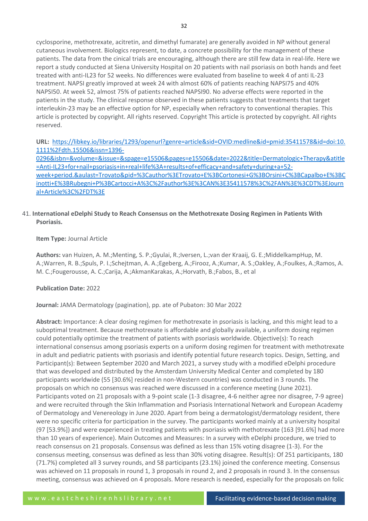cyclosporine, methotrexate, acitretin, and dimethyl fumarate) are generally avoided in NP without general cutaneous involvement. Biologics represent, to date, a concrete possibility for the management of these patients. The data from the cinical trials are encouraging, although there are still few data in real-life. Here we report a study conducted at Siena University Hospital on 20 patients with nail psoriasis on both hands and feet treated with anti-IL23 for 52 weeks. No differences were evaluated from baseline to week 4 of anti IL-23 treatment. NAPSI greatly improved at week 24 with almost 60% of patients reaching NAPSI75 and 40% NAPSI50. At week 52, almost 75% of patients reached NAPSI90. No adverse effects were reported in the patients in the study. The clinical response observed in these patients suggests that treatments that target interleukin-23 may be an effective option for NP, especially when refractory to conventional therapies. This article is protected by copyright. All rights reserved. Copyright This article is protected by copyright. All rights reserved.

**URL:** [https://libkey.io/libraries/1293/openurl?genre=article&sid=OVID:medline&id=pmid:35411578&id=doi:10.](https://libkey.io/libraries/1293/openurl?genre=article&sid=OVID:medline&id=pmid:35411578&id=doi:10.1111%2Fdth.15506&issn=1396-0296&isbn=&volume=&issue=&spage=e15506&pages=e15506&date=2022&title=Dermatologic+Therapy&atitle=Anti-IL23+for+nail+psoriasis+in+real+life%3A+results+of+efficacy+and+safety+during+a+52-week+period.&aulast=Trovato&pid=%3Cauthor%3ETrovato+E%3BCortonesi+G%3BOrsini+C%3BCapalbo+E%3BCinotti+E%3BRubegni+P%3BCartocci+A%3C%2Fauthor%3E%3CAN%3E35411578%3C%2FAN%3E%3CDT%3EJournal+Article%3C%2FDT%3E) [1111%2Fdth.15506&issn=1396-](https://libkey.io/libraries/1293/openurl?genre=article&sid=OVID:medline&id=pmid:35411578&id=doi:10.1111%2Fdth.15506&issn=1396-0296&isbn=&volume=&issue=&spage=e15506&pages=e15506&date=2022&title=Dermatologic+Therapy&atitle=Anti-IL23+for+nail+psoriasis+in+real+life%3A+results+of+efficacy+and+safety+during+a+52-week+period.&aulast=Trovato&pid=%3Cauthor%3ETrovato+E%3BCortonesi+G%3BOrsini+C%3BCapalbo+E%3BCinotti+E%3BRubegni+P%3BCartocci+A%3C%2Fauthor%3E%3CAN%3E35411578%3C%2FAN%3E%3CDT%3EJournal+Article%3C%2FDT%3E)

[0296&isbn=&volume=&issue=&spage=e15506&pages=e15506&date=2022&title=Dermatologic+Therapy&atitle](https://libkey.io/libraries/1293/openurl?genre=article&sid=OVID:medline&id=pmid:35411578&id=doi:10.1111%2Fdth.15506&issn=1396-0296&isbn=&volume=&issue=&spage=e15506&pages=e15506&date=2022&title=Dermatologic+Therapy&atitle=Anti-IL23+for+nail+psoriasis+in+real+life%3A+results+of+efficacy+and+safety+during+a+52-week+period.&aulast=Trovato&pid=%3Cauthor%3ETrovato+E%3BCortonesi+G%3BOrsini+C%3BCapalbo+E%3BCinotti+E%3BRubegni+P%3BCartocci+A%3C%2Fauthor%3E%3CAN%3E35411578%3C%2FAN%3E%3CDT%3EJournal+Article%3C%2FDT%3E) [=Anti-IL23+for+nail+psoriasis+in+real+life%3A+results+of+efficacy+and+safety+during+a+52](https://libkey.io/libraries/1293/openurl?genre=article&sid=OVID:medline&id=pmid:35411578&id=doi:10.1111%2Fdth.15506&issn=1396-0296&isbn=&volume=&issue=&spage=e15506&pages=e15506&date=2022&title=Dermatologic+Therapy&atitle=Anti-IL23+for+nail+psoriasis+in+real+life%3A+results+of+efficacy+and+safety+during+a+52-week+period.&aulast=Trovato&pid=%3Cauthor%3ETrovato+E%3BCortonesi+G%3BOrsini+C%3BCapalbo+E%3BCinotti+E%3BRubegni+P%3BCartocci+A%3C%2Fauthor%3E%3CAN%3E35411578%3C%2FAN%3E%3CDT%3EJournal+Article%3C%2FDT%3E) [week+period.&aulast=Trovato&pid=%3Cauthor%3ETrovato+E%3BCortonesi+G%3BOrsini+C%3BCapalbo+E%3BC](https://libkey.io/libraries/1293/openurl?genre=article&sid=OVID:medline&id=pmid:35411578&id=doi:10.1111%2Fdth.15506&issn=1396-0296&isbn=&volume=&issue=&spage=e15506&pages=e15506&date=2022&title=Dermatologic+Therapy&atitle=Anti-IL23+for+nail+psoriasis+in+real+life%3A+results+of+efficacy+and+safety+during+a+52-week+period.&aulast=Trovato&pid=%3Cauthor%3ETrovato+E%3BCortonesi+G%3BOrsini+C%3BCapalbo+E%3BCinotti+E%3BRubegni+P%3BCartocci+A%3C%2Fauthor%3E%3CAN%3E35411578%3C%2FAN%3E%3CDT%3EJournal+Article%3C%2FDT%3E) [inotti+E%3BRubegni+P%3BCartocci+A%3C%2Fauthor%3E%3CAN%3E35411578%3C%2FAN%3E%3CDT%3EJourn](https://libkey.io/libraries/1293/openurl?genre=article&sid=OVID:medline&id=pmid:35411578&id=doi:10.1111%2Fdth.15506&issn=1396-0296&isbn=&volume=&issue=&spage=e15506&pages=e15506&date=2022&title=Dermatologic+Therapy&atitle=Anti-IL23+for+nail+psoriasis+in+real+life%3A+results+of+efficacy+and+safety+during+a+52-week+period.&aulast=Trovato&pid=%3Cauthor%3ETrovato+E%3BCortonesi+G%3BOrsini+C%3BCapalbo+E%3BCinotti+E%3BRubegni+P%3BCartocci+A%3C%2Fauthor%3E%3CAN%3E35411578%3C%2FAN%3E%3CDT%3EJournal+Article%3C%2FDT%3E) [al+Article%3C%2FDT%3E](https://libkey.io/libraries/1293/openurl?genre=article&sid=OVID:medline&id=pmid:35411578&id=doi:10.1111%2Fdth.15506&issn=1396-0296&isbn=&volume=&issue=&spage=e15506&pages=e15506&date=2022&title=Dermatologic+Therapy&atitle=Anti-IL23+for+nail+psoriasis+in+real+life%3A+results+of+efficacy+and+safety+during+a+52-week+period.&aulast=Trovato&pid=%3Cauthor%3ETrovato+E%3BCortonesi+G%3BOrsini+C%3BCapalbo+E%3BCinotti+E%3BRubegni+P%3BCartocci+A%3C%2Fauthor%3E%3CAN%3E35411578%3C%2FAN%3E%3CDT%3EJournal+Article%3C%2FDT%3E)

# 41. **International eDelphi Study to Reach Consensus on the Methotrexate Dosing Regimen in Patients With Psoriasis.**

**Item Type:** Journal Article

**Authors:** van Huizen, A. M.;Menting, S. P.;Gyulai, R.;Iversen, L.;van der Kraaij, G. E.;MiddelkampHup, M. A.;Warren, R. B.;Spuls, P. I.;Schejtman, A. A.;Egeberg, A.;Firooz, A.;Kumar, A. S.;Oakley, A.;Foulkes, A.;Ramos, A. M. C.;Fougerousse, A. C.;Carija, A.;AkmanKarakas, A.;Horvath, B.;Fabos, B., et al

# **Publication Date:** 2022

**Journal:** JAMA Dermatology (pagination), pp. ate of Pubaton: 30 Mar 2022

**Abstract:** Importance: A clear dosing regimen for methotrexate in psoriasis is lacking, and this might lead to a suboptimal treatment. Because methotrexate is affordable and globally available, a uniform dosing regimen could potentially optimize the treatment of patients with psoriasis worldwide. Objective(s): To reach international consensus among psoriasis experts on a uniform dosing regimen for treatment with methotrexate in adult and pediatric patients with psoriasis and identify potential future research topics. Design, Setting, and Participant(s): Between September 2020 and March 2021, a survey study with a modified eDelphi procedure that was developed and distributed by the Amsterdam University Medical Center and completed by 180 participants worldwide (55 [30.6%] resided in non-Western countries) was conducted in 3 rounds. The proposals on which no consensus was reached were discussed in a conference meeting (June 2021). Participants voted on 21 proposals with a 9-point scale (1-3 disagree, 4-6 neither agree nor disagree, 7-9 agree) and were recruited through the Skin Inflammation and Psoriasis International Network and European Academy of Dermatology and Venereology in June 2020. Apart from being a dermatologist/dermatology resident, there were no specific criteria for participation in the survey. The participants worked mainly at a university hospital (97 [53.9%]) and were experienced in treating patients with psoriasis with methotrexate (163 [91.6%] had more than 10 years of experience). Main Outcomes and Measures: In a survey with eDelphi procedure, we tried to reach consensus on 21 proposals. Consensus was defined as less than 15% voting disagree (1-3). For the consensus meeting, consensus was defined as less than 30% voting disagree. Result(s): Of 251 participants, 180 (71.7%) completed all 3 survey rounds, and 58 participants (23.1%) joined the conference meeting. Consensus was achieved on 11 proposals in round 1, 3 proposals in round 2, and 2 proposals in round 3. In the consensus meeting, consensus was achieved on 4 proposals. More research is needed, especially for the proposals on folic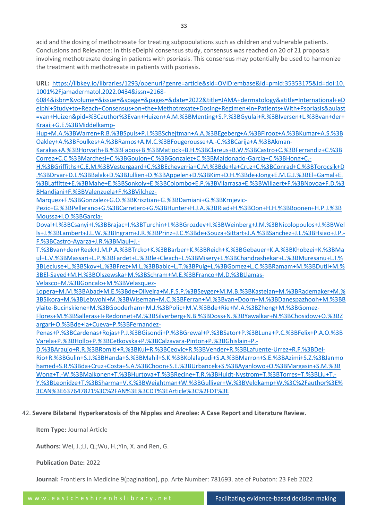acid and the dosing of methotrexate for treating subpopulations such as children and vulnerable patients. Conclusions and Relevance: In this eDelphi consensus study, consensus was reached on 20 of 21 proposals involving methotrexate dosing in patients with psoriasis. This consensus may potentially be used to harmonize the treatment with methotrexate in patients with psoriasis.

**URL:** [https://libkey.io/libraries/1293/openurl?genre=article&sid=OVID:embase&id=pmid:35353175&id=doi:10.](https://libkey.io/libraries/1293/openurl?genre=article&sid=OVID:embase&id=pmid:35353175&id=doi:10.1001%2Fjamadermatol.2022.0434&issn=2168-6084&isbn=&volume=&issue=&spage=&pages=&date=2022&title=JAMA+dermatology&atitle=International+eDelphi+Study+to+Reach+Consensus+on+the+Methotrexate+Dosing+Regimen+in+Patients+With+Psoriasis&aulast=van+Huizen&pid=%3Cauthor%3Evan+Huizen+A.M.%3BMenting+S.P.%3BGyulai+R.%3BIversen+L.%3Bvan+der+Kraaij+G.E.%3BMiddelkamp-Hup+M.A.%3BWarren+R.B.%3BSpuls+P.I.%3BSchejtman+A.A.%3BEgeberg+A.%3BFirooz+A.%3BKumar+A.S.%3BOakley+A.%3BFoulkes+A.%3BRamos+A.M.C.%3BFougerousse+A.-C.%3BCarija+A.%3BAkman-Karakas+A.%3BHorvath+B.%3BFabos+B.%3BMatlock+B.H.%3BClareus+B.W.%3BCastro+C.%3BFerrandiz+C.%3BCorrea+C.C.%3BMarchesi+C.%3BGoujon+C.%3BGonzalez+C.%3BMaldonado-Garcia+C.%3BHong+C.-H.%3BGriffiths+C.E.M.%3BVestergaard+C.%3BEcheverria+C.M.%3Bde+la+Cruz+C.%3BConrad+C.%3BTorocsik+D.%3BDrvar+D.L.%3BBalak+D.%3BJullien+D.%3BAppelen+D.%3BKim+D.H.%3Bde+Jong+E.M.G.J.%3BEl+Gamal+E.%3BLaffitte+E.%3BMahe+E.%3BSonkoly+E.%3BColombo+E.P.%3BVilarrasa+E.%3BWillaert+F.%3BNovoa+F.D.%3BHandjani+F.%3BValenzuela+F.%3BVilchez-Marquez+F.%3BGonzalez+G.O.%3BKrisztian+G.%3BDamiani+G.%3BKrnjevic-Pezic+G.%3BPellerano+G.%3BCarretero+G.%3BHunter+H.J.A.%3BRiad+H.%3BOon+H.H.%3BBoonen+H.P.J.%3BMoussa+I.O.%3BGarcia-Doval+I.%3BCsanyi+I.%3BBrajac+I.%3BTurchin+I.%3BGrozdev+I.%3BWeinberg+J.M.%3BNicolopoulos+J.%3BWells+J.%3BLambert+J.L.W.%3BIngram+J.R.%3BPrinz+J.C.%3Bde+Souza+Sittart+J.A.%3BSanchez+J.L.%3BHsiao+J.P.-F.%3BCastro-Ayarza+J.R.%3BMaul+J.-T.%3Bvan+den+Reek+J.M.P.A.%3BTrcko+K.%3BBarber+K.%3BReich+K.%3BGebauer+K.A.%3BKhobzei+K.%3BMaul+L.V.%3BMassari+L.P.%3BFardet+L.%3Ble+Cleach+L.%3BMisery+L.%3BChandrashekar+L.%3BMuresanu+L.I.%3BLecluse+L.%3BSkov+L.%3BFrez+M.L.%3BBabic+L.T.%3BPuig+L.%3BGomez+L.C.%3BRamam+M.%3BDutil+M.%3BEl-Sayed+M.H.%3BOlszewska+M.%3BSchram+M.E.%3BFranco+M.D.%3BLlamas-Velasco+M.%3BGoncalo+M.%3BVelasquez-Lopera+M.M.%3BAbad+M.E.%3Bde+Oliveira+M.F.S.P.%3BSeyger+M.M.B.%3BKastelan+M.%3BRademaker+M.%3BSikora+M.%3BLebwohl+M.%3BWiseman+M.C.%3BFerran+M.%3Bvan+Door) [1001%2Fjamadermatol.2022.0434&issn=2168-](https://libkey.io/libraries/1293/openurl?genre=article&sid=OVID:embase&id=pmid:35353175&id=doi:10.1001%2Fjamadermatol.2022.0434&issn=2168-6084&isbn=&volume=&issue=&spage=&pages=&date=2022&title=JAMA+dermatology&atitle=International+eDelphi+Study+to+Reach+Consensus+on+the+Methotrexate+Dosing+Regimen+in+Patients+With+Psoriasis&aulast=van+Huizen&pid=%3Cauthor%3Evan+Huizen+A.M.%3BMenting+S.P.%3BGyulai+R.%3BIversen+L.%3Bvan+der+Kraaij+G.E.%3BMiddelkamp-Hup+M.A.%3BWarren+R.B.%3BSpuls+P.I.%3BSchejtman+A.A.%3BEgeberg+A.%3BFirooz+A.%3BKumar+A.S.%3BOakley+A.%3BFoulkes+A.%3BRamos+A.M.C.%3BFougerousse+A.-C.%3BCarija+A.%3BAkman-Karakas+A.%3BHorvath+B.%3BFabos+B.%3BMatlock+B.H.%3BClareus+B.W.%3BCastro+C.%3BFerrandiz+C.%3BCorrea+C.C.%3BMarchesi+C.%3BGoujon+C.%3BGonzalez+C.%3BMaldonado-Garcia+C.%3BHong+C.-H.%3BGriffiths+C.E.M.%3BVestergaard+C.%3BEcheverria+C.M.%3Bde+la+Cruz+C.%3BConrad+C.%3BTorocsik+D.%3BDrvar+D.L.%3BBalak+D.%3BJullien+D.%3BAppelen+D.%3BKim+D.H.%3Bde+Jong+E.M.G.J.%3BEl+Gamal+E.%3BLaffitte+E.%3BMahe+E.%3BSonkoly+E.%3BColombo+E.P.%3BVilarrasa+E.%3BWillaert+F.%3BNovoa+F.D.%3BHandjani+F.%3BValenzuela+F.%3BVilchez-Marquez+F.%3BGonzalez+G.O.%3BKrisztian+G.%3BDamiani+G.%3BKrnjevic-Pezic+G.%3BPellerano+G.%3BCarretero+G.%3BHunter+H.J.A.%3BRiad+H.%3BOon+H.H.%3BBoonen+H.P.J.%3BMoussa+I.O.%3BGarcia-Doval+I.%3BCsanyi+I.%3BBrajac+I.%3BTurchin+I.%3BGrozdev+I.%3BWeinberg+J.M.%3BNicolopoulos+J.%3BWells+J.%3BLambert+J.L.W.%3BIngram+J.R.%3BPrinz+J.C.%3Bde+Souza+Sittart+J.A.%3BSanchez+J.L.%3BHsiao+J.P.-F.%3BCastro-Ayarza+J.R.%3BMaul+J.-T.%3Bvan+den+Reek+J.M.P.A.%3BTrcko+K.%3BBarber+K.%3BReich+K.%3BGebauer+K.A.%3BKhobzei+K.%3BMaul+L.V.%3BMassari+L.P.%3BFardet+L.%3Ble+Cleach+L.%3BMisery+L.%3BChandrashekar+L.%3BMuresanu+L.I.%3BLecluse+L.%3BSkov+L.%3BFrez+M.L.%3BBabic+L.T.%3BPuig+L.%3BGomez+L.C.%3BRamam+M.%3BDutil+M.%3BEl-Sayed+M.H.%3BOlszewska+M.%3BSchram+M.E.%3BFranco+M.D.%3BLlamas-Velasco+M.%3BGoncalo+M.%3BVelasquez-Lopera+M.M.%3BAbad+M.E.%3Bde+Oliveira+M.F.S.P.%3BSeyger+M.M.B.%3BKastelan+M.%3BRademaker+M.%3BSikora+M.%3BLebwohl+M.%3BWiseman+M.C.%3BFerran+M.%3Bvan+Door)

[6084&isbn=&volume=&issue=&spage=&pages=&date=2022&title=JAMA+dermatology&atitle=International+eD](https://libkey.io/libraries/1293/openurl?genre=article&sid=OVID:embase&id=pmid:35353175&id=doi:10.1001%2Fjamadermatol.2022.0434&issn=2168-6084&isbn=&volume=&issue=&spage=&pages=&date=2022&title=JAMA+dermatology&atitle=International+eDelphi+Study+to+Reach+Consensus+on+the+Methotrexate+Dosing+Regimen+in+Patients+With+Psoriasis&aulast=van+Huizen&pid=%3Cauthor%3Evan+Huizen+A.M.%3BMenting+S.P.%3BGyulai+R.%3BIversen+L.%3Bvan+der+Kraaij+G.E.%3BMiddelkamp-Hup+M.A.%3BWarren+R.B.%3BSpuls+P.I.%3BSchejtman+A.A.%3BEgeberg+A.%3BFirooz+A.%3BKumar+A.S.%3BOakley+A.%3BFoulkes+A.%3BRamos+A.M.C.%3BFougerousse+A.-C.%3BCarija+A.%3BAkman-Karakas+A.%3BHorvath+B.%3BFabos+B.%3BMatlock+B.H.%3BClareus+B.W.%3BCastro+C.%3BFerrandiz+C.%3BCorrea+C.C.%3BMarchesi+C.%3BGoujon+C.%3BGonzalez+C.%3BMaldonado-Garcia+C.%3BHong+C.-H.%3BGriffiths+C.E.M.%3BVestergaard+C.%3BEcheverria+C.M.%3Bde+la+Cruz+C.%3BConrad+C.%3BTorocsik+D.%3BDrvar+D.L.%3BBalak+D.%3BJullien+D.%3BAppelen+D.%3BKim+D.H.%3Bde+Jong+E.M.G.J.%3BEl+Gamal+E.%3BLaffitte+E.%3BMahe+E.%3BSonkoly+E.%3BColombo+E.P.%3BVilarrasa+E.%3BWillaert+F.%3BNovoa+F.D.%3BHandjani+F.%3BValenzuela+F.%3BVilchez-Marquez+F.%3BGonzalez+G.O.%3BKrisztian+G.%3BDamiani+G.%3BKrnjevic-Pezic+G.%3BPellerano+G.%3BCarretero+G.%3BHunter+H.J.A.%3BRiad+H.%3BOon+H.H.%3BBoonen+H.P.J.%3BMoussa+I.O.%3BGarcia-Doval+I.%3BCsanyi+I.%3BBrajac+I.%3BTurchin+I.%3BGrozdev+I.%3BWeinberg+J.M.%3BNicolopoulos+J.%3BWells+J.%3BLambert+J.L.W.%3BIngram+J.R.%3BPrinz+J.C.%3Bde+Souza+Sittart+J.A.%3BSanchez+J.L.%3BHsiao+J.P.-F.%3BCastro-Ayarza+J.R.%3BMaul+J.-T.%3Bvan+den+Reek+J.M.P.A.%3BTrcko+K.%3BBarber+K.%3BReich+K.%3BGebauer+K.A.%3BKhobzei+K.%3BMaul+L.V.%3BMassari+L.P.%3BFardet+L.%3Ble+Cleach+L.%3BMisery+L.%3BChandrashekar+L.%3BMuresanu+L.I.%3BLecluse+L.%3BSkov+L.%3BFrez+M.L.%3BBabic+L.T.%3BPuig+L.%3BGomez+L.C.%3BRamam+M.%3BDutil+M.%3BEl-Sayed+M.H.%3BOlszewska+M.%3BSchram+M.E.%3BFranco+M.D.%3BLlamas-Velasco+M.%3BGoncalo+M.%3BVelasquez-Lopera+M.M.%3BAbad+M.E.%3Bde+Oliveira+M.F.S.P.%3BSeyger+M.M.B.%3BKastelan+M.%3BRademaker+M.%3BSikora+M.%3BLebwohl+M.%3BWiseman+M.C.%3BFerran+M.%3Bvan+Door) [elphi+Study+to+Reach+Consensus+on+the+Methotrexate+Dosing+Regimen+in+Patients+With+Psoriasis&aulast](https://libkey.io/libraries/1293/openurl?genre=article&sid=OVID:embase&id=pmid:35353175&id=doi:10.1001%2Fjamadermatol.2022.0434&issn=2168-6084&isbn=&volume=&issue=&spage=&pages=&date=2022&title=JAMA+dermatology&atitle=International+eDelphi+Study+to+Reach+Consensus+on+the+Methotrexate+Dosing+Regimen+in+Patients+With+Psoriasis&aulast=van+Huizen&pid=%3Cauthor%3Evan+Huizen+A.M.%3BMenting+S.P.%3BGyulai+R.%3BIversen+L.%3Bvan+der+Kraaij+G.E.%3BMiddelkamp-Hup+M.A.%3BWarren+R.B.%3BSpuls+P.I.%3BSchejtman+A.A.%3BEgeberg+A.%3BFirooz+A.%3BKumar+A.S.%3BOakley+A.%3BFoulkes+A.%3BRamos+A.M.C.%3BFougerousse+A.-C.%3BCarija+A.%3BAkman-Karakas+A.%3BHorvath+B.%3BFabos+B.%3BMatlock+B.H.%3BClareus+B.W.%3BCastro+C.%3BFerrandiz+C.%3BCorrea+C.C.%3BMarchesi+C.%3BGoujon+C.%3BGonzalez+C.%3BMaldonado-Garcia+C.%3BHong+C.-H.%3BGriffiths+C.E.M.%3BVestergaard+C.%3BEcheverria+C.M.%3Bde+la+Cruz+C.%3BConrad+C.%3BTorocsik+D.%3BDrvar+D.L.%3BBalak+D.%3BJullien+D.%3BAppelen+D.%3BKim+D.H.%3Bde+Jong+E.M.G.J.%3BEl+Gamal+E.%3BLaffitte+E.%3BMahe+E.%3BSonkoly+E.%3BColombo+E.P.%3BVilarrasa+E.%3BWillaert+F.%3BNovoa+F.D.%3BHandjani+F.%3BValenzuela+F.%3BVilchez-Marquez+F.%3BGonzalez+G.O.%3BKrisztian+G.%3BDamiani+G.%3BKrnjevic-Pezic+G.%3BPellerano+G.%3BCarretero+G.%3BHunter+H.J.A.%3BRiad+H.%3BOon+H.H.%3BBoonen+H.P.J.%3BMoussa+I.O.%3BGarcia-Doval+I.%3BCsanyi+I.%3BBrajac+I.%3BTurchin+I.%3BGrozdev+I.%3BWeinberg+J.M.%3BNicolopoulos+J.%3BWells+J.%3BLambert+J.L.W.%3BIngram+J.R.%3BPrinz+J.C.%3Bde+Souza+Sittart+J.A.%3BSanchez+J.L.%3BHsiao+J.P.-F.%3BCastro-Ayarza+J.R.%3BMaul+J.-T.%3Bvan+den+Reek+J.M.P.A.%3BTrcko+K.%3BBarber+K.%3BReich+K.%3BGebauer+K.A.%3BKhobzei+K.%3BMaul+L.V.%3BMassari+L.P.%3BFardet+L.%3Ble+Cleach+L.%3BMisery+L.%3BChandrashekar+L.%3BMuresanu+L.I.%3BLecluse+L.%3BSkov+L.%3BFrez+M.L.%3BBabic+L.T.%3BPuig+L.%3BGomez+L.C.%3BRamam+M.%3BDutil+M.%3BEl-Sayed+M.H.%3BOlszewska+M.%3BSchram+M.E.%3BFranco+M.D.%3BLlamas-Velasco+M.%3BGoncalo+M.%3BVelasquez-Lopera+M.M.%3BAbad+M.E.%3Bde+Oliveira+M.F.S.P.%3BSeyger+M.M.B.%3BKastelan+M.%3BRademaker+M.%3BSikora+M.%3BLebwohl+M.%3BWiseman+M.C.%3BFerran+M.%3Bvan+Door) [=van+Huizen&pid=%3Cauthor%3Evan+Huizen+A.M.%3BMenting+S.P.%3BGyulai+R.%3BIversen+L.%3Bvan+der+](https://libkey.io/libraries/1293/openurl?genre=article&sid=OVID:embase&id=pmid:35353175&id=doi:10.1001%2Fjamadermatol.2022.0434&issn=2168-6084&isbn=&volume=&issue=&spage=&pages=&date=2022&title=JAMA+dermatology&atitle=International+eDelphi+Study+to+Reach+Consensus+on+the+Methotrexate+Dosing+Regimen+in+Patients+With+Psoriasis&aulast=van+Huizen&pid=%3Cauthor%3Evan+Huizen+A.M.%3BMenting+S.P.%3BGyulai+R.%3BIversen+L.%3Bvan+der+Kraaij+G.E.%3BMiddelkamp-Hup+M.A.%3BWarren+R.B.%3BSpuls+P.I.%3BSchejtman+A.A.%3BEgeberg+A.%3BFirooz+A.%3BKumar+A.S.%3BOakley+A.%3BFoulkes+A.%3BRamos+A.M.C.%3BFougerousse+A.-C.%3BCarija+A.%3BAkman-Karakas+A.%3BHorvath+B.%3BFabos+B.%3BMatlock+B.H.%3BClareus+B.W.%3BCastro+C.%3BFerrandiz+C.%3BCorrea+C.C.%3BMarchesi+C.%3BGoujon+C.%3BGonzalez+C.%3BMaldonado-Garcia+C.%3BHong+C.-H.%3BGriffiths+C.E.M.%3BVestergaard+C.%3BEcheverria+C.M.%3Bde+la+Cruz+C.%3BConrad+C.%3BTorocsik+D.%3BDrvar+D.L.%3BBalak+D.%3BJullien+D.%3BAppelen+D.%3BKim+D.H.%3Bde+Jong+E.M.G.J.%3BEl+Gamal+E.%3BLaffitte+E.%3BMahe+E.%3BSonkoly+E.%3BColombo+E.P.%3BVilarrasa+E.%3BWillaert+F.%3BNovoa+F.D.%3BHandjani+F.%3BValenzuela+F.%3BVilchez-Marquez+F.%3BGonzalez+G.O.%3BKrisztian+G.%3BDamiani+G.%3BKrnjevic-Pezic+G.%3BPellerano+G.%3BCarretero+G.%3BHunter+H.J.A.%3BRiad+H.%3BOon+H.H.%3BBoonen+H.P.J.%3BMoussa+I.O.%3BGarcia-Doval+I.%3BCsanyi+I.%3BBrajac+I.%3BTurchin+I.%3BGrozdev+I.%3BWeinberg+J.M.%3BNicolopoulos+J.%3BWells+J.%3BLambert+J.L.W.%3BIngram+J.R.%3BPrinz+J.C.%3Bde+Souza+Sittart+J.A.%3BSanchez+J.L.%3BHsiao+J.P.-F.%3BCastro-Ayarza+J.R.%3BMaul+J.-T.%3Bvan+den+Reek+J.M.P.A.%3BTrcko+K.%3BBarber+K.%3BReich+K.%3BGebauer+K.A.%3BKhobzei+K.%3BMaul+L.V.%3BMassari+L.P.%3BFardet+L.%3Ble+Cleach+L.%3BMisery+L.%3BChandrashekar+L.%3BMuresanu+L.I.%3BLecluse+L.%3BSkov+L.%3BFrez+M.L.%3BBabic+L.T.%3BPuig+L.%3BGomez+L.C.%3BRamam+M.%3BDutil+M.%3BEl-Sayed+M.H.%3BOlszewska+M.%3BSchram+M.E.%3BFranco+M.D.%3BLlamas-Velasco+M.%3BGoncalo+M.%3BVelasquez-Lopera+M.M.%3BAbad+M.E.%3Bde+Oliveira+M.F.S.P.%3BSeyger+M.M.B.%3BKastelan+M.%3BRademaker+M.%3BSikora+M.%3BLebwohl+M.%3BWiseman+M.C.%3BFerran+M.%3Bvan+Door) [Kraaij+G.E.%3BMiddelkamp-](https://libkey.io/libraries/1293/openurl?genre=article&sid=OVID:embase&id=pmid:35353175&id=doi:10.1001%2Fjamadermatol.2022.0434&issn=2168-6084&isbn=&volume=&issue=&spage=&pages=&date=2022&title=JAMA+dermatology&atitle=International+eDelphi+Study+to+Reach+Consensus+on+the+Methotrexate+Dosing+Regimen+in+Patients+With+Psoriasis&aulast=van+Huizen&pid=%3Cauthor%3Evan+Huizen+A.M.%3BMenting+S.P.%3BGyulai+R.%3BIversen+L.%3Bvan+der+Kraaij+G.E.%3BMiddelkamp-Hup+M.A.%3BWarren+R.B.%3BSpuls+P.I.%3BSchejtman+A.A.%3BEgeberg+A.%3BFirooz+A.%3BKumar+A.S.%3BOakley+A.%3BFoulkes+A.%3BRamos+A.M.C.%3BFougerousse+A.-C.%3BCarija+A.%3BAkman-Karakas+A.%3BHorvath+B.%3BFabos+B.%3BMatlock+B.H.%3BClareus+B.W.%3BCastro+C.%3BFerrandiz+C.%3BCorrea+C.C.%3BMarchesi+C.%3BGoujon+C.%3BGonzalez+C.%3BMaldonado-Garcia+C.%3BHong+C.-H.%3BGriffiths+C.E.M.%3BVestergaard+C.%3BEcheverria+C.M.%3Bde+la+Cruz+C.%3BConrad+C.%3BTorocsik+D.%3BDrvar+D.L.%3BBalak+D.%3BJullien+D.%3BAppelen+D.%3BKim+D.H.%3Bde+Jong+E.M.G.J.%3BEl+Gamal+E.%3BLaffitte+E.%3BMahe+E.%3BSonkoly+E.%3BColombo+E.P.%3BVilarrasa+E.%3BWillaert+F.%3BNovoa+F.D.%3BHandjani+F.%3BValenzuela+F.%3BVilchez-Marquez+F.%3BGonzalez+G.O.%3BKrisztian+G.%3BDamiani+G.%3BKrnjevic-Pezic+G.%3BPellerano+G.%3BCarretero+G.%3BHunter+H.J.A.%3BRiad+H.%3BOon+H.H.%3BBoonen+H.P.J.%3BMoussa+I.O.%3BGarcia-Doval+I.%3BCsanyi+I.%3BBrajac+I.%3BTurchin+I.%3BGrozdev+I.%3BWeinberg+J.M.%3BNicolopoulos+J.%3BWells+J.%3BLambert+J.L.W.%3BIngram+J.R.%3BPrinz+J.C.%3Bde+Souza+Sittart+J.A.%3BSanchez+J.L.%3BHsiao+J.P.-F.%3BCastro-Ayarza+J.R.%3BMaul+J.-T.%3Bvan+den+Reek+J.M.P.A.%3BTrcko+K.%3BBarber+K.%3BReich+K.%3BGebauer+K.A.%3BKhobzei+K.%3BMaul+L.V.%3BMassari+L.P.%3BFardet+L.%3Ble+Cleach+L.%3BMisery+L.%3BChandrashekar+L.%3BMuresanu+L.I.%3BLecluse+L.%3BSkov+L.%3BFrez+M.L.%3BBabic+L.T.%3BPuig+L.%3BGomez+L.C.%3BRamam+M.%3BDutil+M.%3BEl-Sayed+M.H.%3BOlszewska+M.%3BSchram+M.E.%3BFranco+M.D.%3BLlamas-Velasco+M.%3BGoncalo+M.%3BVelasquez-Lopera+M.M.%3BAbad+M.E.%3Bde+Oliveira+M.F.S.P.%3BSeyger+M.M.B.%3BKastelan+M.%3BRademaker+M.%3BSikora+M.%3BLebwohl+M.%3BWiseman+M.C.%3BFerran+M.%3Bvan+Door)

[Hup+M.A.%3BWarren+R.B.%3BSpuls+P.I.%3BSchejtman+A.A.%3BEgeberg+A.%3BFirooz+A.%3BKumar+A.S.%3B](https://libkey.io/libraries/1293/openurl?genre=article&sid=OVID:embase&id=pmid:35353175&id=doi:10.1001%2Fjamadermatol.2022.0434&issn=2168-6084&isbn=&volume=&issue=&spage=&pages=&date=2022&title=JAMA+dermatology&atitle=International+eDelphi+Study+to+Reach+Consensus+on+the+Methotrexate+Dosing+Regimen+in+Patients+With+Psoriasis&aulast=van+Huizen&pid=%3Cauthor%3Evan+Huizen+A.M.%3BMenting+S.P.%3BGyulai+R.%3BIversen+L.%3Bvan+der+Kraaij+G.E.%3BMiddelkamp-Hup+M.A.%3BWarren+R.B.%3BSpuls+P.I.%3BSchejtman+A.A.%3BEgeberg+A.%3BFirooz+A.%3BKumar+A.S.%3BOakley+A.%3BFoulkes+A.%3BRamos+A.M.C.%3BFougerousse+A.-C.%3BCarija+A.%3BAkman-Karakas+A.%3BHorvath+B.%3BFabos+B.%3BMatlock+B.H.%3BClareus+B.W.%3BCastro+C.%3BFerrandiz+C.%3BCorrea+C.C.%3BMarchesi+C.%3BGoujon+C.%3BGonzalez+C.%3BMaldonado-Garcia+C.%3BHong+C.-H.%3BGriffiths+C.E.M.%3BVestergaard+C.%3BEcheverria+C.M.%3Bde+la+Cruz+C.%3BConrad+C.%3BTorocsik+D.%3BDrvar+D.L.%3BBalak+D.%3BJullien+D.%3BAppelen+D.%3BKim+D.H.%3Bde+Jong+E.M.G.J.%3BEl+Gamal+E.%3BLaffitte+E.%3BMahe+E.%3BSonkoly+E.%3BColombo+E.P.%3BVilarrasa+E.%3BWillaert+F.%3BNovoa+F.D.%3BHandjani+F.%3BValenzuela+F.%3BVilchez-Marquez+F.%3BGonzalez+G.O.%3BKrisztian+G.%3BDamiani+G.%3BKrnjevic-Pezic+G.%3BPellerano+G.%3BCarretero+G.%3BHunter+H.J.A.%3BRiad+H.%3BOon+H.H.%3BBoonen+H.P.J.%3BMoussa+I.O.%3BGarcia-Doval+I.%3BCsanyi+I.%3BBrajac+I.%3BTurchin+I.%3BGrozdev+I.%3BWeinberg+J.M.%3BNicolopoulos+J.%3BWells+J.%3BLambert+J.L.W.%3BIngram+J.R.%3BPrinz+J.C.%3Bde+Souza+Sittart+J.A.%3BSanchez+J.L.%3BHsiao+J.P.-F.%3BCastro-Ayarza+J.R.%3BMaul+J.-T.%3Bvan+den+Reek+J.M.P.A.%3BTrcko+K.%3BBarber+K.%3BReich+K.%3BGebauer+K.A.%3BKhobzei+K.%3BMaul+L.V.%3BMassari+L.P.%3BFardet+L.%3Ble+Cleach+L.%3BMisery+L.%3BChandrashekar+L.%3BMuresanu+L.I.%3BLecluse+L.%3BSkov+L.%3BFrez+M.L.%3BBabic+L.T.%3BPuig+L.%3BGomez+L.C.%3BRamam+M.%3BDutil+M.%3BEl-Sayed+M.H.%3BOlszewska+M.%3BSchram+M.E.%3BFranco+M.D.%3BLlamas-Velasco+M.%3BGoncalo+M.%3BVelasquez-Lopera+M.M.%3BAbad+M.E.%3Bde+Oliveira+M.F.S.P.%3BSeyger+M.M.B.%3BKastelan+M.%3BRademaker+M.%3BSikora+M.%3BLebwohl+M.%3BWiseman+M.C.%3BFerran+M.%3Bvan+Door) [Oakley+A.%3BFoulkes+A.%3BRamos+A.M.C.%3BFougerousse+A.-C.%3BCarija+A.%3BAkman-](https://libkey.io/libraries/1293/openurl?genre=article&sid=OVID:embase&id=pmid:35353175&id=doi:10.1001%2Fjamadermatol.2022.0434&issn=2168-6084&isbn=&volume=&issue=&spage=&pages=&date=2022&title=JAMA+dermatology&atitle=International+eDelphi+Study+to+Reach+Consensus+on+the+Methotrexate+Dosing+Regimen+in+Patients+With+Psoriasis&aulast=van+Huizen&pid=%3Cauthor%3Evan+Huizen+A.M.%3BMenting+S.P.%3BGyulai+R.%3BIversen+L.%3Bvan+der+Kraaij+G.E.%3BMiddelkamp-Hup+M.A.%3BWarren+R.B.%3BSpuls+P.I.%3BSchejtman+A.A.%3BEgeberg+A.%3BFirooz+A.%3BKumar+A.S.%3BOakley+A.%3BFoulkes+A.%3BRamos+A.M.C.%3BFougerousse+A.-C.%3BCarija+A.%3BAkman-Karakas+A.%3BHorvath+B.%3BFabos+B.%3BMatlock+B.H.%3BClareus+B.W.%3BCastro+C.%3BFerrandiz+C.%3BCorrea+C.C.%3BMarchesi+C.%3BGoujon+C.%3BGonzalez+C.%3BMaldonado-Garcia+C.%3BHong+C.-H.%3BGriffiths+C.E.M.%3BVestergaard+C.%3BEcheverria+C.M.%3Bde+la+Cruz+C.%3BConrad+C.%3BTorocsik+D.%3BDrvar+D.L.%3BBalak+D.%3BJullien+D.%3BAppelen+D.%3BKim+D.H.%3Bde+Jong+E.M.G.J.%3BEl+Gamal+E.%3BLaffitte+E.%3BMahe+E.%3BSonkoly+E.%3BColombo+E.P.%3BVilarrasa+E.%3BWillaert+F.%3BNovoa+F.D.%3BHandjani+F.%3BValenzuela+F.%3BVilchez-Marquez+F.%3BGonzalez+G.O.%3BKrisztian+G.%3BDamiani+G.%3BKrnjevic-Pezic+G.%3BPellerano+G.%3BCarretero+G.%3BHunter+H.J.A.%3BRiad+H.%3BOon+H.H.%3BBoonen+H.P.J.%3BMoussa+I.O.%3BGarcia-Doval+I.%3BCsanyi+I.%3BBrajac+I.%3BTurchin+I.%3BGrozdev+I.%3BWeinberg+J.M.%3BNicolopoulos+J.%3BWells+J.%3BLambert+J.L.W.%3BIngram+J.R.%3BPrinz+J.C.%3Bde+Souza+Sittart+J.A.%3BSanchez+J.L.%3BHsiao+J.P.-F.%3BCastro-Ayarza+J.R.%3BMaul+J.-T.%3Bvan+den+Reek+J.M.P.A.%3BTrcko+K.%3BBarber+K.%3BReich+K.%3BGebauer+K.A.%3BKhobzei+K.%3BMaul+L.V.%3BMassari+L.P.%3BFardet+L.%3Ble+Cleach+L.%3BMisery+L.%3BChandrashekar+L.%3BMuresanu+L.I.%3BLecluse+L.%3BSkov+L.%3BFrez+M.L.%3BBabic+L.T.%3BPuig+L.%3BGomez+L.C.%3BRamam+M.%3BDutil+M.%3BEl-Sayed+M.H.%3BOlszewska+M.%3BSchram+M.E.%3BFranco+M.D.%3BLlamas-Velasco+M.%3BGoncalo+M.%3BVelasquez-Lopera+M.M.%3BAbad+M.E.%3Bde+Oliveira+M.F.S.P.%3BSeyger+M.M.B.%3BKastelan+M.%3BRademaker+M.%3BSikora+M.%3BLebwohl+M.%3BWiseman+M.C.%3BFerran+M.%3Bvan+Door)

[Karakas+A.%3BHorvath+B.%3BFabos+B.%3BMatlock+B.H.%3BClareus+B.W.%3BCastro+C.%3BFerrandiz+C.%3B](https://libkey.io/libraries/1293/openurl?genre=article&sid=OVID:embase&id=pmid:35353175&id=doi:10.1001%2Fjamadermatol.2022.0434&issn=2168-6084&isbn=&volume=&issue=&spage=&pages=&date=2022&title=JAMA+dermatology&atitle=International+eDelphi+Study+to+Reach+Consensus+on+the+Methotrexate+Dosing+Regimen+in+Patients+With+Psoriasis&aulast=van+Huizen&pid=%3Cauthor%3Evan+Huizen+A.M.%3BMenting+S.P.%3BGyulai+R.%3BIversen+L.%3Bvan+der+Kraaij+G.E.%3BMiddelkamp-Hup+M.A.%3BWarren+R.B.%3BSpuls+P.I.%3BSchejtman+A.A.%3BEgeberg+A.%3BFirooz+A.%3BKumar+A.S.%3BOakley+A.%3BFoulkes+A.%3BRamos+A.M.C.%3BFougerousse+A.-C.%3BCarija+A.%3BAkman-Karakas+A.%3BHorvath+B.%3BFabos+B.%3BMatlock+B.H.%3BClareus+B.W.%3BCastro+C.%3BFerrandiz+C.%3BCorrea+C.C.%3BMarchesi+C.%3BGoujon+C.%3BGonzalez+C.%3BMaldonado-Garcia+C.%3BHong+C.-H.%3BGriffiths+C.E.M.%3BVestergaard+C.%3BEcheverria+C.M.%3Bde+la+Cruz+C.%3BConrad+C.%3BTorocsik+D.%3BDrvar+D.L.%3BBalak+D.%3BJullien+D.%3BAppelen+D.%3BKim+D.H.%3Bde+Jong+E.M.G.J.%3BEl+Gamal+E.%3BLaffitte+E.%3BMahe+E.%3BSonkoly+E.%3BColombo+E.P.%3BVilarrasa+E.%3BWillaert+F.%3BNovoa+F.D.%3BHandjani+F.%3BValenzuela+F.%3BVilchez-Marquez+F.%3BGonzalez+G.O.%3BKrisztian+G.%3BDamiani+G.%3BKrnjevic-Pezic+G.%3BPellerano+G.%3BCarretero+G.%3BHunter+H.J.A.%3BRiad+H.%3BOon+H.H.%3BBoonen+H.P.J.%3BMoussa+I.O.%3BGarcia-Doval+I.%3BCsanyi+I.%3BBrajac+I.%3BTurchin+I.%3BGrozdev+I.%3BWeinberg+J.M.%3BNicolopoulos+J.%3BWells+J.%3BLambert+J.L.W.%3BIngram+J.R.%3BPrinz+J.C.%3Bde+Souza+Sittart+J.A.%3BSanchez+J.L.%3BHsiao+J.P.-F.%3BCastro-Ayarza+J.R.%3BMaul+J.-T.%3Bvan+den+Reek+J.M.P.A.%3BTrcko+K.%3BBarber+K.%3BReich+K.%3BGebauer+K.A.%3BKhobzei+K.%3BMaul+L.V.%3BMassari+L.P.%3BFardet+L.%3Ble+Cleach+L.%3BMisery+L.%3BChandrashekar+L.%3BMuresanu+L.I.%3BLecluse+L.%3BSkov+L.%3BFrez+M.L.%3BBabic+L.T.%3BPuig+L.%3BGomez+L.C.%3BRamam+M.%3BDutil+M.%3BEl-Sayed+M.H.%3BOlszewska+M.%3BSchram+M.E.%3BFranco+M.D.%3BLlamas-Velasco+M.%3BGoncalo+M.%3BVelasquez-Lopera+M.M.%3BAbad+M.E.%3Bde+Oliveira+M.F.S.P.%3BSeyger+M.M.B.%3BKastelan+M.%3BRademaker+M.%3BSikora+M.%3BLebwohl+M.%3BWiseman+M.C.%3BFerran+M.%3Bvan+Door) [Correa+C.C.%3BMarchesi+C.%3BGoujon+C.%3BGonzalez+C.%3BMaldonado-Garcia+C.%3BHong+C.-](https://libkey.io/libraries/1293/openurl?genre=article&sid=OVID:embase&id=pmid:35353175&id=doi:10.1001%2Fjamadermatol.2022.0434&issn=2168-6084&isbn=&volume=&issue=&spage=&pages=&date=2022&title=JAMA+dermatology&atitle=International+eDelphi+Study+to+Reach+Consensus+on+the+Methotrexate+Dosing+Regimen+in+Patients+With+Psoriasis&aulast=van+Huizen&pid=%3Cauthor%3Evan+Huizen+A.M.%3BMenting+S.P.%3BGyulai+R.%3BIversen+L.%3Bvan+der+Kraaij+G.E.%3BMiddelkamp-Hup+M.A.%3BWarren+R.B.%3BSpuls+P.I.%3BSchejtman+A.A.%3BEgeberg+A.%3BFirooz+A.%3BKumar+A.S.%3BOakley+A.%3BFoulkes+A.%3BRamos+A.M.C.%3BFougerousse+A.-C.%3BCarija+A.%3BAkman-Karakas+A.%3BHorvath+B.%3BFabos+B.%3BMatlock+B.H.%3BClareus+B.W.%3BCastro+C.%3BFerrandiz+C.%3BCorrea+C.C.%3BMarchesi+C.%3BGoujon+C.%3BGonzalez+C.%3BMaldonado-Garcia+C.%3BHong+C.-H.%3BGriffiths+C.E.M.%3BVestergaard+C.%3BEcheverria+C.M.%3Bde+la+Cruz+C.%3BConrad+C.%3BTorocsik+D.%3BDrvar+D.L.%3BBalak+D.%3BJullien+D.%3BAppelen+D.%3BKim+D.H.%3Bde+Jong+E.M.G.J.%3BEl+Gamal+E.%3BLaffitte+E.%3BMahe+E.%3BSonkoly+E.%3BColombo+E.P.%3BVilarrasa+E.%3BWillaert+F.%3BNovoa+F.D.%3BHandjani+F.%3BValenzuela+F.%3BVilchez-Marquez+F.%3BGonzalez+G.O.%3BKrisztian+G.%3BDamiani+G.%3BKrnjevic-Pezic+G.%3BPellerano+G.%3BCarretero+G.%3BHunter+H.J.A.%3BRiad+H.%3BOon+H.H.%3BBoonen+H.P.J.%3BMoussa+I.O.%3BGarcia-Doval+I.%3BCsanyi+I.%3BBrajac+I.%3BTurchin+I.%3BGrozdev+I.%3BWeinberg+J.M.%3BNicolopoulos+J.%3BWells+J.%3BLambert+J.L.W.%3BIngram+J.R.%3BPrinz+J.C.%3Bde+Souza+Sittart+J.A.%3BSanchez+J.L.%3BHsiao+J.P.-F.%3BCastro-Ayarza+J.R.%3BMaul+J.-T.%3Bvan+den+Reek+J.M.P.A.%3BTrcko+K.%3BBarber+K.%3BReich+K.%3BGebauer+K.A.%3BKhobzei+K.%3BMaul+L.V.%3BMassari+L.P.%3BFardet+L.%3Ble+Cleach+L.%3BMisery+L.%3BChandrashekar+L.%3BMuresanu+L.I.%3BLecluse+L.%3BSkov+L.%3BFrez+M.L.%3BBabic+L.T.%3BPuig+L.%3BGomez+L.C.%3BRamam+M.%3BDutil+M.%3BEl-Sayed+M.H.%3BOlszewska+M.%3BSchram+M.E.%3BFranco+M.D.%3BLlamas-Velasco+M.%3BGoncalo+M.%3BVelasquez-Lopera+M.M.%3BAbad+M.E.%3Bde+Oliveira+M.F.S.P.%3BSeyger+M.M.B.%3BKastelan+M.%3BRademaker+M.%3BSikora+M.%3BLebwohl+M.%3BWiseman+M.C.%3BFerran+M.%3Bvan+Door)

[H.%3BGriffiths+C.E.M.%3BVestergaard+C.%3BEcheverria+C.M.%3Bde+la+Cruz+C.%3BConrad+C.%3BTorocsik+D](https://libkey.io/libraries/1293/openurl?genre=article&sid=OVID:embase&id=pmid:35353175&id=doi:10.1001%2Fjamadermatol.2022.0434&issn=2168-6084&isbn=&volume=&issue=&spage=&pages=&date=2022&title=JAMA+dermatology&atitle=International+eDelphi+Study+to+Reach+Consensus+on+the+Methotrexate+Dosing+Regimen+in+Patients+With+Psoriasis&aulast=van+Huizen&pid=%3Cauthor%3Evan+Huizen+A.M.%3BMenting+S.P.%3BGyulai+R.%3BIversen+L.%3Bvan+der+Kraaij+G.E.%3BMiddelkamp-Hup+M.A.%3BWarren+R.B.%3BSpuls+P.I.%3BSchejtman+A.A.%3BEgeberg+A.%3BFirooz+A.%3BKumar+A.S.%3BOakley+A.%3BFoulkes+A.%3BRamos+A.M.C.%3BFougerousse+A.-C.%3BCarija+A.%3BAkman-Karakas+A.%3BHorvath+B.%3BFabos+B.%3BMatlock+B.H.%3BClareus+B.W.%3BCastro+C.%3BFerrandiz+C.%3BCorrea+C.C.%3BMarchesi+C.%3BGoujon+C.%3BGonzalez+C.%3BMaldonado-Garcia+C.%3BHong+C.-H.%3BGriffiths+C.E.M.%3BVestergaard+C.%3BEcheverria+C.M.%3Bde+la+Cruz+C.%3BConrad+C.%3BTorocsik+D.%3BDrvar+D.L.%3BBalak+D.%3BJullien+D.%3BAppelen+D.%3BKim+D.H.%3Bde+Jong+E.M.G.J.%3BEl+Gamal+E.%3BLaffitte+E.%3BMahe+E.%3BSonkoly+E.%3BColombo+E.P.%3BVilarrasa+E.%3BWillaert+F.%3BNovoa+F.D.%3BHandjani+F.%3BValenzuela+F.%3BVilchez-Marquez+F.%3BGonzalez+G.O.%3BKrisztian+G.%3BDamiani+G.%3BKrnjevic-Pezic+G.%3BPellerano+G.%3BCarretero+G.%3BHunter+H.J.A.%3BRiad+H.%3BOon+H.H.%3BBoonen+H.P.J.%3BMoussa+I.O.%3BGarcia-Doval+I.%3BCsanyi+I.%3BBrajac+I.%3BTurchin+I.%3BGrozdev+I.%3BWeinberg+J.M.%3BNicolopoulos+J.%3BWells+J.%3BLambert+J.L.W.%3BIngram+J.R.%3BPrinz+J.C.%3Bde+Souza+Sittart+J.A.%3BSanchez+J.L.%3BHsiao+J.P.-F.%3BCastro-Ayarza+J.R.%3BMaul+J.-T.%3Bvan+den+Reek+J.M.P.A.%3BTrcko+K.%3BBarber+K.%3BReich+K.%3BGebauer+K.A.%3BKhobzei+K.%3BMaul+L.V.%3BMassari+L.P.%3BFardet+L.%3Ble+Cleach+L.%3BMisery+L.%3BChandrashekar+L.%3BMuresanu+L.I.%3BLecluse+L.%3BSkov+L.%3BFrez+M.L.%3BBabic+L.T.%3BPuig+L.%3BGomez+L.C.%3BRamam+M.%3BDutil+M.%3BEl-Sayed+M.H.%3BOlszewska+M.%3BSchram+M.E.%3BFranco+M.D.%3BLlamas-Velasco+M.%3BGoncalo+M.%3BVelasquez-Lopera+M.M.%3BAbad+M.E.%3Bde+Oliveira+M.F.S.P.%3BSeyger+M.M.B.%3BKastelan+M.%3BRademaker+M.%3BSikora+M.%3BLebwohl+M.%3BWiseman+M.C.%3BFerran+M.%3Bvan+Door) [.%3BDrvar+D.L.%3BBalak+D.%3BJullien+D.%3BAppelen+D.%3BKim+D.H.%3Bde+Jong+E.M.G.J.%3BEl+Gamal+E.](https://libkey.io/libraries/1293/openurl?genre=article&sid=OVID:embase&id=pmid:35353175&id=doi:10.1001%2Fjamadermatol.2022.0434&issn=2168-6084&isbn=&volume=&issue=&spage=&pages=&date=2022&title=JAMA+dermatology&atitle=International+eDelphi+Study+to+Reach+Consensus+on+the+Methotrexate+Dosing+Regimen+in+Patients+With+Psoriasis&aulast=van+Huizen&pid=%3Cauthor%3Evan+Huizen+A.M.%3BMenting+S.P.%3BGyulai+R.%3BIversen+L.%3Bvan+der+Kraaij+G.E.%3BMiddelkamp-Hup+M.A.%3BWarren+R.B.%3BSpuls+P.I.%3BSchejtman+A.A.%3BEgeberg+A.%3BFirooz+A.%3BKumar+A.S.%3BOakley+A.%3BFoulkes+A.%3BRamos+A.M.C.%3BFougerousse+A.-C.%3BCarija+A.%3BAkman-Karakas+A.%3BHorvath+B.%3BFabos+B.%3BMatlock+B.H.%3BClareus+B.W.%3BCastro+C.%3BFerrandiz+C.%3BCorrea+C.C.%3BMarchesi+C.%3BGoujon+C.%3BGonzalez+C.%3BMaldonado-Garcia+C.%3BHong+C.-H.%3BGriffiths+C.E.M.%3BVestergaard+C.%3BEcheverria+C.M.%3Bde+la+Cruz+C.%3BConrad+C.%3BTorocsik+D.%3BDrvar+D.L.%3BBalak+D.%3BJullien+D.%3BAppelen+D.%3BKim+D.H.%3Bde+Jong+E.M.G.J.%3BEl+Gamal+E.%3BLaffitte+E.%3BMahe+E.%3BSonkoly+E.%3BColombo+E.P.%3BVilarrasa+E.%3BWillaert+F.%3BNovoa+F.D.%3BHandjani+F.%3BValenzuela+F.%3BVilchez-Marquez+F.%3BGonzalez+G.O.%3BKrisztian+G.%3BDamiani+G.%3BKrnjevic-Pezic+G.%3BPellerano+G.%3BCarretero+G.%3BHunter+H.J.A.%3BRiad+H.%3BOon+H.H.%3BBoonen+H.P.J.%3BMoussa+I.O.%3BGarcia-Doval+I.%3BCsanyi+I.%3BBrajac+I.%3BTurchin+I.%3BGrozdev+I.%3BWeinberg+J.M.%3BNicolopoulos+J.%3BWells+J.%3BLambert+J.L.W.%3BIngram+J.R.%3BPrinz+J.C.%3Bde+Souza+Sittart+J.A.%3BSanchez+J.L.%3BHsiao+J.P.-F.%3BCastro-Ayarza+J.R.%3BMaul+J.-T.%3Bvan+den+Reek+J.M.P.A.%3BTrcko+K.%3BBarber+K.%3BReich+K.%3BGebauer+K.A.%3BKhobzei+K.%3BMaul+L.V.%3BMassari+L.P.%3BFardet+L.%3Ble+Cleach+L.%3BMisery+L.%3BChandrashekar+L.%3BMuresanu+L.I.%3BLecluse+L.%3BSkov+L.%3BFrez+M.L.%3BBabic+L.T.%3BPuig+L.%3BGomez+L.C.%3BRamam+M.%3BDutil+M.%3BEl-Sayed+M.H.%3BOlszewska+M.%3BSchram+M.E.%3BFranco+M.D.%3BLlamas-Velasco+M.%3BGoncalo+M.%3BVelasquez-Lopera+M.M.%3BAbad+M.E.%3Bde+Oliveira+M.F.S.P.%3BSeyger+M.M.B.%3BKastelan+M.%3BRademaker+M.%3BSikora+M.%3BLebwohl+M.%3BWiseman+M.C.%3BFerran+M.%3Bvan+Door) [%3BLaffitte+E.%3BMahe+E.%3BSonkoly+E.%3BColombo+E.P.%3BVilarrasa+E.%3BWillaert+F.%3BNovoa+F.D.%3](https://libkey.io/libraries/1293/openurl?genre=article&sid=OVID:embase&id=pmid:35353175&id=doi:10.1001%2Fjamadermatol.2022.0434&issn=2168-6084&isbn=&volume=&issue=&spage=&pages=&date=2022&title=JAMA+dermatology&atitle=International+eDelphi+Study+to+Reach+Consensus+on+the+Methotrexate+Dosing+Regimen+in+Patients+With+Psoriasis&aulast=van+Huizen&pid=%3Cauthor%3Evan+Huizen+A.M.%3BMenting+S.P.%3BGyulai+R.%3BIversen+L.%3Bvan+der+Kraaij+G.E.%3BMiddelkamp-Hup+M.A.%3BWarren+R.B.%3BSpuls+P.I.%3BSchejtman+A.A.%3BEgeberg+A.%3BFirooz+A.%3BKumar+A.S.%3BOakley+A.%3BFoulkes+A.%3BRamos+A.M.C.%3BFougerousse+A.-C.%3BCarija+A.%3BAkman-Karakas+A.%3BHorvath+B.%3BFabos+B.%3BMatlock+B.H.%3BClareus+B.W.%3BCastro+C.%3BFerrandiz+C.%3BCorrea+C.C.%3BMarchesi+C.%3BGoujon+C.%3BGonzalez+C.%3BMaldonado-Garcia+C.%3BHong+C.-H.%3BGriffiths+C.E.M.%3BVestergaard+C.%3BEcheverria+C.M.%3Bde+la+Cruz+C.%3BConrad+C.%3BTorocsik+D.%3BDrvar+D.L.%3BBalak+D.%3BJullien+D.%3BAppelen+D.%3BKim+D.H.%3Bde+Jong+E.M.G.J.%3BEl+Gamal+E.%3BLaffitte+E.%3BMahe+E.%3BSonkoly+E.%3BColombo+E.P.%3BVilarrasa+E.%3BWillaert+F.%3BNovoa+F.D.%3BHandjani+F.%3BValenzuela+F.%3BVilchez-Marquez+F.%3BGonzalez+G.O.%3BKrisztian+G.%3BDamiani+G.%3BKrnjevic-Pezic+G.%3BPellerano+G.%3BCarretero+G.%3BHunter+H.J.A.%3BRiad+H.%3BOon+H.H.%3BBoonen+H.P.J.%3BMoussa+I.O.%3BGarcia-Doval+I.%3BCsanyi+I.%3BBrajac+I.%3BTurchin+I.%3BGrozdev+I.%3BWeinberg+J.M.%3BNicolopoulos+J.%3BWells+J.%3BLambert+J.L.W.%3BIngram+J.R.%3BPrinz+J.C.%3Bde+Souza+Sittart+J.A.%3BSanchez+J.L.%3BHsiao+J.P.-F.%3BCastro-Ayarza+J.R.%3BMaul+J.-T.%3Bvan+den+Reek+J.M.P.A.%3BTrcko+K.%3BBarber+K.%3BReich+K.%3BGebauer+K.A.%3BKhobzei+K.%3BMaul+L.V.%3BMassari+L.P.%3BFardet+L.%3Ble+Cleach+L.%3BMisery+L.%3BChandrashekar+L.%3BMuresanu+L.I.%3BLecluse+L.%3BSkov+L.%3BFrez+M.L.%3BBabic+L.T.%3BPuig+L.%3BGomez+L.C.%3BRamam+M.%3BDutil+M.%3BEl-Sayed+M.H.%3BOlszewska+M.%3BSchram+M.E.%3BFranco+M.D.%3BLlamas-Velasco+M.%3BGoncalo+M.%3BVelasquez-Lopera+M.M.%3BAbad+M.E.%3Bde+Oliveira+M.F.S.P.%3BSeyger+M.M.B.%3BKastelan+M.%3BRademaker+M.%3BSikora+M.%3BLebwohl+M.%3BWiseman+M.C.%3BFerran+M.%3Bvan+Door) [BHandjani+F.%3BValenzuela+F.%3BVilchez-](https://libkey.io/libraries/1293/openurl?genre=article&sid=OVID:embase&id=pmid:35353175&id=doi:10.1001%2Fjamadermatol.2022.0434&issn=2168-6084&isbn=&volume=&issue=&spage=&pages=&date=2022&title=JAMA+dermatology&atitle=International+eDelphi+Study+to+Reach+Consensus+on+the+Methotrexate+Dosing+Regimen+in+Patients+With+Psoriasis&aulast=van+Huizen&pid=%3Cauthor%3Evan+Huizen+A.M.%3BMenting+S.P.%3BGyulai+R.%3BIversen+L.%3Bvan+der+Kraaij+G.E.%3BMiddelkamp-Hup+M.A.%3BWarren+R.B.%3BSpuls+P.I.%3BSchejtman+A.A.%3BEgeberg+A.%3BFirooz+A.%3BKumar+A.S.%3BOakley+A.%3BFoulkes+A.%3BRamos+A.M.C.%3BFougerousse+A.-C.%3BCarija+A.%3BAkman-Karakas+A.%3BHorvath+B.%3BFabos+B.%3BMatlock+B.H.%3BClareus+B.W.%3BCastro+C.%3BFerrandiz+C.%3BCorrea+C.C.%3BMarchesi+C.%3BGoujon+C.%3BGonzalez+C.%3BMaldonado-Garcia+C.%3BHong+C.-H.%3BGriffiths+C.E.M.%3BVestergaard+C.%3BEcheverria+C.M.%3Bde+la+Cruz+C.%3BConrad+C.%3BTorocsik+D.%3BDrvar+D.L.%3BBalak+D.%3BJullien+D.%3BAppelen+D.%3BKim+D.H.%3Bde+Jong+E.M.G.J.%3BEl+Gamal+E.%3BLaffitte+E.%3BMahe+E.%3BSonkoly+E.%3BColombo+E.P.%3BVilarrasa+E.%3BWillaert+F.%3BNovoa+F.D.%3BHandjani+F.%3BValenzuela+F.%3BVilchez-Marquez+F.%3BGonzalez+G.O.%3BKrisztian+G.%3BDamiani+G.%3BKrnjevic-Pezic+G.%3BPellerano+G.%3BCarretero+G.%3BHunter+H.J.A.%3BRiad+H.%3BOon+H.H.%3BBoonen+H.P.J.%3BMoussa+I.O.%3BGarcia-Doval+I.%3BCsanyi+I.%3BBrajac+I.%3BTurchin+I.%3BGrozdev+I.%3BWeinberg+J.M.%3BNicolopoulos+J.%3BWells+J.%3BLambert+J.L.W.%3BIngram+J.R.%3BPrinz+J.C.%3Bde+Souza+Sittart+J.A.%3BSanchez+J.L.%3BHsiao+J.P.-F.%3BCastro-Ayarza+J.R.%3BMaul+J.-T.%3Bvan+den+Reek+J.M.P.A.%3BTrcko+K.%3BBarber+K.%3BReich+K.%3BGebauer+K.A.%3BKhobzei+K.%3BMaul+L.V.%3BMassari+L.P.%3BFardet+L.%3Ble+Cleach+L.%3BMisery+L.%3BChandrashekar+L.%3BMuresanu+L.I.%3BLecluse+L.%3BSkov+L.%3BFrez+M.L.%3BBabic+L.T.%3BPuig+L.%3BGomez+L.C.%3BRamam+M.%3BDutil+M.%3BEl-Sayed+M.H.%3BOlszewska+M.%3BSchram+M.E.%3BFranco+M.D.%3BLlamas-Velasco+M.%3BGoncalo+M.%3BVelasquez-Lopera+M.M.%3BAbad+M.E.%3Bde+Oliveira+M.F.S.P.%3BSeyger+M.M.B.%3BKastelan+M.%3BRademaker+M.%3BSikora+M.%3BLebwohl+M.%3BWiseman+M.C.%3BFerran+M.%3Bvan+Door)

[Marquez+F.%3BGonzalez+G.O.%3BKrisztian+G.%3BDamiani+G.%3BKrnjevic-](https://libkey.io/libraries/1293/openurl?genre=article&sid=OVID:embase&id=pmid:35353175&id=doi:10.1001%2Fjamadermatol.2022.0434&issn=2168-6084&isbn=&volume=&issue=&spage=&pages=&date=2022&title=JAMA+dermatology&atitle=International+eDelphi+Study+to+Reach+Consensus+on+the+Methotrexate+Dosing+Regimen+in+Patients+With+Psoriasis&aulast=van+Huizen&pid=%3Cauthor%3Evan+Huizen+A.M.%3BMenting+S.P.%3BGyulai+R.%3BIversen+L.%3Bvan+der+Kraaij+G.E.%3BMiddelkamp-Hup+M.A.%3BWarren+R.B.%3BSpuls+P.I.%3BSchejtman+A.A.%3BEgeberg+A.%3BFirooz+A.%3BKumar+A.S.%3BOakley+A.%3BFoulkes+A.%3BRamos+A.M.C.%3BFougerousse+A.-C.%3BCarija+A.%3BAkman-Karakas+A.%3BHorvath+B.%3BFabos+B.%3BMatlock+B.H.%3BClareus+B.W.%3BCastro+C.%3BFerrandiz+C.%3BCorrea+C.C.%3BMarchesi+C.%3BGoujon+C.%3BGonzalez+C.%3BMaldonado-Garcia+C.%3BHong+C.-H.%3BGriffiths+C.E.M.%3BVestergaard+C.%3BEcheverria+C.M.%3Bde+la+Cruz+C.%3BConrad+C.%3BTorocsik+D.%3BDrvar+D.L.%3BBalak+D.%3BJullien+D.%3BAppelen+D.%3BKim+D.H.%3Bde+Jong+E.M.G.J.%3BEl+Gamal+E.%3BLaffitte+E.%3BMahe+E.%3BSonkoly+E.%3BColombo+E.P.%3BVilarrasa+E.%3BWillaert+F.%3BNovoa+F.D.%3BHandjani+F.%3BValenzuela+F.%3BVilchez-Marquez+F.%3BGonzalez+G.O.%3BKrisztian+G.%3BDamiani+G.%3BKrnjevic-Pezic+G.%3BPellerano+G.%3BCarretero+G.%3BHunter+H.J.A.%3BRiad+H.%3BOon+H.H.%3BBoonen+H.P.J.%3BMoussa+I.O.%3BGarcia-Doval+I.%3BCsanyi+I.%3BBrajac+I.%3BTurchin+I.%3BGrozdev+I.%3BWeinberg+J.M.%3BNicolopoulos+J.%3BWells+J.%3BLambert+J.L.W.%3BIngram+J.R.%3BPrinz+J.C.%3Bde+Souza+Sittart+J.A.%3BSanchez+J.L.%3BHsiao+J.P.-F.%3BCastro-Ayarza+J.R.%3BMaul+J.-T.%3Bvan+den+Reek+J.M.P.A.%3BTrcko+K.%3BBarber+K.%3BReich+K.%3BGebauer+K.A.%3BKhobzei+K.%3BMaul+L.V.%3BMassari+L.P.%3BFardet+L.%3Ble+Cleach+L.%3BMisery+L.%3BChandrashekar+L.%3BMuresanu+L.I.%3BLecluse+L.%3BSkov+L.%3BFrez+M.L.%3BBabic+L.T.%3BPuig+L.%3BGomez+L.C.%3BRamam+M.%3BDutil+M.%3BEl-Sayed+M.H.%3BOlszewska+M.%3BSchram+M.E.%3BFranco+M.D.%3BLlamas-Velasco+M.%3BGoncalo+M.%3BVelasquez-Lopera+M.M.%3BAbad+M.E.%3Bde+Oliveira+M.F.S.P.%3BSeyger+M.M.B.%3BKastelan+M.%3BRademaker+M.%3BSikora+M.%3BLebwohl+M.%3BWiseman+M.C.%3BFerran+M.%3Bvan+Door)

[Pezic+G.%3BPellerano+G.%3BCarretero+G.%3BHunter+H.J.A.%3BRiad+H.%3BOon+H.H.%3BBoonen+H.P.J.%3B](https://libkey.io/libraries/1293/openurl?genre=article&sid=OVID:embase&id=pmid:35353175&id=doi:10.1001%2Fjamadermatol.2022.0434&issn=2168-6084&isbn=&volume=&issue=&spage=&pages=&date=2022&title=JAMA+dermatology&atitle=International+eDelphi+Study+to+Reach+Consensus+on+the+Methotrexate+Dosing+Regimen+in+Patients+With+Psoriasis&aulast=van+Huizen&pid=%3Cauthor%3Evan+Huizen+A.M.%3BMenting+S.P.%3BGyulai+R.%3BIversen+L.%3Bvan+der+Kraaij+G.E.%3BMiddelkamp-Hup+M.A.%3BWarren+R.B.%3BSpuls+P.I.%3BSchejtman+A.A.%3BEgeberg+A.%3BFirooz+A.%3BKumar+A.S.%3BOakley+A.%3BFoulkes+A.%3BRamos+A.M.C.%3BFougerousse+A.-C.%3BCarija+A.%3BAkman-Karakas+A.%3BHorvath+B.%3BFabos+B.%3BMatlock+B.H.%3BClareus+B.W.%3BCastro+C.%3BFerrandiz+C.%3BCorrea+C.C.%3BMarchesi+C.%3BGoujon+C.%3BGonzalez+C.%3BMaldonado-Garcia+C.%3BHong+C.-H.%3BGriffiths+C.E.M.%3BVestergaard+C.%3BEcheverria+C.M.%3Bde+la+Cruz+C.%3BConrad+C.%3BTorocsik+D.%3BDrvar+D.L.%3BBalak+D.%3BJullien+D.%3BAppelen+D.%3BKim+D.H.%3Bde+Jong+E.M.G.J.%3BEl+Gamal+E.%3BLaffitte+E.%3BMahe+E.%3BSonkoly+E.%3BColombo+E.P.%3BVilarrasa+E.%3BWillaert+F.%3BNovoa+F.D.%3BHandjani+F.%3BValenzuela+F.%3BVilchez-Marquez+F.%3BGonzalez+G.O.%3BKrisztian+G.%3BDamiani+G.%3BKrnjevic-Pezic+G.%3BPellerano+G.%3BCarretero+G.%3BHunter+H.J.A.%3BRiad+H.%3BOon+H.H.%3BBoonen+H.P.J.%3BMoussa+I.O.%3BGarcia-Doval+I.%3BCsanyi+I.%3BBrajac+I.%3BTurchin+I.%3BGrozdev+I.%3BWeinberg+J.M.%3BNicolopoulos+J.%3BWells+J.%3BLambert+J.L.W.%3BIngram+J.R.%3BPrinz+J.C.%3Bde+Souza+Sittart+J.A.%3BSanchez+J.L.%3BHsiao+J.P.-F.%3BCastro-Ayarza+J.R.%3BMaul+J.-T.%3Bvan+den+Reek+J.M.P.A.%3BTrcko+K.%3BBarber+K.%3BReich+K.%3BGebauer+K.A.%3BKhobzei+K.%3BMaul+L.V.%3BMassari+L.P.%3BFardet+L.%3Ble+Cleach+L.%3BMisery+L.%3BChandrashekar+L.%3BMuresanu+L.I.%3BLecluse+L.%3BSkov+L.%3BFrez+M.L.%3BBabic+L.T.%3BPuig+L.%3BGomez+L.C.%3BRamam+M.%3BDutil+M.%3BEl-Sayed+M.H.%3BOlszewska+M.%3BSchram+M.E.%3BFranco+M.D.%3BLlamas-Velasco+M.%3BGoncalo+M.%3BVelasquez-Lopera+M.M.%3BAbad+M.E.%3Bde+Oliveira+M.F.S.P.%3BSeyger+M.M.B.%3BKastelan+M.%3BRademaker+M.%3BSikora+M.%3BLebwohl+M.%3BWiseman+M.C.%3BFerran+M.%3Bvan+Door) [Moussa+I.O.%3BGarcia-](https://libkey.io/libraries/1293/openurl?genre=article&sid=OVID:embase&id=pmid:35353175&id=doi:10.1001%2Fjamadermatol.2022.0434&issn=2168-6084&isbn=&volume=&issue=&spage=&pages=&date=2022&title=JAMA+dermatology&atitle=International+eDelphi+Study+to+Reach+Consensus+on+the+Methotrexate+Dosing+Regimen+in+Patients+With+Psoriasis&aulast=van+Huizen&pid=%3Cauthor%3Evan+Huizen+A.M.%3BMenting+S.P.%3BGyulai+R.%3BIversen+L.%3Bvan+der+Kraaij+G.E.%3BMiddelkamp-Hup+M.A.%3BWarren+R.B.%3BSpuls+P.I.%3BSchejtman+A.A.%3BEgeberg+A.%3BFirooz+A.%3BKumar+A.S.%3BOakley+A.%3BFoulkes+A.%3BRamos+A.M.C.%3BFougerousse+A.-C.%3BCarija+A.%3BAkman-Karakas+A.%3BHorvath+B.%3BFabos+B.%3BMatlock+B.H.%3BClareus+B.W.%3BCastro+C.%3BFerrandiz+C.%3BCorrea+C.C.%3BMarchesi+C.%3BGoujon+C.%3BGonzalez+C.%3BMaldonado-Garcia+C.%3BHong+C.-H.%3BGriffiths+C.E.M.%3BVestergaard+C.%3BEcheverria+C.M.%3Bde+la+Cruz+C.%3BConrad+C.%3BTorocsik+D.%3BDrvar+D.L.%3BBalak+D.%3BJullien+D.%3BAppelen+D.%3BKim+D.H.%3Bde+Jong+E.M.G.J.%3BEl+Gamal+E.%3BLaffitte+E.%3BMahe+E.%3BSonkoly+E.%3BColombo+E.P.%3BVilarrasa+E.%3BWillaert+F.%3BNovoa+F.D.%3BHandjani+F.%3BValenzuela+F.%3BVilchez-Marquez+F.%3BGonzalez+G.O.%3BKrisztian+G.%3BDamiani+G.%3BKrnjevic-Pezic+G.%3BPellerano+G.%3BCarretero+G.%3BHunter+H.J.A.%3BRiad+H.%3BOon+H.H.%3BBoonen+H.P.J.%3BMoussa+I.O.%3BGarcia-Doval+I.%3BCsanyi+I.%3BBrajac+I.%3BTurchin+I.%3BGrozdev+I.%3BWeinberg+J.M.%3BNicolopoulos+J.%3BWells+J.%3BLambert+J.L.W.%3BIngram+J.R.%3BPrinz+J.C.%3Bde+Souza+Sittart+J.A.%3BSanchez+J.L.%3BHsiao+J.P.-F.%3BCastro-Ayarza+J.R.%3BMaul+J.-T.%3Bvan+den+Reek+J.M.P.A.%3BTrcko+K.%3BBarber+K.%3BReich+K.%3BGebauer+K.A.%3BKhobzei+K.%3BMaul+L.V.%3BMassari+L.P.%3BFardet+L.%3Ble+Cleach+L.%3BMisery+L.%3BChandrashekar+L.%3BMuresanu+L.I.%3BLecluse+L.%3BSkov+L.%3BFrez+M.L.%3BBabic+L.T.%3BPuig+L.%3BGomez+L.C.%3BRamam+M.%3BDutil+M.%3BEl-Sayed+M.H.%3BOlszewska+M.%3BSchram+M.E.%3BFranco+M.D.%3BLlamas-Velasco+M.%3BGoncalo+M.%3BVelasquez-Lopera+M.M.%3BAbad+M.E.%3Bde+Oliveira+M.F.S.P.%3BSeyger+M.M.B.%3BKastelan+M.%3BRademaker+M.%3BSikora+M.%3BLebwohl+M.%3BWiseman+M.C.%3BFerran+M.%3Bvan+Door)

[Doval+I.%3BCsanyi+I.%3BBrajac+I.%3BTurchin+I.%3BGrozdev+I.%3BWeinberg+J.M.%3BNicolopoulos+J.%3BWel](https://libkey.io/libraries/1293/openurl?genre=article&sid=OVID:embase&id=pmid:35353175&id=doi:10.1001%2Fjamadermatol.2022.0434&issn=2168-6084&isbn=&volume=&issue=&spage=&pages=&date=2022&title=JAMA+dermatology&atitle=International+eDelphi+Study+to+Reach+Consensus+on+the+Methotrexate+Dosing+Regimen+in+Patients+With+Psoriasis&aulast=van+Huizen&pid=%3Cauthor%3Evan+Huizen+A.M.%3BMenting+S.P.%3BGyulai+R.%3BIversen+L.%3Bvan+der+Kraaij+G.E.%3BMiddelkamp-Hup+M.A.%3BWarren+R.B.%3BSpuls+P.I.%3BSchejtman+A.A.%3BEgeberg+A.%3BFirooz+A.%3BKumar+A.S.%3BOakley+A.%3BFoulkes+A.%3BRamos+A.M.C.%3BFougerousse+A.-C.%3BCarija+A.%3BAkman-Karakas+A.%3BHorvath+B.%3BFabos+B.%3BMatlock+B.H.%3BClareus+B.W.%3BCastro+C.%3BFerrandiz+C.%3BCorrea+C.C.%3BMarchesi+C.%3BGoujon+C.%3BGonzalez+C.%3BMaldonado-Garcia+C.%3BHong+C.-H.%3BGriffiths+C.E.M.%3BVestergaard+C.%3BEcheverria+C.M.%3Bde+la+Cruz+C.%3BConrad+C.%3BTorocsik+D.%3BDrvar+D.L.%3BBalak+D.%3BJullien+D.%3BAppelen+D.%3BKim+D.H.%3Bde+Jong+E.M.G.J.%3BEl+Gamal+E.%3BLaffitte+E.%3BMahe+E.%3BSonkoly+E.%3BColombo+E.P.%3BVilarrasa+E.%3BWillaert+F.%3BNovoa+F.D.%3BHandjani+F.%3BValenzuela+F.%3BVilchez-Marquez+F.%3BGonzalez+G.O.%3BKrisztian+G.%3BDamiani+G.%3BKrnjevic-Pezic+G.%3BPellerano+G.%3BCarretero+G.%3BHunter+H.J.A.%3BRiad+H.%3BOon+H.H.%3BBoonen+H.P.J.%3BMoussa+I.O.%3BGarcia-Doval+I.%3BCsanyi+I.%3BBrajac+I.%3BTurchin+I.%3BGrozdev+I.%3BWeinberg+J.M.%3BNicolopoulos+J.%3BWells+J.%3BLambert+J.L.W.%3BIngram+J.R.%3BPrinz+J.C.%3Bde+Souza+Sittart+J.A.%3BSanchez+J.L.%3BHsiao+J.P.-F.%3BCastro-Ayarza+J.R.%3BMaul+J.-T.%3Bvan+den+Reek+J.M.P.A.%3BTrcko+K.%3BBarber+K.%3BReich+K.%3BGebauer+K.A.%3BKhobzei+K.%3BMaul+L.V.%3BMassari+L.P.%3BFardet+L.%3Ble+Cleach+L.%3BMisery+L.%3BChandrashekar+L.%3BMuresanu+L.I.%3BLecluse+L.%3BSkov+L.%3BFrez+M.L.%3BBabic+L.T.%3BPuig+L.%3BGomez+L.C.%3BRamam+M.%3BDutil+M.%3BEl-Sayed+M.H.%3BOlszewska+M.%3BSchram+M.E.%3BFranco+M.D.%3BLlamas-Velasco+M.%3BGoncalo+M.%3BVelasquez-Lopera+M.M.%3BAbad+M.E.%3Bde+Oliveira+M.F.S.P.%3BSeyger+M.M.B.%3BKastelan+M.%3BRademaker+M.%3BSikora+M.%3BLebwohl+M.%3BWiseman+M.C.%3BFerran+M.%3Bvan+Door) [ls+J.%3BLambert+J.L.W.%3BIngram+J.R.%3BPrinz+J.C.%3Bde+Souza+Sittart+J.A.%3BSanchez+J.L.%3BHsiao+J.P.-](https://libkey.io/libraries/1293/openurl?genre=article&sid=OVID:embase&id=pmid:35353175&id=doi:10.1001%2Fjamadermatol.2022.0434&issn=2168-6084&isbn=&volume=&issue=&spage=&pages=&date=2022&title=JAMA+dermatology&atitle=International+eDelphi+Study+to+Reach+Consensus+on+the+Methotrexate+Dosing+Regimen+in+Patients+With+Psoriasis&aulast=van+Huizen&pid=%3Cauthor%3Evan+Huizen+A.M.%3BMenting+S.P.%3BGyulai+R.%3BIversen+L.%3Bvan+der+Kraaij+G.E.%3BMiddelkamp-Hup+M.A.%3BWarren+R.B.%3BSpuls+P.I.%3BSchejtman+A.A.%3BEgeberg+A.%3BFirooz+A.%3BKumar+A.S.%3BOakley+A.%3BFoulkes+A.%3BRamos+A.M.C.%3BFougerousse+A.-C.%3BCarija+A.%3BAkman-Karakas+A.%3BHorvath+B.%3BFabos+B.%3BMatlock+B.H.%3BClareus+B.W.%3BCastro+C.%3BFerrandiz+C.%3BCorrea+C.C.%3BMarchesi+C.%3BGoujon+C.%3BGonzalez+C.%3BMaldonado-Garcia+C.%3BHong+C.-H.%3BGriffiths+C.E.M.%3BVestergaard+C.%3BEcheverria+C.M.%3Bde+la+Cruz+C.%3BConrad+C.%3BTorocsik+D.%3BDrvar+D.L.%3BBalak+D.%3BJullien+D.%3BAppelen+D.%3BKim+D.H.%3Bde+Jong+E.M.G.J.%3BEl+Gamal+E.%3BLaffitte+E.%3BMahe+E.%3BSonkoly+E.%3BColombo+E.P.%3BVilarrasa+E.%3BWillaert+F.%3BNovoa+F.D.%3BHandjani+F.%3BValenzuela+F.%3BVilchez-Marquez+F.%3BGonzalez+G.O.%3BKrisztian+G.%3BDamiani+G.%3BKrnjevic-Pezic+G.%3BPellerano+G.%3BCarretero+G.%3BHunter+H.J.A.%3BRiad+H.%3BOon+H.H.%3BBoonen+H.P.J.%3BMoussa+I.O.%3BGarcia-Doval+I.%3BCsanyi+I.%3BBrajac+I.%3BTurchin+I.%3BGrozdev+I.%3BWeinberg+J.M.%3BNicolopoulos+J.%3BWells+J.%3BLambert+J.L.W.%3BIngram+J.R.%3BPrinz+J.C.%3Bde+Souza+Sittart+J.A.%3BSanchez+J.L.%3BHsiao+J.P.-F.%3BCastro-Ayarza+J.R.%3BMaul+J.-T.%3Bvan+den+Reek+J.M.P.A.%3BTrcko+K.%3BBarber+K.%3BReich+K.%3BGebauer+K.A.%3BKhobzei+K.%3BMaul+L.V.%3BMassari+L.P.%3BFardet+L.%3Ble+Cleach+L.%3BMisery+L.%3BChandrashekar+L.%3BMuresanu+L.I.%3BLecluse+L.%3BSkov+L.%3BFrez+M.L.%3BBabic+L.T.%3BPuig+L.%3BGomez+L.C.%3BRamam+M.%3BDutil+M.%3BEl-Sayed+M.H.%3BOlszewska+M.%3BSchram+M.E.%3BFranco+M.D.%3BLlamas-Velasco+M.%3BGoncalo+M.%3BVelasquez-Lopera+M.M.%3BAbad+M.E.%3Bde+Oliveira+M.F.S.P.%3BSeyger+M.M.B.%3BKastelan+M.%3BRademaker+M.%3BSikora+M.%3BLebwohl+M.%3BWiseman+M.C.%3BFerran+M.%3Bvan+Door) [F.%3BCastro-Ayarza+J.R.%3BMaul+J.-](https://libkey.io/libraries/1293/openurl?genre=article&sid=OVID:embase&id=pmid:35353175&id=doi:10.1001%2Fjamadermatol.2022.0434&issn=2168-6084&isbn=&volume=&issue=&spage=&pages=&date=2022&title=JAMA+dermatology&atitle=International+eDelphi+Study+to+Reach+Consensus+on+the+Methotrexate+Dosing+Regimen+in+Patients+With+Psoriasis&aulast=van+Huizen&pid=%3Cauthor%3Evan+Huizen+A.M.%3BMenting+S.P.%3BGyulai+R.%3BIversen+L.%3Bvan+der+Kraaij+G.E.%3BMiddelkamp-Hup+M.A.%3BWarren+R.B.%3BSpuls+P.I.%3BSchejtman+A.A.%3BEgeberg+A.%3BFirooz+A.%3BKumar+A.S.%3BOakley+A.%3BFoulkes+A.%3BRamos+A.M.C.%3BFougerousse+A.-C.%3BCarija+A.%3BAkman-Karakas+A.%3BHorvath+B.%3BFabos+B.%3BMatlock+B.H.%3BClareus+B.W.%3BCastro+C.%3BFerrandiz+C.%3BCorrea+C.C.%3BMarchesi+C.%3BGoujon+C.%3BGonzalez+C.%3BMaldonado-Garcia+C.%3BHong+C.-H.%3BGriffiths+C.E.M.%3BVestergaard+C.%3BEcheverria+C.M.%3Bde+la+Cruz+C.%3BConrad+C.%3BTorocsik+D.%3BDrvar+D.L.%3BBalak+D.%3BJullien+D.%3BAppelen+D.%3BKim+D.H.%3Bde+Jong+E.M.G.J.%3BEl+Gamal+E.%3BLaffitte+E.%3BMahe+E.%3BSonkoly+E.%3BColombo+E.P.%3BVilarrasa+E.%3BWillaert+F.%3BNovoa+F.D.%3BHandjani+F.%3BValenzuela+F.%3BVilchez-Marquez+F.%3BGonzalez+G.O.%3BKrisztian+G.%3BDamiani+G.%3BKrnjevic-Pezic+G.%3BPellerano+G.%3BCarretero+G.%3BHunter+H.J.A.%3BRiad+H.%3BOon+H.H.%3BBoonen+H.P.J.%3BMoussa+I.O.%3BGarcia-Doval+I.%3BCsanyi+I.%3BBrajac+I.%3BTurchin+I.%3BGrozdev+I.%3BWeinberg+J.M.%3BNicolopoulos+J.%3BWells+J.%3BLambert+J.L.W.%3BIngram+J.R.%3BPrinz+J.C.%3Bde+Souza+Sittart+J.A.%3BSanchez+J.L.%3BHsiao+J.P.-F.%3BCastro-Ayarza+J.R.%3BMaul+J.-T.%3Bvan+den+Reek+J.M.P.A.%3BTrcko+K.%3BBarber+K.%3BReich+K.%3BGebauer+K.A.%3BKhobzei+K.%3BMaul+L.V.%3BMassari+L.P.%3BFardet+L.%3Ble+Cleach+L.%3BMisery+L.%3BChandrashekar+L.%3BMuresanu+L.I.%3BLecluse+L.%3BSkov+L.%3BFrez+M.L.%3BBabic+L.T.%3BPuig+L.%3BGomez+L.C.%3BRamam+M.%3BDutil+M.%3BEl-Sayed+M.H.%3BOlszewska+M.%3BSchram+M.E.%3BFranco+M.D.%3BLlamas-Velasco+M.%3BGoncalo+M.%3BVelasquez-Lopera+M.M.%3BAbad+M.E.%3Bde+Oliveira+M.F.S.P.%3BSeyger+M.M.B.%3BKastelan+M.%3BRademaker+M.%3BSikora+M.%3BLebwohl+M.%3BWiseman+M.C.%3BFerran+M.%3Bvan+Door)

[T.%3Bvan+den+Reek+J.M.P.A.%3BTrcko+K.%3BBarber+K.%3BReich+K.%3BGebauer+K.A.%3BKhobzei+K.%3BMa](https://libkey.io/libraries/1293/openurl?genre=article&sid=OVID:embase&id=pmid:35353175&id=doi:10.1001%2Fjamadermatol.2022.0434&issn=2168-6084&isbn=&volume=&issue=&spage=&pages=&date=2022&title=JAMA+dermatology&atitle=International+eDelphi+Study+to+Reach+Consensus+on+the+Methotrexate+Dosing+Regimen+in+Patients+With+Psoriasis&aulast=van+Huizen&pid=%3Cauthor%3Evan+Huizen+A.M.%3BMenting+S.P.%3BGyulai+R.%3BIversen+L.%3Bvan+der+Kraaij+G.E.%3BMiddelkamp-Hup+M.A.%3BWarren+R.B.%3BSpuls+P.I.%3BSchejtman+A.A.%3BEgeberg+A.%3BFirooz+A.%3BKumar+A.S.%3BOakley+A.%3BFoulkes+A.%3BRamos+A.M.C.%3BFougerousse+A.-C.%3BCarija+A.%3BAkman-Karakas+A.%3BHorvath+B.%3BFabos+B.%3BMatlock+B.H.%3BClareus+B.W.%3BCastro+C.%3BFerrandiz+C.%3BCorrea+C.C.%3BMarchesi+C.%3BGoujon+C.%3BGonzalez+C.%3BMaldonado-Garcia+C.%3BHong+C.-H.%3BGriffiths+C.E.M.%3BVestergaard+C.%3BEcheverria+C.M.%3Bde+la+Cruz+C.%3BConrad+C.%3BTorocsik+D.%3BDrvar+D.L.%3BBalak+D.%3BJullien+D.%3BAppelen+D.%3BKim+D.H.%3Bde+Jong+E.M.G.J.%3BEl+Gamal+E.%3BLaffitte+E.%3BMahe+E.%3BSonkoly+E.%3BColombo+E.P.%3BVilarrasa+E.%3BWillaert+F.%3BNovoa+F.D.%3BHandjani+F.%3BValenzuela+F.%3BVilchez-Marquez+F.%3BGonzalez+G.O.%3BKrisztian+G.%3BDamiani+G.%3BKrnjevic-Pezic+G.%3BPellerano+G.%3BCarretero+G.%3BHunter+H.J.A.%3BRiad+H.%3BOon+H.H.%3BBoonen+H.P.J.%3BMoussa+I.O.%3BGarcia-Doval+I.%3BCsanyi+I.%3BBrajac+I.%3BTurchin+I.%3BGrozdev+I.%3BWeinberg+J.M.%3BNicolopoulos+J.%3BWells+J.%3BLambert+J.L.W.%3BIngram+J.R.%3BPrinz+J.C.%3Bde+Souza+Sittart+J.A.%3BSanchez+J.L.%3BHsiao+J.P.-F.%3BCastro-Ayarza+J.R.%3BMaul+J.-T.%3Bvan+den+Reek+J.M.P.A.%3BTrcko+K.%3BBarber+K.%3BReich+K.%3BGebauer+K.A.%3BKhobzei+K.%3BMaul+L.V.%3BMassari+L.P.%3BFardet+L.%3Ble+Cleach+L.%3BMisery+L.%3BChandrashekar+L.%3BMuresanu+L.I.%3BLecluse+L.%3BSkov+L.%3BFrez+M.L.%3BBabic+L.T.%3BPuig+L.%3BGomez+L.C.%3BRamam+M.%3BDutil+M.%3BEl-Sayed+M.H.%3BOlszewska+M.%3BSchram+M.E.%3BFranco+M.D.%3BLlamas-Velasco+M.%3BGoncalo+M.%3BVelasquez-Lopera+M.M.%3BAbad+M.E.%3Bde+Oliveira+M.F.S.P.%3BSeyger+M.M.B.%3BKastelan+M.%3BRademaker+M.%3BSikora+M.%3BLebwohl+M.%3BWiseman+M.C.%3BFerran+M.%3Bvan+Door) [ul+L.V.%3BMassari+L.P.%3BFardet+L.%3Ble+Cleach+L.%3BMisery+L.%3BChandrashekar+L.%3BMuresanu+L.I.%](https://libkey.io/libraries/1293/openurl?genre=article&sid=OVID:embase&id=pmid:35353175&id=doi:10.1001%2Fjamadermatol.2022.0434&issn=2168-6084&isbn=&volume=&issue=&spage=&pages=&date=2022&title=JAMA+dermatology&atitle=International+eDelphi+Study+to+Reach+Consensus+on+the+Methotrexate+Dosing+Regimen+in+Patients+With+Psoriasis&aulast=van+Huizen&pid=%3Cauthor%3Evan+Huizen+A.M.%3BMenting+S.P.%3BGyulai+R.%3BIversen+L.%3Bvan+der+Kraaij+G.E.%3BMiddelkamp-Hup+M.A.%3BWarren+R.B.%3BSpuls+P.I.%3BSchejtman+A.A.%3BEgeberg+A.%3BFirooz+A.%3BKumar+A.S.%3BOakley+A.%3BFoulkes+A.%3BRamos+A.M.C.%3BFougerousse+A.-C.%3BCarija+A.%3BAkman-Karakas+A.%3BHorvath+B.%3BFabos+B.%3BMatlock+B.H.%3BClareus+B.W.%3BCastro+C.%3BFerrandiz+C.%3BCorrea+C.C.%3BMarchesi+C.%3BGoujon+C.%3BGonzalez+C.%3BMaldonado-Garcia+C.%3BHong+C.-H.%3BGriffiths+C.E.M.%3BVestergaard+C.%3BEcheverria+C.M.%3Bde+la+Cruz+C.%3BConrad+C.%3BTorocsik+D.%3BDrvar+D.L.%3BBalak+D.%3BJullien+D.%3BAppelen+D.%3BKim+D.H.%3Bde+Jong+E.M.G.J.%3BEl+Gamal+E.%3BLaffitte+E.%3BMahe+E.%3BSonkoly+E.%3BColombo+E.P.%3BVilarrasa+E.%3BWillaert+F.%3BNovoa+F.D.%3BHandjani+F.%3BValenzuela+F.%3BVilchez-Marquez+F.%3BGonzalez+G.O.%3BKrisztian+G.%3BDamiani+G.%3BKrnjevic-Pezic+G.%3BPellerano+G.%3BCarretero+G.%3BHunter+H.J.A.%3BRiad+H.%3BOon+H.H.%3BBoonen+H.P.J.%3BMoussa+I.O.%3BGarcia-Doval+I.%3BCsanyi+I.%3BBrajac+I.%3BTurchin+I.%3BGrozdev+I.%3BWeinberg+J.M.%3BNicolopoulos+J.%3BWells+J.%3BLambert+J.L.W.%3BIngram+J.R.%3BPrinz+J.C.%3Bde+Souza+Sittart+J.A.%3BSanchez+J.L.%3BHsiao+J.P.-F.%3BCastro-Ayarza+J.R.%3BMaul+J.-T.%3Bvan+den+Reek+J.M.P.A.%3BTrcko+K.%3BBarber+K.%3BReich+K.%3BGebauer+K.A.%3BKhobzei+K.%3BMaul+L.V.%3BMassari+L.P.%3BFardet+L.%3Ble+Cleach+L.%3BMisery+L.%3BChandrashekar+L.%3BMuresanu+L.I.%3BLecluse+L.%3BSkov+L.%3BFrez+M.L.%3BBabic+L.T.%3BPuig+L.%3BGomez+L.C.%3BRamam+M.%3BDutil+M.%3BEl-Sayed+M.H.%3BOlszewska+M.%3BSchram+M.E.%3BFranco+M.D.%3BLlamas-Velasco+M.%3BGoncalo+M.%3BVelasquez-Lopera+M.M.%3BAbad+M.E.%3Bde+Oliveira+M.F.S.P.%3BSeyger+M.M.B.%3BKastelan+M.%3BRademaker+M.%3BSikora+M.%3BLebwohl+M.%3BWiseman+M.C.%3BFerran+M.%3Bvan+Door) [3BLecluse+L.%3BSkov+L.%3BFrez+M.L.%3BBabic+L.T.%3BPuig+L.%3BGomez+L.C.%3BRamam+M.%3BDutil+M.%](https://libkey.io/libraries/1293/openurl?genre=article&sid=OVID:embase&id=pmid:35353175&id=doi:10.1001%2Fjamadermatol.2022.0434&issn=2168-6084&isbn=&volume=&issue=&spage=&pages=&date=2022&title=JAMA+dermatology&atitle=International+eDelphi+Study+to+Reach+Consensus+on+the+Methotrexate+Dosing+Regimen+in+Patients+With+Psoriasis&aulast=van+Huizen&pid=%3Cauthor%3Evan+Huizen+A.M.%3BMenting+S.P.%3BGyulai+R.%3BIversen+L.%3Bvan+der+Kraaij+G.E.%3BMiddelkamp-Hup+M.A.%3BWarren+R.B.%3BSpuls+P.I.%3BSchejtman+A.A.%3BEgeberg+A.%3BFirooz+A.%3BKumar+A.S.%3BOakley+A.%3BFoulkes+A.%3BRamos+A.M.C.%3BFougerousse+A.-C.%3BCarija+A.%3BAkman-Karakas+A.%3BHorvath+B.%3BFabos+B.%3BMatlock+B.H.%3BClareus+B.W.%3BCastro+C.%3BFerrandiz+C.%3BCorrea+C.C.%3BMarchesi+C.%3BGoujon+C.%3BGonzalez+C.%3BMaldonado-Garcia+C.%3BHong+C.-H.%3BGriffiths+C.E.M.%3BVestergaard+C.%3BEcheverria+C.M.%3Bde+la+Cruz+C.%3BConrad+C.%3BTorocsik+D.%3BDrvar+D.L.%3BBalak+D.%3BJullien+D.%3BAppelen+D.%3BKim+D.H.%3Bde+Jong+E.M.G.J.%3BEl+Gamal+E.%3BLaffitte+E.%3BMahe+E.%3BSonkoly+E.%3BColombo+E.P.%3BVilarrasa+E.%3BWillaert+F.%3BNovoa+F.D.%3BHandjani+F.%3BValenzuela+F.%3BVilchez-Marquez+F.%3BGonzalez+G.O.%3BKrisztian+G.%3BDamiani+G.%3BKrnjevic-Pezic+G.%3BPellerano+G.%3BCarretero+G.%3BHunter+H.J.A.%3BRiad+H.%3BOon+H.H.%3BBoonen+H.P.J.%3BMoussa+I.O.%3BGarcia-Doval+I.%3BCsanyi+I.%3BBrajac+I.%3BTurchin+I.%3BGrozdev+I.%3BWeinberg+J.M.%3BNicolopoulos+J.%3BWells+J.%3BLambert+J.L.W.%3BIngram+J.R.%3BPrinz+J.C.%3Bde+Souza+Sittart+J.A.%3BSanchez+J.L.%3BHsiao+J.P.-F.%3BCastro-Ayarza+J.R.%3BMaul+J.-T.%3Bvan+den+Reek+J.M.P.A.%3BTrcko+K.%3BBarber+K.%3BReich+K.%3BGebauer+K.A.%3BKhobzei+K.%3BMaul+L.V.%3BMassari+L.P.%3BFardet+L.%3Ble+Cleach+L.%3BMisery+L.%3BChandrashekar+L.%3BMuresanu+L.I.%3BLecluse+L.%3BSkov+L.%3BFrez+M.L.%3BBabic+L.T.%3BPuig+L.%3BGomez+L.C.%3BRamam+M.%3BDutil+M.%3BEl-Sayed+M.H.%3BOlszewska+M.%3BSchram+M.E.%3BFranco+M.D.%3BLlamas-Velasco+M.%3BGoncalo+M.%3BVelasquez-Lopera+M.M.%3BAbad+M.E.%3Bde+Oliveira+M.F.S.P.%3BSeyger+M.M.B.%3BKastelan+M.%3BRademaker+M.%3BSikora+M.%3BLebwohl+M.%3BWiseman+M.C.%3BFerran+M.%3Bvan+Door) [3BEl-Sayed+M.H.%3BOlszewska+M.%3BSchram+M.E.%3BFranco+M.D.%3BLlamas-](https://libkey.io/libraries/1293/openurl?genre=article&sid=OVID:embase&id=pmid:35353175&id=doi:10.1001%2Fjamadermatol.2022.0434&issn=2168-6084&isbn=&volume=&issue=&spage=&pages=&date=2022&title=JAMA+dermatology&atitle=International+eDelphi+Study+to+Reach+Consensus+on+the+Methotrexate+Dosing+Regimen+in+Patients+With+Psoriasis&aulast=van+Huizen&pid=%3Cauthor%3Evan+Huizen+A.M.%3BMenting+S.P.%3BGyulai+R.%3BIversen+L.%3Bvan+der+Kraaij+G.E.%3BMiddelkamp-Hup+M.A.%3BWarren+R.B.%3BSpuls+P.I.%3BSchejtman+A.A.%3BEgeberg+A.%3BFirooz+A.%3BKumar+A.S.%3BOakley+A.%3BFoulkes+A.%3BRamos+A.M.C.%3BFougerousse+A.-C.%3BCarija+A.%3BAkman-Karakas+A.%3BHorvath+B.%3BFabos+B.%3BMatlock+B.H.%3BClareus+B.W.%3BCastro+C.%3BFerrandiz+C.%3BCorrea+C.C.%3BMarchesi+C.%3BGoujon+C.%3BGonzalez+C.%3BMaldonado-Garcia+C.%3BHong+C.-H.%3BGriffiths+C.E.M.%3BVestergaard+C.%3BEcheverria+C.M.%3Bde+la+Cruz+C.%3BConrad+C.%3BTorocsik+D.%3BDrvar+D.L.%3BBalak+D.%3BJullien+D.%3BAppelen+D.%3BKim+D.H.%3Bde+Jong+E.M.G.J.%3BEl+Gamal+E.%3BLaffitte+E.%3BMahe+E.%3BSonkoly+E.%3BColombo+E.P.%3BVilarrasa+E.%3BWillaert+F.%3BNovoa+F.D.%3BHandjani+F.%3BValenzuela+F.%3BVilchez-Marquez+F.%3BGonzalez+G.O.%3BKrisztian+G.%3BDamiani+G.%3BKrnjevic-Pezic+G.%3BPellerano+G.%3BCarretero+G.%3BHunter+H.J.A.%3BRiad+H.%3BOon+H.H.%3BBoonen+H.P.J.%3BMoussa+I.O.%3BGarcia-Doval+I.%3BCsanyi+I.%3BBrajac+I.%3BTurchin+I.%3BGrozdev+I.%3BWeinberg+J.M.%3BNicolopoulos+J.%3BWells+J.%3BLambert+J.L.W.%3BIngram+J.R.%3BPrinz+J.C.%3Bde+Souza+Sittart+J.A.%3BSanchez+J.L.%3BHsiao+J.P.-F.%3BCastro-Ayarza+J.R.%3BMaul+J.-T.%3Bvan+den+Reek+J.M.P.A.%3BTrcko+K.%3BBarber+K.%3BReich+K.%3BGebauer+K.A.%3BKhobzei+K.%3BMaul+L.V.%3BMassari+L.P.%3BFardet+L.%3Ble+Cleach+L.%3BMisery+L.%3BChandrashekar+L.%3BMuresanu+L.I.%3BLecluse+L.%3BSkov+L.%3BFrez+M.L.%3BBabic+L.T.%3BPuig+L.%3BGomez+L.C.%3BRamam+M.%3BDutil+M.%3BEl-Sayed+M.H.%3BOlszewska+M.%3BSchram+M.E.%3BFranco+M.D.%3BLlamas-Velasco+M.%3BGoncalo+M.%3BVelasquez-Lopera+M.M.%3BAbad+M.E.%3Bde+Oliveira+M.F.S.P.%3BSeyger+M.M.B.%3BKastelan+M.%3BRademaker+M.%3BSikora+M.%3BLebwohl+M.%3BWiseman+M.C.%3BFerran+M.%3Bvan+Door)

[Velasco+M.%3BGoncalo+M.%3BVelasquez-](https://libkey.io/libraries/1293/openurl?genre=article&sid=OVID:embase&id=pmid:35353175&id=doi:10.1001%2Fjamadermatol.2022.0434&issn=2168-6084&isbn=&volume=&issue=&spage=&pages=&date=2022&title=JAMA+dermatology&atitle=International+eDelphi+Study+to+Reach+Consensus+on+the+Methotrexate+Dosing+Regimen+in+Patients+With+Psoriasis&aulast=van+Huizen&pid=%3Cauthor%3Evan+Huizen+A.M.%3BMenting+S.P.%3BGyulai+R.%3BIversen+L.%3Bvan+der+Kraaij+G.E.%3BMiddelkamp-Hup+M.A.%3BWarren+R.B.%3BSpuls+P.I.%3BSchejtman+A.A.%3BEgeberg+A.%3BFirooz+A.%3BKumar+A.S.%3BOakley+A.%3BFoulkes+A.%3BRamos+A.M.C.%3BFougerousse+A.-C.%3BCarija+A.%3BAkman-Karakas+A.%3BHorvath+B.%3BFabos+B.%3BMatlock+B.H.%3BClareus+B.W.%3BCastro+C.%3BFerrandiz+C.%3BCorrea+C.C.%3BMarchesi+C.%3BGoujon+C.%3BGonzalez+C.%3BMaldonado-Garcia+C.%3BHong+C.-H.%3BGriffiths+C.E.M.%3BVestergaard+C.%3BEcheverria+C.M.%3Bde+la+Cruz+C.%3BConrad+C.%3BTorocsik+D.%3BDrvar+D.L.%3BBalak+D.%3BJullien+D.%3BAppelen+D.%3BKim+D.H.%3Bde+Jong+E.M.G.J.%3BEl+Gamal+E.%3BLaffitte+E.%3BMahe+E.%3BSonkoly+E.%3BColombo+E.P.%3BVilarrasa+E.%3BWillaert+F.%3BNovoa+F.D.%3BHandjani+F.%3BValenzuela+F.%3BVilchez-Marquez+F.%3BGonzalez+G.O.%3BKrisztian+G.%3BDamiani+G.%3BKrnjevic-Pezic+G.%3BPellerano+G.%3BCarretero+G.%3BHunter+H.J.A.%3BRiad+H.%3BOon+H.H.%3BBoonen+H.P.J.%3BMoussa+I.O.%3BGarcia-Doval+I.%3BCsanyi+I.%3BBrajac+I.%3BTurchin+I.%3BGrozdev+I.%3BWeinberg+J.M.%3BNicolopoulos+J.%3BWells+J.%3BLambert+J.L.W.%3BIngram+J.R.%3BPrinz+J.C.%3Bde+Souza+Sittart+J.A.%3BSanchez+J.L.%3BHsiao+J.P.-F.%3BCastro-Ayarza+J.R.%3BMaul+J.-T.%3Bvan+den+Reek+J.M.P.A.%3BTrcko+K.%3BBarber+K.%3BReich+K.%3BGebauer+K.A.%3BKhobzei+K.%3BMaul+L.V.%3BMassari+L.P.%3BFardet+L.%3Ble+Cleach+L.%3BMisery+L.%3BChandrashekar+L.%3BMuresanu+L.I.%3BLecluse+L.%3BSkov+L.%3BFrez+M.L.%3BBabic+L.T.%3BPuig+L.%3BGomez+L.C.%3BRamam+M.%3BDutil+M.%3BEl-Sayed+M.H.%3BOlszewska+M.%3BSchram+M.E.%3BFranco+M.D.%3BLlamas-Velasco+M.%3BGoncalo+M.%3BVelasquez-Lopera+M.M.%3BAbad+M.E.%3Bde+Oliveira+M.F.S.P.%3BSeyger+M.M.B.%3BKastelan+M.%3BRademaker+M.%3BSikora+M.%3BLebwohl+M.%3BWiseman+M.C.%3BFerran+M.%3Bvan+Door)

[Lopera+M.M.%3BAbad+M.E.%3Bde+Oliveira+M.F.S.P.%3BSeyger+M.M.B.%3BKastelan+M.%3BRademaker+M.%](https://libkey.io/libraries/1293/openurl?genre=article&sid=OVID:embase&id=pmid:35353175&id=doi:10.1001%2Fjamadermatol.2022.0434&issn=2168-6084&isbn=&volume=&issue=&spage=&pages=&date=2022&title=JAMA+dermatology&atitle=International+eDelphi+Study+to+Reach+Consensus+on+the+Methotrexate+Dosing+Regimen+in+Patients+With+Psoriasis&aulast=van+Huizen&pid=%3Cauthor%3Evan+Huizen+A.M.%3BMenting+S.P.%3BGyulai+R.%3BIversen+L.%3Bvan+der+Kraaij+G.E.%3BMiddelkamp-Hup+M.A.%3BWarren+R.B.%3BSpuls+P.I.%3BSchejtman+A.A.%3BEgeberg+A.%3BFirooz+A.%3BKumar+A.S.%3BOakley+A.%3BFoulkes+A.%3BRamos+A.M.C.%3BFougerousse+A.-C.%3BCarija+A.%3BAkman-Karakas+A.%3BHorvath+B.%3BFabos+B.%3BMatlock+B.H.%3BClareus+B.W.%3BCastro+C.%3BFerrandiz+C.%3BCorrea+C.C.%3BMarchesi+C.%3BGoujon+C.%3BGonzalez+C.%3BMaldonado-Garcia+C.%3BHong+C.-H.%3BGriffiths+C.E.M.%3BVestergaard+C.%3BEcheverria+C.M.%3Bde+la+Cruz+C.%3BConrad+C.%3BTorocsik+D.%3BDrvar+D.L.%3BBalak+D.%3BJullien+D.%3BAppelen+D.%3BKim+D.H.%3Bde+Jong+E.M.G.J.%3BEl+Gamal+E.%3BLaffitte+E.%3BMahe+E.%3BSonkoly+E.%3BColombo+E.P.%3BVilarrasa+E.%3BWillaert+F.%3BNovoa+F.D.%3BHandjani+F.%3BValenzuela+F.%3BVilchez-Marquez+F.%3BGonzalez+G.O.%3BKrisztian+G.%3BDamiani+G.%3BKrnjevic-Pezic+G.%3BPellerano+G.%3BCarretero+G.%3BHunter+H.J.A.%3BRiad+H.%3BOon+H.H.%3BBoonen+H.P.J.%3BMoussa+I.O.%3BGarcia-Doval+I.%3BCsanyi+I.%3BBrajac+I.%3BTurchin+I.%3BGrozdev+I.%3BWeinberg+J.M.%3BNicolopoulos+J.%3BWells+J.%3BLambert+J.L.W.%3BIngram+J.R.%3BPrinz+J.C.%3Bde+Souza+Sittart+J.A.%3BSanchez+J.L.%3BHsiao+J.P.-F.%3BCastro-Ayarza+J.R.%3BMaul+J.-T.%3Bvan+den+Reek+J.M.P.A.%3BTrcko+K.%3BBarber+K.%3BReich+K.%3BGebauer+K.A.%3BKhobzei+K.%3BMaul+L.V.%3BMassari+L.P.%3BFardet+L.%3Ble+Cleach+L.%3BMisery+L.%3BChandrashekar+L.%3BMuresanu+L.I.%3BLecluse+L.%3BSkov+L.%3BFrez+M.L.%3BBabic+L.T.%3BPuig+L.%3BGomez+L.C.%3BRamam+M.%3BDutil+M.%3BEl-Sayed+M.H.%3BOlszewska+M.%3BSchram+M.E.%3BFranco+M.D.%3BLlamas-Velasco+M.%3BGoncalo+M.%3BVelasquez-Lopera+M.M.%3BAbad+M.E.%3Bde+Oliveira+M.F.S.P.%3BSeyger+M.M.B.%3BKastelan+M.%3BRademaker+M.%3BSikora+M.%3BLebwohl+M.%3BWiseman+M.C.%3BFerran+M.%3Bvan+Door) [3BSikora+M.%3BLebwohl+M.%3BWiseman+M.C.%3BFerran+M.%3Bvan+Doorn+M.%3BDanespazhooh+M.%3BB](https://libkey.io/libraries/1293/openurl?genre=article&sid=OVID:embase&id=pmid:35353175&id=doi:10.1001%2Fjamadermatol.2022.0434&issn=2168-6084&isbn=&volume=&issue=&spage=&pages=&date=2022&title=JAMA+dermatology&atitle=International+eDelphi+Study+to+Reach+Consensus+on+the+Methotrexate+Dosing+Regimen+in+Patients+With+Psoriasis&aulast=van+Huizen&pid=%3Cauthor%3Evan+Huizen+A.M.%3BMenting+S.P.%3BGyulai+R.%3BIversen+L.%3Bvan+der+Kraaij+G.E.%3BMiddelkamp-Hup+M.A.%3BWarren+R.B.%3BSpuls+P.I.%3BSchejtman+A.A.%3BEgeberg+A.%3BFirooz+A.%3BKumar+A.S.%3BOakley+A.%3BFoulkes+A.%3BRamos+A.M.C.%3BFougerousse+A.-C.%3BCarija+A.%3BAkman-Karakas+A.%3BHorvath+B.%3BFabos+B.%3BMatlock+B.H.%3BClareus+B.W.%3BCastro+C.%3BFerrandiz+C.%3BCorrea+C.C.%3BMarchesi+C.%3BGoujon+C.%3BGonzalez+C.%3BMaldonado-Garcia+C.%3BHong+C.-H.%3BGriffiths+C.E.M.%3BVestergaard+C.%3BEcheverria+C.M.%3Bde+la+Cruz+C.%3BConrad+C.%3BTorocsik+D.%3BDrvar+D.L.%3BBalak+D.%3BJullien+D.%3BAppelen+D.%3BKim+D.H.%3Bde+Jong+E.M.G.J.%3BEl+Gamal+E.%3BLaffitte+E.%3BMahe+E.%3BSonkoly+E.%3BColombo+E.P.%3BVilarrasa+E.%3BWillaert+F.%3BNovoa+F.D.%3BHandjani+F.%3BValenzuela+F.%3BVilchez-Marquez+F.%3BGonzalez+G.O.%3BKrisztian+G.%3BDamiani+G.%3BKrnjevic-Pezic+G.%3BPellerano+G.%3BCarretero+G.%3BHunter+H.J.A.%3BRiad+H.%3BOon+H.H.%3BBoonen+H.P.J.%3BMoussa+I.O.%3BGarcia-Doval+I.%3BCsanyi+I.%3BBrajac+I.%3BTurchin+I.%3BGrozdev+I.%3BWeinberg+J.M.%3BNicolopoulos+J.%3BWells+J.%3BLambert+J.L.W.%3BIngram+J.R.%3BPrinz+J.C.%3Bde+Souza+Sittart+J.A.%3BSanchez+J.L.%3BHsiao+J.P.-F.%3BCastro-Ayarza+J.R.%3BMaul+J.-T.%3Bvan+den+Reek+J.M.P.A.%3BTrcko+K.%3BBarber+K.%3BReich+K.%3BGebauer+K.A.%3BKhobzei+K.%3BMaul+L.V.%3BMassari+L.P.%3BFardet+L.%3Ble+Cleach+L.%3BMisery+L.%3BChandrashekar+L.%3BMuresanu+L.I.%3BLecluse+L.%3BSkov+L.%3BFrez+M.L.%3BBabic+L.T.%3BPuig+L.%3BGomez+L.C.%3BRamam+M.%3BDutil+M.%3BEl-Sayed+M.H.%3BOlszewska+M.%3BSchram+M.E.%3BFranco+M.D.%3BLlamas-Velasco+M.%3BGoncalo+M.%3BVelasquez-Lopera+M.M.%3BAbad+M.E.%3Bde+Oliveira+M.F.S.P.%3BSeyger+M.M.B.%3BKastelan+M.%3BRademaker+M.%3BSikora+M.%3BLebwohl+M.%3BWiseman+M.C.%3BFerran+M.%3Bvan+Door) [ylaite-Bucinskiene+M.%3BGooderham+M.J.%3BPolic+M.V.%3Bde+Rie+M.A.%3BZheng+M.%3BGomez-](https://libkey.io/libraries/1293/openurl?genre=article&sid=OVID:embase&id=pmid:35353175&id=doi:10.1001%2Fjamadermatol.2022.0434&issn=2168-6084&isbn=&volume=&issue=&spage=&pages=&date=2022&title=JAMA+dermatology&atitle=International+eDelphi+Study+to+Reach+Consensus+on+the+Methotrexate+Dosing+Regimen+in+Patients+With+Psoriasis&aulast=van+Huizen&pid=%3Cauthor%3Evan+Huizen+A.M.%3BMenting+S.P.%3BGyulai+R.%3BIversen+L.%3Bvan+der+Kraaij+G.E.%3BMiddelkamp-Hup+M.A.%3BWarren+R.B.%3BSpuls+P.I.%3BSchejtman+A.A.%3BEgeberg+A.%3BFirooz+A.%3BKumar+A.S.%3BOakley+A.%3BFoulkes+A.%3BRamos+A.M.C.%3BFougerousse+A.-C.%3BCarija+A.%3BAkman-Karakas+A.%3BHorvath+B.%3BFabos+B.%3BMatlock+B.H.%3BClareus+B.W.%3BCastro+C.%3BFerrandiz+C.%3BCorrea+C.C.%3BMarchesi+C.%3BGoujon+C.%3BGonzalez+C.%3BMaldonado-Garcia+C.%3BHong+C.-H.%3BGriffiths+C.E.M.%3BVestergaard+C.%3BEcheverria+C.M.%3Bde+la+Cruz+C.%3BConrad+C.%3BTorocsik+D.%3BDrvar+D.L.%3BBalak+D.%3BJullien+D.%3BAppelen+D.%3BKim+D.H.%3Bde+Jong+E.M.G.J.%3BEl+Gamal+E.%3BLaffitte+E.%3BMahe+E.%3BSonkoly+E.%3BColombo+E.P.%3BVilarrasa+E.%3BWillaert+F.%3BNovoa+F.D.%3BHandjani+F.%3BValenzuela+F.%3BVilchez-Marquez+F.%3BGonzalez+G.O.%3BKrisztian+G.%3BDamiani+G.%3BKrnjevic-Pezic+G.%3BPellerano+G.%3BCarretero+G.%3BHunter+H.J.A.%3BRiad+H.%3BOon+H.H.%3BBoonen+H.P.J.%3BMoussa+I.O.%3BGarcia-Doval+I.%3BCsanyi+I.%3BBrajac+I.%3BTurchin+I.%3BGrozdev+I.%3BWeinberg+J.M.%3BNicolopoulos+J.%3BWells+J.%3BLambert+J.L.W.%3BIngram+J.R.%3BPrinz+J.C.%3Bde+Souza+Sittart+J.A.%3BSanchez+J.L.%3BHsiao+J.P.-F.%3BCastro-Ayarza+J.R.%3BMaul+J.-T.%3Bvan+den+Reek+J.M.P.A.%3BTrcko+K.%3BBarber+K.%3BReich+K.%3BGebauer+K.A.%3BKhobzei+K.%3BMaul+L.V.%3BMassari+L.P.%3BFardet+L.%3Ble+Cleach+L.%3BMisery+L.%3BChandrashekar+L.%3BMuresanu+L.I.%3BLecluse+L.%3BSkov+L.%3BFrez+M.L.%3BBabic+L.T.%3BPuig+L.%3BGomez+L.C.%3BRamam+M.%3BDutil+M.%3BEl-Sayed+M.H.%3BOlszewska+M.%3BSchram+M.E.%3BFranco+M.D.%3BLlamas-Velasco+M.%3BGoncalo+M.%3BVelasquez-Lopera+M.M.%3BAbad+M.E.%3Bde+Oliveira+M.F.S.P.%3BSeyger+M.M.B.%3BKastelan+M.%3BRademaker+M.%3BSikora+M.%3BLebwohl+M.%3BWiseman+M.C.%3BFerran+M.%3Bvan+Door)

[Flores+M.%3BSalleras+I+Redonnet+M.%3BSilverberg+N.B.%3BDoss+N.%3BYawalkar+N.%3BChosidow+O.%3BZ](https://libkey.io/libraries/1293/openurl?genre=article&sid=OVID:embase&id=pmid:35353175&id=doi:10.1001%2Fjamadermatol.2022.0434&issn=2168-6084&isbn=&volume=&issue=&spage=&pages=&date=2022&title=JAMA+dermatology&atitle=International+eDelphi+Study+to+Reach+Consensus+on+the+Methotrexate+Dosing+Regimen+in+Patients+With+Psoriasis&aulast=van+Huizen&pid=%3Cauthor%3Evan+Huizen+A.M.%3BMenting+S.P.%3BGyulai+R.%3BIversen+L.%3Bvan+der+Kraaij+G.E.%3BMiddelkamp-Hup+M.A.%3BWarren+R.B.%3BSpuls+P.I.%3BSchejtman+A.A.%3BEgeberg+A.%3BFirooz+A.%3BKumar+A.S.%3BOakley+A.%3BFoulkes+A.%3BRamos+A.M.C.%3BFougerousse+A.-C.%3BCarija+A.%3BAkman-Karakas+A.%3BHorvath+B.%3BFabos+B.%3BMatlock+B.H.%3BClareus+B.W.%3BCastro+C.%3BFerrandiz+C.%3BCorrea+C.C.%3BMarchesi+C.%3BGoujon+C.%3BGonzalez+C.%3BMaldonado-Garcia+C.%3BHong+C.-H.%3BGriffiths+C.E.M.%3BVestergaard+C.%3BEcheverria+C.M.%3Bde+la+Cruz+C.%3BConrad+C.%3BTorocsik+D.%3BDrvar+D.L.%3BBalak+D.%3BJullien+D.%3BAppelen+D.%3BKim+D.H.%3Bde+Jong+E.M.G.J.%3BEl+Gamal+E.%3BLaffitte+E.%3BMahe+E.%3BSonkoly+E.%3BColombo+E.P.%3BVilarrasa+E.%3BWillaert+F.%3BNovoa+F.D.%3BHandjani+F.%3BValenzuela+F.%3BVilchez-Marquez+F.%3BGonzalez+G.O.%3BKrisztian+G.%3BDamiani+G.%3BKrnjevic-Pezic+G.%3BPellerano+G.%3BCarretero+G.%3BHunter+H.J.A.%3BRiad+H.%3BOon+H.H.%3BBoonen+H.P.J.%3BMoussa+I.O.%3BGarcia-Doval+I.%3BCsanyi+I.%3BBrajac+I.%3BTurchin+I.%3BGrozdev+I.%3BWeinberg+J.M.%3BNicolopoulos+J.%3BWells+J.%3BLambert+J.L.W.%3BIngram+J.R.%3BPrinz+J.C.%3Bde+Souza+Sittart+J.A.%3BSanchez+J.L.%3BHsiao+J.P.-F.%3BCastro-Ayarza+J.R.%3BMaul+J.-T.%3Bvan+den+Reek+J.M.P.A.%3BTrcko+K.%3BBarber+K.%3BReich+K.%3BGebauer+K.A.%3BKhobzei+K.%3BMaul+L.V.%3BMassari+L.P.%3BFardet+L.%3Ble+Cleach+L.%3BMisery+L.%3BChandrashekar+L.%3BMuresanu+L.I.%3BLecluse+L.%3BSkov+L.%3BFrez+M.L.%3BBabic+L.T.%3BPuig+L.%3BGomez+L.C.%3BRamam+M.%3BDutil+M.%3BEl-Sayed+M.H.%3BOlszewska+M.%3BSchram+M.E.%3BFranco+M.D.%3BLlamas-Velasco+M.%3BGoncalo+M.%3BVelasquez-Lopera+M.M.%3BAbad+M.E.%3Bde+Oliveira+M.F.S.P.%3BSeyger+M.M.B.%3BKastelan+M.%3BRademaker+M.%3BSikora+M.%3BLebwohl+M.%3BWiseman+M.C.%3BFerran+M.%3Bvan+Door) [argari+O.%3Bde+la+Cueva+P.%3BFernandez-](https://libkey.io/libraries/1293/openurl?genre=article&sid=OVID:embase&id=pmid:35353175&id=doi:10.1001%2Fjamadermatol.2022.0434&issn=2168-6084&isbn=&volume=&issue=&spage=&pages=&date=2022&title=JAMA+dermatology&atitle=International+eDelphi+Study+to+Reach+Consensus+on+the+Methotrexate+Dosing+Regimen+in+Patients+With+Psoriasis&aulast=van+Huizen&pid=%3Cauthor%3Evan+Huizen+A.M.%3BMenting+S.P.%3BGyulai+R.%3BIversen+L.%3Bvan+der+Kraaij+G.E.%3BMiddelkamp-Hup+M.A.%3BWarren+R.B.%3BSpuls+P.I.%3BSchejtman+A.A.%3BEgeberg+A.%3BFirooz+A.%3BKumar+A.S.%3BOakley+A.%3BFoulkes+A.%3BRamos+A.M.C.%3BFougerousse+A.-C.%3BCarija+A.%3BAkman-Karakas+A.%3BHorvath+B.%3BFabos+B.%3BMatlock+B.H.%3BClareus+B.W.%3BCastro+C.%3BFerrandiz+C.%3BCorrea+C.C.%3BMarchesi+C.%3BGoujon+C.%3BGonzalez+C.%3BMaldonado-Garcia+C.%3BHong+C.-H.%3BGriffiths+C.E.M.%3BVestergaard+C.%3BEcheverria+C.M.%3Bde+la+Cruz+C.%3BConrad+C.%3BTorocsik+D.%3BDrvar+D.L.%3BBalak+D.%3BJullien+D.%3BAppelen+D.%3BKim+D.H.%3Bde+Jong+E.M.G.J.%3BEl+Gamal+E.%3BLaffitte+E.%3BMahe+E.%3BSonkoly+E.%3BColombo+E.P.%3BVilarrasa+E.%3BWillaert+F.%3BNovoa+F.D.%3BHandjani+F.%3BValenzuela+F.%3BVilchez-Marquez+F.%3BGonzalez+G.O.%3BKrisztian+G.%3BDamiani+G.%3BKrnjevic-Pezic+G.%3BPellerano+G.%3BCarretero+G.%3BHunter+H.J.A.%3BRiad+H.%3BOon+H.H.%3BBoonen+H.P.J.%3BMoussa+I.O.%3BGarcia-Doval+I.%3BCsanyi+I.%3BBrajac+I.%3BTurchin+I.%3BGrozdev+I.%3BWeinberg+J.M.%3BNicolopoulos+J.%3BWells+J.%3BLambert+J.L.W.%3BIngram+J.R.%3BPrinz+J.C.%3Bde+Souza+Sittart+J.A.%3BSanchez+J.L.%3BHsiao+J.P.-F.%3BCastro-Ayarza+J.R.%3BMaul+J.-T.%3Bvan+den+Reek+J.M.P.A.%3BTrcko+K.%3BBarber+K.%3BReich+K.%3BGebauer+K.A.%3BKhobzei+K.%3BMaul+L.V.%3BMassari+L.P.%3BFardet+L.%3Ble+Cleach+L.%3BMisery+L.%3BChandrashekar+L.%3BMuresanu+L.I.%3BLecluse+L.%3BSkov+L.%3BFrez+M.L.%3BBabic+L.T.%3BPuig+L.%3BGomez+L.C.%3BRamam+M.%3BDutil+M.%3BEl-Sayed+M.H.%3BOlszewska+M.%3BSchram+M.E.%3BFranco+M.D.%3BLlamas-Velasco+M.%3BGoncalo+M.%3BVelasquez-Lopera+M.M.%3BAbad+M.E.%3Bde+Oliveira+M.F.S.P.%3BSeyger+M.M.B.%3BKastelan+M.%3BRademaker+M.%3BSikora+M.%3BLebwohl+M.%3BWiseman+M.C.%3BFerran+M.%3Bvan+Door)

[Penas+P.%3BCardenas+Rojas+P.J.%3BGisondi+P.%3BGrewal+P.%3BSator+P.%3BLuna+P.C.%3BFelix+P.A.O.%3B](https://libkey.io/libraries/1293/openurl?genre=article&sid=OVID:embase&id=pmid:35353175&id=doi:10.1001%2Fjamadermatol.2022.0434&issn=2168-6084&isbn=&volume=&issue=&spage=&pages=&date=2022&title=JAMA+dermatology&atitle=International+eDelphi+Study+to+Reach+Consensus+on+the+Methotrexate+Dosing+Regimen+in+Patients+With+Psoriasis&aulast=van+Huizen&pid=%3Cauthor%3Evan+Huizen+A.M.%3BMenting+S.P.%3BGyulai+R.%3BIversen+L.%3Bvan+der+Kraaij+G.E.%3BMiddelkamp-Hup+M.A.%3BWarren+R.B.%3BSpuls+P.I.%3BSchejtman+A.A.%3BEgeberg+A.%3BFirooz+A.%3BKumar+A.S.%3BOakley+A.%3BFoulkes+A.%3BRamos+A.M.C.%3BFougerousse+A.-C.%3BCarija+A.%3BAkman-Karakas+A.%3BHorvath+B.%3BFabos+B.%3BMatlock+B.H.%3BClareus+B.W.%3BCastro+C.%3BFerrandiz+C.%3BCorrea+C.C.%3BMarchesi+C.%3BGoujon+C.%3BGonzalez+C.%3BMaldonado-Garcia+C.%3BHong+C.-H.%3BGriffiths+C.E.M.%3BVestergaard+C.%3BEcheverria+C.M.%3Bde+la+Cruz+C.%3BConrad+C.%3BTorocsik+D.%3BDrvar+D.L.%3BBalak+D.%3BJullien+D.%3BAppelen+D.%3BKim+D.H.%3Bde+Jong+E.M.G.J.%3BEl+Gamal+E.%3BLaffitte+E.%3BMahe+E.%3BSonkoly+E.%3BColombo+E.P.%3BVilarrasa+E.%3BWillaert+F.%3BNovoa+F.D.%3BHandjani+F.%3BValenzuela+F.%3BVilchez-Marquez+F.%3BGonzalez+G.O.%3BKrisztian+G.%3BDamiani+G.%3BKrnjevic-Pezic+G.%3BPellerano+G.%3BCarretero+G.%3BHunter+H.J.A.%3BRiad+H.%3BOon+H.H.%3BBoonen+H.P.J.%3BMoussa+I.O.%3BGarcia-Doval+I.%3BCsanyi+I.%3BBrajac+I.%3BTurchin+I.%3BGrozdev+I.%3BWeinberg+J.M.%3BNicolopoulos+J.%3BWells+J.%3BLambert+J.L.W.%3BIngram+J.R.%3BPrinz+J.C.%3Bde+Souza+Sittart+J.A.%3BSanchez+J.L.%3BHsiao+J.P.-F.%3BCastro-Ayarza+J.R.%3BMaul+J.-T.%3Bvan+den+Reek+J.M.P.A.%3BTrcko+K.%3BBarber+K.%3BReich+K.%3BGebauer+K.A.%3BKhobzei+K.%3BMaul+L.V.%3BMassari+L.P.%3BFardet+L.%3Ble+Cleach+L.%3BMisery+L.%3BChandrashekar+L.%3BMuresanu+L.I.%3BLecluse+L.%3BSkov+L.%3BFrez+M.L.%3BBabic+L.T.%3BPuig+L.%3BGomez+L.C.%3BRamam+M.%3BDutil+M.%3BEl-Sayed+M.H.%3BOlszewska+M.%3BSchram+M.E.%3BFranco+M.D.%3BLlamas-Velasco+M.%3BGoncalo+M.%3BVelasquez-Lopera+M.M.%3BAbad+M.E.%3Bde+Oliveira+M.F.S.P.%3BSeyger+M.M.B.%3BKastelan+M.%3BRademaker+M.%3BSikora+M.%3BLebwohl+M.%3BWiseman+M.C.%3BFerran+M.%3Bvan+Door) [Varela+P.%3BHollo+P.%3BCetkovska+P.%3BCalzavara-Pinton+P.%3BGhislain+P.-](https://libkey.io/libraries/1293/openurl?genre=article&sid=OVID:embase&id=pmid:35353175&id=doi:10.1001%2Fjamadermatol.2022.0434&issn=2168-6084&isbn=&volume=&issue=&spage=&pages=&date=2022&title=JAMA+dermatology&atitle=International+eDelphi+Study+to+Reach+Consensus+on+the+Methotrexate+Dosing+Regimen+in+Patients+With+Psoriasis&aulast=van+Huizen&pid=%3Cauthor%3Evan+Huizen+A.M.%3BMenting+S.P.%3BGyulai+R.%3BIversen+L.%3Bvan+der+Kraaij+G.E.%3BMiddelkamp-Hup+M.A.%3BWarren+R.B.%3BSpuls+P.I.%3BSchejtman+A.A.%3BEgeberg+A.%3BFirooz+A.%3BKumar+A.S.%3BOakley+A.%3BFoulkes+A.%3BRamos+A.M.C.%3BFougerousse+A.-C.%3BCarija+A.%3BAkman-Karakas+A.%3BHorvath+B.%3BFabos+B.%3BMatlock+B.H.%3BClareus+B.W.%3BCastro+C.%3BFerrandiz+C.%3BCorrea+C.C.%3BMarchesi+C.%3BGoujon+C.%3BGonzalez+C.%3BMaldonado-Garcia+C.%3BHong+C.-H.%3BGriffiths+C.E.M.%3BVestergaard+C.%3BEcheverria+C.M.%3Bde+la+Cruz+C.%3BConrad+C.%3BTorocsik+D.%3BDrvar+D.L.%3BBalak+D.%3BJullien+D.%3BAppelen+D.%3BKim+D.H.%3Bde+Jong+E.M.G.J.%3BEl+Gamal+E.%3BLaffitte+E.%3BMahe+E.%3BSonkoly+E.%3BColombo+E.P.%3BVilarrasa+E.%3BWillaert+F.%3BNovoa+F.D.%3BHandjani+F.%3BValenzuela+F.%3BVilchez-Marquez+F.%3BGonzalez+G.O.%3BKrisztian+G.%3BDamiani+G.%3BKrnjevic-Pezic+G.%3BPellerano+G.%3BCarretero+G.%3BHunter+H.J.A.%3BRiad+H.%3BOon+H.H.%3BBoonen+H.P.J.%3BMoussa+I.O.%3BGarcia-Doval+I.%3BCsanyi+I.%3BBrajac+I.%3BTurchin+I.%3BGrozdev+I.%3BWeinberg+J.M.%3BNicolopoulos+J.%3BWells+J.%3BLambert+J.L.W.%3BIngram+J.R.%3BPrinz+J.C.%3Bde+Souza+Sittart+J.A.%3BSanchez+J.L.%3BHsiao+J.P.-F.%3BCastro-Ayarza+J.R.%3BMaul+J.-T.%3Bvan+den+Reek+J.M.P.A.%3BTrcko+K.%3BBarber+K.%3BReich+K.%3BGebauer+K.A.%3BKhobzei+K.%3BMaul+L.V.%3BMassari+L.P.%3BFardet+L.%3Ble+Cleach+L.%3BMisery+L.%3BChandrashekar+L.%3BMuresanu+L.I.%3BLecluse+L.%3BSkov+L.%3BFrez+M.L.%3BBabic+L.T.%3BPuig+L.%3BGomez+L.C.%3BRamam+M.%3BDutil+M.%3BEl-Sayed+M.H.%3BOlszewska+M.%3BSchram+M.E.%3BFranco+M.D.%3BLlamas-Velasco+M.%3BGoncalo+M.%3BVelasquez-Lopera+M.M.%3BAbad+M.E.%3Bde+Oliveira+M.F.S.P.%3BSeyger+M.M.B.%3BKastelan+M.%3BRademaker+M.%3BSikora+M.%3BLebwohl+M.%3BWiseman+M.C.%3BFerran+M.%3Bvan+Door)

[D.%3BAraujo+R.R.%3BRomiti+R.%3BKui+R.%3BCeovic+R.%3BVender+R.%3BLafuente-Urrez+R.F.%3BDel-](https://libkey.io/libraries/1293/openurl?genre=article&sid=OVID:embase&id=pmid:35353175&id=doi:10.1001%2Fjamadermatol.2022.0434&issn=2168-6084&isbn=&volume=&issue=&spage=&pages=&date=2022&title=JAMA+dermatology&atitle=International+eDelphi+Study+to+Reach+Consensus+on+the+Methotrexate+Dosing+Regimen+in+Patients+With+Psoriasis&aulast=van+Huizen&pid=%3Cauthor%3Evan+Huizen+A.M.%3BMenting+S.P.%3BGyulai+R.%3BIversen+L.%3Bvan+der+Kraaij+G.E.%3BMiddelkamp-Hup+M.A.%3BWarren+R.B.%3BSpuls+P.I.%3BSchejtman+A.A.%3BEgeberg+A.%3BFirooz+A.%3BKumar+A.S.%3BOakley+A.%3BFoulkes+A.%3BRamos+A.M.C.%3BFougerousse+A.-C.%3BCarija+A.%3BAkman-Karakas+A.%3BHorvath+B.%3BFabos+B.%3BMatlock+B.H.%3BClareus+B.W.%3BCastro+C.%3BFerrandiz+C.%3BCorrea+C.C.%3BMarchesi+C.%3BGoujon+C.%3BGonzalez+C.%3BMaldonado-Garcia+C.%3BHong+C.-H.%3BGriffiths+C.E.M.%3BVestergaard+C.%3BEcheverria+C.M.%3Bde+la+Cruz+C.%3BConrad+C.%3BTorocsik+D.%3BDrvar+D.L.%3BBalak+D.%3BJullien+D.%3BAppelen+D.%3BKim+D.H.%3Bde+Jong+E.M.G.J.%3BEl+Gamal+E.%3BLaffitte+E.%3BMahe+E.%3BSonkoly+E.%3BColombo+E.P.%3BVilarrasa+E.%3BWillaert+F.%3BNovoa+F.D.%3BHandjani+F.%3BValenzuela+F.%3BVilchez-Marquez+F.%3BGonzalez+G.O.%3BKrisztian+G.%3BDamiani+G.%3BKrnjevic-Pezic+G.%3BPellerano+G.%3BCarretero+G.%3BHunter+H.J.A.%3BRiad+H.%3BOon+H.H.%3BBoonen+H.P.J.%3BMoussa+I.O.%3BGarcia-Doval+I.%3BCsanyi+I.%3BBrajac+I.%3BTurchin+I.%3BGrozdev+I.%3BWeinberg+J.M.%3BNicolopoulos+J.%3BWells+J.%3BLambert+J.L.W.%3BIngram+J.R.%3BPrinz+J.C.%3Bde+Souza+Sittart+J.A.%3BSanchez+J.L.%3BHsiao+J.P.-F.%3BCastro-Ayarza+J.R.%3BMaul+J.-T.%3Bvan+den+Reek+J.M.P.A.%3BTrcko+K.%3BBarber+K.%3BReich+K.%3BGebauer+K.A.%3BKhobzei+K.%3BMaul+L.V.%3BMassari+L.P.%3BFardet+L.%3Ble+Cleach+L.%3BMisery+L.%3BChandrashekar+L.%3BMuresanu+L.I.%3BLecluse+L.%3BSkov+L.%3BFrez+M.L.%3BBabic+L.T.%3BPuig+L.%3BGomez+L.C.%3BRamam+M.%3BDutil+M.%3BEl-Sayed+M.H.%3BOlszewska+M.%3BSchram+M.E.%3BFranco+M.D.%3BLlamas-Velasco+M.%3BGoncalo+M.%3BVelasquez-Lopera+M.M.%3BAbad+M.E.%3Bde+Oliveira+M.F.S.P.%3BSeyger+M.M.B.%3BKastelan+M.%3BRademaker+M.%3BSikora+M.%3BLebwohl+M.%3BWiseman+M.C.%3BFerran+M.%3Bvan+Door)

[Rio+R.%3BGulin+S.J.%3BHanda+S.%3BMahil+S.K.%3BKolalapudi+S.A.%3BMarron+S.E.%3BAzimi+S.Z.%3BJanmo](https://libkey.io/libraries/1293/openurl?genre=article&sid=OVID:embase&id=pmid:35353175&id=doi:10.1001%2Fjamadermatol.2022.0434&issn=2168-6084&isbn=&volume=&issue=&spage=&pages=&date=2022&title=JAMA+dermatology&atitle=International+eDelphi+Study+to+Reach+Consensus+on+the+Methotrexate+Dosing+Regimen+in+Patients+With+Psoriasis&aulast=van+Huizen&pid=%3Cauthor%3Evan+Huizen+A.M.%3BMenting+S.P.%3BGyulai+R.%3BIversen+L.%3Bvan+der+Kraaij+G.E.%3BMiddelkamp-Hup+M.A.%3BWarren+R.B.%3BSpuls+P.I.%3BSchejtman+A.A.%3BEgeberg+A.%3BFirooz+A.%3BKumar+A.S.%3BOakley+A.%3BFoulkes+A.%3BRamos+A.M.C.%3BFougerousse+A.-C.%3BCarija+A.%3BAkman-Karakas+A.%3BHorvath+B.%3BFabos+B.%3BMatlock+B.H.%3BClareus+B.W.%3BCastro+C.%3BFerrandiz+C.%3BCorrea+C.C.%3BMarchesi+C.%3BGoujon+C.%3BGonzalez+C.%3BMaldonado-Garcia+C.%3BHong+C.-H.%3BGriffiths+C.E.M.%3BVestergaard+C.%3BEcheverria+C.M.%3Bde+la+Cruz+C.%3BConrad+C.%3BTorocsik+D.%3BDrvar+D.L.%3BBalak+D.%3BJullien+D.%3BAppelen+D.%3BKim+D.H.%3Bde+Jong+E.M.G.J.%3BEl+Gamal+E.%3BLaffitte+E.%3BMahe+E.%3BSonkoly+E.%3BColombo+E.P.%3BVilarrasa+E.%3BWillaert+F.%3BNovoa+F.D.%3BHandjani+F.%3BValenzuela+F.%3BVilchez-Marquez+F.%3BGonzalez+G.O.%3BKrisztian+G.%3BDamiani+G.%3BKrnjevic-Pezic+G.%3BPellerano+G.%3BCarretero+G.%3BHunter+H.J.A.%3BRiad+H.%3BOon+H.H.%3BBoonen+H.P.J.%3BMoussa+I.O.%3BGarcia-Doval+I.%3BCsanyi+I.%3BBrajac+I.%3BTurchin+I.%3BGrozdev+I.%3BWeinberg+J.M.%3BNicolopoulos+J.%3BWells+J.%3BLambert+J.L.W.%3BIngram+J.R.%3BPrinz+J.C.%3Bde+Souza+Sittart+J.A.%3BSanchez+J.L.%3BHsiao+J.P.-F.%3BCastro-Ayarza+J.R.%3BMaul+J.-T.%3Bvan+den+Reek+J.M.P.A.%3BTrcko+K.%3BBarber+K.%3BReich+K.%3BGebauer+K.A.%3BKhobzei+K.%3BMaul+L.V.%3BMassari+L.P.%3BFardet+L.%3Ble+Cleach+L.%3BMisery+L.%3BChandrashekar+L.%3BMuresanu+L.I.%3BLecluse+L.%3BSkov+L.%3BFrez+M.L.%3BBabic+L.T.%3BPuig+L.%3BGomez+L.C.%3BRamam+M.%3BDutil+M.%3BEl-Sayed+M.H.%3BOlszewska+M.%3BSchram+M.E.%3BFranco+M.D.%3BLlamas-Velasco+M.%3BGoncalo+M.%3BVelasquez-Lopera+M.M.%3BAbad+M.E.%3Bde+Oliveira+M.F.S.P.%3BSeyger+M.M.B.%3BKastelan+M.%3BRademaker+M.%3BSikora+M.%3BLebwohl+M.%3BWiseman+M.C.%3BFerran+M.%3Bvan+Door) [hamed+S.R.%3Bda+Cruz+Costa+S.A.%3BChoon+S.E.%3BUrbancek+S.%3BAyanlowo+O.%3BMargasin+S.M.%3B](https://libkey.io/libraries/1293/openurl?genre=article&sid=OVID:embase&id=pmid:35353175&id=doi:10.1001%2Fjamadermatol.2022.0434&issn=2168-6084&isbn=&volume=&issue=&spage=&pages=&date=2022&title=JAMA+dermatology&atitle=International+eDelphi+Study+to+Reach+Consensus+on+the+Methotrexate+Dosing+Regimen+in+Patients+With+Psoriasis&aulast=van+Huizen&pid=%3Cauthor%3Evan+Huizen+A.M.%3BMenting+S.P.%3BGyulai+R.%3BIversen+L.%3Bvan+der+Kraaij+G.E.%3BMiddelkamp-Hup+M.A.%3BWarren+R.B.%3BSpuls+P.I.%3BSchejtman+A.A.%3BEgeberg+A.%3BFirooz+A.%3BKumar+A.S.%3BOakley+A.%3BFoulkes+A.%3BRamos+A.M.C.%3BFougerousse+A.-C.%3BCarija+A.%3BAkman-Karakas+A.%3BHorvath+B.%3BFabos+B.%3BMatlock+B.H.%3BClareus+B.W.%3BCastro+C.%3BFerrandiz+C.%3BCorrea+C.C.%3BMarchesi+C.%3BGoujon+C.%3BGonzalez+C.%3BMaldonado-Garcia+C.%3BHong+C.-H.%3BGriffiths+C.E.M.%3BVestergaard+C.%3BEcheverria+C.M.%3Bde+la+Cruz+C.%3BConrad+C.%3BTorocsik+D.%3BDrvar+D.L.%3BBalak+D.%3BJullien+D.%3BAppelen+D.%3BKim+D.H.%3Bde+Jong+E.M.G.J.%3BEl+Gamal+E.%3BLaffitte+E.%3BMahe+E.%3BSonkoly+E.%3BColombo+E.P.%3BVilarrasa+E.%3BWillaert+F.%3BNovoa+F.D.%3BHandjani+F.%3BValenzuela+F.%3BVilchez-Marquez+F.%3BGonzalez+G.O.%3BKrisztian+G.%3BDamiani+G.%3BKrnjevic-Pezic+G.%3BPellerano+G.%3BCarretero+G.%3BHunter+H.J.A.%3BRiad+H.%3BOon+H.H.%3BBoonen+H.P.J.%3BMoussa+I.O.%3BGarcia-Doval+I.%3BCsanyi+I.%3BBrajac+I.%3BTurchin+I.%3BGrozdev+I.%3BWeinberg+J.M.%3BNicolopoulos+J.%3BWells+J.%3BLambert+J.L.W.%3BIngram+J.R.%3BPrinz+J.C.%3Bde+Souza+Sittart+J.A.%3BSanchez+J.L.%3BHsiao+J.P.-F.%3BCastro-Ayarza+J.R.%3BMaul+J.-T.%3Bvan+den+Reek+J.M.P.A.%3BTrcko+K.%3BBarber+K.%3BReich+K.%3BGebauer+K.A.%3BKhobzei+K.%3BMaul+L.V.%3BMassari+L.P.%3BFardet+L.%3Ble+Cleach+L.%3BMisery+L.%3BChandrashekar+L.%3BMuresanu+L.I.%3BLecluse+L.%3BSkov+L.%3BFrez+M.L.%3BBabic+L.T.%3BPuig+L.%3BGomez+L.C.%3BRamam+M.%3BDutil+M.%3BEl-Sayed+M.H.%3BOlszewska+M.%3BSchram+M.E.%3BFranco+M.D.%3BLlamas-Velasco+M.%3BGoncalo+M.%3BVelasquez-Lopera+M.M.%3BAbad+M.E.%3Bde+Oliveira+M.F.S.P.%3BSeyger+M.M.B.%3BKastelan+M.%3BRademaker+M.%3BSikora+M.%3BLebwohl+M.%3BWiseman+M.C.%3BFerran+M.%3Bvan+Door) [Wong+T.-W.%3BMalkonen+T.%3BHurtova+T.%3BRecine+T.R.%3BHuldt-Nystrom+T.%3BTorres+T.%3BLiu+T.-](https://libkey.io/libraries/1293/openurl?genre=article&sid=OVID:embase&id=pmid:35353175&id=doi:10.1001%2Fjamadermatol.2022.0434&issn=2168-6084&isbn=&volume=&issue=&spage=&pages=&date=2022&title=JAMA+dermatology&atitle=International+eDelphi+Study+to+Reach+Consensus+on+the+Methotrexate+Dosing+Regimen+in+Patients+With+Psoriasis&aulast=van+Huizen&pid=%3Cauthor%3Evan+Huizen+A.M.%3BMenting+S.P.%3BGyulai+R.%3BIversen+L.%3Bvan+der+Kraaij+G.E.%3BMiddelkamp-Hup+M.A.%3BWarren+R.B.%3BSpuls+P.I.%3BSchejtman+A.A.%3BEgeberg+A.%3BFirooz+A.%3BKumar+A.S.%3BOakley+A.%3BFoulkes+A.%3BRamos+A.M.C.%3BFougerousse+A.-C.%3BCarija+A.%3BAkman-Karakas+A.%3BHorvath+B.%3BFabos+B.%3BMatlock+B.H.%3BClareus+B.W.%3BCastro+C.%3BFerrandiz+C.%3BCorrea+C.C.%3BMarchesi+C.%3BGoujon+C.%3BGonzalez+C.%3BMaldonado-Garcia+C.%3BHong+C.-H.%3BGriffiths+C.E.M.%3BVestergaard+C.%3BEcheverria+C.M.%3Bde+la+Cruz+C.%3BConrad+C.%3BTorocsik+D.%3BDrvar+D.L.%3BBalak+D.%3BJullien+D.%3BAppelen+D.%3BKim+D.H.%3Bde+Jong+E.M.G.J.%3BEl+Gamal+E.%3BLaffitte+E.%3BMahe+E.%3BSonkoly+E.%3BColombo+E.P.%3BVilarrasa+E.%3BWillaert+F.%3BNovoa+F.D.%3BHandjani+F.%3BValenzuela+F.%3BVilchez-Marquez+F.%3BGonzalez+G.O.%3BKrisztian+G.%3BDamiani+G.%3BKrnjevic-Pezic+G.%3BPellerano+G.%3BCarretero+G.%3BHunter+H.J.A.%3BRiad+H.%3BOon+H.H.%3BBoonen+H.P.J.%3BMoussa+I.O.%3BGarcia-Doval+I.%3BCsanyi+I.%3BBrajac+I.%3BTurchin+I.%3BGrozdev+I.%3BWeinberg+J.M.%3BNicolopoulos+J.%3BWells+J.%3BLambert+J.L.W.%3BIngram+J.R.%3BPrinz+J.C.%3Bde+Souza+Sittart+J.A.%3BSanchez+J.L.%3BHsiao+J.P.-F.%3BCastro-Ayarza+J.R.%3BMaul+J.-T.%3Bvan+den+Reek+J.M.P.A.%3BTrcko+K.%3BBarber+K.%3BReich+K.%3BGebauer+K.A.%3BKhobzei+K.%3BMaul+L.V.%3BMassari+L.P.%3BFardet+L.%3Ble+Cleach+L.%3BMisery+L.%3BChandrashekar+L.%3BMuresanu+L.I.%3BLecluse+L.%3BSkov+L.%3BFrez+M.L.%3BBabic+L.T.%3BPuig+L.%3BGomez+L.C.%3BRamam+M.%3BDutil+M.%3BEl-Sayed+M.H.%3BOlszewska+M.%3BSchram+M.E.%3BFranco+M.D.%3BLlamas-Velasco+M.%3BGoncalo+M.%3BVelasquez-Lopera+M.M.%3BAbad+M.E.%3Bde+Oliveira+M.F.S.P.%3BSeyger+M.M.B.%3BKastelan+M.%3BRademaker+M.%3BSikora+M.%3BLebwohl+M.%3BWiseman+M.C.%3BFerran+M.%3Bvan+Door) [Y.%3BLeonidze+T.%3BSharma+V.K.%3BWeightman+W.%3BGulliver+W.%3BVeldkamp+W.%3C%2Fauthor%3E%](https://libkey.io/libraries/1293/openurl?genre=article&sid=OVID:embase&id=pmid:35353175&id=doi:10.1001%2Fjamadermatol.2022.0434&issn=2168-6084&isbn=&volume=&issue=&spage=&pages=&date=2022&title=JAMA+dermatology&atitle=International+eDelphi+Study+to+Reach+Consensus+on+the+Methotrexate+Dosing+Regimen+in+Patients+With+Psoriasis&aulast=van+Huizen&pid=%3Cauthor%3Evan+Huizen+A.M.%3BMenting+S.P.%3BGyulai+R.%3BIversen+L.%3Bvan+der+Kraaij+G.E.%3BMiddelkamp-Hup+M.A.%3BWarren+R.B.%3BSpuls+P.I.%3BSchejtman+A.A.%3BEgeberg+A.%3BFirooz+A.%3BKumar+A.S.%3BOakley+A.%3BFoulkes+A.%3BRamos+A.M.C.%3BFougerousse+A.-C.%3BCarija+A.%3BAkman-Karakas+A.%3BHorvath+B.%3BFabos+B.%3BMatlock+B.H.%3BClareus+B.W.%3BCastro+C.%3BFerrandiz+C.%3BCorrea+C.C.%3BMarchesi+C.%3BGoujon+C.%3BGonzalez+C.%3BMaldonado-Garcia+C.%3BHong+C.-H.%3BGriffiths+C.E.M.%3BVestergaard+C.%3BEcheverria+C.M.%3Bde+la+Cruz+C.%3BConrad+C.%3BTorocsik+D.%3BDrvar+D.L.%3BBalak+D.%3BJullien+D.%3BAppelen+D.%3BKim+D.H.%3Bde+Jong+E.M.G.J.%3BEl+Gamal+E.%3BLaffitte+E.%3BMahe+E.%3BSonkoly+E.%3BColombo+E.P.%3BVilarrasa+E.%3BWillaert+F.%3BNovoa+F.D.%3BHandjani+F.%3BValenzuela+F.%3BVilchez-Marquez+F.%3BGonzalez+G.O.%3BKrisztian+G.%3BDamiani+G.%3BKrnjevic-Pezic+G.%3BPellerano+G.%3BCarretero+G.%3BHunter+H.J.A.%3BRiad+H.%3BOon+H.H.%3BBoonen+H.P.J.%3BMoussa+I.O.%3BGarcia-Doval+I.%3BCsanyi+I.%3BBrajac+I.%3BTurchin+I.%3BGrozdev+I.%3BWeinberg+J.M.%3BNicolopoulos+J.%3BWells+J.%3BLambert+J.L.W.%3BIngram+J.R.%3BPrinz+J.C.%3Bde+Souza+Sittart+J.A.%3BSanchez+J.L.%3BHsiao+J.P.-F.%3BCastro-Ayarza+J.R.%3BMaul+J.-T.%3Bvan+den+Reek+J.M.P.A.%3BTrcko+K.%3BBarber+K.%3BReich+K.%3BGebauer+K.A.%3BKhobzei+K.%3BMaul+L.V.%3BMassari+L.P.%3BFardet+L.%3Ble+Cleach+L.%3BMisery+L.%3BChandrashekar+L.%3BMuresanu+L.I.%3BLecluse+L.%3BSkov+L.%3BFrez+M.L.%3BBabic+L.T.%3BPuig+L.%3BGomez+L.C.%3BRamam+M.%3BDutil+M.%3BEl-Sayed+M.H.%3BOlszewska+M.%3BSchram+M.E.%3BFranco+M.D.%3BLlamas-Velasco+M.%3BGoncalo+M.%3BVelasquez-Lopera+M.M.%3BAbad+M.E.%3Bde+Oliveira+M.F.S.P.%3BSeyger+M.M.B.%3BKastelan+M.%3BRademaker+M.%3BSikora+M.%3BLebwohl+M.%3BWiseman+M.C.%3BFerran+M.%3Bvan+Door)

[3CAN%3E637647821%3C%2FAN%3E%3CDT%3EArticle%3C%2FDT%3E](https://libkey.io/libraries/1293/openurl?genre=article&sid=OVID:embase&id=pmid:35353175&id=doi:10.1001%2Fjamadermatol.2022.0434&issn=2168-6084&isbn=&volume=&issue=&spage=&pages=&date=2022&title=JAMA+dermatology&atitle=International+eDelphi+Study+to+Reach+Consensus+on+the+Methotrexate+Dosing+Regimen+in+Patients+With+Psoriasis&aulast=van+Huizen&pid=%3Cauthor%3Evan+Huizen+A.M.%3BMenting+S.P.%3BGyulai+R.%3BIversen+L.%3Bvan+der+Kraaij+G.E.%3BMiddelkamp-Hup+M.A.%3BWarren+R.B.%3BSpuls+P.I.%3BSchejtman+A.A.%3BEgeberg+A.%3BFirooz+A.%3BKumar+A.S.%3BOakley+A.%3BFoulkes+A.%3BRamos+A.M.C.%3BFougerousse+A.-C.%3BCarija+A.%3BAkman-Karakas+A.%3BHorvath+B.%3BFabos+B.%3BMatlock+B.H.%3BClareus+B.W.%3BCastro+C.%3BFerrandiz+C.%3BCorrea+C.C.%3BMarchesi+C.%3BGoujon+C.%3BGonzalez+C.%3BMaldonado-Garcia+C.%3BHong+C.-H.%3BGriffiths+C.E.M.%3BVestergaard+C.%3BEcheverria+C.M.%3Bde+la+Cruz+C.%3BConrad+C.%3BTorocsik+D.%3BDrvar+D.L.%3BBalak+D.%3BJullien+D.%3BAppelen+D.%3BKim+D.H.%3Bde+Jong+E.M.G.J.%3BEl+Gamal+E.%3BLaffitte+E.%3BMahe+E.%3BSonkoly+E.%3BColombo+E.P.%3BVilarrasa+E.%3BWillaert+F.%3BNovoa+F.D.%3BHandjani+F.%3BValenzuela+F.%3BVilchez-Marquez+F.%3BGonzalez+G.O.%3BKrisztian+G.%3BDamiani+G.%3BKrnjevic-Pezic+G.%3BPellerano+G.%3BCarretero+G.%3BHunter+H.J.A.%3BRiad+H.%3BOon+H.H.%3BBoonen+H.P.J.%3BMoussa+I.O.%3BGarcia-Doval+I.%3BCsanyi+I.%3BBrajac+I.%3BTurchin+I.%3BGrozdev+I.%3BWeinberg+J.M.%3BNicolopoulos+J.%3BWells+J.%3BLambert+J.L.W.%3BIngram+J.R.%3BPrinz+J.C.%3Bde+Souza+Sittart+J.A.%3BSanchez+J.L.%3BHsiao+J.P.-F.%3BCastro-Ayarza+J.R.%3BMaul+J.-T.%3Bvan+den+Reek+J.M.P.A.%3BTrcko+K.%3BBarber+K.%3BReich+K.%3BGebauer+K.A.%3BKhobzei+K.%3BMaul+L.V.%3BMassari+L.P.%3BFardet+L.%3Ble+Cleach+L.%3BMisery+L.%3BChandrashekar+L.%3BMuresanu+L.I.%3BLecluse+L.%3BSkov+L.%3BFrez+M.L.%3BBabic+L.T.%3BPuig+L.%3BGomez+L.C.%3BRamam+M.%3BDutil+M.%3BEl-Sayed+M.H.%3BOlszewska+M.%3BSchram+M.E.%3BFranco+M.D.%3BLlamas-Velasco+M.%3BGoncalo+M.%3BVelasquez-Lopera+M.M.%3BAbad+M.E.%3Bde+Oliveira+M.F.S.P.%3BSeyger+M.M.B.%3BKastelan+M.%3BRademaker+M.%3BSikora+M.%3BLebwohl+M.%3BWiseman+M.C.%3BFerran+M.%3Bvan+Door)

42. **Severe Bilateral Hyperkeratosis of the Nipples and Areolae: A Case Report and Literature Review.**

**Item Type:** Journal Article

**Authors:** Wei, J.;Li, Q.;Wu, H.;Yin, X. and Ren, G.

**Publication Date:** 2022

**Journal:** Frontiers in Medicine 9(pagination), pp. Arte Number: 781693. ate of Pubaton: 23 Feb 2022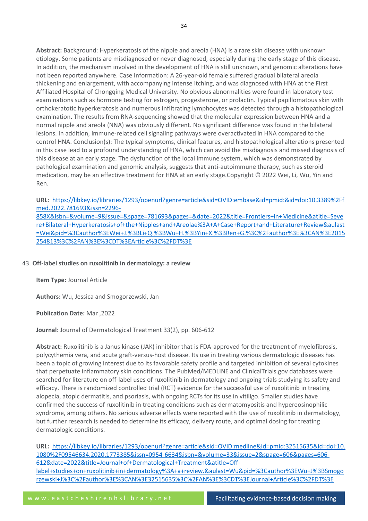**Abstract:** Background: Hyperkeratosis of the nipple and areola (HNA) is a rare skin disease with unknown etiology. Some patients are misdiagnosed or never diagnosed, especially during the early stage of this disease. In addition, the mechanism involved in the development of HNA is still unknown, and genomic alterations have not been reported anywhere. Case Information: A 26-year-old female suffered gradual bilateral areola thickening and enlargement, with accompanying intense itching, and was diagnosed with HNA at the First Affiliated Hospital of Chongqing Medical University. No obvious abnormalities were found in laboratory test examinations such as hormone testing for estrogen, progesterone, or prolactin. Typical papillomatous skin with orthokeratotic hyperkeratosis and numerous infiltrating lymphocytes was detected through a histopathological examination. The results from RNA-sequencing showed that the molecular expression between HNA and a normal nipple and areola (NNA) was obviously different. No significant difference was found in the bilateral lesions. In addition, immune-related cell signaling pathways were overactivated in HNA compared to the control HNA. Conclusion(s): The typical symptoms, clinical features, and histopathological alterations presented in this case lead to a profound understanding of HNA, which can avoid the misdiagnosis and missed diagnosis of this disease at an early stage. The dysfunction of the local immune system, which was demonstrated by pathological examination and genomic analysis, suggests that anti-autoimmune therapy, such as steroid medication, may be an effective treatment for HNA at an early stage.Copyright © 2022 Wei, Li, Wu, Yin and Ren.

# **URL:** [https://libkey.io/libraries/1293/openurl?genre=article&sid=OVID:embase&id=pmid:&id=doi:10.3389%2Ff](https://libkey.io/libraries/1293/openurl?genre=article&sid=OVID:embase&id=pmid:&id=doi:10.3389%2Ffmed.2022.781693&issn=2296-858X&isbn=&volume=9&issue=&spage=781693&pages=&date=2022&title=Frontiers+in+Medicine&atitle=Severe+Bilateral+Hyperkeratosis+of+the+Nipples+and+Areolae%3A+A+Case+Report+and+Literature+Review&aulast=Wei&pid=%3Cauthor%3EWei+J.%3BLi+Q.%3BWu+H.%3BYin+X.%3BRen+G.%3C%2Fauthor%3E%3CAN%3E2015254813%3C%2FAN%3E%3CDT%3EArticle%3C%2FDT%3E) [med.2022.781693&issn=2296-](https://libkey.io/libraries/1293/openurl?genre=article&sid=OVID:embase&id=pmid:&id=doi:10.3389%2Ffmed.2022.781693&issn=2296-858X&isbn=&volume=9&issue=&spage=781693&pages=&date=2022&title=Frontiers+in+Medicine&atitle=Severe+Bilateral+Hyperkeratosis+of+the+Nipples+and+Areolae%3A+A+Case+Report+and+Literature+Review&aulast=Wei&pid=%3Cauthor%3EWei+J.%3BLi+Q.%3BWu+H.%3BYin+X.%3BRen+G.%3C%2Fauthor%3E%3CAN%3E2015254813%3C%2FAN%3E%3CDT%3EArticle%3C%2FDT%3E)

[858X&isbn=&volume=9&issue=&spage=781693&pages=&date=2022&title=Frontiers+in+Medicine&atitle=Seve](https://libkey.io/libraries/1293/openurl?genre=article&sid=OVID:embase&id=pmid:&id=doi:10.3389%2Ffmed.2022.781693&issn=2296-858X&isbn=&volume=9&issue=&spage=781693&pages=&date=2022&title=Frontiers+in+Medicine&atitle=Severe+Bilateral+Hyperkeratosis+of+the+Nipples+and+Areolae%3A+A+Case+Report+and+Literature+Review&aulast=Wei&pid=%3Cauthor%3EWei+J.%3BLi+Q.%3BWu+H.%3BYin+X.%3BRen+G.%3C%2Fauthor%3E%3CAN%3E2015254813%3C%2FAN%3E%3CDT%3EArticle%3C%2FDT%3E) [re+Bilateral+Hyperkeratosis+of+the+Nipples+and+Areolae%3A+A+Case+Report+and+Literature+Review&aulast](https://libkey.io/libraries/1293/openurl?genre=article&sid=OVID:embase&id=pmid:&id=doi:10.3389%2Ffmed.2022.781693&issn=2296-858X&isbn=&volume=9&issue=&spage=781693&pages=&date=2022&title=Frontiers+in+Medicine&atitle=Severe+Bilateral+Hyperkeratosis+of+the+Nipples+and+Areolae%3A+A+Case+Report+and+Literature+Review&aulast=Wei&pid=%3Cauthor%3EWei+J.%3BLi+Q.%3BWu+H.%3BYin+X.%3BRen+G.%3C%2Fauthor%3E%3CAN%3E2015254813%3C%2FAN%3E%3CDT%3EArticle%3C%2FDT%3E) [=Wei&pid=%3Cauthor%3EWei+J.%3BLi+Q.%3BWu+H.%3BYin+X.%3BRen+G.%3C%2Fauthor%3E%3CAN%3E2015](https://libkey.io/libraries/1293/openurl?genre=article&sid=OVID:embase&id=pmid:&id=doi:10.3389%2Ffmed.2022.781693&issn=2296-858X&isbn=&volume=9&issue=&spage=781693&pages=&date=2022&title=Frontiers+in+Medicine&atitle=Severe+Bilateral+Hyperkeratosis+of+the+Nipples+and+Areolae%3A+A+Case+Report+and+Literature+Review&aulast=Wei&pid=%3Cauthor%3EWei+J.%3BLi+Q.%3BWu+H.%3BYin+X.%3BRen+G.%3C%2Fauthor%3E%3CAN%3E2015254813%3C%2FAN%3E%3CDT%3EArticle%3C%2FDT%3E) [254813%3C%2FAN%3E%3CDT%3EArticle%3C%2FDT%3E](https://libkey.io/libraries/1293/openurl?genre=article&sid=OVID:embase&id=pmid:&id=doi:10.3389%2Ffmed.2022.781693&issn=2296-858X&isbn=&volume=9&issue=&spage=781693&pages=&date=2022&title=Frontiers+in+Medicine&atitle=Severe+Bilateral+Hyperkeratosis+of+the+Nipples+and+Areolae%3A+A+Case+Report+and+Literature+Review&aulast=Wei&pid=%3Cauthor%3EWei+J.%3BLi+Q.%3BWu+H.%3BYin+X.%3BRen+G.%3C%2Fauthor%3E%3CAN%3E2015254813%3C%2FAN%3E%3CDT%3EArticle%3C%2FDT%3E)

# 43. **Off-label studies on ruxolitinib in dermatology: a review**

# **Item Type:** Journal Article

**Authors:** Wu, Jessica and Smogorzewski, Jan

# **Publication Date:** Mar ,2022

**Journal:** Journal of Dermatological Treatment 33(2), pp. 606-612

**Abstract:** Ruxolitinib is a Janus kinase (JAK) inhibitor that is FDA-approved for the treatment of myelofibrosis, polycythemia vera, and acute graft-versus-host disease. Its use in treating various dermatologic diseases has been a topic of growing interest due to its favorable safety profile and targeted inhibition of several cytokines that perpetuate inflammatory skin conditions. The PubMed/MEDLINE and ClinicalTrials.gov databases were searched for literature on off-label uses of ruxolitinib in dermatology and ongoing trials studying its safety and efficacy. There is randomized controlled trial (RCT) evidence for the successful use of ruxolitinib in treating alopecia, atopic dermatitis, and psoriasis, with ongoing RCTs for its use in vitiligo. Smaller studies have confirmed the success of ruxolitinib in treating conditions such as dermatomyositis and hypereosinophilic syndrome, among others. No serious adverse effects were reported with the use of ruxolitinib in dermatology, but further research is needed to determine its efficacy, delivery route, and optimal dosing for treating dermatologic conditions.

**URL:** [https://libkey.io/libraries/1293/openurl?genre=article&sid=OVID:medline&id=pmid:32515635&id=doi:10.](https://libkey.io/libraries/1293/openurl?genre=article&sid=OVID:medline&id=pmid:32515635&id=doi:10.1080%2F09546634.2020.1773385&issn=0954-6634&isbn=&volume=33&issue=2&spage=606&pages=606-612&date=2022&title=Journal+of+Dermatological+Treatment&atitle=Off-label+studies+on+ruxolitinib+in+dermatology%3A+a+review.&aulast=Wu&pid=%3Cauthor%3EWu+J%3BSmogorzewski+J%3C%2Fauthor%3E%3CAN%3E32515635%3C%2FAN%3E%3CDT%3EJournal+Article%3C%2FDT%3E) [1080%2F09546634.2020.1773385&issn=0954-6634&isbn=&volume=33&issue=2&spage=606&pages=606-](https://libkey.io/libraries/1293/openurl?genre=article&sid=OVID:medline&id=pmid:32515635&id=doi:10.1080%2F09546634.2020.1773385&issn=0954-6634&isbn=&volume=33&issue=2&spage=606&pages=606-612&date=2022&title=Journal+of+Dermatological+Treatment&atitle=Off-label+studies+on+ruxolitinib+in+dermatology%3A+a+review.&aulast=Wu&pid=%3Cauthor%3EWu+J%3BSmogorzewski+J%3C%2Fauthor%3E%3CAN%3E32515635%3C%2FAN%3E%3CDT%3EJournal+Article%3C%2FDT%3E) [612&date=2022&title=Journal+of+Dermatological+Treatment&atitle=Off](https://libkey.io/libraries/1293/openurl?genre=article&sid=OVID:medline&id=pmid:32515635&id=doi:10.1080%2F09546634.2020.1773385&issn=0954-6634&isbn=&volume=33&issue=2&spage=606&pages=606-612&date=2022&title=Journal+of+Dermatological+Treatment&atitle=Off-label+studies+on+ruxolitinib+in+dermatology%3A+a+review.&aulast=Wu&pid=%3Cauthor%3EWu+J%3BSmogorzewski+J%3C%2Fauthor%3E%3CAN%3E32515635%3C%2FAN%3E%3CDT%3EJournal+Article%3C%2FDT%3E)[label+studies+on+ruxolitinib+in+dermatology%3A+a+review.&aulast=Wu&pid=%3Cauthor%3EWu+J%3BSmogo](https://libkey.io/libraries/1293/openurl?genre=article&sid=OVID:medline&id=pmid:32515635&id=doi:10.1080%2F09546634.2020.1773385&issn=0954-6634&isbn=&volume=33&issue=2&spage=606&pages=606-612&date=2022&title=Journal+of+Dermatological+Treatment&atitle=Off-label+studies+on+ruxolitinib+in+dermatology%3A+a+review.&aulast=Wu&pid=%3Cauthor%3EWu+J%3BSmogorzewski+J%3C%2Fauthor%3E%3CAN%3E32515635%3C%2FAN%3E%3CDT%3EJournal+Article%3C%2FDT%3E) [rzewski+J%3C%2Fauthor%3E%3CAN%3E32515635%3C%2FAN%3E%3CDT%3EJournal+Article%3C%2FDT%3E](https://libkey.io/libraries/1293/openurl?genre=article&sid=OVID:medline&id=pmid:32515635&id=doi:10.1080%2F09546634.2020.1773385&issn=0954-6634&isbn=&volume=33&issue=2&spage=606&pages=606-612&date=2022&title=Journal+of+Dermatological+Treatment&atitle=Off-label+studies+on+ruxolitinib+in+dermatology%3A+a+review.&aulast=Wu&pid=%3Cauthor%3EWu+J%3BSmogorzewski+J%3C%2Fauthor%3E%3CAN%3E32515635%3C%2FAN%3E%3CDT%3EJournal+Article%3C%2FDT%3E)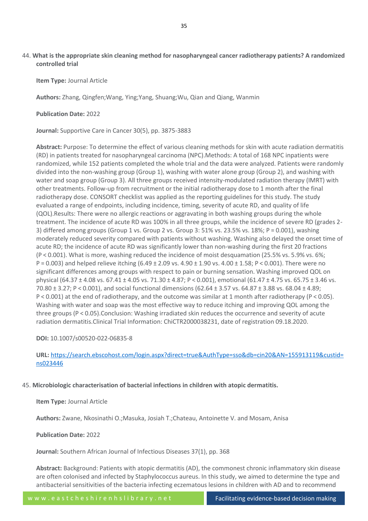# 44. **What is the appropriate skin cleaning method for nasopharyngeal cancer radiotherapy patients? A randomized controlled trial**

**Item Type:** Journal Article

**Authors:** Zhang, Qingfen;Wang, Ying;Yang, Shuang;Wu, Qian and Qiang, Wanmin

**Publication Date:** 2022

**Journal:** Supportive Care in Cancer 30(5), pp. 3875-3883

**Abstract:** Purpose: To determine the effect of various cleaning methods for skin with acute radiation dermatitis (RD) in patients treated for nasopharyngeal carcinoma (NPC).Methods: A total of 168 NPC inpatients were randomized, while 152 patients completed the whole trial and the data were analyzed. Patients were randomly divided into the non-washing group (Group 1), washing with water alone group (Group 2), and washing with water and soap group (Group 3). All three groups received intensity-modulated radiation therapy (IMRT) with other treatments. Follow-up from recruitment or the initial radiotherapy dose to 1 month after the final radiotherapy dose. CONSORT checklist was applied as the reporting guidelines for this study. The study evaluated a range of endpoints, including incidence, timing, severity of acute RD, and quality of life (QOL).Results: There were no allergic reactions or aggravating in both washing groups during the whole treatment. The incidence of acute RD was 100% in all three groups, while the incidence of severe RD (grades 2- 3) differed among groups (Group 1 vs. Group 2 vs. Group 3: 51% vs. 23.5% vs. 18%; P = 0.001), washing moderately reduced severity compared with patients without washing. Washing also delayed the onset time of acute RD; the incidence of acute RD was significantly lower than non-washing during the first 20 fractions (P < 0.001). What is more, washing reduced the incidence of moist desquamation (25.5% vs. 5.9% vs. 6%; P = 0.003) and helped relieve itching (6.49 ± 2.09 vs. 4.90 ± 1.90 vs. 4.00 ± 1.58; P < 0.001). There were no significant differences among groups with respect to pain or burning sensation. Washing improved QOL on physical (64.37 ± 4.08 vs. 67.41 ± 4.05 vs. 71.30 ± 4.87; P < 0.001), emotional (61.47 ± 4.75 vs. 65.75 ± 3.46 vs. 70.80 ± 3.27; P < 0.001), and social functional dimensions (62.64 ± 3.57 vs. 64.87 ± 3.88 vs. 68.04 ± 4.89; P < 0.001) at the end of radiotherapy, and the outcome was similar at 1 month after radiotherapy (P < 0.05). Washing with water and soap was the most effective way to reduce itching and improving QOL among the three groups (P < 0.05).Conclusion: Washing irradiated skin reduces the occurrence and severity of acute radiation dermatitis.Clinical Trial Information: ChiCTR2000038231, date of registration 09.18.2020.

# **DOI:** 10.1007/s00520-022-06835-8

**URL:** [https://search.ebscohost.com/login.aspx?direct=true&AuthType=sso&db=cin20&AN=155913119&custid=](https://search.ebscohost.com/login.aspx?direct=true&AuthType=sso&db=cin20&AN=155913119&custid=ns023446) [ns023446](https://search.ebscohost.com/login.aspx?direct=true&AuthType=sso&db=cin20&AN=155913119&custid=ns023446)

# 45. **Microbiologic characterisation of bacterial infections in children with atopic dermatitis.**

**Item Type:** Journal Article

**Authors:** Zwane, Nkosinathi O.;Masuka, Josiah T.;Chateau, Antoinette V. and Mosam, Anisa

**Publication Date:** 2022

**Journal:** Southern African Journal of Infectious Diseases 37(1), pp. 368

**Abstract:** Background: Patients with atopic dermatitis (AD), the commonest chronic inflammatory skin disease are often colonised and infected by Staphylococcus aureus. In this study, we aimed to determine the type and antibacterial sensitivities of the bacteria infecting eczematous lesions in children with AD and to recommend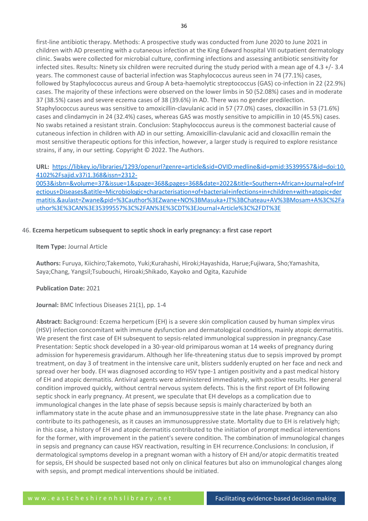first-line antibiotic therapy. Methods: A prospective study was conducted from June 2020 to June 2021 in children with AD presenting with a cutaneous infection at the King Edward hospital VIII outpatient dermatology clinic. Swabs were collected for microbial culture, confirming infections and assessing antibiotic sensitivity for infected sites. Results: Ninety six children were recruited during the study period with a mean age of 4.3 +/- 3.4 years. The commonest cause of bacterial infection was Staphylococcus aureus seen in 74 (77.1%) cases, followed by Staphylococcus aureus and Group A beta-haemolytic streptococcus (GAS) co-infection in 22 (22.9%) cases. The majority of these infections were observed on the lower limbs in 50 (52.08%) cases and in moderate 37 (38.5%) cases and severe eczema cases of 38 (39.6%) in AD. There was no gender predilection. Staphylococcus aureus was sensitive to amoxicillin-clavulanic acid in 57 (77.0%) cases, cloxacillin in 53 (71.6%) cases and clindamycin in 24 (32.4%) cases, whereas GAS was mostly sensitive to ampicillin in 10 (45.5%) cases. No swabs retained a resistant strain. Conclusion: Staphylococcus aureus is the commonest bacterial cause of cutaneous infection in children with AD in our setting. Amoxicillin-clavulanic acid and cloxacillin remain the most sensitive therapeutic options for this infection, however, a larger study is required to explore resistance strains, if any, in our setting. Copyright © 2022. The Authors.

**URL:** [https://libkey.io/libraries/1293/openurl?genre=article&sid=OVID:medline&id=pmid:35399557&id=doi:10.](https://libkey.io/libraries/1293/openurl?genre=article&sid=OVID:medline&id=pmid:35399557&id=doi:10.4102%2Fsajid.v37i1.368&issn=2312-0053&isbn=&volume=37&issue=1&spage=368&pages=368&date=2022&title=Southern+African+Journal+of+Infectious+Diseases&atitle=Microbiologic+characterisation+of+bacterial+infections+in+children+with+atopic+dermatitis.&aulast=Zwane&pid=%3Cauthor%3EZwane+NO%3BMasuka+JT%3BChateau+AV%3BMosam+A%3C%2Fauthor%3E%3CAN%3E35399557%3C%2FAN%3E%3CDT%3EJournal+Article%3C%2FDT%3E) [4102%2Fsajid.v37i1.368&issn=2312-](https://libkey.io/libraries/1293/openurl?genre=article&sid=OVID:medline&id=pmid:35399557&id=doi:10.4102%2Fsajid.v37i1.368&issn=2312-0053&isbn=&volume=37&issue=1&spage=368&pages=368&date=2022&title=Southern+African+Journal+of+Infectious+Diseases&atitle=Microbiologic+characterisation+of+bacterial+infections+in+children+with+atopic+dermatitis.&aulast=Zwane&pid=%3Cauthor%3EZwane+NO%3BMasuka+JT%3BChateau+AV%3BMosam+A%3C%2Fauthor%3E%3CAN%3E35399557%3C%2FAN%3E%3CDT%3EJournal+Article%3C%2FDT%3E)

[0053&isbn=&volume=37&issue=1&spage=368&pages=368&date=2022&title=Southern+African+Journal+of+Inf](https://libkey.io/libraries/1293/openurl?genre=article&sid=OVID:medline&id=pmid:35399557&id=doi:10.4102%2Fsajid.v37i1.368&issn=2312-0053&isbn=&volume=37&issue=1&spage=368&pages=368&date=2022&title=Southern+African+Journal+of+Infectious+Diseases&atitle=Microbiologic+characterisation+of+bacterial+infections+in+children+with+atopic+dermatitis.&aulast=Zwane&pid=%3Cauthor%3EZwane+NO%3BMasuka+JT%3BChateau+AV%3BMosam+A%3C%2Fauthor%3E%3CAN%3E35399557%3C%2FAN%3E%3CDT%3EJournal+Article%3C%2FDT%3E) [ectious+Diseases&atitle=Microbiologic+characterisation+of+bacterial+infections+in+children+with+atopic+der](https://libkey.io/libraries/1293/openurl?genre=article&sid=OVID:medline&id=pmid:35399557&id=doi:10.4102%2Fsajid.v37i1.368&issn=2312-0053&isbn=&volume=37&issue=1&spage=368&pages=368&date=2022&title=Southern+African+Journal+of+Infectious+Diseases&atitle=Microbiologic+characterisation+of+bacterial+infections+in+children+with+atopic+dermatitis.&aulast=Zwane&pid=%3Cauthor%3EZwane+NO%3BMasuka+JT%3BChateau+AV%3BMosam+A%3C%2Fauthor%3E%3CAN%3E35399557%3C%2FAN%3E%3CDT%3EJournal+Article%3C%2FDT%3E) [matitis.&aulast=Zwane&pid=%3Cauthor%3EZwane+NO%3BMasuka+JT%3BChateau+AV%3BMosam+A%3C%2Fa](https://libkey.io/libraries/1293/openurl?genre=article&sid=OVID:medline&id=pmid:35399557&id=doi:10.4102%2Fsajid.v37i1.368&issn=2312-0053&isbn=&volume=37&issue=1&spage=368&pages=368&date=2022&title=Southern+African+Journal+of+Infectious+Diseases&atitle=Microbiologic+characterisation+of+bacterial+infections+in+children+with+atopic+dermatitis.&aulast=Zwane&pid=%3Cauthor%3EZwane+NO%3BMasuka+JT%3BChateau+AV%3BMosam+A%3C%2Fauthor%3E%3CAN%3E35399557%3C%2FAN%3E%3CDT%3EJournal+Article%3C%2FDT%3E) [uthor%3E%3CAN%3E35399557%3C%2FAN%3E%3CDT%3EJournal+Article%3C%2FDT%3E](https://libkey.io/libraries/1293/openurl?genre=article&sid=OVID:medline&id=pmid:35399557&id=doi:10.4102%2Fsajid.v37i1.368&issn=2312-0053&isbn=&volume=37&issue=1&spage=368&pages=368&date=2022&title=Southern+African+Journal+of+Infectious+Diseases&atitle=Microbiologic+characterisation+of+bacterial+infections+in+children+with+atopic+dermatitis.&aulast=Zwane&pid=%3Cauthor%3EZwane+NO%3BMasuka+JT%3BChateau+AV%3BMosam+A%3C%2Fauthor%3E%3CAN%3E35399557%3C%2FAN%3E%3CDT%3EJournal+Article%3C%2FDT%3E)

#### 46. **Eczema herpeticum subsequent to septic shock in early pregnancy: a first case report**

#### **Item Type:** Journal Article

**Authors:** Furuya, Kiichiro;Takemoto, Yuki;Kurahashi, Hiroki;Hayashida, Harue;Fujiwara, Sho;Yamashita, Saya;Chang, Yangsil;Tsubouchi, Hiroaki;Shikado, Kayoko and Ogita, Kazuhide

#### **Publication Date:** 2021

#### **Journal:** BMC Infectious Diseases 21(1), pp. 1-4

**Abstract:** Background: Eczema herpeticum (EH) is a severe skin complication caused by human simplex virus (HSV) infection concomitant with immune dysfunction and dermatological conditions, mainly atopic dermatitis. We present the first case of EH subsequent to sepsis-related immunological suppression in pregnancy.Case Presentation: Septic shock developed in a 30-year-old primiparous woman at 14 weeks of pregnancy during admission for hyperemesis gravidarum. Although her life-threatening status due to sepsis improved by prompt treatment, on day 3 of treatment in the intensive care unit, blisters suddenly erupted on her face and neck and spread over her body. EH was diagnosed according to HSV type-1 antigen positivity and a past medical history of EH and atopic dermatitis. Antiviral agents were administered immediately, with positive results. Her general condition improved quickly, without central nervous system defects. This is the first report of EH following septic shock in early pregnancy. At present, we speculate that EH develops as a complication due to immunological changes in the late phase of sepsis because sepsis is mainly characterized by both an inflammatory state in the acute phase and an immunosuppressive state in the late phase. Pregnancy can also contribute to its pathogenesis, as it causes an immunosuppressive state. Mortality due to EH is relatively high; in this case, a history of EH and atopic dermatitis contributed to the initiation of prompt medical interventions for the former, with improvement in the patient's severe condition. The combination of immunological changes in sepsis and pregnancy can cause HSV reactivation, resulting in EH recurrence.Conclusions: In conclusion, if dermatological symptoms develop in a pregnant woman with a history of EH and/or atopic dermatitis treated for sepsis, EH should be suspected based not only on clinical features but also on immunological changes along with sepsis, and prompt medical interventions should be initiated.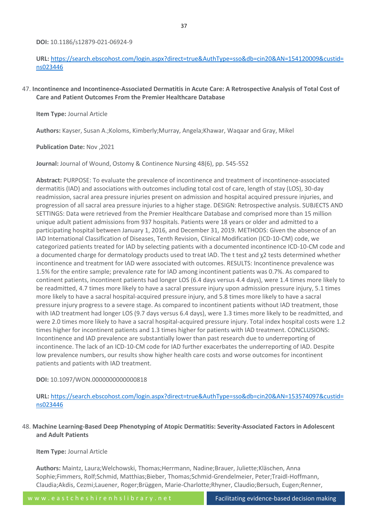**DOI:** 10.1186/s12879-021-06924-9

# **URL:** [https://search.ebscohost.com/login.aspx?direct=true&AuthType=sso&db=cin20&AN=154120009&custid=](https://search.ebscohost.com/login.aspx?direct=true&AuthType=sso&db=cin20&AN=154120009&custid=ns023446) [ns023446](https://search.ebscohost.com/login.aspx?direct=true&AuthType=sso&db=cin20&AN=154120009&custid=ns023446)

# 47. **Incontinence and Incontinence-Associated Dermatitis in Acute Care: A Retrospective Analysis of Total Cost of Care and Patient Outcomes From the Premier Healthcare Database**

#### **Item Type:** Journal Article

**Authors:** Kayser, Susan A.;Koloms, Kimberly;Murray, Angela;Khawar, Waqaar and Gray, Mikel

**Publication Date:** Nov ,2021

**Journal:** Journal of Wound, Ostomy & Continence Nursing 48(6), pp. 545-552

**Abstract:** PURPOSE: To evaluate the prevalence of incontinence and treatment of incontinence-associated dermatitis (IAD) and associations with outcomes including total cost of care, length of stay (LOS), 30-day readmission, sacral area pressure injuries present on admission and hospital acquired pressure injuries, and progression of all sacral area pressure injuries to a higher stage. DESIGN: Retrospective analysis. SUBJECTS AND SETTINGS: Data were retrieved from the Premier Healthcare Database and comprised more than 15 million unique adult patient admissions from 937 hospitals. Patients were 18 years or older and admitted to a participating hospital between January 1, 2016, and December 31, 2019. METHODS: Given the absence of an IAD International Classification of Diseases, Tenth Revision, Clinical Modification (ICD-10-CM) code, we categorized patients treated for IAD by selecting patients with a documented incontinence ICD-10-CM code and a documented charge for dermatology products used to treat IAD. The t test and χ2 tests determined whether incontinence and treatment for IAD were associated with outcomes. RESULTS: Incontinence prevalence was 1.5% for the entire sample; prevalence rate for IAD among incontinent patients was 0.7%. As compared to continent patients, incontinent patients had longer LOS (6.4 days versus 4.4 days), were 1.4 times more likely to be readmitted, 4.7 times more likely to have a sacral pressure injury upon admission pressure injury, 5.1 times more likely to have a sacral hospital-acquired pressure injury, and 5.8 times more likely to have a sacral pressure injury progress to a severe stage. As compared to incontinent patients without IAD treatment, those with IAD treatment had longer LOS (9.7 days versus 6.4 days), were 1.3 times more likely to be readmitted, and were 2.0 times more likely to have a sacral hospital-acquired pressure injury. Total index hospital costs were 1.2 times higher for incontinent patients and 1.3 times higher for patients with IAD treatment. CONCLUSIONS: Incontinence and IAD prevalence are substantially lower than past research due to underreporting of incontinence. The lack of an ICD-10-CM code for IAD further exacerbates the underreporting of IAD. Despite low prevalence numbers, our results show higher health care costs and worse outcomes for incontinent patients and patients with IAD treatment.

# **DOI:** 10.1097/WON.0000000000000818

**URL:** [https://search.ebscohost.com/login.aspx?direct=true&AuthType=sso&db=cin20&AN=153574097&custid=](https://search.ebscohost.com/login.aspx?direct=true&AuthType=sso&db=cin20&AN=153574097&custid=ns023446) [ns023446](https://search.ebscohost.com/login.aspx?direct=true&AuthType=sso&db=cin20&AN=153574097&custid=ns023446)

# 48. **Machine Learning-Based Deep Phenotyping of Atopic Dermatitis: Severity-Associated Factors in Adolescent and Adult Patients**

# **Item Type:** Journal Article

**Authors:** Maintz, Laura;Welchowski, Thomas;Herrmann, Nadine;Brauer, Juliette;Kläschen, Anna Sophie;Fimmers, Rolf;Schmid, Matthias;Bieber, Thomas;Schmid-Grendelmeier, Peter;Traidl-Hoffmann, Claudia;Akdis, Cezmi;Lauener, Roger;Brüggen, Marie-Charlotte;Rhyner, Claudio;Bersuch, Eugen;Renner,

w w w . e a s t c h e s h i r e n h s l i b r a r y . n e t Facilitating evidence-based decision making